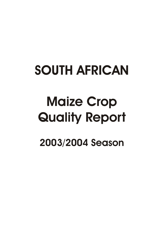## **SOUTH AFRICAN**

# **Maize Crop Quality Report**

**2003/2004 Season**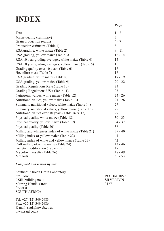## **INDEX**

|                                                       | Page           |
|-------------------------------------------------------|----------------|
| Text                                                  | $1 - 2$        |
| Maize quality (summary)                               | $\overline{3}$ |
| Grain production regions                              | $4 - 7$        |
| Production estimates (Table 1)                        | 8              |
| RSA grading, white maize (Table 2)                    | $9 - 11$       |
| RSA grading, yellow maize (Table 3)                   | $12 - 14$      |
| RSA 10 year grading averages, white maize (Table 4)   | 15             |
| RSA 10 year grading averages, yellow maize (Table 5)  | 15             |
| Grading quality over 10 years (Table 6)               | 16             |
| Hectolitre mass (Table 7)                             | 16             |
| USA grading, white maize (Table 8)                    | $17 - 19$      |
| USA grading, yellow maize (Table 9)                   | $20 - 22$      |
| Grading Regulations RSA (Table 10)                    | 23             |
| Grading Regulations USA (Table 11)                    | 23             |
| Nutritional values, white maize (Table 12)            | $24 - 26$      |
| Nutritional values, yellow maize (Table 13)           | $24 - 26$      |
| Summary, nutritional values, white maize (Table 14)   | 27             |
| Summary, nutritional values, yellow maize (Table 15)  | 28             |
| Nutritional values over 10 years (Table 16 & 17)      | 29             |
| Physical quality, white maize (Table 18)              | $30 - 33$      |
| Physical quality, yellow maize (Table 19)             | $34 - 37$      |
| Physical quality (Table 20)                           | 38             |
| Milling and whiteness index of white maize (Table 21) | $39 - 40$      |
| Milling index of yellow maize (Table 22)              | 41             |
| Milling index of white and yellow maize (Table 23)    | 42             |
| Roff milling of white maize (Table 24)                | $43 - 46$      |
| Genetic modification (Table 25)                       | 47             |
| Mycotoxin results (Table 26)                          | $48 - 49$      |
| Methods                                               | $50 - 53$      |

#### *Compiled and issued by the:*

Southern African Grain Laboratory<br>3rd Floor P.O. Box 1059<br>SILVERTON CSIR building no. 4 SILV<br>Meiring Naudé Street 0127 Meiring Naudé Street Pretoria SOUTH AFRICA

Tel: +27 (12) 349 2683 Fax:  $+27(12)$  349 2686 E-mail: sagl@mweb.co.za www.sagl.co.za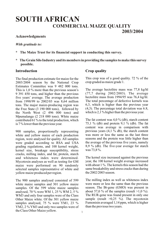## **SOUTH AFRICAN COMMERCIAL MAIZE QUALITY 2003/2004**

#### **Acknowledgments**

#### *With gratitude to:*

- **\* The Maize Trust for its financial support in conducting this survey.**
- **\* The Grain Silo Industry and its members in providing the samples to make this survey possible.**

#### **Introduction**

The final production estimate for maize for the 2003/2004 season by the National Crop Estimates Committee was 9 482 000 tons. This is 1,0 % more than the previous season's 9 391 450 tons, and higher than the previous five years' average. The average production from 1998/99 to 2002/03 was 8,64 million tons. The major maize-producing region was the Free State (3 190 000 tons), followed by the North West (2 496 000 tons) and Mpumalanga (2 218 000 tons). White maize contributed 61 % to the total production, which is 7 % lower than the previous year.

900 samples, proportionally representing white and yellow maize of each production region, were analysed for quality. All samples were graded according to RSA and USA grading regulations, and 100 kernel weight, kernel size, breakage susceptibility, stress cracks, milling index, and fat, protein, starch and whiteness index were determined. Mycotoxin analyses as well as testing for GM maize were performed on 90 randomly selected samples representative of white and yellow maize produced per region.

The 900 samples analysed consisted of 599 white maize samples and 301 yellow maize samples. Of the 599 white maize samples analysed, 70 % were WM 1, 25 % WM 2, 5 % WM3 and only four samples were of the Class Other Maize white. Of the 301 yellow maize samples analysed, 75 % were YM1, 23 % YM2, 2 % YM3 and only two samples were of the Class Other Maize yellow.

#### **Crop quality**

This crop was of a good quality. 72 % of the crop graded as maize grade 1.

The average hectolitre mass was 77,8 kg/hl (77,7 during 2002/2003). The average hectolitre mass from 1994/95 was 76,4 kg/hl. The total percentage of defective kernels was 6,3, which is higher than the previous year (4,3). The percentage total deviation was 6.8, which is 2,1% higher than the previous year.

The fat content was 4,0 % (db), starch content 75,1 % (db) and protein 9,1 % (db). The fat content was average in comparison with previous years  $(4,1\degree\%$  db), the starch content was more or less the same as the last three seasons and the protein was little higher than the average of the previous five years, namely 8,9 % (db). The five-year average for starch was 73,8 %.

The kernel size increased against the previous year, the 100 kernel weight average increased with about 1 %. The kernels this season had the same breakability and stress cracks than during the 2002/2003 season.

The milling index as well as whiteness index were more or less the same than the previous season. The Bt-gene (GMO) was present in about 57,0 % of the samples (result  $>1.0$  %). The RUR-gene was found present in only one sample (result  $>0.25$  %). The mycotoxin Fumonisin averaged 1,14 ppm, which is higher than the previous two years.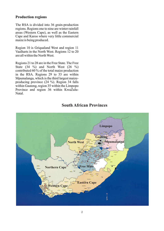#### **Production regions**

The RSA is divided into 36 grain-production regions. Regions one to nine are winter rainfall areas (Western Cape), as well as the Eastern Cape and Karoo where very little commercial maize is being produced.

Region 10 is Griqualand West and region 11 Vaalharts in the North West. Regions 12 to 20 are all within the North West.

Regions 21 to 28 are in the Free State. The Free State  $(34 \%)$  and North West  $(26 \%)$ contributed 60 % of the total maize production in the RSA. Regions 29 to 33 are within Mpumalanga, which is the third largest maizeproducing province (24 %). Region 34 falls within Gauteng, region 35 within the Limpopo Province and region 36 within KwaZulu-Natal.



#### **South African Provinces**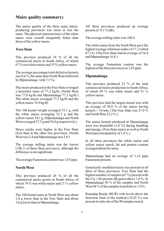#### **Maize quality (summary)**

The maize quality of the three main maizeproducing provinces was more or less the same. The physical characteristics of the white maize were overall marginally better than those of the yellow maize.

#### **Free State**

This province produced 34 % of all the commercial maize in South Africa, of which 67 % was white maize and 33 % yellow maize.

The average percentage total defective kernels was 8,6 %, the same than North West (followed by Mpumalanga with  $7.3\%$ ).

The maize produced in the Free State averaged a hectolitre mass of 77,2 kg/hl. (North West was 77,0 kg/hl and Mpumalanga 77,1 kg/hl.) The white maize averaged 77,5 kg/hl and the yellow maize 76,9 kg/hl.

The 100 kernel weight averaged 35,1 g, with the white maize averaging 35,3 g and the yellow maize 34,1 g. (Mpumalanga and North West averaged 37,5 g and 34,4 g respectively.)

Stress cracks were higher in the Free State (8,6) than in the other two provinces. (North West was 5,4 and Mpumalanga was 5,0.)

The average milling index was the lowest (106,7) of these three provinces, although the difference is not significant.

The average Fumonisin content was 1,07 ppm.

#### **North West**

This province produced 26 % of all the commercial maize grown in South Africa, of which 79 % was white maize and 21 % yellow maize.

The 100 kernel mass in North West was about 1,0 g lower than in the Free State and about 3,0 g lower than in Mpumalanga.

All three provinces produced an average protein of  $9,1\%$  (db).

The average milling index was 108,4.

The white maize from the North West gave the highest average whiteness index of 17,1 (sifted 87:13). (The Free State had an average of 16,4 and Mpumalanga 16,8.)

The average Fumonisin content was the highest of the three provinces at 1,85 ppm.

#### **Mpumalanga**

This province produced 23 % of the total commercial maize production in South Africa, of which 49 % was white maize and 51 % yellow maize.

This province had the largest kernel size with an average of 30,9 % of the maize having kernels  $> 10$  mm. (The Free State was 27,0 %) and North West 25,2 %.)

The maize kernels produced in Mpumalanga were less breakable (1,0 %) during handling and storage. (Free State maize as well as North West had a breakability of  $1,4\%$ .

In all three provinces the white maize and yellow maize starch, fat and protein content averaged about the same.

Mpumalanga had an average of 1,14 ppm Fumonisin present.

Genetically modified maize was present in all three of these provinces. Free State had the highest number of samples (67 %) present with the Cry 1Ab protein (Bt gene) above 1,0 %. In Mpumalanga 50 % of the samples and North West 44 % of the samples tested above 1,0 %.

Roundup Ready (RUR) with levels above the detection limit of the method  $(>0.25\%)$  was present in only one of the 90 samples tested.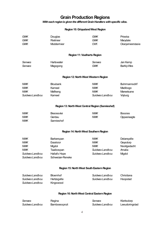## **Grain Production Regions**

*With each region is given the different Grain Handlers with specific silos.*

#### **Region 10: Griqualand West Region**

| <b>GWK</b><br><b>GWK</b><br><b>GWK</b>       | Douglas<br>Rietrivier<br>Modderrivier | <b>GWK</b><br><b>GWK</b><br><b>OVK</b>            | Prieska<br>Marydale<br>Oranjerivierstasie |
|----------------------------------------------|---------------------------------------|---------------------------------------------------|-------------------------------------------|
|                                              |                                       | <b>Region 11: Vaalharts Region</b>                |                                           |
| Senwes                                       | Hartswater                            | Senwes                                            | Jan Kemp                                  |
| Senwes                                       | Magogong                              | <b>GWK</b>                                        | Barkly-Wes                                |
|                                              |                                       | Region 12: North West Western Region              |                                           |
| <b>NWK</b>                                   | <b>Bloubank</b>                       | <b>NWK</b>                                        | Buhrmannsdrif                             |
| <b>NWK</b>                                   | Kameel                                | <b>NWK</b>                                        | Madibogo                                  |
| <b>NWK</b>                                   | Mafikeng                              | <b>NWK</b>                                        | Mareetsane                                |
| Suidwes Landbou                              | Kameel                                | Suidwes Landbou                                   | Vryburg                                   |
|                                              |                                       | Region 13: North West Central Region (Sannieshof) |                                           |
| <b>NWK</b>                                   | Biesiesvlei                           | <b>NWK</b>                                        | <b>Bossies</b>                            |
| <b>NWK</b>                                   | Gerdau                                | <b>NWK</b>                                        | Oppaslaagte                               |
| <b>NWK</b>                                   | Sannieshof                            |                                                   |                                           |
|                                              |                                       | Region 14: North West Southern Region             |                                           |
| <b>NWK</b>                                   | Barberspan                            | <b>NWK</b>                                        | Delareyville                              |
| <b>NWK</b>                                   | Excelsior                             | <b>NWK</b>                                        | Geysdorp                                  |
| <b>NWK</b>                                   | Mgdol                                 | <b>NWK</b>                                        | Nooitgedacht                              |
| <b>NWK</b>                                   | Taaibospan                            | Suidwes Landbou                                   | Amalia                                    |
| Suidwes Landbou                              | Hallat's Hope                         | Suidwes Landbou                                   | Mgdol                                     |
| Suidwes Landbou                              | Schweizer-Reneke                      |                                                   |                                           |
|                                              |                                       | Region 15: North West South Eastern Region        |                                           |
| Suidwes Landbou                              | Bloemhof                              | Suidwes Landbou                                   | Christiana                                |
| Suidwes Landbou                              | Hertzogville                          | Suidwes Landbou                                   | Hoopstad                                  |
| Suidwes Landbou                              | Kingswood                             |                                                   |                                           |
| Region 16: North West Central Eastern Region |                                       |                                                   |                                           |
|                                              | $D = 1$                               |                                                   | وسوام وعاسم الزا                          |

| Senwes          | Regina               | Senwes          | Klerksdorp     |
|-----------------|----------------------|-----------------|----------------|
| Suidwes Landbou | <b>Bamboesspruit</b> | Suidwes Landbou | Leeudoringstad |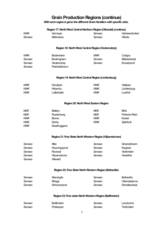## **Grain Production Regions (continue)**

*With each region is given the different Grain Handlers with specific silos.*

|               | Region 17: North West Central Northern Region (Ottosdal) (continue) |               |                    |
|---------------|---------------------------------------------------------------------|---------------|--------------------|
| <b>NWK</b>    | Vermaas                                                             | Senwes        | Harbeesfontein     |
| Senwes        | Melliodora                                                          | Senwes        | Werda              |
|               | Region 18: North West Central Region (Ventersdorp)                  |               |                    |
|               |                                                                     |               |                    |
| <b>NWK</b>    | <b>Bodenstein</b>                                                   | <b>NWK</b>    | Coligny            |
| <b>Senwes</b> | Buckingham                                                          | Senwes        | Makokskraal        |
| Senwes        | Ventersdorp                                                         | <b>Senwes</b> | Enselspruit        |
| Senwes        | Potchefstroom                                                       |               |                    |
|               | Region 19: North West Central Region (Lichtenburg)                  |               |                    |
| <b>NWK</b>    | Grootpan                                                            | <b>NWK</b>    | Halfpad            |
| <b>NWK</b>    | Hibernia                                                            | <b>NWK</b>    | Lichtenburg        |
| <b>NWK</b>    | Lottiehalte                                                         | <b>NWK</b>    | Lusthof            |
|               | Region 20: North West Eastern Region                                |               |                    |
| <b>MGK</b>    | <b>Battery</b>                                                      | <b>MGK</b>    | <b>Brits</b>       |
| <b>MGK</b>    | Rustenburg                                                          | <b>MGK</b>    | Pretoria-West      |
| <b>NWK</b>    | <b>Boons</b>                                                        | <b>NWK</b>    | Koster             |
| <b>NWK</b>    | Derby                                                               | <b>NWK</b>    | Syferbult          |
| <b>NWK</b>    | Swartruggens                                                        |               |                    |
|               |                                                                     |               |                    |
|               | Region 21: Free State North Western Region (Viljoenskroon)          |               |                    |
| Senwes        | Attie                                                               | Senwes        | Groenebloem        |
| Senwes        | Heuningspruit                                                       | Senwes        | <b>Koppies</b>     |
| <i>Senwes</i> | Rooiwal                                                             | <b>Senwes</b> | Vierfontein        |
| <b>Senwes</b> | <b>Viljoenskroon</b>                                                | Senwes        | Vredefort          |
| <b>Senwes</b> | Weiveld                                                             |               |                    |
|               | Region 22: Free State North Western Region (Bothaville)             |               |                    |
| <b>Senwes</b> | Allanrigde                                                          | Senwes        | <b>Bothaville</b>  |
| <b>Senwes</b> | Mrage                                                               | Senwes        | Odendaalsrus       |
| <b>Senwes</b> | Schoonspruit                                                        | Senwes        | Schuttesdraai      |
|               | Region 23: Free state North Western Region (Bultfontein)            |               |                    |
| Senwes        | <b>Bultfontein</b>                                                  | Senwes        | Losdoorns          |
| <b>Senwes</b> | Protespan                                                           | Senwes        | <b>Tierfontein</b> |
|               |                                                                     |               |                    |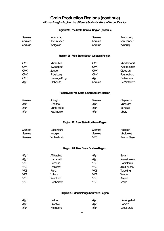## **Grain Production Regions (continue)**

*With each region is given the different Grain Handlers with specific silos.*

#### **Region 24: Free State Central Region (continue)**

| Senwes<br>Senwes<br>Senwes | Kroonstad<br>Theunissen<br>Welgeleë        | Senwes<br><b>Senwes</b><br>Senwes | Petrusburg<br>Van Tonder<br><b>Winburg</b> |
|----------------------------|--------------------------------------------|-----------------------------------|--------------------------------------------|
|                            | Region 25: Free State South Western Region |                                   |                                            |
|                            |                                            |                                   |                                            |
| <b>OVK</b>                 | <b>Marseilles</b>                          | <b>OVK</b>                        | Modderpoort                                |
| <b>OVK</b>                 | Tweespruit                                 | <b>OVK</b>                        | Westminster                                |
| <b>OVK</b>                 | Zastron                                    | <b>OVK</b>                        | Clocolan                                   |
| <b>OVK</b>                 | Ficksburg                                  | <b>OVK</b>                        | Fouriesburg                                |
| <b>OVK</b>                 | Havenga Brug                               | Afgri                             | Bethlehem                                  |
| Afgri                      | <b>Slabberts</b>                           | <b>Senwes</b>                     | De Wetsdorp                                |
|                            | Region 26: Free State South Eastern Region |                                   |                                            |
|                            |                                            |                                   |                                            |
| Senwes                     | Arlington                                  | Senwes                            | <b>Steynsrus</b>                           |
| Afgri                      | Libertas                                   | Afgri                             | Marquard                                   |
| Afgri                      | Monte Video                                | Afgri                             | Senekal                                    |
| Afgri                      | Kaallaagte                                 | Afgri                             | <b>Meets</b>                               |
|                            | Region 27: Free State Northern Region      |                                   |                                            |
| Senwes                     | Gottenburg                                 | Senwes                            | Heilbron                                   |
| Senwes                     | Hoogte                                     | <b>Senwes</b>                     | Mooigeleë                                  |
| Senwes                     | Wolwehoek                                  | <b>VKB</b>                        | Petrus Steyn                               |
|                            |                                            |                                   |                                            |
|                            | Region 28: Free State Eastern Region       |                                   |                                            |
| Afgri                      | Afrikaskop                                 | Afgri                             | Eeram                                      |
| Afgri                      | Harrismith                                 | Afgri                             | Kransfontein                               |
| <b>VKB</b>                 | Cornelia                                   | <b>VKB</b>                        | Daniëlsrus                                 |
| <b>VKB</b>                 | Frankfort                                  | <b>VKB</b>                        | Jim Fouché                                 |
| VKB                        | Reitz                                      | <b>VKB</b>                        | Tweeling                                   |
| <b>VKB</b>                 | <b>Villiers</b>                            | VKB                               | Warden                                     |
| <b>VKB</b>                 | <b>Windfield</b>                           | <b>VKB</b>                        | Ascent                                     |
| <b>VKB</b>                 | Robbertdrif                                | <b>VKB</b>                        | Vrede                                      |
|                            |                                            |                                   |                                            |

#### **Region 29: Mpumalanga Southern Region**

| Afgri | Balfour   | Afgri | Greylingstad |
|-------|-----------|-------|--------------|
| Afgri | Grootvlei | Afgri | Harvard      |
| Afgri | Holmdene  | Afgri | Leeuspruit   |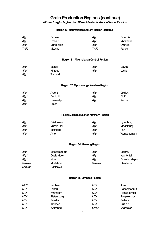## **Grain Production Regions (continue)**

*With each region is given the different Grain Handlers with specific silos.*

#### **Region 30: Mpumalanga Eastern Region (continue)**

| Afgri | Ermelo        | Afari | Estancia   |
|-------|---------------|-------|------------|
| Afgri | Lothair       | Afari | Maizefield |
| Afgri | Morgenzon     | Afari | Overvaal   |
| TWK   | <b>Mkondo</b> | TWK   | Panbult    |

#### **Region 31: Mpumalanga Central Region**

| Afgri | <b>Bethal</b> | Afgri | Devon  |
|-------|---------------|-------|--------|
| Afgri | Kinross       | Afgri | Leslie |
| Afgri | Trichardt     |       |        |

#### **Region 32: Mpumalanga Western Region**

| Afgri | Argent    | Afgri | Dryden |
|-------|-----------|-------|--------|
| Afgri | Endicott  | Afari | Eloff  |
| Afgri | Hawerklip | Afgri | Kendal |
| Afgri | Ogies     |       |        |

#### **Region 33: Mpumalanga Northern Region**

| Afgri | Driefontein | Afgri | Lydenburg     |
|-------|-------------|-------|---------------|
| Afgri | Marble Hall | Afgri | Mddelburg     |
| Afgri | Stoffberg   | Afgri | Pan           |
| Afgri | Arnot       | Afgri | Wonderfontein |

#### **Region 34: Gauteng Region**

| Afgri  | <b>Bloekomspruit</b> | Afgri  | Glenroy                 |
|--------|----------------------|--------|-------------------------|
| Afgri  | Goeie Hoek           | Afgri  | Kaalfontein             |
| Afgri  | Niael                | Afgri  | <b>Bronkhorstspruit</b> |
| Senwes | Mddelvlei            | Senwes | Oberholzer              |
| Senwes | Raathsvlei           |        |                         |

#### **Region 35: Limpopo Region**

| <b>MGK</b> | Northam          | NTK   | Alma           |
|------------|------------------|-------|----------------|
| <b>NTK</b> | Lehau            | NTK   | Naboomspruit   |
| <b>NTK</b> | <b>Nylstroom</b> | NTK   | Pienaarsrivier |
| <b>NTK</b> | Pietersburg      | NTK   | Potgietersrus  |
| <b>NTK</b> | Roedtan          | NTK   | Settlers       |
| NTK        | Tzaneen          | NTK   | Nutfield       |
| <b>NTK</b> | Warmbad          | Other | Vaalwater      |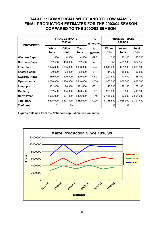## **TABLE 1: COMMERCIAL WHITE AND YELLOW MAIZE - FINAL PRODUCTION ESTIMATES FOR THE 2003/04 SEASON COMPARED TO THE 2002/03 SEASON**

| <b>PROVINCES</b>     |               | <b>FINAL ESTIMATE</b><br>2003/04 |                      | %<br>difference |               | <b>FINAL ESTIMATE</b><br>2002/03 |                      |
|----------------------|---------------|----------------------------------|----------------------|-----------------|---------------|----------------------------------|----------------------|
|                      | White<br>Tons | Yellow<br><b>Tons</b>            | <b>Total</b><br>Tons | to<br>2002/03   | White<br>Tons | Yellow<br><b>Tons</b>            | <b>Total</b><br>Tons |
| Western Cape         | 600           | 14 000                           | 14 600               | $-29,5$         | 300           | 20 400                           | 20 700               |
| <b>Northern Cape</b> | 62 500        | 450 000                          | 512 500              | $-4,1$          | 113 050       | 421 500                          | 534 550              |
| <b>Free State</b>    | 2 125 000     | 1 065 000                        | 3 190 000            | -4,4            | 2 515 000     | 821 500                          | 3 336 500            |
| <b>Eastern Cape</b>  | 20 000        | 63 000                           | 83 000               | +64,4           | 14 700        | 35 800                           | 50 500               |
| <b>KwaZulu-Natal</b> | 180 000       | 220 000                          | 400 000              | $+3,9$          | 207 500       | 177 600                          | 385 100              |
| <b>Mpumalanga</b>    | 1 088 000     | 1 130 000                        | 2 218 000            | +17,8           | 975 000       | 907 500                          | 1882500              |
| Limpopo              | 101 400       | 20 000                           | 121 400              | $-25,1$         | 140 000       | 22 100                           | 162 100              |
| Gauteng              | 262 500       | 184 000                          | 446 500              | $+6,7$          | 265 000       | 153 500                          | 418 500              |
| <b>North West</b>    | 1 965 000     | 531 000                          | 2 496 000            | $-4,0$          | 2 135 000     | 466 000                          | 2 601 000            |
| Total RSA            | 5 805 000     | 3 677 000                        | 9482000              | $+0,96$         | 6 365 550     | 3 0 2 5 9 0 0                    | 9 391 450            |
| % of crop            | 61            | 39                               |                      |                 | 68            | 32                               |                      |

**Figures obtained from the National Crop Estimates Committee**

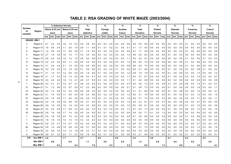## **TABLE 2: RSA GRADING OF WHITE MAIZE (2003/2004)**

|                |                   |     |               | % Defective Kernels |     |               |                |     | $\%$         |     |     | %       |     |     | $\frac{9}{6}$                                |         |     | %                |     |           | $\frac{9}{6}$  |           |     | $\%$            |             |     | $\frac{9}{6}$    |     |     | $\frac{9}{6}$  |                |
|----------------|-------------------|-----|---------------|---------------------|-----|---------------|----------------|-----|--------------|-----|-----|---------|-----|-----|----------------------------------------------|---------|-----|------------------|-----|-----------|----------------|-----------|-----|-----------------|-------------|-----|------------------|-----|-----|----------------|----------------|
| <b>Number</b>  |                   |     | Above 6.35 mm |                     |     | Below 6.35 mm |                |     | <b>Total</b> |     |     | Foreign |     |     | Another                                      |         |     | <b>Total</b>     |     |           | Pinked         |           |     | <b>Diplodia</b> |             |     | <b>Fusarium</b>  |     |     | Cobrot         |                |
| of<br>samples  | Region            |     | sieve         |                     |     | sieve         |                |     | defective    |     |     | matter  |     |     | Colour                                       |         |     | <b>Deviation</b> |     |           | <b>Kernels</b> |           |     | <b>Kernels</b>  |             |     | Kernels          |     |     | <b>Kernels</b> |                |
|                |                   |     | ave. Imin.    | max.                |     | ave. min.     | max. ave. min. |     |              |     |     |         |     |     | max. ave. min. max. ave. min. max. ave. min. |         |     |                  |     | max. ave. | min.           | max. ave. |     |                 | min.   max. |     | ave. min.   max. |     |     |                | ave. min. max. |
|                | <b>GRADE: WM1</b> |     |               |                     |     |               |                |     |              |     |     |         |     |     |                                              |         |     |                  |     |           |                |           |     |                 |             |     |                  |     |     |                |                |
| 3              | Region 8          | 2.7 | 2.4           | 3.0                 | 1.8 | 1.4           | 2.2            | 4.4 | 3.8          | 5.2 | 0.2 | 0.2     | 0.2 | 0.2 | 0.0                                          | 0.6     | 4.8 | 4.0              | 5.5 | 0.0       | 0.0            | 0.0       | 0.0 | 0.0             | 0.0         | 0.1 | 0.0              | 0.3 | 0.0 | 0.0            | 0.0            |
| 3              | Region 10         | 1.8 | 0.6           | 2.4                 | 1.1 | 0.5           | 1.5            | 2.9 | 1.1          | 3.9 | 0.1 | 0.1     | 0.2 | 0.1 | 0.0                                          | 0.1     | 3.1 | 1.3              | 4.0 | 0.0       | 0.0            | 0.0       | 0.0 | 0.0             | 0.0         | 0.0 | 0.0              | 0.0 | 0.0 | 0.0            | 0.0            |
| 8              | Region 11         | 1.4 | 0.9           | 2.2                 | 1.7 | 0.6           | 3.8            | 3.1 | 1.5          | 5.0 | 0.3 | 0.2     | 0.3 | 0.4 | 0.0                                          | 0.8     | 3.7 | 1.7              | 5.9 | 0.0       | 0.0            | 0.0       | 0.0 | 0.0             | 0.0         | 0.1 | 0.0              | 0.4 | 0.0 | 0.0            | 0.0            |
| 6              | Region 12         | 2.7 | 1.8           | 3.5                 | 1.6 | 1.4           | 1.7            | 4.3 | 3.4          | 5.2 | 0.3 | 0.2     | 0.3 | 0.3 | 0.0                                          | 1.4     | 4.8 | 4.0              | 6.3 | 0.0       | 0.0            | 0.0       | 0.1 | 0.0             | 0.3         | 0.0 | 0.0              | 0.0 | 0.0 | 0.0            | 0.0            |
| 4              | Region 13         | 2.9 | 2.4           | 3.0                 | 1.6 | 1.4           | 1.8            | 4.5 | 4.0          | 4.8 | 0.3 | 0.3     | 0.3 | 0.3 | 0.0                                          | 1.1     | 5.0 | 4.3              | 5.7 | 0.0       | 0.0            | 0.0       | 0.0 | 0.0             | 0.0         | 0.1 | 0.0              | 0.4 | 0.1 | 0.0            | 0.4            |
| 12             | Region 14         | 3.2 | 2.4           | 4.2                 | 2.0 | 1.1           | 2.9            | 5.2 | 3.5          | 6.5 | 0.3 | 0.2     | 0.3 | 0.3 | 0.0                                          | 1.2     | 5.8 | 3.8              | 7.9 | 0.0       | 0.0            | 0.0       | 0.0 | 0.0             | 0.0         | 0.1 | 0.0              | 0.9 | 0.0 | 0.0            | 0.0            |
| 6              | Region 15         | 3.1 | 2.4           | 4.4                 | 2.1 | 1.5           | 3.0            | 5.2 | 4.0          | 6.5 | 0.3 | 0.2     | 0.3 | 0.2 | 0.0                                          | 0.9     | 5.6 | 4.2              | 7.4 | 0.0       | 0.0            | 0.0       | 0.2 | 0.0             | 0.9         | 0.1 | 0.0              | 0.6 | 0.0 | 0.0            | 0.3            |
| 11             | Region 16         | 3.2 | 2.5           | 4.5                 | 1.9 | 1.0           | 2.8            | 5.1 | 3.9          | 6.0 | 0.3 | 0.2     | 0.3 | 0.1 | 0.0                                          | 0.9     | 5.5 | 4.1              | 6.6 | 0.0       | 0.0            | 0.0       | 0.1 | 0.0             | 0.4         | 0.3 | 0.0              | 0.8 | 0.1 | 0.0            | 0.4            |
| 13             | Region 17         | 3.1 | 1.4           | 5.7                 | 1.4 | 0.5           | 2.5            | 4.5 | 1.9          | 6.6 | 0.1 | 0.0     | 0.3 | 0.3 | 0.0                                          | 1.2     | 4.9 | 1.9              | 7.6 | 0.0       | 0.0            | 0.0       | 0.1 | 0.0             | 0.6         | 0.3 | 0.0              | 1.3 | 0.4 | 0.0            | 1.3            |
| 14             | Region 18         | 3.1 | 1.7           | 4.3                 | 1.8 | 1.4           | 2.0            | 4.8 | 3.4          | 6.1 | 0.2 | 0.2     | 0.3 | 0.3 | 0.0                                          | 1.1     | 5.4 | 3.7              | 6.7 | 0.0       | 0.0            | 0.0       | 0.1 | 0.0             | 0.3         | 0.2 | 0.0              | 1.0 | 0.2 | 0.0            | 0.7            |
| 8              | Region 19         | 3.0 | 2.2           | 4.0                 | 1.6 | 1.3           | 2.1            | 4.5 | 3.7          | 5.5 | 0.3 | 0.2     | 0.3 | 0.3 | 0.0                                          | 1.1     | 5.1 | 4.2              | 5.8 | 0.0       | 0.0            | 0.0       | 0.0 | 0.0             | 0.0         | 0.0 | 0.0              | 0.0 | 0.0 | 0.0            | 0.0            |
| $\overline{7}$ | Region 20         | 3.3 | 2.1           | 5.7                 | 1.5 | 0.7           | 2.1            | 4.8 | 3.2          | 6.3 | 0.3 | 0.2     | 0.3 | 0.4 | 0.0                                          | 0.7     | 5.5 | 3.9              | 7.2 | 0.0       | 0.0            | 0.0       | 0.1 | 0.0             | 0.4         | 0.6 | 0.0              | 1.4 | 0.1 | 0.0            | 0.7            |
| 21             | Region 21         | 3.1 | 1.3           | 4.8                 | 1.5 | 0.7           | 2.9            | 4.7 | 2.3          | 6.6 | 0.2 | 0.0     | 0.3 | 0.2 | 0.0                                          | 2.1     | 5.1 | 2.6              | 7.3 | 0.0       | 0.0            | 0.0       | 0.1 | 0.0             | 0.5         | 0.5 | 0.0              | 1.6 | 0.3 | 0.0            | 1.1            |
| 33             | Region 22         | 3.2 | 1.4           | 5.6                 | 1.4 | 0.4           | 3.8            | 4.6 | 2.8          | 7.0 | 0.2 | 0.0     | 0.3 | 0.2 | 0.0                                          | 2.2     | 5.1 | 3.1              | 8.0 | 0.0       | 0.0            | 0.0       | 0.1 | 0.0             | 0.8         | 0.3 | 0.0              | 1.0 | 0.5 | 0.0            | 4.1            |
| 97             | Region 23         | 3.1 | 1.4           | 6.3                 | 1.7 | 0.6           | 4.4            | 4.9 | 2.4          | 6.9 | 0.3 | 0.2     | 0.3 | 0.2 | 0.0                                          | 1.2     | 5.4 | 3.1              | 7.5 | 0.0       | 0.0            | 0.0       | 0.1 | 0.0             | 0.4         | 0.3 | 0.0              | 1.3 | 0.4 | 0.0            | 1.5            |
| 57             | Region 24         | 2.9 | 1.4           | 5.6                 | 1.7 | 0.4           | 2.9            | 4.6 | 2.8          | 7.0 | 0.2 | 0.1     | 0.3 | 0.2 | 0.0                                          | 1.9     | 5.0 | 3.1              | 7.5 | 0.0       | 0.0            | 0.3       | 0.0 | 0.0             | 0.4         | 0.2 | 0.0              | 1.1 | 0.2 | 0.0            | 1.1            |
| 10             | Region 25         | 2.4 | 1.6           | 3.9                 | 1.8 | 0.9           | 3.8            | 4.3 | 3.1          | 5.4 | 0.2 | 0.2     | 0.3 | 0.4 | 0.0                                          | 1.0     | 4.9 | 3.3              | 6.1 | 0.1       | 0.0            | 0.7       | 0.0 | 0.0             | 0.0         | 0.2 | 0.0              | 0.7 | 0.0 | 0.0            | 0.0            |
| 15             | Region 26         | 2.9 | 1.9           | 4.9                 | 1.6 | 1.0           | 2.2            | 4.5 | 3.3          | 5.8 | 0.3 | 0.2     | 0.3 | 0.3 | 0.0                                          | 1.0     | 5.0 | 3.9              | 6.1 | 0.0       | 0.0            | 0.0       | 0.0 | 0.0             | 0.0         | 0.1 | 0.0              | 1.0 | 0.0 | 0.0            | 0.0            |
| 10             | Region 27         | 3.5 | 2.4           | 5.8                 | 1.7 | 0.9           | 2.3            | 5.2 | 4.0          | 7.0 | 0.3 | 0.2     | 0.3 | 0.3 | 0.0                                          | 1.7     | 5.7 | 4.3              | 7.7 | 0.0       | 0.0            | 0.0       | 0.1 | 0.0             | 0.3         | 0.6 | 0.0              | 1.3 | 0.3 | 0.0            | 1.0            |
| 16             | Region 28         | 2.8 | 1.9           | 3.8                 | 1.7 | 1.0           | 2.9            | 4.5 | 3.4          | 6.5 | 0.2 | 0.1     | 0.3 | 0.2 | 0.0                                          | 0.9     | 4.9 | 3.6              | 7.1 | 0.1       | 0.0            | 1.3       | 0.0 | 0.0             | 0.3         | 0.0 | 0.0              | 0.4 | 0.0 | 0.0            | 0.0            |
| $\overline{7}$ | Region 29         | 2.5 | 1.8           | 3.0                 | 2.0 | 1.0           | 4.2            | 4.5 | 2.8          | 6.3 | 0.3 | 0.2     | 0.3 | 0.0 | 0.0                                          | 0.0     | 4.7 | 3.0              | 6.6 | 0.0       | 0.0            | 0.0       | 0.0 | 0.0             | 0.0         | 0.1 | 0.0              | 0.8 | 0.0 | 0.0            | 0.0            |
| $\mathbf{1}$   | Region 30         | 1.9 | 1.9           | 1.9                 | 1.4 | 1.4           | 1.4            | 3.3 | 3.3          | 3.3 | 0.3 | 0.3     | 0.3 | 0.0 | 0.0                                          | 0.0     | 3.5 | 3.5              | 3.5 | 0.0       | 0.0            | 0.0       | 0.0 | 0.0             | 0.0         | 0.0 | 0.0              | 0.0 | 0.0 | 0.0            | 0.0            |
| 4              | Region 32         | 2.9 | 2.3           | 4.1                 | 1.4 | 0.7           | 1.8            | 4.3 | 4.0          | 4.8 | 0.3 | 0.3     | 0.3 | 0.1 | 0.0                                          | 0.4     | 4.6 | 4.3              | 5.5 | 0.0       | 0.0            | 0.0       | 0.0 | 0.0             | 0.0         | 0.3 | 0.0              | 0.7 | 0.3 | 0.0            | 0.7            |
| 40             | Region 34         | 2.9 | 1.4           | 4.9                 | 1.9 | 0.8           | 3.5            | 4.8 | 2.7          | 6.9 | 0.2 | 0.0     | 0.3 | 0.3 | 0.0                                          | 1.6     | 5.4 | 2.7              | 7.2 | 0.0       | 0.0            | 0.0       | 0.0 | 0.0             | 0.3         | 0.5 | 0.0              | 1.3 | 0.3 | 0.0            | 1.0            |
| 7              | Region 35         | 3.2 | 2.9           | 3.4                 | 1.4 | 1.3           | 1.8            | 4.6 | 4.3          | 5.1 | 0.3 | 0.2     | 0.3 | 0.0 | 0.0                                          | 0.0     | 4.9 | 4.5              | 5.5 | 0.0       | 0.0            | 0.0       | 0.0 | 0.0             | 0.0         | 0.0 | 0.0              | 0.0 | 0.0 | 0.0            | 0.0            |
| 6              | Region 36         | 2.6 | 0.7           | 3.5                 | 2.4 | 1.1           | 3.3            | 5.0 | 1.8          | 6.8 | 0.2 | 0.1     | 0.2 | 0.1 | 0.0                                          | 0.6     | 5.3 | 2.1              | 6.9 | 0.0       | 0.0            | 0.0       | 0.1 | 0.0             | 0.2         | 0.1 | 0.0              | 0.2 | 0.0 | 0.0            | 0.1            |
| 419            | Ave WM            | 3.0 |               |                     | 1.7 |               |                | 4.7 |              |     | 0.2 |         |     | 0.2 |                                              |         | 5.2 |                  |     | 0.0       |                |           | 0.1 |                 |             | 0.3 |                  |     | 0.2 |                |                |
|                | Min WM 1          |     | 0.6           |                     |     | 0.4           |                |     | 1.1          |     |     | 0.0     |     |     | 0.0                                          |         |     | 1.3              |     |           | 0.0            |           |     | 0.0             |             |     | 0.0              |     |     | $0.0\,$        |                |
|                | Max WM 1          |     |               | 6.3                 |     |               | 4.4            |     |              | 7.0 |     |         | 0.3 |     |                                              | $2.2\,$ |     |                  | 8.0 |           |                | 1.3       |     |                 | 0.9         |     |                  | 1.6 |     |                | 4.1            |

 $\infty$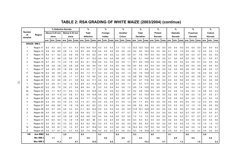## **TABLE 2: RSA GRADING OF WHITE MAIZE (2003/2004) (continue)**

|                |                    |      |               | % Defective Kernels |     |               |      |      | %         |      |     | %                                      |     |     | %           |     |            | %                |      |     | %         |     |     | %                        |     |     | %               |                   |     | %         |     |
|----------------|--------------------|------|---------------|---------------------|-----|---------------|------|------|-----------|------|-----|----------------------------------------|-----|-----|-------------|-----|------------|------------------|------|-----|-----------|-----|-----|--------------------------|-----|-----|-----------------|-------------------|-----|-----------|-----|
| <b>Number</b>  |                    |      | Above 6.35 mm |                     |     | Below 6.35 mm |      |      | Total     |      |     | Foreign                                |     |     | Another     |     |            | Total            |      |     | Pinked    |     |     | <b>Diplodia</b>          |     |     | <b>Fusarium</b> |                   |     | Cobrot    |     |
| of<br>samples  | Region             |      | sieve         |                     |     | sieve         |      |      | defective |      |     | matter                                 |     |     | Colour      |     |            | <b>Deviation</b> |      |     | Kernels   |     |     | Kernels                  |     |     | Kernels         |                   |     | Kernels   |     |
|                |                    | ave. | l min.        | max.                |     | ave. min.     | max. |      |           |      |     | ave.  min.  max. ave.  min.  max. ave. |     |     | min.   max. |     | ave. Imin. |                  | max. |     | ave. min. |     |     | max. ave. min. max. ave. |     |     |                 | Imin. I max. ave. |     | min. max. |     |
|                | <b>GRADE: WM 2</b> |      |               |                     |     |               |      |      |           |      |     |                                        |     |     |             |     |            |                  |      |     |           |     |     |                          |     |     |                 |                   |     |           |     |
| -1             | Region 11          | 6.3  | 6.3           | 6.3                 | 4.1 | 4.1           | 4.1  | 10.4 | 10.4      | 10.4 | 0.3 | 0.3                                    | 0.3 | 1.3 | 1.3         | 1.3 | 12.0       | 12.0             | 12.0 | 0.0 | 0.0       | 0.0 | 0.0 | 0.0                      | 0.0 | 0.0 | 0.0             | 0.0               | 0.0 | 0.0       | 0.0 |
| $\overline{7}$ | Region 12          | 5.9  | 2.6           | 8.8                 | 2.6 | 1.4           | 3.2  | 8.5  | 4.6       | 11.9 | 0.4 | 0.2                                    | 0.5 | 0.6 | 0.0         | 2.2 | 9.4        | 5.0              | 14.3 | 0.0 | 0.0       | 0.0 | 0.1 | 0.0                      | 1.0 | 0.5 | 0.0             | 1.2               | 0.3 | 0.0       | 1.3 |
| 3              | Region 13          | 5.3  | 4.1           | 6.2                 | 2.2 | 0.9           | 3.6  | 7.5  | 6.3       | 9.2  | 0.4 | 0.4                                    | 0.5 | 1.2 | 0.5         | 2.0 | 9.1        | 7.9              | 10.7 | 0.0 | 0.0       | 0.0 | 0.0 | 0.0                      | 0.0 | 0.5 | 0.3             | 0.7               | 0.0 | 0.0       | 0.0 |
| $\overline{7}$ | Region 14          | 6.2  | 3.1           | 8.8                 | 2.5 | 0.9           | 5.7  | 8.7  | 4.7       | 12.3 | 0.4 | 0.3                                    | 0.4 | 0.6 | 0.0         | 1.3 | 9.6        | 5.1              | 14.0 | 0.0 | 0.0       | 0.0 | 0.1 | 0.0                      | 0.6 | 0.5 | 0.0             | 1.8               | 0.1 | 0.0       | 0.7 |
| 2              | Region 15          | 6.7  | 6.3           | 7.2                 | 2.4 | 1.8           | 3.0  | 9.2  | 8.1       | 10.2 | 0.4 | 0.4                                    | 0.4 | 0.5 | 0.0         | 1.1 | 10.1       | 9.6              | 10.6 | 0.0 | 0.0       | 0.0 | 0.0 | 0.0                      | 0.0 | 0.3 | 0.0             | 0.7               | 0.2 | 0.0       | 0.4 |
| $\mathbf{1}$   | Region 16          | 2.8  | 2.8           | 2.8                 | 2.8 | 2.8           | 2.8  | 5.6  | 5.6       | 5.6  | 0.4 | 0.4                                    | 0.4 | 0.0 | 0.0         | 0.0 | 6.0        | 6.0              | 6.0  | 0.0 | 0.0       | 0.0 | 0.0 | 0.0                      | 0.0 | 0.0 | 0.0             | 0.0               | 0.0 | 0.0       | 0.0 |
| $\overline{7}$ | Region 17          | 4.4  | 2.0           | 6.5                 | 1.8 | 0.9           | 3.6  | 6.3  | 4.0       | 7.7  | 0.3 | 0.2                                    | 0.4 | 0.4 | 0.0         | 1.0 | 7.0        | 4.7              | 8.8  | 0.0 | 0.0       | 0.0 | 0.2 | 0.0                      | 0.8 | 0.6 | 0.0             | 0.9               | 0.6 | 0.0       | 1.5 |
| 11             | Region 18          | 6.4  | 3.6           | 9.0                 | 2.6 | 1.4           | 4.0  | 9.0  | 7.3       | 11.1 | 0.3 | 0.3                                    | 0.5 | 0.6 | 0.0         | 1.3 | 9.9        | 7.9              | 12.9 | 0.0 | 0.0       | 0.0 | 0.1 | 0.0                      | 0.5 | 0.8 | 0.0             | 1.6               | 0.5 | 0.0       | 2.2 |
| 5              | Region 19          | 5.8  | 4.5           | 7.9                 | 2.6 | 1.7           | 3.7  | 8.4  | 7.5       | 9.6  | 0.4 | 0.3                                    | 0.4 | 0.9 | 0.0         | 1.5 | 9.8        | 8.9              | 10.4 | 0.0 | 0.0       | 0.0 | 0.1 | 0.0                      | 0.3 | 0.4 | 0.0             | 0.9               | 0.1 | 0.0       | 0.3 |
| 5              | Region 20          | 5.5  | 2.2           | 8.6                 | 2.9 | 2.1           | 3.9  | 8.4  | 4.4       | 11.1 | 0.4 | 0.4                                    | 0.5 | 0.2 | 0.0         | 0.8 | 9.0        | 4.7              | 11.6 | 0.0 | 0.0       | 0.0 | 0.2 | 0.0                      | 0.6 | 0.5 | 0.0             | 1.1               | 0.2 | 0.0       | 0.6 |
| 7              | Region 21          | 5.3  | 2.6           | 9.1                 | 3.2 | 1.2           | 6.3  | 8.5  | 4.3       | 11.2 | 0.4 | 0.3                                    | 0.5 | 0.3 | 0.0         | 1.1 | 9.1        | 5.7              | 11.7 | 0.0 | 0.0       | 0.0 | 0.2 | 0.0                      | 0.5 | 1.0 | 0.4             | 1.5               | 0.7 | 0.0       | 1.4 |
| 10             | Region 22          | 6.2  | 3.9           | 7.9                 | 2.6 | 0.7           | 5.6  | 8.8  | 6.4       | 12   | 0.3 | 0.2                                    | 0.4 | 0.4 | 0.0         | 1.2 | 9.5        | 7.4              | 13.5 | 0.0 | 0.0       | 0.0 | 0.2 | 0.0                      | 0.4 | 0.6 | 0.3             | 1.0               | 0.7 | 0.3       | 1.3 |
| 40             | Region 23          | 5.5  | 1.7           | 10.7                | 3.1 | 0.9           | 7.3  | 8.6  | 4.5       | 12.9 | 0.3 | 0.0                                    | 0.5 | 0.3 | 0.0         | 5.7 | 9.2        | 4.8              | 14.0 | 0.0 | 0.0       | 0.0 | 0.2 | 0.0                      | 1.0 | 0.5 | 0.0             | 1.4               | 0.8 | 0.0       | 2.2 |
| 12             | Region 24          | 5.8  | 2.4           | 11.3                | 2.3 | 0.8           | 5.1  | 8.2  | 3.9       | 12.6 | 0.4 | 0.2                                    | 0.5 | 0.2 | 0.0         | 0.8 | 8.7        | 4.3              | 13.3 | 0.0 | 0.0       | 0.0 | 0.2 | 0.0                      | 1.3 | 0.6 | 0.0             | 1.5               | 0.7 | 0.0       | 2.1 |
| 4              | Region 25          | 6.5  | 2.5           | 9.3                 | 2.8 | 0.8           | 4.6  | 9.3  | 7.1       | 11.6 | 0.3 | 0.2                                    | 0.4 | 0.2 | 0.0         | 0.7 | 9.8        | 7.4              | 12.0 | 0.2 | 0.0       | 0.7 | 0.0 | 0.0                      | 0.0 | 0.4 | 0.0             | 1.3               | 0.3 | 0.0       | 1.0 |
| 4              | Region 26          | 4.3  | 3.5           | 5.0                 | 3.0 | 2.3           | 3.3  | 7.3  | 6.7       | 8.3  | 0.4 | 0.4                                    | 0.4 | 0.7 | 0.0         | 1.2 | 8.4        | 7.7              | 8.9  | 0.0 | 0.0       | 0.0 | 0.0 | 0.0                      | 0.0 | 0.5 | 0.0             | 1.2               | 0.3 | 0.0       | 0.6 |
| -1             | Region 27          | 6.6  | 6.6           | 6.6                 | 1.6 | 1.6           | 1.6  | 8.2  | 8.2       | 8.2  | 0.3 | 0.3                                    | 0.3 | 0.4 | 0.4         | 0.4 | 8.9        | 8.9              | 8.9  | 0.0 | 0.0       | 0.0 | 0.3 | 0.3                      | 0.3 | 1.0 | 1.0             | 1.0               | 0.6 | 0.6       | 0.6 |
| 4              | Region 28          | 6.0  | 5.7           | 6.5                 | 5.0 | 3.3           | 6.2  | 11.1 | 9.0       | 12.2 | 0.3 | 0.3                                    | 0.3 | 0.4 | 0.0         | 0.9 | 11.8       | 10.1             | 12.5 | 0.0 | 0.0       | 0.0 | 0.2 | 0.0                      | 0.6 | 0.7 | 0.6             | 0.9               | 0.0 | 0.0       | 0.0 |
| $\overline{2}$ | Region 29          | 4.4  | 3.9           | 4.9                 | 2.5 | 2.2           | 2.8  | 6.9  | 6.0       | 7.7  | 0.4 | 0.4                                    | 0.4 | 0.7 | 0.7         | 0.7 | 7.9        | 7.1              | 8.8  | 0.0 | 0.0       | 0.0 | 0.0 | 0.0                      | 0.0 | 0.3 | 0.0             | 0.7               | 0.3 | 0.0       | 0.7 |
| -1             | Region 30          | 4.0  | 4.0           | 4.0                 | 2.8 | 2.8           | 2.8  | 6.8  | 6.8       | 6.8  | 0.4 | 0.4                                    | 0.4 | 0.0 | 0.0         | 0.0 | 7.2        | 7.2              | 7.2  | 0.0 | 0.0       | 0.0 | 0.0 | 0.0                      | 0.0 | 0.7 | 0.7             | 0.7               | 0.7 | 0.7       | 0.7 |
| -1             | Region 31          | 6.0  | 6.0           | 6.0                 | 1.9 | 1.9           | 1.9  | 8.0  | 8.0       | 80   | 0.3 | 0.3                                    | 0.3 | 0.0 | 0.0         | 0.0 | 8.3        | 8.3              | 8.3  | 0.0 | 0.0       | 0.0 | 0.0 | 0.0                      | 0.0 | 0.0 | 0.0             | 0.0               | 0.0 | 0.0       | 0.0 |
| -1             | Region 32          | 5.0  | 5.0           | 5.0                 | 3.2 | 3.2           | 3.2  | 8.2  | 8.2       | 8.2  | 0.3 | 0.3                                    | 0.3 | 0.0 | 0.0         | 0.0 | 8.5        | 8.5              | 8.5  | 0.0 | 0.0       | 0.0 | 0.0 | 0.0                      | 0.0 | 1.0 | 1.0             | 1.0               | 1.0 | 1.0       | 1.0 |
| 10             | Region 34          | 5.8  | 2.9           | 8.7                 | 3.5 | $1.2$         | 9.7  | 9.3  | 6.7       | 12.6 | 0.3 | 0.0                                    | 0.3 | 0.6 | 0.0         | 1.6 | 10.2       | 8.3              | 13.7 | 0.0 | 0.0       | 0.0 | 0.1 | 0.0                      | 0.4 | 0.6 | 0.0             | 1.4               | 0.9 | 0.0       | 2.1 |
| $\overline{2}$ | Region 36          | 4.9  | 3.7           | 6.1                 | 4.1 | 3.7           | 4.5  | 9.0  | 7.4       | 10.6 | 0.2 | 0.2                                    | 0.2 | 0.1 | 0.0         | 0.3 | 9.3        | 7.9              | 10.8 | 0.0 | $0.0\,$   | 0.0 | 0.0 | 0.0                      | 0.1 | 0.1 | 0.0             | 0.2               | 0.0 | 0.0       | 0.0 |
| 148            | Ave WM2            | 5.6  |               |                     | 2.9 |               |      | 8.5  |           |      | 0.3 |                                        |     | 0.4 |             |     | 9.3        |                  |      | 0.0 |           |     | 0.1 |                          |     | 0.6 |                 |                   | 0.6 |           |     |
|                | Min WM 2           |      | 1.7           |                     |     | 0.7           |      |      | 3.9       |      |     | 0.0                                    |     |     | 0.0         |     |            | 4.3              |      |     | 0.0       |     |     | 0.0                      |     |     | 0.0             |                   |     | 0.0       |     |
|                | Max WM 2           |      |               | 11.3                |     |               | 9.7  |      |           | 12.9 |     |                                        | 0.5 |     |             | 5.7 |            |                  | 14.3 |     |           | 0.7 |     |                          | 1.3 |     |                 | 1.8               |     |           | 2.2 |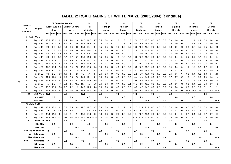## **TABLE 2: RSA GRADING OF WHITE MAIZE (2003/2004) (continue)**

|                |                     |      |                | % Defective Kernels |      |               |                                                                     |      | $\%$         |           |     | $\%$    |       |     | $\%$                                                         |     |      | $\%$             |           |     | %              |     |     | %               |     |      | %               |      |      | $\%$           |           |
|----------------|---------------------|------|----------------|---------------------|------|---------------|---------------------------------------------------------------------|------|--------------|-----------|-----|---------|-------|-----|--------------------------------------------------------------|-----|------|------------------|-----------|-----|----------------|-----|-----|-----------------|-----|------|-----------------|------|------|----------------|-----------|
| <b>Number</b>  |                     |      | Above 6.35 mm  |                     |      | Below 6.35 mm |                                                                     |      | <b>Total</b> |           |     | Foreign |       |     | Another                                                      |     |      | <b>Total</b>     |           |     | Pinked         |     |     | <b>Diplodia</b> |     |      | <b>Fusarium</b> |      |      | Cobrot         |           |
| of<br>samples  | Region              |      | sieve          |                     |      | sieve         |                                                                     |      | defective    |           |     | matter  |       |     | Colour                                                       |     |      | <b>Deviation</b> |           |     | <b>Kernels</b> |     |     | <b>Kernels</b>  |     |      | Kernels         |      |      | <b>Kernels</b> |           |
|                |                     |      |                |                     |      |               | ave.  min.  max. ave.  min.  max. ave.  min.  max. ave.  min.  max. |      |              |           |     |         |       |     | ave.   min.   max.   ave.   min.   max.   ave.   min.   max. |     |      |                  |           |     |                |     |     | ave. min. max   |     |      | ave. min. max.  |      |      | ave. min. max. |           |
|                | <b>GRADE: WM 3</b>  |      |                |                     |      |               |                                                                     |      |              |           |     |         |       |     |                                                              |     |      |                  |           |     |                |     |     |                 |     |      |                 |      |      |                |           |
| -1             | Region 13           |      | 13.2 13.2 13.2 |                     | 1.4  | 1.4           | 1.4                                                                 | 14.7 | 14.7         | 14.7      | 0.5 | 0.4     | 0.5   | 1.8 | 1.8                                                          | 1.8 | 17.0 | 17.0             | 17.0      | 0.0 | 0.0            | 0.0 | 0.0 | 0.0             | 0.0 | 1.1  | 1.1             | 1.1  | 0.4  | 0.4            | 0.4       |
| $\overline{2}$ | Region 14           | 11.1 | 10.1           | 12.1                | 3.0  | 1.4           | 4.6                                                                 | 14.1 | 13.5         | 14.7      | 0.6 | 0.5     | 0.7   | 1.3 | 1.3                                                          | 1.3 | 16.0 | 15.5             | 16.4      | 0.0 | 0.0            | 0.0 | 0.0 | 0.0             | 0.0 | 1.0  | 0.3             | 1.6  | 0.4  | 0.0            | 0.8       |
|                | Region 15           | 9.8  | 9.8            | 9.8                 | 3.3  | 3.3           | 3.3                                                                 | 13.1 | 13.1         | 13.1      | 0.5 | 0.5     | 0.5   | 0.0 | 0.0                                                          | 0.0 | 13.6 | 13.6             | 13.6      | 0.0 | 0.0            | 0.0 | 0.0 | 0.0             | 0.0 | 0.5  | 0.5             | 0.5  | 0.5  | 0.5            | 0.5       |
|                | Region 16           | 7.8  | 7.8            | 7.8                 | 3.6  | 3.6           | 3.6                                                                 | 11.4 | 11.4         | 11.4      | 0.6 | 0.6     | 0.6   | 0.0 | 0.0                                                          | 0.0 | 11.9 | 11.9             | 11.9      | 0.0 | 0.0            | 0.0 | 0.9 | 0.9             | 0.9 | 0.0  | 0.0             | 0.0  | 0.0  | 0.0            | 0.0       |
| 3              | Region 17           | 6.8  | 5.4            | 9.7                 | 3.3  | 1.1           | 4.5                                                                 | 10.1 | 6.5          | 13.9      | 0.5 | 0.3     | 0.6   | 0.6 | 0.0                                                          | 1.0 | 11.2 | 7.0              | 15.2      | 0.0 | 0.0            | 0.0 | 0.3 | 0.0             | 0.6 | 0.7  | 0.4             | 0.9  | 0.5  | 0.0            | 1.0       |
| 1              | Region 18           | 9.2  | 9.2            | 9.2                 | 5.7  | 5.7           | 5.7                                                                 | 14.9 | 14.9         | 14.9      | 0.5 | 0.5     | 0.5   | 1.3 | 1.3                                                          | 1.3 | 16.6 | 16.6             | 16.6      | 0.0 | 0.0            | 0.0 | 0.4 | 0.4             | 0.4 | 0.7  | 0.7             | 0.7  | 0.4  | 0.4            | 0.4       |
| $\overline{2}$ | Region 19           | 10.8 | 10.5 11.2      |                     | 3.6  | 1.9           | 5.3                                                                 | 14.4 | 13.1         | 15.7      | 0.5 | 0.5     | 0.6   | 0.7 | 0.0                                                          | 1.3 | 15.6 | 13.5             | 17.6      | 0.0 | 0.0            | 0.0 | 0.4 | 0.3             | 0.4 | 1.3  | 0.4             | 2.1  | 0.6  | 0.4            | 0.8       |
| 3              | Region 20           | 11.4 | 10.5           | 12.4                | 4.8  | 2.9           | 6.3                                                                 | 16.2 | 14.2         | 18.7      | 0.5 | 0.4     | 0.6   | 0.5 | 0.0                                                          | 1.0 | 17.2 | 15.2             | 20.3      | 0.0 | 0.0            | 0.0 | 0.1 | 0.0             | 0.4 | 0.7  | 0.4             | 1.0  | 0.4  | 0.0            | 0.7       |
| 1              | Region 21           | 12.6 | 12.6           | 12.6                | 2.9  | 2.9           | 2.9                                                                 | 15.5 | 15.5         | 15.5      | 0.3 | 0.3     | 0.3   | 0.0 | 0.0                                                          | 0.0 | 15.8 | 15.8             | 15.8      | 0.0 | 0.0            | 0.0 | 0.4 | 0.4             | 0.4 | 1.2  | 1.2             | 1.2  | 1.2  | 1.2            | 1.2       |
| 4              | Region 22           | 11.3 | 6.5            | 15.1                | 1.5  | 1.1           | 1.9                                                                 | 12.8 | 8.0          | 16.2      | 0.5 | 0.3     | 0.7   | 0.4 | 0.0                                                          | 1.7 | 13.7 | 8.6              | 18.3      | 0.0 | 0.0            | 0.0 | 0.5 | 0.3             | 0.7 | 1.2  | 1.0             | 1.4  | 2.2  | 1.5            | 2.8       |
| $\overline{2}$ | Region 23           | 6.9  | 2.9            | 10.8                | 1.9  | 1.5           | 2.3                                                                 | 8.7  | 4.4          | 13.1      | 0.4 | 0.3     | 0.6   | 0.0 | 0.0                                                          | 0.0 | 9.2  | 5.0              | 13.4      | 0.0 | 0.0            | 0.0 | 0.4 | 0.3             | 0.4 | 0.8  | 0.4             | 1.2  | 1.3  | 0.5            | 2.0       |
|                | Region 24           | 11.5 | 11.5           | 11.5                | 2.5  | 2.5           | 2.5                                                                 | 14.1 | 14.1         | 14.1      | 0.3 | 0.3     | 0.3   | 0.0 | 0.0                                                          | 0.0 | 14.4 | 14.4             | 14.4      | 0.0 | 0.0            | 0.0 | 0.7 | 0.7             | 0.7 | 1.0  | 1.0             | 1.0  | 1.4  | 1.4            | 1.4       |
|                | Region 27           |      | 16.2 16.2      | 16.2                | 3.3  | 3.3           | 3.3                                                                 | 19.5 | 19.5         | 19.5      | 0.4 | 0.4     | 0.4   | 0.0 | 0.0                                                          | 0.0 | 19.9 | 19.9             | 19.9      | 0.0 | 0.0            | 0.0 | 0.7 | 0.7             | 0.7 | 1.3  | 1.3             | 1.3  | 2.0  | 2.0            | 2.0       |
| 3              | Region 29           | 5.7  | 2.6            | 11.1                | 5.4  | 1.5           | 10.0                                                                | 11.1 | 4.0          | 15.9      | 0.4 | 0.3     | 0.6   | 0.1 | 0.0                                                          | 0.4 | 11.6 | 4.3              | 16.3      | 0.0 | 0.0            | 0.0 | 0.0 | 0.0             | 0.0 | 0.5  | 0.4             | 0.6  | 0.6  | 0.0            | 1.3       |
|                | Region 30           |      | 13.3 13.3 13.3 |                     | 1.2  | 1.2           | 1.2                                                                 | 14.5 | 14.5         | 14.5      | 0.3 | 0.3     | 0.3   | 0.0 | 0.0                                                          | 0.0 | 14.9 | 14.9             | 14.9      | 0.0 | 0.0            | 0.0 | 0.4 | 0.4             | 0.4 | 3.0  | 3.0             | 3.0  | 2.1  | 2.1            | 2.1       |
| -1             | Region 34           | 15.8 |                | 15.8 15.8           | 0.6  | 0.6           | 0.6                                                                 | 16.4 |              | 16.4 16.4 | 0.0 | 0.0     | 0.0   | 0.0 | 0.0                                                          | 0.0 | 16.4 |                  | 16.4 16.4 | 0.0 | 0.0            | 0.0 | 0.6 | 0.6             | 0.6 | 13.5 | 13.5            | 13.5 | 14.1 |                | 14.1 14.1 |
| 28             | Ave WM 3            | 10.1 |                |                     | 3.1  |               |                                                                     | 13.3 |              |           | 0.4 |         |       | 0.5 |                                                              |     | 14.2 |                  |           | 0.0 |                |     | 0.3 |                 |     | 1.4  |                 |      | 1.4  |                |           |
|                | Min WM 3            |      | 2.6            |                     |      | 0.6           |                                                                     |      | 4.0          |           |     | 0.0     |       |     | 0.0                                                          |     |      | 4.3              |           |     | 0.0            |     |     | 0.0             |     |      | 0.0             |      |      | 0.0            |           |
|                | Max WM 3            |      |                | 16.2                |      |               | 10.0                                                                |      |              | 19.5      |     |         | 0.7   |     |                                                              | 1.8 |      |                  | 20.3      |     |                | 0.0 |     |                 | 0.9 |      |                 | 13.5 |      |                | 14.1      |
|                | <b>GRADE: COM</b>   |      |                |                     |      |               |                                                                     |      |              |           |     |         |       |     |                                                              |     |      |                  |           |     |                |     |     |                 |     |      |                 |      |      |                |           |
|                | Region 12           |      | 13.2 13.2      | 13.2                | 6.5  | 6.5           | 6.5                                                                 | 19.7 | 19.7         | 19.7      | 0.8 | 0.8     | 0.8   | 1.2 | 1.2                                                          | 1.2 | 21.7 | 21.7             | 21.7      | 0.0 | 0.0            | 0.0 | 0.4 | 0.4             | 0.4 | 0.0  | 0.0             | 0.0  | 0.4  | 0.4            | 0.4       |
|                | Region 17           | 3.5  | 3.5            | 3.5                 | 1.2  | 1.2           | 1.2                                                                 | 4.7  | 4.7          | 4.7       | 1.2 | $1.2$   | 1.2   | 0.2 | 0.2                                                          | 0.2 | 6.1  | 6.1              | 6.1       | 0.0 | 0.0            | 0.0 | 0.4 | 0.4             | 0.4 | 0.4  | 0.4             | 0.4  | 0.8  | 0.8            | 0.8       |
| 1              | Region 20           |      | 14.4 14.4 14.4 |                     | 2.1  | 2.1           | 2.1                                                                 | 16.6 | 16.6         | 16.6      | 0.8 | 0.8     | 0.8   | 2.0 | 2.0                                                          | 2.0 | 19.4 | 19.4             | 19.4      | 0.0 | 0.0            | 0.0 | 0.4 | 0.4             | 0.4 | 2.1  | 2.1             | 2.1  | 0.7  | 0.7            | 0.7       |
| 1              | Region 23           |      | 27.2 27.2 27.2 |                     | 20.4 |               | 20.4 20.4                                                           | 47.5 |              | 47.5 47.5 | 0.4 | 0.4     | 0.4   | 0.0 | 0.0                                                          | 0.0 | 47.9 | 47.9             | 47.9      | 0.0 | 0.0            | 0.0 | 0.0 | 0.0             | 0.0 | 0.0  | $0.0\,$         | 0.0  | 0.0  | 0.0            | 0.0       |
| 4              | Ave COM             | 14.6 |                |                     | 7.6  |               |                                                                     | 22.1 |              |           | 0.8 |         |       | 0.8 |                                                              |     | 23.8 |                  |           | 0.0 |                |     | 0.3 |                 |     | 0.6  |                 |      | 0.5  |                |           |
|                | <b>Min COM</b>      |      | 3.5            |                     |      | $1.2$         |                                                                     |      | 4.7          |           |     | 0.4     |       |     | 0.0                                                          |     |      | 6.1              |           |     | 0.0            |     |     | 0.0             |     |      | 0.0             |      |      | 0.0            |           |
|                | <b>Max COM</b>      |      |                | 27.2                |      |               | 20.4                                                                |      |              | 47.5      |     |         | 1.2   |     |                                                              | 2.0 |      |                  | 47.9      |     |                | 0.0 |     |                 | 0.4 |      |                 | 2.1  |      |                | 0.8       |
|                | 599 Ave white maize | 4.0  |                |                     | 2.1  |               |                                                                     | 6.1  |              |           | 0.3 |         |       | 0.3 |                                                              |     | 6.7  |                  |           | 0.0 |                |     | 0.1 |                 |     | 0.4  |                 |      | 0.4  |                |           |
|                | Min white maize     |      | 0.6            |                     |      | 0.4           |                                                                     |      | 1.1          |           |     | $0.0\,$ |       |     | $0.0\,$                                                      |     |      | $1.3$            |           |     | $0.0\,$        |     |     | 0.0             |     |      | 0.0             |      |      | $\mathbf{0.0}$ |           |
|                | Max white maize     |      |                | 27.2                |      |               | 20.4                                                                |      |              | 47.5      |     |         | 1.2   |     |                                                              | 5.7 |      |                  | 47.9      |     |                | 1.3 |     |                 | 1.3 |      |                 | 13.5 |      |                | 14.1      |
| 900            | Ave maize           | 4.1  |                |                     | 2.2  |               |                                                                     | 6.3  |              |           | 0.3 |         |       | 0.3 |                                                              |     | 6.8  |                  |           | 0.1 |                |     | 0.1 |                 |     | 0.3  |                 |      | 0.3  |                |           |
|                | Min maize           |      | 0.5            |                     |      | 0.4           |                                                                     |      | $1.1$        |           |     | 0.0     |       |     | 0.0                                                          |     |      | $1.2$            |           |     | 0.0            |     |     | 0.0             |     |      | 0.0             |      |      | $0.0\,$        |           |
|                | Max maize           |      |                | 27.2                |      |               | 20.4                                                                |      |              | 47.5      |     |         | $1.2$ |     |                                                              | 5.7 |      |                  | 47.9      |     |                | 3.3 |     |                 | 1.6 |      |                 | 13.5 |      |                | 14.1      |

 $\equiv$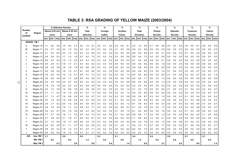## **TABLE 3: RSA GRADING OF YELLOW MAIZE (2003/2004)**

|                |                   |     |               | % Defective Kernels |      |               |      |     | %            |                           |     | %       |             |     | %             |     |     | %                |     |     | %                                              |     |     | %               |      |      | %               |      |      | %           |     |
|----------------|-------------------|-----|---------------|---------------------|------|---------------|------|-----|--------------|---------------------------|-----|---------|-------------|-----|---------------|-----|-----|------------------|-----|-----|------------------------------------------------|-----|-----|-----------------|------|------|-----------------|------|------|-------------|-----|
| Number         |                   |     | Above 6.35 mm |                     |      | Below 6.35 mm |      |     | <b>Total</b> |                           |     | Foreign |             |     | Another       |     |     | Total            |     |     | Pinked                                         |     |     | <b>Diplodia</b> |      |      | <b>Fusarium</b> |      |      | Cobrot      |     |
| of<br>samples  | Region            |     | sieve         |                     |      | sieve         |      |     | defective    |                           |     | matter  |             |     | Colour        |     |     | <b>Deviation</b> |     |     | Kernels                                        |     |     | <b>Kernels</b>  |      |      | <b>Kernels</b>  |      |      | Kernels     |     |
|                |                   |     | ave. min.     | max.                | ave. | min.          | max. |     |              | ave.   min.   max.   ave. |     |         | min.   max. |     | ave. min. max |     |     |                  |     |     | ave.   min.   max.   ave.   min.   max.   ave. |     |     | min.            | max. | ave. | min.            | max. | ave. | min.   max. |     |
|                | <b>GRADE: YM1</b> |     |               |                     |      |               |      |     |              |                           |     |         |             |     |               |     |     |                  |     |     |                                                |     |     |                 |      |      |                 |      |      |             |     |
| 8              | Region 10         | 1.1 | 0.6           | 2.9                 | 1.0  | 0.5           | 2.7  | 2.0 | 1.2          | 5.7                       | 0.2 | 0.1     | 0.2         | 0.0 | 0.0           | 0.1 | 2.2 | 1.2              | 5.9 | 0.1 | 0.0                                            | 0.8 | 0.0 | 0.0             | 0.0  | 0.0  | 0.0             | 0.1  | 0.0  | 0.0         | 0.0 |
| 25             | Region 11         | 2.0 | 0.7           | 3.9                 | 2.2  | 1.2           | 3.6  | 4.2 | 2.2          | 6.3                       | 0.3 | 0.2     | 0.3         | 0.1 | 0.0           | 0.8 | 4.6 | 2.4              | 6.6 | 0.0 | 0.0                                            | 0.0 | 0.0 | 0.0             | 0.3  | 0.0  | 0.0             | 0.3  | 0.0  | 0.0         | 0.3 |
| 8              | Region 12         | 4.1 | 3.0           | 6.0                 | 2.2  | 1.3           | 3.3  | 6.3 | 4.3          | 8.6                       | 0.3 | 0.2     | 0.3         | 0.0 | 0.0           | 0.0 | 6.6 | 4.5              | 8.9 | 0.3 | 0.0                                            | 2.1 | 0.0 | 0.0             | 0.0  | 0.1  | 0.0             | 0.4  | 0.0  | 0.0         | 0.0 |
| 5              | Region 13         | 3.6 | 2.6           | 5.3                 | 1.7  | 1.4           | 1.8  | 5.2 | 4.2          | 7.0                       | 0.3 | 0.2     | 0.3         | 0.3 | 0.0           | 0.9 | 5.8 | 4.4              | 7.3 | 0.0 | 0.0                                            | 0.0 | 0.0 | 0.0             | 0.0  | 0.0  | 0.0             | 0.0  | 0.0  | 0.0         | 0.0 |
| 7              | Region 14         | 4.0 | 3.0           | 5.2                 | 1.9  | 1.3           | 3.5  | 5.9 | 4.3          | 8.2                       | 0.3 | 0.2     | 0.3         | 0.0 | 0.0           | 0.0 | 6.1 | 4.6              | 8.6 | 0.8 | 0.0                                            | 2.1 | 0.0 | 0.0             | 0.0  | 0.0  | 0.0             | 0.0  | 0.0  | 0.0         | 0.0 |
| 3              | Region 15         | 3.5 | 2.9           | 4.1                 | 1.9  | 1.7           | 2.1  | 5.3 | 4.6          | 6.2                       | 0.3 | 0.3     | 0.3         | 0.0 | 0.0           | 0.0 | 5.6 | 4.9              | 6.5 | 0.6 | 0.0                                            | 1.8 | 0.0 | 0.0             | 0.0  | 0.0  | 0.0             | 0.0  | 0.0  | 0.0         | 0.0 |
| $\mathbf{1}$   | Region 16         | 3.8 | 3.8           | 3.8                 | 1.8  | 1.8           | 1.8  | 5.6 | 5.6          | 5.6                       | 0.3 | 0.3     | 0.3         | 0.0 | 0.0           | 0.0 | 5.8 | 5.8              | 5.8 | 0.0 | 0.0                                            | 0.0 | 0.0 | 0.0             | 0.0  | 0.0  | 0.0             | 0.0  | 0.0  | 0.0         | 0.0 |
| 4              | Region 17         | 4.2 | 2.8           | 5.4                 | 1.9  | 1.3           | 2.7  | 6.1 | 4.5          | 8.0                       | 0.2 | 0.2     | 0.3         | 0.2 | 0.0           | 0.8 | 6.5 | 4.8              | 8.3 | 0.3 | 0.0                                            | 1.0 | 0.1 | 0.0             | 0.3  | 0.3  | 0.0             | 0.7  | 0.3  | 0.0         | 0.7 |
| 8              | Region 18         | 3.9 | 3.0           | 4.5                 | 1.9  | 1.3           | 3.1  | 5.9 | 4.7          | 7.3                       | 0.3 | 0.2     | 0.3         | 0.2 | 0.0           | 1.3 | 6.4 | 5.0              | 8.2 | 0.0 | 0.0                                            | 0.0 | 0.1 | 0.0             | 0.4  | 0.2  | 0.0             | 0.7  | 0.5  | 0.0         | 1.4 |
| 5              | Region 19         | 3.8 | 2.8           | 4.6                 | 2.0  | 1.7           | 2.8  | 5.9 | 4.5          | 6.8                       | 0.3 | 0.2     | 0.4         | 0.0 | 0.0           | 0.0 | 6.2 | 4.8              | 7.1 | 0.5 | 0.0                                            | 1.3 | 0.0 | 0.0             | 0.0  | 0.0  | 0.0             | 0.0  | 0.0  | 0.0         | 0.0 |
| 3              | Region 20         | 4.2 | 2.5           | 5.8                 | 2.0  | 0.7           | 2.9  | 6.2 | 3.2          | 8.3                       | 0.3 | 0.3     | 0.3         | 0.0 | 0.0           | 0.0 | 6.5 | 3.5              | 8.6 | 0.9 | 0.0                                            | 1.3 | 0.0 | 0.0             | 0.0  | 0.0  | 0.0             | 0.0  | 0.0  | 0.0         | 0.0 |
| 1              | Region 21         | 1.8 | 1.8           | 1.8                 | 2.2  | 2.2           | 2.2  | 4.0 | 4.0          | 4.0                       | 0.0 | 0.0     | 0.0         | 0.2 | 0.2           | 0.2 | 4.2 | 4.2              | 4.2 | 0.0 | 0.0                                            | 0.0 | 0.2 | 0.0             | 0.2  | 0.2  | 0.0             | 0.2  | 0.3  | 0.0         | 0.3 |
| 6              | Region 22         | 3.0 | 1.2           | 3.8                 | 1.5  | 0.9           | 1.8  | 4.5 | 2.9          | 5.6                       | 0.3 | 0.2     | 0.3         | 0.3 | 0.0           | 1.4 | 5.1 | 3.2              | 7.0 | 0.0 | 0.0                                            | 0.0 | 0.1 | 0.0             | 0.3  | 0.1  | 0.0             | 0.3  | 0.2  | 0.0         | 0.7 |
| 18             | Region 23         | 3.1 | 1.1           | 5.3                 | 1.9  | 1.0           | 2.8  | 5.1 | 2.2          | 7.3                       | 0.2 | 0.2     | 0.3         | 0.2 | 0.0           | 1.3 | 5.5 | 2.4              | 8.4 | 0.5 | 0.0                                            | 2.5 | 0.0 | 0.0             | 0.2  | 0.0  | 0.0             | 0.3  | 0.2  | 0.0         | 0.7 |
| 13             | Region 24         | 2.7 | 1.3           | 4.7                 | 1.8  | 0.8           | 2.6  | 4.5 | 2.0          | 5.7                       | 0.3 | 0.2     | 0.3         | 0.2 | 0.0           | 0.8 | 5.0 | 2.6              | 6.7 | 0.3 | 0.0                                            | 1.5 | 0.0 | 0.0             | 0.3  | 0.1  | 0.0             | 0.4  | 0.2  | 0.0         | 0.4 |
| 15             | Region 25         | 3.0 | 1.8           | 4.5                 | 1.9  | 0.9           | 3.8  | 4.9 | 3.2          | 6.6                       | 0.3 | 0.2     | 0.3         | 0.1 | 0.0           | 0.4 | 5.2 | 3.9              | 6.8 | 0.4 | 0.0                                            | 1.9 | 0.0 | 0.0             | 0.0  | 0.1  | 0.0             | 0.8  | 0.0  | 0.0         | 0.3 |
| 18             | Region 26         | 3.5 | 1.7           | 5.2                 | 2.0  | 1.3           | 2.8  | 5.5 | 4.0          | 8.0                       | 0.3 | 0.2     | 0.3         | 0.3 | 0.0           | 1.2 | 6.1 | 4.8              | 8.3 | 0.4 | 0.0                                            | 3.3 | 0.0 | 0.0             | 0.0  | 0.0  | 0.0             | 0.6  | 0.1  | 0.0         | 0.7 |
| 10             | Region 27         | 2.9 | 1.8           | 4.4                 | 1.9  | 1.1           | 3.3  | 4.8 | 3.2          | 7.7                       | 0.3 | 0.2     | 0.3         | 0.0 | 0.0           | 0.3 | 5.1 | 3.8              | 7.9 | 0.5 | 0.0                                            | 1.7 | 0.0 | 0.0             | 0.3  | 0.3  | 0.0             | 0.6  | 0.2  | 0.0         | 0.7 |
| 19             | Region 28         | 3.4 | 2.3           | 5.7                 | 2.4  | 1.5           | 3.9  | 5.8 | 4.3          | 8.4                       | 0.2 | 0.2     | 0.3         | 0.1 | 0.0           | 1.0 | 6.1 | 4.5              | 8.6 | 0.4 | 0.0                                            | 1.9 | 0.0 | 0.0             | 0.3  | 0.1  | 0.0             | 0.9  | 0.0  | 0.0         | 0.4 |
| 12             | Region 29         | 3.7 | 2.7           | 4.5                 | 1.9  | 1.1           | 3.3  | 5.5 | 4.4          | 7.4                       | 0.3 | 0.2     | 0.3         | 0.1 | 0.0           | 0.6 | 5.8 | 4.6              | 7.7 | 0.2 | 0.0                                            | 1.2 | 0.0 | 0.0             | 0.0  | 0.0  | 0.0             | 0.0  | 0.1  | 0.0         | 0.6 |
| 3              | Region 30         | 4.7 | 3.8           | 6.3                 | 2.1  | 1.8           | 2.7  | 6.8 | 5.6          | 8.1                       | 0.3 | 0.3     | 0.3         | 0.0 | 0.0           | 0.0 | 7.1 | 5.9              | 8.4 | 1.2 | 0.0                                            | 2.1 | 0.0 | 0.0             | 0.0  | 0.0  | 0.0             | 0.0  | 0.2  | 0.0         | 0.3 |
| $\overline{7}$ | Region 32         | 2.7 | 1.2           | 5.0                 | 1.9  | 1.7           | 2.6  | 4.6 | 3.0          | 7.6                       | 0.3 | 0.2     | 0.3         | 0.0 | 0.0           | 0.0 | 4.9 | 3.3              | 7.8 | 1.0 | 0.0                                            | 1.4 | 0.0 | 0.0             | 0.0  | 0.2  | 0.0             | 0.7  | 0.0  | 0.0         | 0.0 |
| 18             | Region 34         | 2.4 | 0.9           | 4.8                 | 2.1  | 1.1           | 3.7  | 4.5 | 3.0          | 6.9                       | 0.3 | 0.2     | 0.3         | 0.1 | 0.0           | 1.1 | 4.9 | 3.3              | 7.1 | 0.7 | 0.0                                            | 1.7 | 0.0 | 0.0             | 0.3  | 0.1  | 0.0             | 0.4  | 0.2  | 0.0         | 0.7 |
| $\overline{7}$ | Region 35         | 3.9 | 3.0           | 4.4                 | 1.9  | 1.2           | 2.7  | 5.7 | 4.2          | 7.1                       | 0.3 | 0.2     | 0.3         | 0.0 | 0.0           | 0.0 | 6.0 | 4.5              | 7.4 | 0.0 | 0.0                                            | 0.0 | 0.0 | 0.0             | 0.0  | 0.0  | 0.0             | 0.0  | 0.0  | 0.0         | 0.0 |
| 1              | Region 36         | 0.5 | 0.5           | 0.5                 | 1.5  | 1.5           | 1.5  | 2.1 | 2.1          | 2.1                       | 0.2 | 0.2     | 0.2         | 0.0 | 0.0           | 0.0 | 2.2 | 2.2              | 2.2 | 0.0 | 0.0                                            | 0.0 | 0.0 | 0.0             | 0.0  | 0.0  | 0.0             | 0.0  | 0.0  | 0.0         | 0.0 |
| 225            | Ave YM 1          | 3.1 |               |                     | 2.0  |               |      | 5.0 |              |                           | 0.3 |         |             | 0.1 |               |     | 5.4 |                  |     | 0.4 |                                                |     | 0.0 |                 |      | 0.1  |                 |      | 0.1  |             |     |
|                | Min YM 1          |     | 0.5           |                     |      | 0.5           |      |     | $1.2$        |                           |     | 0.0     |             |     | 0.0           |     |     | $1.2$            |     |     | 0.0                                            |     |     | 0.0             |      |      | 0.0             |      |      | 0.0         |     |
|                | Max YM 1          |     |               | 6.3                 |      |               | 3.9  |     |              | 8.6                       |     |         | 0.4         |     |               | 1.4 |     |                  | 8.9 |     |                                                | 3.3 |     |                 | 0.4  |      |                 | 0.9  |      |             | 1.4 |

 $\vec{z}$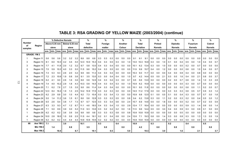|                     |                     |      |               | % Defective Kernels |     |               |     |      | %              |           |     | $\%$    |     |     | %       |     |      | %                |                |     | %                                                                                                                                                                                          |     |     | %               |     |     | %               |     |     | %              |     |
|---------------------|---------------------|------|---------------|---------------------|-----|---------------|-----|------|----------------|-----------|-----|---------|-----|-----|---------|-----|------|------------------|----------------|-----|--------------------------------------------------------------------------------------------------------------------------------------------------------------------------------------------|-----|-----|-----------------|-----|-----|-----------------|-----|-----|----------------|-----|
| <b>Number</b><br>оf |                     |      | Above 6.35 mm |                     |     | Below 6.35 mm |     |      | <b>Total</b>   |           |     | Foreign |     |     | Another |     |      | <b>Total</b>     |                |     | Pinked                                                                                                                                                                                     |     |     | <b>Diplodia</b> |     |     | <b>Fusarium</b> |     |     | Cobrot         |     |
| samples             | Region              |      | sieve         |                     |     | sieve         |     |      | defective      |           |     | matter  |     |     | Colour  |     |      | <b>Deviation</b> |                |     | <b>Kernels</b>                                                                                                                                                                             |     |     | <b>Kernels</b>  |     |     | <b>Kernels</b>  |     |     | <b>Kernels</b> |     |
|                     |                     |      |               |                     |     |               |     |      |                |           |     |         |     |     |         |     |      |                  |                |     | ave.  min.  max. ave.  min.  max. ave.  min.  max. ave.  min.  max. ave.  min.  max. ave.  min.  max. ave.  min.  max. ave.  min.  max. ave.  min.  max. ave.  min.  max. ave.  min.  max. |     |     |                 |     |     |                 |     |     |                |     |
|                     | <b>GRADE: YM2</b>   |      |               |                     |     |               |     |      |                |           |     |         |     |     |         |     |      |                  |                |     |                                                                                                                                                                                            |     |     |                 |     |     |                 |     |     |                |     |
|                     | Region 11           | 5.6  | 5.6           | 5.6                 | 3.2 | 3.2           | 3.2 | 8.8  | 8.8            | 8.8       | 0.3 | 0.3     | 0.3 | 0.0 | 0.0     | 0.0 | 9.1  | 9.1              | 9.1            | 0.0 | 0.0                                                                                                                                                                                        | 0.0 | 0.0 | 0.0             | 0.0 | 0.0 | 0.0             | 0.0 | 0.0 | 0.0            | 0.0 |
| 3                   | Region 13           | 8.1  | 6.0           | 10.3                | 4.2 | 3.5           | 5.0 | 12.3 | 10.0           | 15.3      | 0.4 | 0.3     | 0.5 | 0.3 | 0.0     | 1.0 | 13.0 | 10.3             | 16.8           | 0.3 | 0.0                                                                                                                                                                                        | 1.0 | 0.1 | 0.0             | 0.4 | 0.5 | 0.0             | 1.0 | 0.4 | 0.0            | 0.7 |
| 3                   | Region 14           | 7.7  | 4.1           | 11.8                | 2.0 | 1.2           | 3.2 | 9.7  | 5.8            | 13.0      | 0.4 | 0.3     | 0.4 | 0.0 | 0.0     | 0.0 | 10.1 | 6.2              | 13.4           | 0.3 | 0.0                                                                                                                                                                                        | 1.0 | 0.0 | 0.0             | 0.0 | 0.2 | 0.0             | 0.7 | 0.0 | 0.0            | 0.0 |
| 3                   | Region 15           | 7.5  | 5.9           | 10.2                | 4.0 | 3.3           | 5.0 | 11.5 | 9.6            | 15.2      | 0.4 | 0.3     | 0.5 | 0.0 | 0.0     | 0.0 | 11.9 | 9.9              | 15.7           | 0.4 | 0.0                                                                                                                                                                                        | 1.2 | 0.0 | 0.0             | 0.0 | 0.6 | 0.0             | 1.0 | 0.4 | 0.0            | 0.7 |
| 2                   | Region 16           | 7.3  | 5.3           | 9.3                 | 2.6 | 2.0           | 3.2 | 9.9  | 8.6            | 11.3      | 0.4 | 0.3     | 0.4 | 0.0 | 0.0     | 0.0 | 10.3 | 9.0              | 11.7           | 0.0 | 0.0                                                                                                                                                                                        | 0.0 | 0.4 | 0.0             | 0.8 | 0.4 | 0.0             | 0.8 | 0.0 | 0.0            | 0.0 |
| 9                   | Region 17           | 7.2  | 2.3           | 10.6                | 1.9 | 0.8           | 3.6 | 9.1  | 3.5            | 13.0      | 0.3 | 0.0     | 0.4 | 0.4 | 0.0     | 1.0 | 9.7  | 4.2              | 14.4           | 0.5 | 0.0                                                                                                                                                                                        | 2.1 | 0.3 | 0.0             | 1.6 | 0.4 | 0.0             | 2.1 | 0.8 | 0.0            | 3.7 |
| 6                   | Region 18           | 6.2  | 4.1           | 9.0                 | 2.6 | 1.6           | 3.6 | 8.8  | 5.8            | 12.6      | 0.4 | 0.3     | 0.4 | 0.3 | 0.0     | 0.7 | 9.5  | 6.6              | 13.0           | 0.0 | 0.0                                                                                                                                                                                        | 0.0 | 0.2 | 0.0             | 0.7 | 0.6 | 0.0             | 1.4 | 1.0 | 0.3            | 2.8 |
|                     | Region 19           | 7.4  | 4.0           | 10.2                | 2.9 | 1.8           | 4.3 | 10.3 | 5.8            | 14.5      | 0.4 | 0.3     | 0.4 | 0.3 | 0.0     | 1.0 | 10.9 | 6.2              | 15.9           | 0.0 | 0.0                                                                                                                                                                                        | 0.0 | 0.0 | 0.0             | 0.0 | 0.3 | 0.0             | 0.7 | 0.0 | 0.0            | 0.0 |
| 4                   | Region 20           | 7.1  | 6.2           | 7.8                 | 2.7 | 1.5           | 3.5 | 9.8  | 8.6            | 11.4      | 0.4 | 0.3     | 0.4 | 0.0 | 0.0     | 0.0 | 10.1 | 9.0              | 11.8           | 0.0 | 0.0                                                                                                                                                                                        | 0.0 | 0.0 | 0.0             | 0.0 | 0.6 | 0.0             | 1.1 | 0.2 | 0.0            | 0.7 |
| 2                   | Region 22           | 12.3 | 8.4           | 16.2                | 1.9 | 1.3           | 2.5 | 14.2 |                | 10.9 17.6 | 0.3 | 0.2     | 0.3 | 0.0 | 0.0     | 0.0 | 14.5 | 11.2             | 17.9           | 0.0 | 0.0                                                                                                                                                                                        | 0.0 | 0.3 | 0.3             | 0.3 | 0.6 | 0.5             | 0.7 | 0.9 | 0.3            | 1.4 |
|                     | Region 23           | 6.2  | 2.9           | 8.8                 | 3.0 | 1.0           | 4.4 | 9.2  | 7.3            | 10.4      | 0.3 | 0.3     | 0.4 | 1.3 | 0.0     | 5.0 | 10.9 | 9.8              | 12.5           | 0.1 | 0.0                                                                                                                                                                                        | 0.5 | 0.1 | 0.0             | 0.4 | 0.3 | 0.0             | 0.7 | 0.7 | 0.0            | 1.8 |
|                     | Region 24           | 5.0  | 1.4           | 11.2                | 3.6 | 1.5           | 6.1 | 8.6  | 5.6            | 12.8      | 0.3 | 0.3     | 0.3 | 0.5 | 0.0     | 0.8 | 9.4  | 6.2              | 13.8           | 0.3 | 0.0                                                                                                                                                                                        | 1.1 | 0.2 | 0.0             | 0.3 | 0.2 | 0.0             | 0.4 | 0.5 | 0.0            | 1.2 |
| 6                   | Region 26           | 6.0  | 2.6           | 9.4                 | 3.8 | 1.7           | 7.3 | 9.7  | 6.7            | 12.0      | 0.3 | 0.3     | 0.4 | 0.6 | 0.0     | 2.4 | 10.7 | 6.9              | 14.6           | 0.5 | 0.0                                                                                                                                                                                        | 1.8 | 0.0 | 0.0             | 0.0 | 0.2 | 0.0             | 0.7 | 0.2 | 0.0            | 0.9 |
| 3                   | Region 27           | 6.3  | 3.3           | 9.3                 | 4.7 | 1.2           | 8.7 | 11.1 | 4.6            | 18.0      | 0.4 | 0.3     | 0.4 | 1.0 | 0.0     | 2.9 | 12.4 | 7.7              | 18.4           | 0.0 | 0.0                                                                                                                                                                                        | 0.0 | 0.0 | 0.0             | 0.0 | 0.9 | 0.3             | 1.4 | 0.6 | 0.0            | 1.4 |
| 8                   | Region 28           | 7.1  | 5.0           | 8.9                 | 3.9 | 3.0           | 5.2 | 11.0 | 9.3            | 13.6      | 0.3 | 0.2     | 0.4 | 0.2 | 0.0     | 1.6 | 11.5 | 9.6              | 14.4           | 0.5 | 0.0                                                                                                                                                                                        | 3.0 | 0.4 | 0.0             | 0.9 | 0.3 | 0.0             | 0.9 | 0.1 | 0.0            | 0.5 |
|                     | Region 29           | 6.2  | 6.2           | 6.2                 | 3.6 | 3.6           | 3.6 | 9.8  | 9.8            | 9.8       | 0.3 | 0.3     | 0.3 | 0.8 | 0.0     | 0.8 | 10.8 | 10.8             | 10.8           | 0.0 | 0.0                                                                                                                                                                                        | 0.0 | 0.0 | 0.0             | 0.0 | 0.0 | 0.0             | 0.0 | 0.0 | 0.0            | 0.0 |
|                     | Region 34           | 10.0 | 2.8           | 18.0                | 1.5 | 0.8           | 2.5 | 11.5 | 4.4            | 19.1      | 0.2 | 0.1     | 0.4 | 0.8 | 0.0     | 2.4 | 12.6 | 7.1              | 19.3           | 0.8 | 0.0                                                                                                                                                                                        | 1.4 | 0.3 | 0.0             | 0.8 | 0.3 | 0.0             | 1.3 | 1.3 | 0.5            | 1.9 |
|                     | Region 36           | 6.2  | 6.2           | 6.2                 | 4.4 | 4.4           | 4.4 |      | 10.6 10.6 10.6 |           | 0.2 | 0.2     | 0.2 | 0.0 | 0.0     | 0.0 |      |                  | 10.8 10.8 10.8 | 0.0 | 0.0                                                                                                                                                                                        | 0.0 | 0.0 | 0.0             | 0.0 | 0.0 | 0.0             | 0.0 | 0.0 | 0.0            | 0.0 |
| 68                  | Ave YM 2            | 7.1  |               |                     | 3.0 |               |     | 10.1 |                |           | 0.3 |         |     | 0.4 |         |     | 10.9 |                  |                | 0.3 |                                                                                                                                                                                            |     | 0.2 |                 |     | 0.4 |                 |     | 0.5 |                |     |
|                     | Min YM <sub>2</sub> |      | 1.4           |                     |     | 0.8           |     |      | 3.5            |           |     | 0.0     |     |     | 0.0     |     |      | 4.2              |                |     | 0.0                                                                                                                                                                                        |     |     | 0.0             |     |     | 0.0             |     |     | 0.0            |     |
|                     | Max YM 2            |      |               | 18.0                |     |               | 8.7 |      |                | 19.1      |     |         | 0.5 |     |         | 5.0 |      |                  | 19.3           |     |                                                                                                                                                                                            | 3.0 |     |                 | 1.6 |     |                 | 2.1 |     |                | 3.7 |

## **TABLE 3: RSA GRADING OF YELLOW MAIZE (2003/2004) (continue)**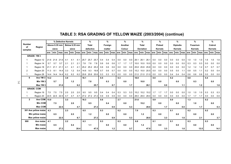|                     |                          |     |            | % Defective Kernels |     |               |      |      | %              |      |     | $\%$    |       |     | %                                                                                                                            |     |      | %                |                |     | %              |     |     | $\frac{9}{6}$   |     |     | $\frac{9}{6}$                                              |      |     | $\frac{9}{6}$ |      |
|---------------------|--------------------------|-----|------------|---------------------|-----|---------------|------|------|----------------|------|-----|---------|-------|-----|------------------------------------------------------------------------------------------------------------------------------|-----|------|------------------|----------------|-----|----------------|-----|-----|-----------------|-----|-----|------------------------------------------------------------|------|-----|---------------|------|
| <b>Number</b><br>of | Region                   |     |            | Above 6.35 mm       |     | Below 6.35 mm |      |      | <b>Total</b>   |      |     | Foreign |       |     | Another                                                                                                                      |     |      | <b>Total</b>     |                |     | <b>Pinked</b>  |     |     | <b>Diplodia</b> |     |     | <b>Fusarium</b>                                            |      |     | Cobrot        |      |
| samples             |                          |     | sieve      |                     |     | sieve         |      |      | defective      |      |     | matter  |       |     | Colour                                                                                                                       |     |      | <b>Deviation</b> |                |     | <b>Kernels</b> |     |     | <b>Kernels</b>  |     |     | <b>Kernels</b>                                             |      |     | Kernels       |      |
|                     |                          |     |            |                     |     |               |      |      |                |      |     |         |       |     | ave. [min. [max.] ave. [min. [max.] ave. [min. [max.] ave. [min. [max.] ave. [min. [max.] ave. [min. [max.] ave. [min. [max. |     |      |                  |                |     |                |     |     |                 |     |     | ave.   min.   max.  ave.   min.   max.  ave.   min.   max. |      |     |               |      |
|                     | <b>GRADE: YM 3</b>       |     |            |                     |     |               |      |      |                |      |     |         |       |     |                                                                                                                              |     |      |                  |                |     |                |     |     |                 |     |     |                                                            |      |     |               |      |
|                     | Region 12                |     | 21.6 21.6  | 21.6                | 4.1 | 4.1           | 4.1  | 25.7 | 25.7           | 25.7 | 0.4 | 0.4     | 0.4   | 0.0 | 0.0                                                                                                                          | 0.0 |      |                  | 26.1 26.1 26.1 | 0.0 | 0.0            | 0.0 | 0.0 | 0.0             | 0.0 | 1.0 | 1.0                                                        | 1.0  | 1.6 | 1.6           | 1.6  |
|                     | Region 14                | 5.7 | 5.7        | 5.7                 | 2.1 | 2.1           | 2.1  | 7.8  | 7.8            | 7.8  | 0.6 | 0.6     | 0.6   | 1.7 | 1.7                                                                                                                          | 1.7 | 10.0 |                  | 10.0 10.0      | 0.0 | 0.0            | 0.0 | 0.0 | 0.0             | 0.0 | 0.3 | 0.3                                                        | 0.3  | 0.0 | 0.0           | 0.0  |
|                     | Region 18                |     | 21.1 21.1  | 21.1                | 4.1 | 4.1           | 4.1  |      | 25.2 25.2 25.2 |      | 0.6 | 0.6     | 0.6   | 0.0 | 0.0                                                                                                                          | 0.0 |      |                  | 25.8 25.8 25.8 | 0.0 | 0.0            | 0.0 | 0.0 | 0.0             | 0.0 | 1.2 | 1.2                                                        | 1.2  | 0.7 | 0.7           | 0.7  |
| $\overline{2}$      | Region 20                |     | $11.3$ 8.1 | 14.4                | 3.3 | 1.2           | 5.4  |      | 14.6 9.3       | 19.8 | 0.7 | 0.6     | 0.7   | 0.0 | 0.0                                                                                                                          | 0.0 |      |                  | 15.2 10.0 20.5 | 0.0 | 0.0            | 0.0 | 0.5 | 0.0             | 1.1 | 0.8 | 0.5                                                        | 1.1  | 0.2 | 0.0           | 0.4  |
|                     | Region 28                |     |            | 14.4 14.4 14.4      | 6.2 | 6.2           | 6.2  |      | 20.6 20.6 20.6 |      | 0.3 | 0.3     | 0.3   | 0.0 | 0.0                                                                                                                          | 0.0 |      |                  | 21.0 21.0 21.0 | 0.0 | 0.0            | 0.0 | 0.4 | 0.4             | 0.4 | 0.6 | 0.6                                                        | 0.6  | 0.0 | 0.0           | 0.0  |
| 6                   | Ave YM 3 14.2            |     |            |                     | 3.9 |               |      | 18.1 |                |      | 0.5 |         |       | 0.3 |                                                                                                                              |     | 18.9 |                  |                | 0.0 |                |     | 0.2 |                 |     | 0.8 |                                                            |      | 0.4 |               |      |
|                     | Min YM 3                 |     | 5.7        |                     |     | 1.2           |      |      | 7.8            |      |     | 0.3     |       |     | 0.0                                                                                                                          |     |      | 10.0             |                |     | 0.0            |     |     | 0.0             |     |     | 0.3                                                        |      |     | 0.0           |      |
|                     | Max YM 3                 |     |            | 21.6                |     |               | 6.2  |      |                | 25.7 |     |         | 0.7   |     |                                                                                                                              | 1.7 |      |                  | 26.1           |     |                | 0.0 |     |                 | 1.1 |     |                                                            | 1.2  |     |               | 1.6  |
|                     | <b>GRADE: COM</b>        |     |            |                     |     |               |      |      |                |      |     |         |       |     |                                                                                                                              |     |      |                  |                |     |                |     |     |                 |     |     |                                                            |      |     |               |      |
|                     | Region 19                | 7.5 | 7.5        | 7.5                 | 2.0 | 2.0           | 2.0  | 9.5  | 9.5            | 9.5  | 0.4 | 0.4     | 0.4   | 5.3 | 5.3                                                                                                                          | 5.3 |      |                  | 15.2 15.2 15.2 | 1.7 | 1.7            | 1.7 | 0.0 | 0.0             | 0.0 | 1.0 | 1.0                                                        | 1.0  | 0.3 | 0.3           | 0.3  |
|                     | Region 20                |     |            | 22.5 22.5 22.5      | 4.7 | 4.7           | 4.7  |      | 27.2 27.2 27.2 |      | 0.9 | 0.9     | 0.9   | 0.0 | 0.0                                                                                                                          | 0.0 |      |                  | 28.0 28.0 28.0 | 0.0 | 0.0            | 0.0 | 0.0 | 0.0             | 0.0 | 1.7 | 1.7                                                        | 1.7  | 0.0 | 0.0           | 0.0  |
| $\overline{2}$      | Ave COM 15.0             |     |            |                     | 3.3 |               |      | 18.3 |                |      | 0.6 |         |       | 2.7 |                                                                                                                              |     | 21.6 |                  |                | 0.9 |                |     | 0.0 |                 |     | 1.3 |                                                            |      | 0.2 |               |      |
|                     | <b>Min COM</b>           |     | 7.5        |                     |     | 2.0           |      |      | 9.5            |      |     | 0.4     |       |     | 0.0                                                                                                                          |     |      | 15.2             |                |     | 0.0            |     |     | 0.0             |     |     | 1.0                                                        |      |     | 0.0           |      |
|                     | <b>Max COM</b>           |     |            | 22.5                |     |               | 4.7  |      |                | 27.2 |     |         | 0.9   |     |                                                                                                                              | 5.3 |      |                  | 28.0           |     |                | 1.7 |     |                 | 0.0 |     |                                                            | 1.7  |     |               | 0.3  |
|                     | 301 Ave yellow maize 4.3 |     |            |                     | 2.3 |               |      | 6.5  |                |      | 0.3 |         |       | 0.2 |                                                                                                                              |     | 7.0  |                  |                | 0.3 |                |     | 0.1 |                 |     | 0.2 |                                                            |      | 0.2 |               |      |
|                     | Min yellow maize         |     | 0.5        |                     |     | 0.5           |      |      | 1.2            |      |     | 0.0     |       |     | 0.0                                                                                                                          |     |      | 1.2              |                |     | 0.0            |     |     | 0.0             |     |     | 0.0                                                        |      |     | 0.0           |      |
|                     | Max yellow maize         |     |            | 22.5                |     |               | 8.7  |      |                | 27.2 |     |         | 0.9   |     |                                                                                                                              | 5.3 |      |                  | 28.0           |     |                | 3.3 |     |                 | 1.6 |     |                                                            | 2.1  |     |               | 3.7  |
| 900                 | Ave maize                | 4.1 |            |                     | 2.2 |               |      | 6.3  |                |      | 0.3 |         |       | 0.3 |                                                                                                                              |     | 6.8  |                  |                | 0.1 |                |     | 0.1 |                 |     | 0.3 |                                                            |      | 0.3 |               |      |
|                     | <b>Min maize</b>         |     | 0.5        |                     |     | 0.4           |      |      | 1.1            |      |     | 0.0     |       |     | 0.0                                                                                                                          |     |      | $1.2$            |                |     | 0.0            |     |     | 0.0             |     |     | 0.0                                                        |      |     | 0.0           |      |
|                     | Max maize                |     |            | 27.2                |     |               | 20.4 |      |                | 47.5 |     |         | $1.2$ |     |                                                                                                                              | 5.7 |      |                  | 47.9           |     |                | 3.3 |     |                 | 1.6 |     |                                                            | 13.5 |     |               | 14.1 |

## **TABLE 3: RSA GRADING OF YELLOW MAIZE (2003/2004) (continue)**

 $\frac{1}{4}$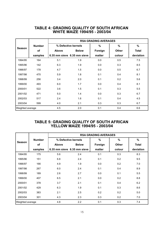#### **TABLE 4: GRADING QUALITY OF SOUTH AFRICAN WHITE MAIZE 1994/95 - 2003/04**

|                  |               |       |                             | <b>RSA GRADING AVERAGES</b> |              |              |
|------------------|---------------|-------|-----------------------------|-----------------------------|--------------|--------------|
| <b>Season</b>    | <b>Number</b> |       | % Defective kernels         | %                           | %            | %            |
|                  | of            | Above | <b>Below</b>                | Foreign                     | <b>Other</b> | <b>Total</b> |
|                  | samples       |       | 6.35 mm sieve 6.35 mm sieve | matter                      | colour       | deviation    |
| 1994/95          | 164           | 5.1   | 1.9                         | 0.0                         | 0.5          | 7.5          |
| 1995/96          | 142           | 6.3   | 1.9                         | 0.0                         | 0.3          | 8.5          |
| 1996/97          | 178           | 4.7   | 1.5                         | 0.0                         | 0.5          | 6.7          |
| 1997/98          | 470           | 5.9   | 1.8                         | 0.1                         | 0.4          | 8.1          |
| 1998/99          | 256           | 3.4   | 2.0                         | 0.1                         | 0.2          | 5.6          |
| 1999/00          | 493           | 6.0   | 1.7                         | 0.0                         | 0.4          | 8.1          |
| 2000/01          | 522           | 3.6   | 1.5                         | 0.1                         | 0.3          | 5.5          |
| 2001/02          | 471           | 5.0   | 1.4                         | 0.0                         | 0.3          | 6.7          |
| 2002/03          | 517           | 2.4   | 1.6                         | 0.1                         | 0.4          | 4.5          |
| 2003/04          | 599           | 4.0   | 2.1                         | 0.3                         | 0.3          | 6.7          |
| Weighted average |               | 4.5   | 2.0                         | 0.1                         | 0.4          | 6.6          |

#### **TABLE 5: GRADING QUALITY OF SOUTH AFRICAN YELLOW MAIZE 1994/95 - 2003/04**

|                  |               |       |                             | <b>RSA GRADING AVERAGES</b> |              |              |
|------------------|---------------|-------|-----------------------------|-----------------------------|--------------|--------------|
| <b>Season</b>    | <b>Number</b> |       | % Defective kernels         | %                           | %            | %            |
|                  | of            | Above | <b>Below</b>                | Foreign                     | <b>Other</b> | <b>Total</b> |
|                  | samples       |       | 6.35 mm sieve 6.35 mm sieve | matter                      | colour       | deviation    |
| 1994/95          | 175           | 5.6   | 2.4                         | 0.1                         | 0.3          | 8.3          |
| 1995/96          | 151           | 6.8   | 2.4                         | 0.1                         | 0.2          | 9.5          |
| 1996/97          | 166           | 4.9   | 1.9                         | 0.0                         | 0.2          | 7.0          |
| 1997/98          | 267           | 6.0   | 2.4                         | 0.1                         | 0.4          | 8.9          |
| 1998/99          | 189           | 2.6   | 2.7                         | 0.0                         | 0.1          | 5.5          |
| 1999/00          | 407           | 6.5   | 2.1                         | 0.0                         | 0.2          | 8.8          |
| 2000/01          | 378           | 3.7   | 2.1                         | 0.1                         | 0.4          | 6.2          |
| 2001/02          | 429           | 6.3   | 1.9                         | 0.1                         | 0.3          | 8.6          |
| 2002/03          | 383           | 2.1   | 2.5                         | 0.2                         | 0.2          | 5.0          |
| 2003/04          | 301           | 4.3   | 2.3                         | 0.3                         | 0.2          | 7.0          |
| Weighted average |               | 4.8   | 2.2                         | 0.1                         | 0.3          | 7.4          |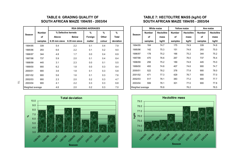#### **TABLE 6: GRADING QUALITY OF SOUTH AFRICAN MAIZE 1994/95 - 2003/04**

|                  |               |               |                     | <b>RSA GRADING AVERAGES</b> |              |           |                  |               | <b>White maize</b> |               | <b>Yellow maize</b> |               | Ave maize |
|------------------|---------------|---------------|---------------------|-----------------------------|--------------|-----------|------------------|---------------|--------------------|---------------|---------------------|---------------|-----------|
| Season           | <b>Number</b> |               | % Defective kernels | %                           | %            | %         | <b>Season</b>    | <b>Number</b> | <b>Hectolitre</b>  | <b>Number</b> | <b>Hectolitre</b>   | <b>Number</b> | Hectoli   |
|                  | of            | Above         | <b>Below</b>        | Foreign                     | <b>Other</b> | Total     |                  | оf            | mass               | of            | mass                | of            | mas:      |
|                  | samples       | 6.35 mm sieve | 6.35 mm sieve       | matter                      | colour       | deviation |                  | samples       | kg/hl              | samples       | kg/hl               | samples       | kg/h      |
| 1994/95          | 339           | 5.4           | 2.2                 | 0.1                         | 0.4          | 7.9       | 1994/95          | 164           | 74.7               | 175           | 74.9                | 339           | 74.8      |
| 1995/96          | 293           | 6.6           | 2.2                 | 0.1                         | 0.2          | 9.0       | 1995/96          | 142           | 75.3               | 151           | 74.8                | 293           | 75.0      |
| 1996/97          | 344           | 4.8           | 1.7                 | 0.0                         | 0.4          | 6.9       | 1996/97          | 178           | 75.2               | 166           | 75.2                | 344           | 75.2      |
| 1997/98          | 737           | 5.9           | 2.0                 | 0.1                         | 0.4          | 8.4       | 1997/98          | 470           | 76.6               | 267           | 76.0                | 737           | 76.4      |
| 1998/99          | 445           | 3.1           | 2.3                 | 0.0                         | 0.1          | 5.5       | 1998/99          | 256           | 75.2               | 189           | 74.8                | 445           | 75.0      |
| 1999/00          | 900           | 6.2           | 1.8                 | 0.0                         | 0.3          | 8.4       | 1999/00          | 493           | 74.8               | 407           | 74.6                | 900           | 74.7      |
| 2000/01          | 900           | 3.6           | 1.8                 | 0.1                         | 0.3          | 5.8       | 2000/01          | 522           | 78.2               | 378           | 77.8                | 900           | 78.0      |
| 2001/02          | 900           | 5.6           | 1.6                 | 0.1                         | 0.3          | 7.6       | 2001/02          | 471           | 77.3               | 429           | 76.7                | 900           | 77.0      |
| 2002/03          | 900           | 2.3           | 2.0                 | 0.2                         | 0.3          | 4.7       | 2002/03          | 517           | 78.1               | 383           | 77.2                | 900           | 77.7      |
| 2003/04          | 900           | 4.1           | 2.2                 | 0.3                         | 0.3          | 6.8       | 2003/04          | 599           | 78.1               | 301           | 77.0                | 900           | 77.8      |
| Weighted average |               | 4.6           | 2.0                 | 0.2                         | 0.3          | 7.0       | Weighted average |               | 76.8               |               | 76.2                |               | 76.5      |



|               |               |                     | <b>RSA GRADING AVERAGES</b> |              |           |                  |               | White maize       |               | <b>Yellow maize</b> |               | Ave maize         |
|---------------|---------------|---------------------|-----------------------------|--------------|-----------|------------------|---------------|-------------------|---------------|---------------------|---------------|-------------------|
| <b>Number</b> |               | % Defective kernels | %                           | %            | %         | Season           | <b>Number</b> | <b>Hectolitre</b> | <b>Number</b> | <b>Hectolitre</b>   | <b>Number</b> | <b>Hectolitre</b> |
| of            | Above         | <b>Below</b>        | Foreign                     | <b>Other</b> | Total     |                  | of            | mass              | of            | mass                | of            | mass              |
| samples       | 6.35 mm sieve | 6.35 mm sieve       | matter                      | colour       | deviation |                  | samples       | kg/hl             | samples       | kg/hl               | samples       | kg/hl             |
| 339           | 5.4           | 2.2                 | 0.1                         | 0.4          | 7.9       | 1994/95          | 164           | 74.7              | 175           | 74.9                | 339           | 74.8              |
| 293           | 6.6           | 2.2                 | 0.1                         | 0.2          | 9.0       | 1995/96          | 142           | 75.3              | 151           | 74.8                | 293           | 75.0              |
| 344           | 4.8           | 1.7                 | 0.0                         | 0.4          | 6.9       | 1996/97          | 178           | 75.2              | 166           | 75.2                | 344           | 75.2              |
| 737           | 5.9           | 2.0                 | 0.1                         | 0.4          | 8.4       | 1997/98          | 470           | 76.6              | 267           | 76.0                | 737           | 76.4              |
| 445           | 3.1           | 2.3                 | 0.0                         | 0.1          | 5.5       | 1998/99          | 256           | 75.2              | 189           | 74.8                | 445           | 75.0              |
| 900           | 6.2           | 1.8                 | 0.0                         | 0.3          | 8.4       | 1999/00          | 493           | 74.8              | 407           | 74.6                | 900           | 74.7              |
| 900           | 3.6           | 1.8                 | 0.1                         | 0.3          | 5.8       | 2000/01          | 522           | 78.2              | 378           | 77.8                | 900           | 78.0              |
| 900           | 5.6           | 1.6                 | 0.1                         | 0.3          | 7.6       | 2001/02          | 471           | 77.3              | 429           | 76.7                | 900           | 77.0              |
| 900           | 2.3           | 2.0                 | 0.2                         | 0.3          | 4.7       | 2002/03          | 517           | 78.1              | 383           | 77.2                | 900           | 77.7              |
| 900           | 4.1           | 2.2                 | 0.3                         | 0.3          | 6.8       | 2003/04          | 599           | 78.1              | 301           | 77.0                | 900           | 77.8              |
| rage          | 4.6           | 2.0                 | 0.2                         | 0.3          | 7.0       | Weighted average |               | 76.8              |               | 76.2                |               | 76.5              |





 $\overline{\circ}$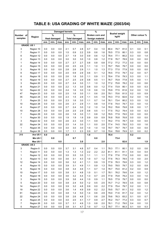## **TABLE 8: USA GRADING OF WHITE MAIZE (2003/04)**

|                    |                        |                |                     |            | <b>Damaged kernels</b> |                      |            |            | %                      |            |              |                      |              |            |                |            |
|--------------------|------------------------|----------------|---------------------|------------|------------------------|----------------------|------------|------------|------------------------|------------|--------------|----------------------|--------------|------------|----------------|------------|
| Number of          |                        |                | %                   |            |                        | $\frac{9}{6}$        |            |            | <b>Broken corn and</b> |            |              | <b>Bushel weight</b> |              |            | Other colour % |            |
| samples            | Region                 |                | <b>Heat damaged</b> |            |                        | <b>Total damaged</b> |            |            | foreign material       |            |              | kg/hl                |              |            |                |            |
|                    |                        | ave.           | min.                | max.       | ave.                   | min.                 | max.       | ave.       | min.                   | max.       | ave.         | min.                 | max.         | ave.       | min.           | max.       |
| <b>GRADE: US 1</b> |                        |                |                     |            |                        |                      |            |            |                        |            |              |                      |              |            |                |            |
| 3                  | Region 10              | 0.0            | 0.0                 | 0.0        | 2.1                    | 0.7                  | 2.8        | 0.7        | 0.4                    | 1.0        | 80.4         | 79.7                 | 81.0         | 0.1        | 0.0            | 0.1        |
| $\overline{7}$     | Region 11              | 0.0            | 0.0                 | 0.0        | 1.5                    | 0.9                  | 2.2        | 0.9        | 0.6                    | 1.6        | 78.5         | 77.5                 | 80.1         | 0.3        | 0.0            | 0.8        |
| 6                  | Region 12              | 0.0            | 0.0                 | 0.0        | 2.7                    | 1.9                  | 3.0        | 0.9        | 0.6                    | 1.2        | 78.4         | 77.1                 | 80.2         | 0.3        | 0.0            | 1.4        |
| 2                  | Region 13              | 0.0            | 0.0                 | 0.0        | 3.0                    | 3.0                  | 3.0        | 1.0        | 0.8                    | 1.2        | 77.8         | 76.7                 | 78.9         | 0.0        | 0.0            | 0.0        |
| 1                  | Region 14              | 0.0            | 0.0                 | 0.0        | 2.7                    | 2.7                  | 2.7        | 0.8        | 0.8                    | 0.8        | 77.2         | 77.2                 | 77.2         | 0.0        | 0.0            | 0.0        |
| 2                  | Region 15              | 0.0            | 0.0                 | 0.0        | 2.6                    | 2.5                  | 2.6        | 1.1        | 1.0                    | 1.1        | 79.7         | 79.6                 | 79.7         | 0.0        | 0.0            | 0.0        |
| 3                  | Region 16              | 0.0            | 0.0                 | 0.0        | 2.8                    | 2.6                  | 2.9        | 1.1        | 1.0                    | 1.3        | 77.3         | 77.0                 | 77.9         | 0.0        | 0.0            | 0.0        |
| 6                  | Region 17              | 0.0            | 0.0                 | 0.0        | 2.0                    | 0.9                  | 2.9        | 0.6        | 0.1                    | 1.2        | 78.5         | 77.0                 | 79.7         | 0.2        | 0.0            | 0.7        |
| 6                  | Region 18              | 0.0            | 0.0                 | 0.0        | 2.6                    | 1.8                  | 3.0        | 1.1        | 0.9                    | 1.1        | 78.4         | 77.6                 | 79.3         | 0.3        | 0.0            | 1.1        |
| 5                  | Region 19              | 0.0            | 0.0                 | 0.0        | 2.7                    | 2.5                  | 2.9        | 0.8        | 0.5                    | 1.1        | 76.7         | 75.9                 | 77.8         | 0.5        | 0.0            | 1.1        |
| 3                  | Region 20              | 0.0            | 0.0                 | 0.0        | 2.7                    | 2.4                  | 3.0        | 1.1        | 1.0                    | 1.2        | 77.2         | 75.8                 | 78.2         | 0.2        | 0.0            | 0.6        |
| 8                  | Region 21              | 0.0            | 0.0                 | 0.0        | 2.2                    | 1.3                  | 3.0        | 0.8        | 0.0                    | 1.2        | 77.4         | 73.9                 | 80.1         | 0.0        | 0.0            | 0.3        |
| 12                 | Region 22              | 0.0            | 0.0                 | 0.0        | 2.4                    | 1.6                  | 3.0        | 1.0        | 0.6                    | 1.5        | 79.9         | 77.5                 | 81.6         | 0.2        | 0.0            | 1.0        |
| 47                 | Region 23              | 0.0            | 0.0                 | 0.0        | 2.5                    | 1.6                  | 3.0        | 1.1        | 0.6                    | 2.0        | 79.1         | 75.6                 | 81.5         | 0.2        | 0.0            | 0.9        |
| 35                 | Region 24              | 0.0            | 0.0                 | 0.0        | 2.3                    | 1.5                  | 2.9        | 1.1        | 0.5                    | 1.9        | 79.3         | 77.0                 | 82.6         | 0.2        | 0.0            | 1.9        |
| 7                  | Region 25              | 0.0            | 0.0                 | 0.0        | 2.3                    | 1.6                  | 3.0        | 1.1        | 0.7                    | 1.4        | 76.1         | 73.4                 | 80.2         | 0.3        | 0.0            | 1.0        |
| 10                 | Region 26              | 0.0            | 0.0                 | 0.0        | 2.6                    | 2.1                  | 2.9        | 1.1        | 0.8                    | 1.4        | 77.6         | 74.4                 | 79.7         | 0.3        | 0.0            | 1.0        |
| 4                  | Region 27              | 0.0            | 0.0                 | 0.0        | 2.7                    | 2.4                  | 3.0        | 1.2        | 1.0                    | 1.4        | 78.2         | 76.6                 | 79.8         | 0.6        | 0.0            | 1.7        |
| 10                 | Region 28              | 0.0            | 0.0                 | 0.0        | 2.8                    | 2.5                  | 2.9        | 0.8        | 0.5                    | 1.1        | 77.5         | 75.2                 | 79.4         | 0.0        | 0.0            | 0.3        |
| 7                  | Region 29              | 0.0            | 0.0                 | 0.0        | 2.6                    | 1.8                  | 3.0        | 1.1        | 0.8                    | 1.2        | 78.5         | 77.9                 | 79.0         | 0.0        | 0.0            | 0.0        |
| 1                  | Region 30              | 0.0            | 0.0                 | 0.0        | 1.9                    | 1.9                  | 1.9        | 0.9        | 0.9                    | 0.9        | 76.8         | 76.8                 | 76.8         | 0.0        | 0.0            | 0.0        |
| 3                  | Region 32              | 0.0            | 0.0                 | 0.0        | 2.6                    | 2.3                  | 3.0        | 1.1        | 0.9                    | 1.1        | 78.2         | 77.5                 | 78.7         | 0.0        | 0.0            | 0.0        |
| 22                 | Region 34              | 0.0            | 0.0                 | 0.0        | 2.5                    | 1.4                  | 3.0        | 1.1        | 0.0                    | 2.0        | 77.4         | 74.5                 | 79.0         | 0.3        | 0.0            | 1.6        |
| 1                  | Region 35              | 0.0            | 0.0                 | 0.0        | 3.0                    | 3.0                  | 3.0        | 1.0        | 1.0                    | 1.0        | 79.7         | 79.7                 | 79.7         | 0.0        | 0.0            | 0.0        |
| 2                  | Region 36              | 0.0            | 0.0                 | 0.0        | 1.7                    | 1.1                  | 2.3        | 0.9        | 0.7                    | 1.0        | 79.4         | 78.8                 | 79.9         | 0.1        | 0.0            | 0.2        |
| 213                | Ave US <sub>1</sub>    | 0.0            |                     |            | 2.4                    |                      |            | 1.0        |                        |            | 78.4         |                      |              | 0.2        |                |            |
|                    | Min US <sub>1</sub>    |                | 0.0                 |            |                        | 0.7                  |            |            | 0.0                    |            |              | 73.4                 |              |            | 0.0            |            |
|                    | Max US <sub>1</sub>    |                |                     | 0.0        |                        |                      | 3.0        |            |                        | 2.0        |              |                      | 82.6         |            |                | 1.9        |
|                    | <b>GRADE: US 2</b>     |                |                     |            |                        |                      |            |            |                        |            |              |                      |              |            |                |            |
| 3                  | Region 8               | 0.0            | 0.0                 | 0.0        | 3.7                    | 3.1                  | 4.8        | 0.7        | 0.4                    | 1.1        | 78.3         | 77.1                 | 80.1         | 0.2        | 0.0            | 0.6        |
| 1                  | Region 11              | $0.0\,$        | 0.0                 | 0.0        | $1.3$                  | $1.3$                | $1.3$      | 2.2        | 2.2                    | 2.2        | 81.1         | 81.1                 | 81.1         | 0.4        | 0.4            | 0.4        |
| 1                  | Region 12              | 0.0            | 0.0                 | 0.0        | 3.5                    | 3.5                  | 3.5        | 1.1        | 1.1                    | 1.1        | 77.6         | 77.6                 | 77.6         | 0.0        | 0.0            | 0.0        |
| 3                  | Region 13              | 0.0            | 0.0                 | 0.0        | 3.6                    | 3.1                  | 4.3        | 1.0        | 0.7                    | $1.2$      | 77.6         | 76.3                 | 78.5         | 1.0        | $0.0\,$        | 2.0        |
| 12                 | Region 14              | 0.0            | 0.0                 | 0.0        | 3.6                    | 3.2                  | 4.1        | 1.1        | 0.9                    | 1.5        | 77.9         | 76.3                 | 79.6         | 0.3        | 0.0            | 1.2        |
| 4                  | Region 15              | 0.0            | 0.0                 | 0.0<br>0.0 | 3.9                    | 3.1                  | 4.9        | 1.1<br>1.1 | 0.9                    | 1.3        | 79.0         | 78.5                 | 79.7         | 0.2        | 0.0            | 0.9        |
| 9                  | Region 16              | 0.0            | 0.0                 |            | 3.8                    | 3.4                  | 4.6        |            | 0.7                    | 1.4        | 78.7         | 75.0                 | 81.2         | 0.2        | 0.0            | 0.9        |
| 10                 | Region 17              | 0.0            | 0.0                 | 0.0        | 3.8                    | 3.1                  | 4.8        | 1.0        | 0.1                    | 1.7        | 78.1         | 76.2                 | 79.6         | 0.4        | 0.0            | 1.2        |
| 9                  | Region 18              | 0.0            | 0.0                 | 0.0<br>0.0 | 3.6<br>3.9             | 3.2                  | 4.4<br>4.4 | 1.3        | 0.7                    | 2.5        | 77.9<br>78.5 | 75.8                 | 79.2         | 0.3        | 0.0<br>0.0     | 1.0        |
| 3                  | Region 19              | 0.0            | 0.0                 |            |                        | 3.6                  |            | 1.0        | 0.9                    | 1.1        |              | 77.9                 | 79.7         | 0.0        |                | 0.0        |
| 5                  | Region 20              | 0.0            | 0.0<br>0.0          | 0.0<br>0.0 | 3.8<br>3.9             | 2.4<br>3.2           | 5.0<br>4.8 | 1.2        | 0.5                    | 2.5        | 75.7         | 71.2                 | 78.5         | 0.5<br>0.2 | 0.0            | 0.8        |
| 14                 | Region 21              | 0.0            |                     |            |                        |                      |            | 0.9        | 0.0                    | 2.2        | 77.9         | 75.4                 | 79.7         |            | 0.0            | 1.1        |
| 19                 | Region 22              | 0.0            | 0.0                 | 0.0        | 3.6                    | 1.4                  | 4.9        | 0.9        | 0.2                    | 2.2        | 79.5         | 75.7                 | 81.1         | 0.2        | 0.0            | 1.2        |
| 61<br>22           | Region 23              | 0.0            | 0.0<br>0.0          | 0.0<br>0.0 | 3.8                    | 1.4<br>2.6           | 5.0<br>4.8 | 1.4<br>1.1 | 0.6                    | 2.9        | 79.0         | 71.6                 | 81.7         | 0.2<br>0.1 | 0.0<br>0.0     | 1.2        |
|                    | Region 24              | 0.0            |                     | 0.0        | 3.8                    |                      | 4.1        | 1.7        | 0.6                    | 2.8        | 79.6<br>76.2 | 76.3                 | 83.2         |            |                | 0.7        |
| 4<br>7             | Region 25<br>Region 26 | $0.0\,$<br>0.0 | 0.0<br>0.0          | 0.0        | 3.0<br>3.7             | 2.0<br>3.1           | 4.9        | 1.3        | 0.9<br>0.8             | 2.7<br>2.0 | 76.1         | 74.7<br>71.2         | 77.2<br>79.0 | 0.3<br>0.4 | 0.0<br>0.0     | 0.7<br>1.0 |
| 5                  | Region 27              |                |                     | 0.0        | 3.8                    | 3.1                  | 4.7        | 1.0        | 0.7                    | 1.3        | 78.7         | 77.1                 | 80.3         | 0.1        | 0.0            |            |
|                    |                        | 0.0            | 0.0                 |            |                        |                      |            |            |                        |            |              |                      |              |            |                | 0.3        |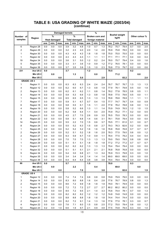|                         |                        |            | <b>Damaged kernels</b> |            |            |                      |            |            | $\%$             |            |              | <b>Bushel weight</b> |              |            |                |            |
|-------------------------|------------------------|------------|------------------------|------------|------------|----------------------|------------|------------|------------------|------------|--------------|----------------------|--------------|------------|----------------|------------|
| Number of               | Region                 |            | %                      |            |            | %                    |            |            | Broken corn and  |            |              | kg/hl                |              |            | Other colour % |            |
| samples                 |                        |            | <b>Heat damaged</b>    |            |            | <b>Total damaged</b> |            |            | foreign material |            |              |                      |              |            |                |            |
|                         |                        | ave.       | min.                   | max.       | ave.       | min.                 | max.       | ave.       | min.             | max.       | ave.         | min.                 | max.         | ave.       | min.           | max.       |
| 6                       | Region 28              | 0.0        | 0.0                    | 0.0        | 3.9        | 3.2                  | 4.8        | 1.0        | 0.7              | 1.3        | 78.2         | 75.7                 | 79.4         | 0.7        | 0.0            | 2.0        |
| 2                       | Region 29              | 0.0        | 0.0                    | 0.0        | 3.2        | 2.3                  | 4.0        | 2.0        | 1.4              | 2.6        | 76.9         | 75.8                 | 78.0         | 0.0        | 0.0            | 0.0        |
| 1                       | Region 30              | 0.0        | 0.0                    | 0.0        | 4.3        | 4.3                  | 4.3        | 1.8        | 1.8              | 1.8        | 75.0         | 75.0                 | 75.0         | 0.0        | 0.0            | 0.0        |
| 1                       | Region 32              | 0.0        | 0.0                    | 0.0        | 4.3        | 4.3                  | 4.3        | 1.1        | 1.1              | 1.1        | 77.1         | 77.1                 | 77.1         | 0.4        | 0.0            | 0.4        |
| 19                      | Region 34              | 0.0        | 0.0                    | 0.0        | 3.6        | 3.1                  | 5.0        | 1.2        | 0.2              | 2.4        | 78.0         | 75.7                 | 79.4         | 0.4        | 0.0            | 1.6        |
| 5                       | Region 35              | 0.0        | 0.0                    | 0.0        | 3.3        | 3.1                  | 3.6        | 1.0        | 0.9              | 1.2        | 77.2         | 76.5                 | 78.1         | 0.0        | 0.0            | 0.0        |
| 5                       | Region 36              | 0.0        | 0.0                    | 0.0        | 3.7        | 3.5                  | 3.9        | 1.5        | 1.0              | 2.3        | 78.8         | 77.5                 | 79.7         | 0.2        | 0.0            | 0.6        |
| 231                     | Ave US <sub>2</sub>    | 0.0        |                        |            | 3.7        |                      |            | $1.2$      |                  |            | 78.5         |                      |              | 0.2        |                |            |
|                         | Min US <sub>2</sub>    |            | 0.0                    |            |            | $1.3$                |            |            | 0.0              |            |              | 71.2                 |              |            | 0.0            |            |
|                         | Max US <sub>2</sub>    |            |                        | 0.0        |            |                      | 5.0        |            |                  | 2.9        |              |                      | 83.2         |            |                | 2.0        |
| <b>GRADE: US 3</b>      |                        |            |                        |            |            |                      |            |            |                  |            |              |                      |              |            |                |            |
| 1                       | Region 11              | 0.0        | 0.0                    | 0.0        | 6.3        | 6.3                  | 6.3        | 2.4        | 2.4              | 2.4        | 76.7         | 76.7                 | 76.7         | 1.3        | 1.3            | 1.3        |
| 4                       | Region 12              | 0.0        | 0.0                    | 0.0        | 6.2        | 6.0                  | 6.7        | 1.3        | 0.8              | 1.9        | 77.9         | 76.1                 | 79.8         | 0.5        | 0.0            | 1.9        |
| 2                       | Region 13              | 0.0        | 0.0                    | 0.0        | 6.2        | 6.1                  | 6.2        | 1.1        | 0.8              | 1.4        | 78.2         | 77.8                 | 78.5         | 0.8        | 0.5            | 1.1        |
| 3                       | Region 14              | 0.0        | 0.0                    | 0.0        | 5.9<br>6.5 | 5.3<br>6.5           | 6.6<br>6.5 | 1.3<br>1.3 | 0.8<br>1.3       | 1.8<br>1.3 | 78.8<br>78.8 | 77.5<br>78.8         | 79.6         | 0.5        | 0.0            | 1.1<br>1.1 |
| 1<br>7                  | Region 15              | 0.0        | 0.0                    | 0.0<br>0.0 | 5.9        | 5.1                  | 6.7        | 0.7        | 0.4              | 1.5        | 77.7         | 74.7                 | 78.8<br>79.7 | 1.1<br>0.4 | 1.1<br>0.0     | 0.9        |
| 6                       | Region 17              | 0.0<br>0.0 | 0.0<br>0.0             | 0.0        | 5.8        | 5.5                  | 6.1        | 1.5        | 1.1              | 2.0        | 77.8         | 76.2                 | 78.8         | 0.6        | 0.0            | 1.3        |
| 4                       | Region 18              | 0.0        | 0.0                    | 0.0        | 5.8        | 5.2                  | 6.6        | 1.3        | 1.1              | 1.4        | 75.9         | 74.9                 | 76.5         | 1.2        | 1.0            | 1.5        |
| 3                       | Region 19<br>Region 20 | 0.0        | 0.0                    | 0.0        | 6.2        | 5.8                  | 6.4        | 1.1        | 0.4              | 2.0        | 75.9         | 75.2                 | 77.1         | 0.2        | 0.0            | 0.5        |
| 3                       | Region 21              | 0.0        | 0.0                    | 0.0        | 4.5        | 2.7                  | 7.0        | 2.6        | 0.9              | 3.5        | 76.5         | 75.0                 | 78.3         | 0.0        | 0.0            | 0.0        |
| 8                       | Region 22              | 0.0        | 0.0                    | 0.0        | 5.8        | 5.1                  | 6.8        | 1.4        | 0.6              | 3.1        | 78.1         | 75.8                 | 79.4         | 0.0        | 0.0            | 0.0        |
| 14                      | Region 23              | 0.0        | 0.0                    | 0.0        | 5.5        | 2.2                  | 7.0        | 1.5        | 0.6              | 3.7        | 79.5         | 77.1                 | 81.0         | 0.1        | 0.0            | 0.7        |
| 8                       | Region 24              | 0.0        | 0.0                    | 0.0        | 5.5        | 5.2                  | 6.3        | 1.5        | 0.8              | 2.7        | 79.3         | 76.3                 | 82.6         | 0.2        | 0.0            | 0.8        |
| 1                       | Region 25              | 0.0        | 0.0                    | 0.0        | 5.2        | 5.2                  | 5.2        | 1.6        | 1.6              | 1.6        | 76.8         | 76.8                 | 76.8         | 0.7        | 0.7            | 0.7        |
| 2                       | Region 26              | 0.0        | 0.0                    | 0.0        | 5.2        | 5.1                  | 5.2        | 1.8        | 1.6              | 2.0        | 78.3         | 77.5                 | 79.0         | 0.6        | 0.0            | 1.2        |
| 2                       | Region 27              | 0.0        | 0.0                    | 0.0        | 6.3        | 5.9                  | 6.7        | 1.0        | 0.9              | 1.1        | 78.4         | 77.5                 | 79.2         | 0.4        | 0.4            | 0.4        |
| 1                       | Region 28              | 0.0        | 0.0                    | 0.0        | 7.0        | 7.0                  | 7.0        | 1.3        | 1.3              | 1.3        | 79.0         | 79.0                 | 79.0         | 0.8        | 0.8            | 0.8        |
| 1                       | Region 29              | 0.0        | 0.0                    | 0.0        | 5.1        | 5.1                  | 5.1        | 1.8        | 1.8              | 1.8        | 77.2         | 77.2                 | 77.2         | 0.7        | 0.7            | 0.7        |
| 1                       | Region 31              | 0.0        | 0.0                    | 0.0        | 6.2        | 6.2                  | 6.2        | 1.3        | 1.3              | 1.3        | 79.4         | 79.4                 | 79.4         | 0.0        | 0.0            | 0.0        |
| 1                       | Region 32              | 0.0        | 0.0                    | 0.0        | 5.1        | 5.1                  | 5.1        | 2.1        | 2.1              | 2.1        | 76.8         | 76.8                 | 76.8         | 0.0        | 0.0            | 0.0        |
| 5                       | Region 34              | 0.0        | 0.0                    | 0.0        | 5.4        | 3.0                  | 6.8        | 2.1        | 1.3              | 3.4        | 76.9         | 72.3                 | 79.8         | 0.3        | 0.0            | 1.0        |
| 1                       | Region 35              | 0.0        | 0.0                    | 0.0        | 3.4        | 3.4                  | 3.4        | 1.4        | 1.4              | 1.4        | 69.0         | 69.0                 | 69.0         | 0.0        | $0.0\,$        | 0.0        |
| 1                       | Region 36              | 0.0        | 0.0                    | 0.0        | 6.4        | 6.4                  | 6.4        | 3.8        | 3.8              | 3.8        | 79.4         | 79.4                 | 79.4         | 0.0        | 0.0            | 0.0        |
| 80                      | Ave US 3               | 0.0        |                        |            | 5.7        |                      |            | 1.5        |                  |            | 78.0         |                      |              | 0.3        |                |            |
|                         | Min US3                |            | $0.0\,$                |            |            | 2.2                  |            |            | $0.4\,$          |            |              | 69.0                 |              |            | 0.0            |            |
|                         | Max US 3               |            |                        | 0.0        |            |                      | 7.0        |            |                  | 3.8        |              |                      | 82.6         |            |                | 1.9        |
|                         | <b>GRADE: US 4</b>     |            |                        |            |            |                      |            |            |                  |            |              |                      |              |            |                |            |
| 1                       | Region 12              | 0.0        | 0.0                    | 0.0        | 7.4        | 7.4                  | 7.4        | 0.8        | 0.8              | 0.8        | 79.9         | 79.9                 | 79.0         | 0.0        | 0.0            | 0.0        |
| 3                       | Region 14              | 0.0        | 0.0                    | 0.0        | 8.3        | 8.0                  | 8.8        | 1.6        | 0.4              | 2.8        | 77.6         | 76.7                 | 78.9         | 0.8        | 0.0            | 1.3        |
| 2                       | Region 15              | 0.0        | 0.0                    | 0.0        | 8.6        | 7.2                  | 9.9        | 1.8        | 1.8              | 1.9        | 79.0         | 78.1                 | 79.9         | 0.0        | 0.0            | 0.0        |
| 1                       | Region 16              | 0.0        | 0.0                    | 0.0        | 7.2        | 7.2                  | 7.2        | 2.7        | 2.7              | 2.7        | 80.2         | 80.2                 | 80.2         | 0.0        | 0.0            | 0.0        |
| 5                       | Region 18              | 0.0        | 0.0                    | 0.0        | 8.5        | 7.2                  | 9.5        | 2.1        | 1.4              | 3.3        | 75.6         | 74.4                 | 78.1         | 0.7        | 0.0            | 1.3        |
| 1                       | Region 19              | 0.0        | 0.0                    | 0.0        | 8.2        | 8.2                  | 8.2        | 1.2        | 1.2              | 1.2        | 74.8         | 74.8                 | 74.8         | 0.0        | 0.0            | 0.0        |
| 1                       | Region 20              | 0.0        | 0.0                    | 0.0        | 8.8        | 8.8                  | 8.8        | 1.8        | 1.8              | 1.8        | 74.4         | 74.4                 | 74.4         | 0.0        | 0.0            | 0.0        |
| $\overline{\mathbf{c}}$ | Region 21              | 0.0        | 0.0                    | 0.0        | 8.2        | 7.2                  | 9.1        | 1.4        | 1.3              | 1.6        | 77.6         | 77.0                 | 78.1         | 0.3        | 0.0            | 0.7        |
| 4                       | Region 22              | 0.0        | 0.0                    | 0.0        | 7.6        | 7.1                  | 8.0        | 1.5        | 0.8              | 2.5        | 77.2         | 75.0                 | 79.4         | 0.6        | 0.0            | 1.2        |
| 12                      | Region 23              | $0.2\,$    | 0.0                    | 1.0        | 6.6        | 1.9                  | 9.7        | 2.1        | 0.9              | 4.8        | 77.5         | 74.8                 | 79.4         | 0.3        | 0.0            | 1.0        |

#### **(continue) TABLE 8: USA GRADING OF WHITE MAIZE (2003/04)**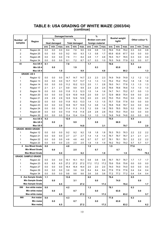|           |                                 |         |                     | <b>Damaged kernels</b> |      |                      |      |         | $\frac{9}{6}$    |      |      |                               |      |      |                |         |
|-----------|---------------------------------|---------|---------------------|------------------------|------|----------------------|------|---------|------------------|------|------|-------------------------------|------|------|----------------|---------|
| Number of | Region                          |         | %                   |                        |      | $\%$                 |      |         | Broken corn and  |      |      | <b>Bushel weight</b><br>kg/hl |      |      | Other colour % |         |
| samples   |                                 |         | <b>Heat damaged</b> |                        |      | <b>Total damaged</b> |      |         | foreign material |      |      |                               |      |      |                |         |
|           |                                 | ave.    | min.                | max.                   | ave. | min.                 | max. | ave.    | min.             | max. | ave. | min.                          | max. | ave. | min.           | max.    |
| 3         | Region 24                       | 0.0     | 0.0                 | 0.0                    | 8.4  | 7.6                  | 9.0  | 0.9     | 0.8              | 1.0  | 76.6 | 73.8                          | 79.2 | 0.3  | 0.0            | 0.8     |
| 2         | Region 25                       | 0.0     | 0.0                 | 0.0                    | 9.2  | 9.0                  | 9.3  | 1.3     | 0.8              | 1.7  | 65.8 | 63.8                          | 67.7 | 0.0  | 0.0            | 0.0     |
| 3         | Region 28                       | 0.0     | 0.0                 | 0.0                    | 7.6  | 7.1                  | 8.4  | 2.8     | 1.7              | 4.8  | 76.5 | 74.7                          | 78.5 | 0.3  | 0.0            | 0.9     |
| 3         | Region 34                       | 0.0     | 0.0                 | 0.0                    | 8.1  | 7.2                  | 8.7  | 0.7     | 0.3              | 1.0  | 76.5 | 74.8                          | 77.9 | 0.2  | 0.0            | 0.7     |
| 43        | Ave US 4                        | 0.1     |                     |                        | 7.8  |                      |      | 1.7     |                  |      | 76.6 |                               |      | 0.3  |                |         |
|           | Min US <sub>4</sub>             |         | 0.0                 |                        |      | 1.9                  |      |         | 0.3              |      |      | 63.8                          |      |      | 0.0            |         |
|           | Max US4                         |         |                     | 1.0                    |      |                      | 9.9  |         |                  | 4.8  |      |                               | 80.2 |      |                | 1.3     |
|           | <b>GRADE: US 5</b>              |         |                     |                        |      |                      |      |         |                  |      |      |                               |      |      |                |         |
| 1         | Region 12                       | 0.0     | 0.0                 | 0.0                    | 14.7 | 14.7                 | 14.7 | 2.3     | 2.3              | 2.3  | 74.9 | 74.9                          | 74.9 | 1.2  | 1.2            | 1.2     |
| 1         | Region 13                       | 0.0     | 0.0                 | 0.0                    | 13.7 | 13.7                 | 13.7 | 1.3     | 1.3              | 1.3  | 75.2 | 75.2                          | 75.2 | 1.8  | 1.8            | 1.8     |
| 2         | Region 14                       | 0.0     | 0.0                 | 0.0                    | 11.2 | 10.2                 | 12.3 | 2.0     | 1.1              | 2.8  | 76.0 | 74.1                          | 77.8 | 1.3  | 1.3            | 1.3     |
| 1         | Region 17                       | 2.1     | 2.1                 | 2.1                    | 9.9  | 9.9                  | 9.9  | 2.4     | 2.4              | 2.4  | 76.6 | 76.6                          | 76.6 | 1.0  | 1.0            | 1.0     |
| 2         | Region 19                       | 0.0     | 0.0                 | 0.0                    | 11.8 | 11.3                 | 12.3 | 1.5     | 1.4              | 1.6  | 74.7 | 74.1                          | 75.2 | 0.7  | 0.0            | 1.3     |
| 4         | Region 20                       | 0.0     | 0.0                 | 0.0                    | 12.9 | 10.9                 | 14.8 | 2.0     | 0.9              | 3.1  | 72.9 | 66.9                          | 75.4 | 0.9  | 0.0            | 2.0     |
| 1         | Region 21                       | 2.9     | 2.9                 | 2.9                    | 12.6 | 12.6                 | 12.6 | 2.0     | 2.0              | 2.0  | 75.0 | 75.0                          | 75.0 | 0.0  | 0.0            | 0.0     |
| 2         | Region 22                       | 0.0     | 0.0                 | 0.0                    | 11.8 | 10.3                 | 13.3 | 1.4     | 1.3              | 1.5  | 75.7 | 73.8                          | 77.6 | 0.0  | 0.0            | 0.0     |
| 4         | Region 23                       | 0.0     | 0.0                 | 0.0                    | 10.8 | 10.7                 | 10.9 | 1.2     | 0.8              | 1.4  | 76.8 | 74.8                          | 79.7 | 0.0  | 0.0            | 0.0     |
| 2         | Region 24                       | 0.0     | 0.0                 | 0.0                    | 11.4 | 11.3                 | 11.5 | 1.2     | 0.9              | 1.6  | 78.5 | 78.5                          | 78.5 | 0.2  | 0.0            | 0.4     |
| 1         | Region 29                       | 0.0     | 0.0                 | 0.0                    | 11.6 | 11.6                 | 11.6 | 2.8     | 2.8              | 2.8  | 75.0 | 75.0                          | 75.0 | 0.0  | 0.0            | 0.0     |
| 1         | Region 30                       | 0.0     | 0.0                 | 0.0                    | 13.4 | 13.4                 | 13.4 | 1.0     | 1.0              | 1.0  | 74.8 | 74.8                          | 74.8 | 0.0  | 0.0            | 0.0     |
| 22        | Ave US 5<br>Min US <sub>5</sub> | 0.2     | 0.0                 |                        | 12.0 | 9.9                  |      | 1.7     | 0.8              |      | 75.5 | 66.9                          |      | 0.5  | 0.0            |         |
|           | Max US 5                        |         |                     | 2.9                    |      |                      | 14.8 |         |                  | 3.1  |      |                               | 79.7 |      |                | 2.0     |
|           | <b>GRADE: MIXED GRADE</b>       |         |                     |                        |      |                      |      |         |                  |      |      |                               |      |      |                |         |
| 1         | Region 12                       | 0.0     | 0.0                 | 0.0                    | 9.2  | 9.2                  | 9.2  | 1.8     | 1.8              | 1.8  | 76.3 | 76.3                          | 76.3 | 2.2  | 2.2            | 2.2     |
| 1         | Region 21                       | 0.0     | 0.0                 | 0.0                    | 2.7  | 2.7                  | 2.7  | 1.4     | 1.4              | 1.4  | 76.7 | 76.7                          | 76.7 | 2.1  | 2.1            | 2.1     |
| 1         | Region 22                       | 0.0     | 0.0                 | 0.0                    | 4.6  | 4.6                  | 4.6  | 0.7     | 0.7              | 0.7  | 78.1 | 78.1                          | 78.1 | 2.2  | 2.2            | 2.2     |
| 1         | Region 23                       | 0.0     | 0.0                 | 0.0                    | 2.5  | 2.5                  | 2.5  | 1.9     | 1.9              | 1.9  | 79.2 | 79.2                          | 79.2 | 5.7  | 5.7            | 5.7     |
| 4         | <b>Ave Mixed Grade</b>          | 0.0     |                     |                        | 4.8  |                      |      | 1.5     |                  |      | 1.5  |                               |      | 77.6 |                |         |
|           | <b>Min Mixed Grade</b>          |         | 0.0                 |                        |      | 2.5                  |      |         | 0.7              |      |      | 0.7                           |      |      | 76.3           |         |
|           | <b>Max Mixed Grade</b>          |         |                     | 0.0                    |      |                      | 9.2  |         |                  | 1.9  |      |                               | 1.9  |      |                | 79.2    |
|           | <b>GRADE: SAMPLE GRADE</b>      |         |                     |                        |      |                      |      |         |                  |      |      |                               |      |      |                |         |
| 1         | Region 22                       | 0.0     | $0.0\,$             | $0.0\,$                | 15.1 | 15.1                 | 15.1 | $0.8\,$ | $0.8\,$          | 0.8  | 76.7 | 76.7                          | 76.7 | 1.7  | 1.7            | $1.7$   |
| 1         | Region 23                       | $6.5\,$ | $6.5\,$             | 6.5                    | 27.2 | 27.2                 | 27.2 | 17.2    | 17.2             | 17.2 | 75.6 | 75.6                          | 75.6 | 0.0  | $0.0\,$        | $0.0\,$ |
| 1         | Region 27                       | $0.0\,$ | 0.0                 | 0.0                    | 16.4 | 16.4                 | 16.4 | 2.0     | 2.0              | 2.0  | 74.0 | 74.0                          | 74.0 | 0.0  | 0.0            | $0.0\,$ |
| 1         | Region 29                       | 0.0     | 0.0                 | 0.0                    | 3.6  | 3.6                  | 3.6  | 8.4     | 8.4              | 8.4  | 77.6 | 77.6                          | 77.6 | 0.4  | 0.4            | 0.4     |
|           | Region 34                       | 0.0     | 0.0                 | 0.0                    | 9.6  | 9.6                  | 9.6  | 3.6     | 3.6              | 3.6  | 77.2 | 77.2                          | 77.2 | 0.4  | 0.4            | 0.4     |
|           | 6 Ave Sample Grade              | 1.1     |                     |                        | 13.6 |                      |      | 6.0     |                  |      | 76.4 |                               |      | 0.5  |                |         |
|           | <b>Min Sample Grade</b>         |         | $0.0\,$             |                        |      | 3.1                  |      |         | $\mathbf{0.0}$   |      |      | 74.0                          |      |      | 0.0            |         |
|           | <b>Max Sample Grade</b>         |         |                     | 6.5                    |      |                      | 27.2 |         |                  | 17.2 |      |                               | 78.4 |      |                | 1.7     |
| 599       | Ave white maize                 | 0.0     |                     |                        | 4.2  |                      |      | 1.3     |                  |      | 78.1 |                               |      | 0.3  |                |         |
|           | Min white maize                 |         | 0.0                 |                        |      | $0.7\,$              |      |         | 0.0              |      |      | 63.8                          |      |      | $0.0\,$        |         |
|           | Max white maize                 |         |                     | 6.5                    |      |                      | 27.2 |         |                  | 17.2 |      |                               | 83.2 |      |                | 5.7     |
| 900       | Ave maize                       | 0.0     |                     |                        | 4.3  |                      |      | $1.3$   |                  |      | 77.8 |                               |      | 0.3  |                |         |
|           | Min maize                       |         | $0.0\,$             |                        |      | 0.7                  |      |         | $0.0\,$          |      |      | 63.8                          |      |      | $\mathbf{0.0}$ |         |
|           | Max maize                       |         |                     | $\bf 6.5$              |      |                      | 27.2 |         |                  | 17.2 |      |                               | 83.2 |      |                | 6.2     |

#### **TABLE 8: USA GRADING OF WHITE MAIZE (2003/04) (continue)**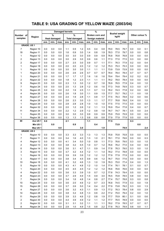## **TABLE 9: USA GRADING OF YELLOW MAIZE (2003/04)**

|                         |                        |            |                     |            | <b>Damaged kernels</b> |                      |            |            | $\frac{9}{6}$          |            |              |                      |              |            |                |            |
|-------------------------|------------------------|------------|---------------------|------------|------------------------|----------------------|------------|------------|------------------------|------------|--------------|----------------------|--------------|------------|----------------|------------|
| Number of               |                        |            | $\frac{9}{6}$       |            |                        | $\frac{9}{6}$        |            |            | <b>Broken corn and</b> |            |              | <b>Bushel weight</b> |              |            | Other colour % |            |
| samples                 | Region                 |            | <b>Heat damaged</b> |            |                        | <b>Total damaged</b> |            |            | foreign material       |            |              | kg/hl                |              |            |                |            |
|                         |                        | ave.       | min.                | max.       | ave.                   | min.                 | max.       | ave.       | min.                   | max.       | ave.         | min.                 | max.         | ave.       | min.           | max.       |
| <b>GRADE: US 1</b>      |                        |            |                     |            |                        |                      |            |            |                        |            |              |                      |              |            |                |            |
| 7                       | Region 10              | 0.0        | 0.0                 | 0.0        | 1.1                    | 0.9                  | 1.2        | 0.5        | 0.4                    | 0.8        | 79.0         | 78.5                 | 79.7         | 0.0        | 0.0            | 0.1        |
| 18                      | Region 11              | 0.0        | 0.0                 | 0.0        | 1.6                    | 0.9                  | 3.0        | 1.4        | 0.8                    | 1.9        | 78.3         | 77.0                 | 79.7         | 0.0        | 0.0            | 0.8        |
| 1                       | Region 12              | 0.0        | 0.0                 | 0.0        | 3.0                    | 3.0                  | 3.0        | 0.9        | 0.9                    | 0.9        | 76.8         | 76.8                 | 76.8         | 0.0        | 0.0            | 0.0        |
| 2                       | Region 13              | 0.0        | 0.0                 | 0.0        | 3.0                    | 2.9                  | 3.0        | 0.9        | 0.6                    | 1.1        | 77.3         | 77.0                 | 77.5         | 0.3        | 0.0            | 0.6        |
| 2                       | Region 17              | 0.0        | 0.0                 | 0.0        | 2.7                    | 2.5                  | 3.0        | 0.9        | 0.7                    | 1.1        | 77.1         | 76.3                 | 77.9         | 0.2        | 0.0            | 0.4        |
| 1                       | Region 18              | 0.0        | 0.0                 | 0.0        | 2.0                    | 2.0                  | 2.0        | 1.2        | 1.2                    | 1.2        | 75.3         | 75.3                 | 75.3         | 0.0        | 0.0            | 0.0        |
| 1                       | Region 19              | 0.0        | 0.0                 | 0.0        | 3.0                    | 3.0                  | 3.0        | 1.1        | 1.1                    | 1.1        | 73.9         | 73.9                 | 73.9         | 0.0        | 0.0            | 0.0        |
| 1                       | Region 20              | 0.0        | 0.0                 | 0.0        | 2.6                    | 2.6                  | 2.6        | 0.7        | 0.7                    | 0.7        | 78.4         | 78.4                 | 78.4         | 0.7        | 0.7            | 0.7        |
| 1                       | Region 21              | 0.0        | 0.0                 | 0.0        | 1.7                    | 1.7                  | 1.7        | 1.6        | 1.6                    | 1.6        | 79.4         | 79.4                 | 79.4         | 0.2        | 0.2            | 0.2        |
| 2                       | Region 22              | 0.0        | 0.0                 | 0.0        | 1.8                    | 1.2                  | 2.3        | 1.1        | 1.1                    | 1.1        | 78.2         | 78.0                 | 78.4         | 0.0        | 0.0            | 0.0        |
| 9                       | Region 23              | 0.0        | 0.0                 | 0.0        | 2.3                    | 1.3                  | 3.0        | 1.2        | 0.7                    | 1.6        | 76.9         | 76.5                 | 77.9         | 0.4        | 0.0            | 1.0        |
| 7                       | Region 24              | 0.0        | 0.0                 | 0.0        | 2.0                    | 1.3                  | 2.8        | 1.2        | 0.6                    | 1.6        | 77.3         | 74.8                 | 79.9         | 0.3        | 0.0            | 0.7        |
| 5                       | Region 25              | 0.0        | 0.0                 | 0.0        | 2.2                    | 1.9                  | 2.5        | 1.1        | 0.7                    | 1.3        | 76.2         | 74.3                 | 77.8         | 0.2        | 0.0            | 0.6        |
| 4                       | Region 26              | 0.0        | 0.0                 | 0.0        | 2.6                    | 1.8                  | 3.0        | 1.1        | 0.9                    | 1.5        | 77.7         | 75.7                 | 79.2         | 1.1        | 0.0            | 1.8        |
| 6                       | Region 27              | 0.0        | 0.0                 | 0.0        | 2.4                    | 1.9                  | 2.8        | 1.1        | 0.8                    | 1.7        | 77.5         | 76.3                 | 78.8         | 0.2        | 0.0            | 0.6        |
| 4                       | Region 28              | 0.0        | 0.0                 | 0.0        | 2.6                    | 2.3                  | 3.0        | 1.3        | 1.1                    | 1.7        | 77.7         | 76.8                 | 78.8         | 0.4        | 0.0            | 1.0        |
| 1                       | Region 29              | 0.0        | 0.0                 | 0.0        | 2.8                    | 2.8                  | 2.8        | 1.0        | 1.0                    | 1.0        | 77.5         | 77.5                 | 77.5         | 0.0        | 0.0            | 0.0        |
| 4                       | Region 32              | 0.0        | 0.0                 | 0.0        | 2.0                    | 1.2                  | 2.6        | 1.2        | 1.1                    | 1.3        | 76.9         | 75.4                 | 77.8         | 0.4        | 0.0            | 0.7        |
| 11                      | Region 34              | 0.0        | 0.0                 | 0.0        | 2.2                    | 1.2                  | 2.9        | 1.2        | 0.8                    | 1.8        | 76.7         | 74.7                 | 78.1         | 0.5        | 0.0            | 2.4        |
| 1                       | Region 35              | 0.0        | 0.0                 | 0.0        | 3.0                    | 3.0                  | 3.0        | 0.9        | 0.9                    | 0.9        | 75.9         | 75.9                 | 75.9         | 0.0        | 0.0            | 0.0        |
| 1                       | Region 36              | 0.0        | 0.0                 | 0.0        | 1.3                    | 1.3                  | 1.3        | 0.8        | 0.8                    | 0.8        | 77.9         | 77.9                 | 77.9         | 0.0        | 0.0            | 0.0        |
| 89                      | Ave US <sub>1</sub>    | 0.0        |                     |            | 2.1                    |                      |            | 1.1        |                        |            | 77.5         |                      |              | 0.3        |                |            |
|                         | Min US1                |            | 0.0                 |            |                        | 0.9                  |            |            | 0.4                    |            |              | 73.9                 |              |            | 0.0            |            |
|                         | Max US1                |            |                     | 0.0        |                        |                      | 3.0        |            |                        | 1.9        |              |                      | 79.9         |            |                | 2.4        |
|                         | <b>GRADE: US 2</b>     |            |                     |            |                        |                      |            |            |                        |            |              |                      |              |            |                |            |
| 1                       | Region 10              | 0.0        | 0.0                 | 0.0        | 3.3                    | 3.3                  | 3.3        | 1.3        | 1.3                    | 1.3        | 75.8         | 75.8                 | 75.8         | 0.0        | 0.0            | 0.0        |
| 7<br>4                  | Region 11<br>Region 12 | 0.0<br>0.0 | 0.0<br>0.0          | 0.0<br>0.0 | 3.4<br>4.1             | 1.6<br>3.4           | 4.0<br>5.0 | 1.3<br>1.0 | 1.0<br>0.8             | 2.1<br>1.1 | 78.1<br>77.3 | 77.0<br>76.6         | 79.6<br>79.0 | 0.0<br>0.3 | 0.0<br>0.0     | 0.3<br>1.0 |
| 2                       | Region 13              | 0.0        | 0.0                 | 0.0        | 3.8                    | 3.2                  | 4.5        | 1.0        | 0.7                    | 1.2        | 76.6         | 76.2                 | 77.0         | 0.4        | 0.0            | 0.9        |
| 6                       | Region 14              | 0.0        | 0.0                 | 0.0        | 3.6                    | 3.1                  | 4.7        | 1.1        | 0.9                    | 1.4        | 77.8         | 76.3                 | 79.0         | 0.3        | 0.0            | 1.0        |
| 3                       | Region 15              | $0.0\,$    | 0.0                 | $0.0\,$    | $3.7\,$                | 3.2                  | 4.4        | 1.2        | 1.1                    | 1.4        | 78.2         | 77.4                 | 78.8         | $0.0\,$    | $0.0\,$        | $0.0\,$    |
| 1                       | Region 16              | 0.0        | 0.0                 | 0.0        | 3.9                    | 3.9                  | 3.9        | 1.2        | $1.2$                  | 1.2        | 77.9         | 77.9                 | 77.9         | 0.0        | 0.0            | 0.0        |
| 3                       | Region 17              | 0.0        | 0.0                 | 0.0        | 3.8                    | 3.4                  | 4.5        | 0.9        | 0.6                    | $1.2$      | 76.7         | 75.0                 | 77.6         | 0.0        | 0.0            | 0.0        |
| 10                      | Region 18              | 0.0        | 0.0                 | 0.0        | 4.1                    | 3.2                  | 4.6        | 1.3        | 1.0                    | 1.9        | 76.3         | 75.0                 | 77.4         | 0.4        | 0.0            | 1.3        |
| 5                       | Region 19              | 0.0        | 0.0                 | 0.0        | 4.3                    | 4.1                  | 4.8        | 1.2        | 1.0                    | 1.4        | 77.4         | 76.1                 | 78.1         | 0.1        | 0.0            | 0.7        |
| 1                       | Region 20              | 0.0        | 0.0                 | 0.0        | 4.5                    | 4.5                  | 4.5        | 1.2        | 1.2                    | 1.2        | 76.6         | 76.6                 | 76.6         | 0.0        | 0.0            | 0.0        |
| 4                       | Region 22              | 0.0        | 0.0                 | 0.0        | 3.6                    | 3.3                  | 3.9        | 1.0        | 0.7                    | 1.2        | 77.8         | 74.3                 | 79.4         | 0.5        | 0.0            | 0.0        |
| 8                       | Region 23              | 0.0        | 0.0                 | 0.0        | 3.7                    | 2.9                  | 4.9        | 1.5        | 0.9                    | 3.0        | 76.5         | 70.8                 | 78.5         | 0.8        | 0.0            | 5.0        |
| 7                       | Region 24              | 0.0        | 0.0                 | 0.0        | 3.4                    | 1.6                  | 4.8        | 1.4        | 0.8                    | 2.7        | 77.4         | 75.7                 | 78.8         | 0.3        | 0.0            | 0.8        |
| 10                      | Region 25              | 0.0        | 0.0                 | 0.0        | 3.6                    | 2.0                  | 4.6        | 1.2        | 0.7                    | 2.3        | 76.8         | 74.5                 | 77.9         | 0.3        | 0.0            | 1.9        |
| 15                      | Region 26              | 0.0        | 0.0                 | 0.0        | 3.7                    | 2.6                  | $5.0\,$    | 1.4        | 0.4                    | 2.2        | 77.9         | 73.8                 | 79.2         | 0.3        | 0.0            | 1.3        |
| 4                       | Region 27              | 0.0        | 0.0                 | 0.0        | 3.6                    | 3.2                  | 4.3        | 1.1        | 0.9                    | 1.3        | 77.2         | 76.3                 | 78.4         | 0.8        | 0.0            | 2.9        |
| 14                      | Region 28              | 0.0        | 0.0                 | 0.0        | 3.8                    | 3.2                  | 4.8        | 1.3        | 0.6                    | 2.2        | 77.2         | 75.0                 | 79.4         | 0.2        | 0.0            | 1.0        |
| 11                      | Region 29              | 0.0        | 0.0                 | 0.0        | 3.9                    | 3.3                  | 4.6        | 1.2        | 0.8                    | 1.9        | 77.7         | 75.9                 | 80.1         | 0.1        | 0.0            | 0.6        |
| 2                       | Region 30              | 0.0        | 0.0                 | 0.0        | 4.4                    | 3.9                  | 4.9        | 1.2        | 1.1                    | 1.2        | 77.7         | 76.5                 | 78.9         | 0.0        | 0.0            | 0.0        |
| $\overline{\mathbf{c}}$ | Region 32              | $0.0\,$    | 0.0                 | 0.0        | 3.1                    | 3.1                  | 3.2        | 1.1        | 1.1                    | 1.1        | 78.2         | 77.9                 | 78.5         | 0.7        | 0.7            | 0.7        |
| 8                       | Region 34              | 0.0        | 0.0                 | 0.0        | 2.9                    | 1.0                  | 4.9        | 1.5        | 0.8                    | 2.2        | 77.8         | 76.3                 | 78.9         | 0.6        | 0.0            | 1.1        |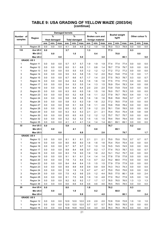|                         |                     |      |                     | <b>Damaged kernels</b> |      |                      |      |      | $\%$             |      |      |                               |      |      |                |         |
|-------------------------|---------------------|------|---------------------|------------------------|------|----------------------|------|------|------------------|------|------|-------------------------------|------|------|----------------|---------|
| Number of               |                     |      | $\frac{9}{6}$       |                        |      | $\frac{9}{6}$        |      |      | Broken corn and  |      |      | <b>Bushel weight</b><br>kg/hl |      |      | Other colour % |         |
| samples                 | Region              |      | <b>Heat damaged</b> |                        |      | <b>Total damaged</b> |      |      | foreign material |      |      |                               |      |      |                |         |
|                         |                     | ave. | min.                | max.                   | ave. | min.                 | max. | ave. | min.             | max. | ave. | min.                          | max. | ave. | min.           | max.    |
| 5                       | Region 35           | 0.0  | 0.0                 | 0.0                    | 4.1  | 3.6                  | 4.6  | 1.2  | 1.0              | 1.6  | 76.0 | 72.3                          | 78.9 | 0.0  | 0.0            | 0.0     |
| 133                     | Ave US <sub>2</sub> | 0.0  |                     |                        | 3.7  |                      |      | 1.3  |                  |      | 77.3 |                               |      | 0.3  |                |         |
|                         | Min US <sub>2</sub> |      | 0.0                 |                        |      | 1.0                  |      |      | 0.4              |      |      | 70.8                          |      |      | 0.0            |         |
|                         | Max US <sub>2</sub> |      |                     | 0.0                    |      |                      | 5.0  |      |                  | 3.0  |      |                               | 80.1 |      |                | 5.0     |
| <b>GRADE: US 3</b>      |                     |      |                     |                        |      |                      |      |      |                  |      |      |                               |      |      |                |         |
| 1                       | Region 11           | 0.0  | 0.0                 | 0.0                    | 5.7  | 5.7                  | 5.7  | 1.9  | 1.9              | 1.9  | 77.4 | 77.4                          | 77.4 | 0.0  | 0.0            | 0.0     |
| 4                       | Region 12           | 0.0  | 0.0                 | 0.0                    | 6.0  | 5.1                  | 6.8  | 1.1  | 0.8              | 1.4  | 78.7 | 77.9                          | 79.7 | 0.0  | 0.0            | 0.0     |
| 1                       | Region 13           | 0.0  | 0.0                 | 0.0                    | 5.5  | 5.5                  | 5.5  | 1.2  | 1.2              | 1.2  | 77.2 | 77.2                          | 77.2 | 0.0  | 0.0            | 0.0     |
| 3                       | Region 14           | 0.0  | 0.0                 | 0.0                    | 5.5  | 5.3                  | 5.8  | 1.5  | 1.2              | 2.0  | 76.2 | 74.8                          | 77.6 | 1.0  | 0.0            | 1.7     |
| $\boldsymbol{2}$        | Region 15           | 0.0  | 0.0                 | 0.0                    | 6.7  | 6.6                  | 6.7  | 1.7  | 1.4              | 2.0  | 77.5 | 76.3                          | 78.7 | 0.3  | 0.0            | 0.7     |
| 1                       | Region 16           | 0.0  | 0.0                 | 0.0                    | 6.4  | 6.4                  | 6.4  | 1.6  | 1.6              | 1.6  | 77.5 | 77.5                          | 77.5 | 0.0  | 0.0            | 0.0     |
| $\overline{c}$          | Region 17           | 0.0  | 0.0                 | 0.0                    | 5.4  | 5.3                  | 5.5  | 1.4  | 1.3              | 1.5  | 76.9 | 75.4                          | 78.3 | 0.4  | 0.0            | 0.8     |
| 1                       | Region 19           | 0.0  | 0.0                 | 0.0                    | 6.4  | 6.4                  | 6.4  | 2.0  | 2.0              | 2.0  | 73.9 | 73.9                          | 73.9 | 0.0  | 0.0            | 0.0     |
| $\overline{2}$          | Region 20           | 0.0  | 0.0                 | 0.0                    | 6.3  | 6.0                  | 6.5  | 1.6  | 1.5              | 1.6  | 76.0 | 75.7                          | 76.3 | 0.0  | 0.0            | 0.0     |
| 4                       | Region 23           | 0.0  | 0.0                 | 0.0                    | 6.0  | 5.2                  | 6.8  | 1.6  | 1.1              | 2.2  | 77.9 | 76.7                          | 79.0 | 0.4  | 0.0            | 1.3     |
| 1                       | Region 24           | 0.0  | 0.0                 | 0.0                    | 5.8  | 5.8                  | 5.8  | 1.6  | 1.6              | 1.6  | 76.8 | 76.8                          | 76.8 | 0.7  | 0.7            | 0.7     |
| $\boldsymbol{2}$        | Region 26           | 0.0  | 0.0                 | 0.0                    | 5.8  | 5.3                  | 6.3  | 1.9  | 1.6              | 2.2  | 77.2 | 76.5                          | 77.8 | 0.0  | 0.0            | 0.0     |
| $\boldsymbol{2}$        | Region 27           | 0.0  | 0.0                 | 0.0                    | 5.8  | 5.1                  | 6.6  | 1.8  | 1.1              | 2.6  | 74.6 | 70.8                          | 78.4 | 0.0  | 0.0            | 0.0     |
| $\overline{\mathbf{c}}$ | Region 28           | 0.0  | 0.0                 | 0.0                    | 6.0  | 5.2                  | 6.7  | 1.9  | 1.2              | 2.5  | 76.1 | 73.6                          | 78.5 | 0.0  | 0.0            | 0.0     |
| 1                       | Region 29           | 0.0  | 0.0                 | 0.0                    | 6.3  | 6.3                  | 6.3  | 2.1  | 2.1              | 2.1  | 75.4 | 75.4                          | 75.4 | 0.8  | 0.8            | 0.8     |
| 1                       | Region 30           | 0.0  | 0.0                 | 0.0                    | 6.5  | 6.5                  | 6.5  | 1.2  | 1.2              | 1.2  | 75.7 | 75.7                          | 75.7 | 0.0  | 0.0            | 0.0     |
| 1                       | Region 32           | 0.0  | 0.0                 | 0.0                    | 5.2  | 5.2                  | 5.2  | 1.5  | 1.5              | 1.5  | 79.4 | 79.4                          | 79.4 | 0.0  | 0.0            | 0.0     |
| 1                       | Region 35           | 0.0  | 0.0                 | 0.0                    | 4.1  | 4.1                  | 4.1  | 1.4  | 1.4              | 1.4  | 69.1 | 69.1                          | 69.1 | 0.0  | 0.0            | $0.0\,$ |
| 32                      | Ave US 3            | 0.0  |                     |                        | 5.9  |                      |      | 1.6  |                  |      | 76.7 |                               |      | 0.2  |                |         |
|                         | Min US3             |      | 0.0                 |                        |      | 4.1                  |      |      | 0.8              |      |      | 69.1                          |      |      | 0.0            |         |
|                         | Max US3             |      |                     | 0.0                    |      |                      | 6.8  |      |                  | 2.6  |      |                               | 79.7 |      |                | 1.7     |
| <b>GRADE: US 4</b>      |                     |      |                     |                        |      |                      |      |      |                  |      |      |                               |      |      |                |         |
| 1                       | Region 12           | 0.0  | 0.0                 | 0.0                    | 8.1  | 8.1                  | 8.1  | 2.1  | 2.1              | 2.1  | 75.0 | 75.0                          | 75.0 | 0.7  | 0.7            | 0.7     |
| 1                       | Region 14           | 0.0  | 0.0                 | 0.0                    | 8.0  | 8.0                  | 8.0  | 1.6  | 1.6              | 1.6  | 75.4 | 75.4                          | 75.4 | 0.0  | 0.0            | 0.0     |
| 1                       | Region 16           | 0.0  | 0.0                 | 0.0                    | 9.7  | 9.7                  | 9.7  | 1.0  | 1.0              | 1.0  | 74.5 | 74.5                          | 74.5 | 0.0  | 0.0            | 0.0     |
| 4                       | Region 17           | 0.0  | 0.0                 | 0.0                    | 8.9  | 8.4                  | 9.8  | 0.7  | 0.2              | 1.7  | 77.4 | 75.3                          | 78.7 | 0.3  | 0.0            | 0.7     |
| 3                       | Region 18           | 0.0  | 0.0                 | 0.0                    | 8.3  | 7.6                  | 9.0  | 1.9  | 1.6              | 2.2  | 74.1 | 73.2                          | 75.7 | 0.0  | 0.0            | 0.0     |
| 1                       | Region 19           | 0.0  | 0.0                 | 0.0                    | 9.1  | 9.1                  | 9.1  | 1.4  | 1.4              | 1.4  | 77.8 | 77.8                          | 77.8 | 0.0  | 0.0            | 0.0     |
| 4                       | Region 20           | 0.0  | 0.0                 | 0.0                    | 7.9  | 7.2                  | 8.4  | 1.3  | 0.7              | 2.2  | 74.2 | 68.0                          | 77.5 | 0.0  | 0.0            | 0.0     |
| 1                       | Region 22           | 0.0  | 0.0                 | 0.0                    | 8.4  | 8.4                  | 8.4  | 1.5  | 1.5              | 1.5  | 77.9 | 77.9                          | 77.9 | 0.0  | 0.0            | 0.0     |
| $\mathbf{1}$            | Region 23           | 0.0  | 0.0                 | 0.0                    | 8.9  | 8.9                  | 8.9  | 0.9  | 0.9              | 0.9  | 74.3 | 74.3                          | 74.3 | 0.0  | 0.0            | 0.0     |
| $\mathbf{1}$            | Region 24           | 0.0  | 0.0                 | 0.0                    | 1.9  | 1.9                  | 1.9  | 4.7  | 4.7              | 4.7  | 75.0 | 75.0                          | 75.0 | 0.0  | 0.0            | 0.0     |
| 3                       | Region 26           | 0.0  | 0.0                 | 0.0                    | 7.5  | 4.2                  | 9.6  | 2.5  | 1.2              | 4.4  | 78.5 | 77.5                          | 80.1 | 0.8  | 0.0            | 2.4     |
| 6                       | Region 28           | 0.0  | 0.0                 | 0.0                    | 8.1  | 7.5                  | 9.8  | 1.9  | 1.0              | 4.8  | 77.0 | 76.2                          | 77.9 | 0.5  | 0.0            | 1.6     |
| $\mathbf{1}$            | Region 34           | 0.0  | 0.0                 | 0.0                    | 9.2  | 9.2                  | 9.2  | 1.7  | 1.7              | 1.7  | 76.5 | 76.5                          | 76.5 | 1.3  | 1.3            | 1.3     |
| 1                       | Region 36           | 0.0  | 0.0                 | 0.0                    | 6.6  | 6.6                  | 6.6  | 4.6  | 4.6              | 4.6  | 78.5 | 78.5                          | 78.5 | 0.0  | 0.0            | 0.0     |
| 29                      | Ave US 4            | 0.0  |                     |                        | 8.0  |                      |      | 1.8  |                  |      | 76.2 |                               |      | 0.3  |                |         |
|                         | Min US 4            |      | 0.0                 |                        |      | 1.9                  |      |      | $0.2\,$          |      |      | 68.0                          |      |      | 0.0            |         |
|                         | Max US4             |      |                     | 0.0                    |      |                      | 9.8  |      |                  | 4.8  |      |                               | 80.1 |      |                | 2.4     |
|                         | <b>GRADE: US 5</b>  |      |                     |                        |      |                      |      |      |                  |      |      |                               |      |      |                |         |
| 1                       | Region 12           | 0.0  | 0.0                 | 0.0                    | 12.0 | 12.0                 | 12.0 | 2.0  | 2.0              | 2.0  | 72.8 | 72.8                          | 72.8 | 1.0  | 1.0            | 1.0     |
| 1                       | Region 14           | 0.0  | $0.0\,$             | $0.0\,$                | 12.0 | 12.0                 | 12.0 | 0.7  | 0.7              | 0.7  | 76.5 | 76.5                          | 76.5 | 0.0  | 0.0            | 0.0     |
| $\mathbf{1}$            | Region 15           | 0.0  | $0.0\,$             | 0.0                    | 10.8 | 10.8                 | 10.8 | 3.0  | 3.0              | 3.0  | 76.3 | 76.3                          | 76.3 | 0.0  | 0.0            | 0.0     |

#### **TABLE 9: USA GRADING OF YELLOW MAIZE (2003/04) (continue)**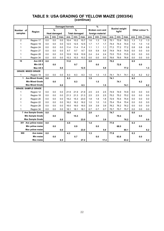#### **TABLE 9: USA GRADING OF YELLOW MAIZE (2003/04) (continue)**

|                |                            |      | <b>Damaged kernels</b> |      |      |                      |      | $\%$ |                        |      |      |                               |      |      |                |      |
|----------------|----------------------------|------|------------------------|------|------|----------------------|------|------|------------------------|------|------|-------------------------------|------|------|----------------|------|
| Number of      | Region                     |      | $\frac{9}{6}$          |      |      | $\frac{9}{6}$        |      |      | <b>Broken corn and</b> |      |      | <b>Bushel weight</b><br>kg/hl |      |      | Other colour % |      |
| samples        |                            |      | <b>Heat damaged</b>    |      |      | <b>Total damaged</b> |      |      | foreign material       |      |      |                               |      |      |                |      |
|                |                            | ave. | min.                   | max. | ave. | min.                 | max. | ave. | min.                   | max. | ave. | min.                          | max. | ave. | min.           | max. |
| $\overline{2}$ | Region 17                  | 0.0  | 0.0                    | 0.0  | 10.4 | 10.2                 | 10.7 | 1.6  | 1.3                    | 1.8  | 75.1 | 73.9                          | 76.3 | 1.3  | 1.2            | 1.3  |
| 1              | Region 19                  | 0.0  | 0.0                    | 0.0  | 12.5 | 12.5                 | 12.5 | 1.7  | 1.7                    | 1.7  | 74.4 | 74.4                          | 74.4 | 1.0  | 1.0            | 1.0  |
| 1              | Region 24                  | 0.0  | 0.0                    | 0.0  | 11.4 | 11.4                 | 11.4 | 1.1  | 1.1                    | 1.1  | 77.2 | 77.2                          | 77.2 | 0.8  | 0.8            | 0.8  |
| 1              | Region 27                  | 0.0  | 0.0                    | 0.0  | 9.7  | 9.7                  | 9.7  | 5.9  | 5.9                    | 5.9  | 74.9 | 74.9                          | 74.9 | 0.0  | 0.0            | 0.0  |
| 1              | Region 28                  | 0.0  | 0.0                    | 0.0  | 10.9 | 10.9                 | 10.9 | 2.4  | 2.4                    | 2.4  | 73.5 | 73.5                          | 73.5 | 0.0  | 0.0            | 0.0  |
| 1              | Region 34                  | 0.0  | 0.0                    | 0.0  | 10.3 | 10.3                 | 10.3 | 0.0  | 0.0                    | 0.0  | 76.6 | 76.6                          | 76.6 | 0.0  | 0.0            | 0.0  |
| 10             | Ave US 5                   | 0.0  |                        |      | 11.0 |                      |      | 2.0  |                        |      | 75.2 |                               |      | 0.5  |                |      |
|                | Min US 5                   |      | 0.0                    |      |      | 9.7                  |      |      | 0.0                    |      |      | 72.8                          |      |      | 0.0            |      |
|                | Max US 5                   |      |                        | 0.0  |      |                      | 12.5 |      |                        | 5.9  |      |                               | 77.2 |      |                | 1.3  |
|                | <b>GRADE: MIXED GRADE</b>  |      |                        |      |      |                      |      |      |                        |      |      |                               |      |      |                |      |
| 1              | Region 19                  | 0.0  | 0.0                    | 0.0  | 8.3  | 8.3                  | 8.3  | 1.5  | 1.5                    | 1.5  | 74.1 | 74.1                          | 74.1 | 6.2  | 6.2            | 6.2  |
| 1              | <b>Ave Mixed Grade</b>     | 0.0  |                        |      | 8.3  |                      |      | 1.5  |                        |      | 74.1 |                               |      | 6.2  |                |      |
|                | <b>Min Mixed Grade</b>     |      | 0.0                    |      |      | 8.3                  |      |      | 1.5                    |      |      | 74.1                          |      |      | 6.2            |      |
|                | <b>Max Mixed Grade</b>     |      |                        | 0.0  |      |                      | 8.3  |      |                        | 1.5  |      |                               | 74.1 |      |                | 6.2  |
|                | <b>GRADE: SAMPLE GRADE</b> |      |                        |      |      |                      |      |      |                        |      |      |                               |      |      |                |      |
| 1              | Region 12                  | 0.0  | 0.0                    | 0.0  | 21.9 | 21.9                 | 21.9 | 2.5  | 2.5                    | 2.5  | 74.9 | 74.9                          | 74.9 | 0.0  | 0.0            | 0.0  |
| 1              | Region 18                  | 0.0  | 0.0                    | 0.0  | 21.3 | 21.3                 | 21.3 | 2.5  | 2.5                    | 2.5  | 75.2 | 75.2                          | 75.2 | 0.0  | 0.0            | 0.0  |
| $\overline{2}$ | Region 20                  | 0.0  | 0.0                    | 0.0  | 19.2 | 15.3                 | 23.0 | 1.8  | 1.8                    | 1.8  | 72.9 | 70.4                          | 75.4 | 0.0  | 0.0            | 0.0  |
| 1              | Region 22                  | 0.0  | 0.0                    | 0.0  | 16.2 | 16.2                 | 16.2 | 1.0  | 1.0                    | 1.0  | 75.4 | 75.4                          | 75.4 | 0.0  | 0.0            | 0.0  |
| 1              | Region 28                  | 0.0  | 0.0                    | 0.0  | 16.0 | 16.0                 | 16.0 | 3.9  | 3.9                    | 3.9  | 76.2 | 76.2                          | 76.2 | 0.0  | 0.0            | 0.0  |
| 1              | Region 34                  | 0.0  | 0.0                    | 0.0  | 18.1 | 18.1                 | 18.1 | 0.7  | 0.7                    | 0.7  | 75.7 | 75.7                          | 75.7 | 0.0  | 0.0            | 0.0  |
|                | 7 Ave Sample Grade         | 0.0  |                        |      | 18.8 |                      |      | 2.0  |                        |      | 74.7 |                               |      | 0.0  |                |      |
|                | <b>Min Sample Grade</b>    |      | 0.0                    |      |      | 15.3                 |      |      | 0.7                    |      |      | 70.4                          |      |      | 0.0            |      |
|                | <b>Max Sample Grade</b>    |      |                        | 0.0  |      |                      | 23.0 |      |                        | 3.9  |      |                               | 76.2 |      |                | 0.0  |
| 301            | Ave yellow maize           | 0.0  |                        |      | 4.5  |                      |      | 1.4  |                        |      | 77.0 |                               |      | 0.3  |                |      |
|                | Min yellow maize           |      | 0.0                    |      |      | 0.9                  |      |      | 0.0                    |      |      | 68.0                          |      |      | 0.0            |      |
| 900            | Max yellow maize           |      |                        | 0.0  |      |                      | 23.0 |      |                        | 5.9  |      |                               | 80.1 |      |                | 6.2  |
|                | Ave maize                  | 0.0  |                        |      | 4.3  |                      |      | 1.3  |                        |      | 77.8 |                               |      | 0.3  |                |      |
|                | <b>Min maize</b>           |      | 0.0                    |      |      | 0.7                  |      |      | 0.0                    |      |      | 63.8                          |      |      | 0.0            |      |
|                | Max maize                  |      |                        | 6.5  |      |                      | 27.2 |      |                        | 17.2 |      |                               | 83.2 |      |                | 6.2  |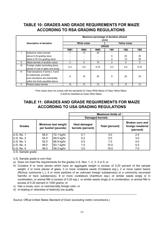## **TABLE 10: GRADES AND GRADE REQUIREMENTS FOR MAIZE ACCORDING TO RSA GRADING REGULATIONS**

|                |                                     |                 |                    | Maximum percentage of deviation allowed |                 |                     |                 |
|----------------|-------------------------------------|-----------------|--------------------|-----------------------------------------|-----------------|---------------------|-----------------|
|                |                                     |                 |                    |                                         | (m/m)           |                     |                 |
|                | <b>Description of deviation</b>     |                 | <b>White maize</b> |                                         |                 | <b>Yellow maize</b> |                 |
|                |                                     |                 |                    |                                         | <b>GRADE</b>    |                     |                 |
|                |                                     | WM <sub>1</sub> | WM <sub>2</sub>    | WM3                                     | YM <sub>1</sub> | YM2                 | YM <sub>3</sub> |
|                | Defective maize kernels             |                 | 13                 | 30                                      |                 |                     |                 |
|                | above 6,35 grading sieve            |                 |                    |                                         | 9               | 20                  | 30              |
|                | below 6,35 mm grading sieve         |                 |                    |                                         | 4               | 10                  | 30              |
| Ш              | Maize kernels of another colour     | 3               | 6                  | 10                                      | 2               | 5                   | 5               |
| $\mathbf{III}$ | Foreign matter (excluding stone,    | 0,3             | 0,5                | 0,75                                    | 0,3             | 0,5                 | 0,75            |
|                | pieces of coal or glass and dung)   |                 |                    |                                         |                 |                     |                 |
| IV             | Total deviations in terms I, II and |                 |                    |                                         |                 |                     |                 |
|                | III collectively, provided          | 8               | 16                 | 30                                      | 9               | 20                  | 30              |
|                | such deviations are individually    |                 |                    |                                         |                 |                     |                 |
|                | within the limits specified above   |                 |                    |                                         |                 |                     |                 |
|                | Pinked maize kernels                | 12              | 12                 | 12                                      | 12              | 12                  | 12              |

If the maize does not comply with the standards for Class White Maize of Class Yellow Maize It shall be classified as Class Other Maize.

## **TABLE 11: GRADES AND GRADE REQUIREMENTS FOR MAIZE ACCORDING TO USA GRADING REGULATIONS**

|               |      |                                            |                                          | <b>Maximum limits of -</b> |                                                          |
|---------------|------|--------------------------------------------|------------------------------------------|----------------------------|----------------------------------------------------------|
|               |      |                                            |                                          | <b>Damaged kernels</b>     |                                                          |
| <b>Grades</b> |      | Minimum test weight<br>per bushel (pounds) | <b>Heat damaged</b><br>kernels (percent) | Total (percent)            | <b>Broken corn and</b><br>foreign meaterial<br>(percent) |
| U.S. No. 1    | 56.0 | 72.1 kg/hl                                 | 0.1                                      | 3.0                        | 2.0                                                      |
| U.S. No. 2    | 54.0 | 69.5 kg/hl                                 | 0.2                                      | 5.0                        | 3.0                                                      |
| U.S. No. 3    | 52.0 | 66.9 kg/hl                                 | 0.5                                      | 7.0                        | 4.0                                                      |
| U.S. No. 4    | 49.0 | 63.1 kg/hl                                 | 1.0                                      | 10.0                       | 5.0                                                      |
| U.S. No. 5    | 46.0 | 59.2 kg/hl                                 | 3.0                                      | 15.0                       | 7.0                                                      |

U.S. Sample grade

U.S. Sample grade is corn that:

- a) Does not meet the requirements for the grades U.S. Nos. 1, 2, 3, 4 or 5; or
- b) Contains 8 or more stones which have an aggregate weight in excess of 0.20 percent of the sample weight, 2 or more pieces of glass, 3 or more crotalaria seeds (Crotalaria ssp.), 2 or more castor beans (Ricinus communis L.), 4 or more particles of an unknown foreign substance(s) or a commonly reconized harmful or toxic substance(s), 8 or more cockleburs (Xanthium ssp.) or similar seeds singly or in combination, or animal filth in excess of 0.20 ssp.) or similar seeds singly or in combination, or animal filth in excess of 0.20 percent in 1000 grams; or
- c) Has a musty, sour, or commercially foreign odor; or
- d) Is heating or otherwise of distinctly low quality.

Source: Offical United States Standard of Grain (excluding metric conversions.)

\_\_\_\_\_\_\_\_\_\_\_\_\_\_\_\_\_\_\_\_\_\_\_\_\_\_\_\_\_\_\_\_\_\_\_\_\_\_\_\_\_\_\_\_\_\_\_\_\_\_\_\_\_\_\_\_\_\_\_\_\_\_\_\_\_\_\_\_\_\_\_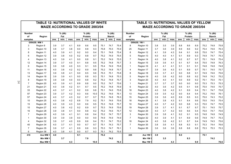|                     | <b>TABLE 12: NUTRITIONAL VALUES OF WHITE</b> |      |                 |      |      |                     |      |      |                           |      |                     | <b>TABLE 13: NUTRITIONAL VALUES OF YELLOW</b> |      |                 |      |      |                     |      |      |                           |      |
|---------------------|----------------------------------------------|------|-----------------|------|------|---------------------|------|------|---------------------------|------|---------------------|-----------------------------------------------|------|-----------------|------|------|---------------------|------|------|---------------------------|------|
|                     | <b>MAIZE ACCORDING TO GRADE 2003/04</b>      |      |                 |      |      |                     |      |      |                           |      |                     | <b>MAIZE ACCORDING TO GRADE 2003/04</b>       |      |                 |      |      |                     |      |      |                           |      |
|                     |                                              |      |                 |      |      |                     |      |      |                           |      |                     |                                               |      |                 |      |      |                     |      |      |                           |      |
| <b>Number</b><br>of | Region                                       |      | $%$ (db)<br>Fat |      |      | $%$ (db)<br>Protein |      |      | $%$ (db)<br><b>Starch</b> |      | <b>Number</b><br>of | Region                                        |      | $%$ (db)<br>Fat |      |      | $%$ (db)<br>Protein |      |      | $%$ (db)<br><b>Starch</b> |      |
| samples             |                                              | ave. | min.            | max. | ave. | min.                | max. | ave. | min.                      | max  | samples             |                                               | ave. | min.            | max. | ave. | min.                | max. | ave. | min.                      | max. |
|                     | <b>GRADE: WM 1</b>                           |      |                 |      |      |                     |      |      |                           |      |                     | <b>GRADE: YM 1</b>                            |      |                 |      |      |                     |      |      |                           |      |
| 3                   | Region 8                                     | 3.9  | 3.7             | 4.1  | 8.9  | 8.6                 | 9.5  | 75.1 | 74.7                      | 75.4 | 8                   | Region 10                                     | 3.8  | 3.5             | 3.9  | 8.8  | 8.6                 | 8.9  | 75.2 | 74.8                      | 75.8 |
| 3                   | Region 10                                    | 3.8  | 3.7             | 3.8  | 9.0  | 8.8                 | 9.3  | 75.8 | 75.5                      | 75.9 | 25                  | Region 11                                     | 3.7  | 3.6             | 3.9  | 8.9  | 8.6                 | 9.2  | 75.4 | 74.6                      | 76.3 |
| 8                   | Region 11                                    | 4.0  | 3.9             | 4.1  | 9.2  | 9.0                 | 9.4  | 75.1 | 74.8                      | 75.4 | 8                   | Region 12                                     | 4.1  | 3.9             | 4.3  | 9.4  | 9.1                 | 9.9  | 75.0 | 74.7                      | 75.4 |
| 6                   | Region 12                                    | 3.9  | 3.8             | 4.0  | 9.2  | 8.8                 | 9.7  | 75.2 | 74.9                      | 75.5 | 5                   | Region 13                                     | 4.0  | 4.0             | 4.1  | 9.1  | 8.9                 | 9.3  | 74.9 | 74.7                      | 75.3 |
| 4                   | Region 13                                    | 4.0  | 3.9             | 4.1  | 9.0  | 8.8                 | 9.1  | 75.2 | 74.9                      | 75.5 | $\overline{7}$      | Region 14                                     | 4.0  | 3.8             | 4.1  | 9.2  | 8.7                 | 9.7  | 75.1 | 74.9                      | 75.4 |
| 12                  | Region 14                                    | 3.9  | 3.7             | 4.0  | 9.1  | 8.8                 | 9.5  | 75.2 | 74.8                      | 75.7 | 3                   | Region 15                                     | 3.9  | 3.6             | 4.1  | 9.1  | 8.7                 | 9.4  | 75.5 | 74.8                      | 76.3 |
| 6                   | Region 15                                    | 3.9  | 3.8             | 4.0  | 9.3  | 9.1                 | 9.5  | 75.4 | 74.9                      | 75.8 | $\mathbf{1}$        | Region 16                                     | 4.1  | 4.1             | 4.1  | 9.1  | 9.1                 | 9.1  | 74.8 | 74.8                      | 74.8 |
| 11                  | Region 16                                    | 4.0  | 3.8             | 4.2  | 9.2  | 8.9                 | 9.6  | 75.2 | 74.8                      | 75.7 | 4                   | Region 17                                     | 3.9  | 3.6             | 4.3  | 9.1  | 8.9                 | 9.7  | 75.1 | 74.5                      | 75.7 |
| 13                  | Region 17                                    | 3.9  | 3.8             | 4.1  | 9.0  | 8.5                 | 9.6  | 75.3 | 75.1                      | 75.8 | 8                   | Region 18                                     | 3.9  | 3.7             | 4.1  | 9.0  | 8.8                 | 9.1  | 74.9 | 74.6                      | 75.6 |
| 14                  | Region 18                                    | 3.9  | 3.9             | 4.1  | 9.0  | 8.8                 | 9.3  | 75.1 | 74.8                      | 75.3 | 5                   | Region 19                                     | 4.0  | 3.8             | 4.2  | 9.0  | 8.8                 | 9.2  | 74.8 | 74.2                      | 75.2 |
| 8                   | Region 19                                    | 3.9  | 3.8             | 4.0  | 9.0  | 8.8                 | 9.2  | 75.2 | 74.8                      | 75.7 | 3                   | Region 20                                     | 4.0  | 4.0             | 4.1  | 9.0  | 8.9                 | 9.2  | 75.1 | 75.0                      | 75.1 |
| 7                   | Region 20                                    | 4.0  | 3.9             | 4.1  | 8.9  | 8.8                 | 9.0  | 75.2 | 74.7                      | 75.6 | $\mathbf{1}$        | Region 21                                     | 3.7  | 3.7             | 3.7  | 9.0  | 9.0                 | 9.0  | 75.3 | 75.3                      | 75.3 |
| 21                  | Region 21                                    | 4.0  | 3.8             | 4.2  | 9.1  | 8.7                 | 9.5  | 75.2 | 74.8                      | 75.9 | 6                   | Region 22                                     | 4.0  | 3.6             | 4.2  | 9.5  | 9.1                 | 9.8  | 75.0 | 74.6                      | 75.7 |
| 33                  | Region 22                                    | 4.0  | 3.7             | 4.1  | 9.2  | 8.9                 | 9.8  | 75.1 | 74.6                      | 75.8 | 18                  | Region 23                                     | 4.0  | 3.8             | 4.2  | 9.1  | 8.9                 | 9.4  | 75.1 | 74.7                      | 75.8 |
| 97                  | Region 23                                    | 3.9  | 3.7             | 4.2  | 9.3  | 8.6                 | 10.0 | 75.2 | 74.6                      | 76.1 | 13                  | Region 24                                     | 3.9  | 3.5             | 4.2  | 9.0  | 8.4                 | 9.4  | 75.2 | 74.6                      | 76.1 |
| 57                  | Region 24                                    | 4.0  | 3.7             | 4.3  | 9.2  | 8.7                 | 9.7  | 75.3 | 74.8                      | 76.3 | 15                  | Region 25                                     | 3.9  | 3.6             | 4.0  | 8.9  | 8.5                 | 9.3  | 75.0 | 74.3                      | 75.2 |
| 10                  | Region 25                                    | 4.0  | 3.8             | 4.2  | 8.8  | 7.9                 | 9.2  | 75.1 | 74.6                      | 75.6 | 18                  | Region 26                                     | 4.1  | 3.8             | 4.3  | 9.1  | 8.4                 | 9.6  | 75.0 | 74.5                      | 75.4 |
| 15                  | Region 26                                    | 4.0  | 3.9             | 4.3  | 9.0  | 8.6                 | 9.5  | 75.3 | 74.8                      | 75.7 | 10                  | Region 27                                     | 4.0  | 3.7             | 4.2  | 9.0  | 8.8                 | 9.3  | 75.0 | 74.7                      | 75.5 |
| 10                  | Region 27                                    | 4.0  | 3.8             | 4.2  | 9.2  | 8.9                 | 9.7  | 75.3 | 74.9                      | 75.6 | 19                  | Region 28                                     | 3.9  | 3.7             | 4.1  | 9.1  | 8.7                 | 9.7  | 75.1 | 74.5                      | 75.7 |
| 16                  | Region 28                                    | 3.9  | 3.8             | 4.1  | 9.0  | 8.8                 | 9.2  | 75.2 | 74.6                      | 75.7 | 12                  | Region 29                                     | 4.0  | 3.7             | 4.2  | 9.0  | 8.6                 | 9.4  | 75.0 | 74.7                      | 75.6 |
| 7                   | Region 29                                    | 4.0  | 3.9             | 4.1  | 9.1  | 8.8                 | 9.4  | 75.2 | 74.7                      | 75.7 | 3                   | Region 30                                     | 3.9  | 3.8             | 4.1  | 9.2  | 9.1                 | 9.5  | 74.8 | 74.8                      | 74.9 |
| 1                   | Region 30                                    | 3.9  | 3.9             | 3.9  | 9.0  | 9.0                 | 9.0  | 74.9 | 74.9                      | 74.9 | $\overline{7}$      | Region 32                                     | 4.0  | 3.9             | 4.1  | 9.1  | 8.9                 | 9.6  | 74.9 | 74.7                      | 75.3 |
| 4                   | Region 32                                    | 3.9  | 3.7             | 4.0  | 8.9  | 8.6                 | 9.4  | 75.1 | 74.7                      | 75.2 | 18                  | Region 34                                     | 4.0  | 3.8             | 4.2  | 9.1  | 8.7                 | 9.4  | 74.9 | 74.5                      | 75.6 |
| 40                  | Region 34                                    | 4.0  | 3.7             | 4.1  | 9.0  | 8.7                 | 9.7  | 75.1 | 74.3                      | 75.7 | $\overline{7}$      | Region 35                                     | 3.8  | 3.6             | 4.1  | 8.8  | 8.3                 | 9.1  | 75.3 | 74.4                      | 76.6 |
| 7                   | Region 35                                    | 3.9  | 3.7             | 4.1  | 8.9  | 8.6                 | 9.3  | 75.3 | 74.7                      | 76.1 | $\mathbf{1}$        | Region 36                                     | 3.6  | 3.6             | 3.6  | 8.8  | 8.8                 | 8.8  | 75.3 | 75.3                      | 75.3 |
| 6                   | Region 36                                    | 4.0  | 3.8             | 4.1  | 9.0  | 8.7                 | 9.3  | 75.1 | 74.2                      | 75.5 |                     |                                               |      |                 |      |      |                     |      |      |                           |      |
| 419                 | Ave WM 1                                     | 4.0  |                 |      | 9.1  |                     |      | 75.2 |                           |      | 225                 | Ave YM                                        | 3.9  |                 |      | 9.0  |                     |      | 75.1 |                           |      |
|                     | Min WM 1                                     |      | 3.7             |      |      | 7.9                 |      |      | 74.2                      |      |                     | Min YM 1                                      |      | 3.5             |      |      | 8.3                 |      |      | 74.2                      |      |
|                     | Max WM 1                                     |      |                 | 4.3  |      |                     | 10.0 |      |                           | 76.3 |                     | Max YM 1                                      |      |                 | 4.3  |      |                     | 9.9  |      |                           | 76.6 |

24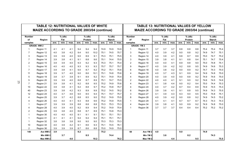|                | TABLE 12: NUTRITIONAL VALUES OF WHITE<br><b>MAIZE ACCORDING TO GRADE 2003/04 (continue)</b> |            |            |            |            |            |             |              |               |              |               | <b>TABLE 13: NUTRITIONAL VALUES OF YELLOW</b>      |            |            |            |            |            |            |              |               |              |
|----------------|---------------------------------------------------------------------------------------------|------------|------------|------------|------------|------------|-------------|--------------|---------------|--------------|---------------|----------------------------------------------------|------------|------------|------------|------------|------------|------------|--------------|---------------|--------------|
|                |                                                                                             |            |            |            |            |            |             |              |               |              |               | <b>MAIZE ACCORDING TO GRADE 2003/04 (continue)</b> |            |            |            |            |            |            |              |               |              |
| <b>Number</b>  |                                                                                             |            | $%$ (db)   |            |            | $%$ (db)   |             |              | $%$ (db)      |              | <b>Number</b> |                                                    |            | $%$ (db)   |            |            | $%$ (db)   |            |              | $%$ (db)      |              |
| of             | Region                                                                                      |            | Fat        |            |            | Protein    |             |              | <b>Starch</b> |              | of            | Region                                             |            | Fat        |            |            | Protein    |            |              | <b>Starch</b> |              |
| samples        |                                                                                             | ave.       | min.       | max.       | ave.       | min.       | max.        | ave.         | min.          | max.         | samples       |                                                    | ave.       | min.       | max.       | ave.       | min.       | max.       | ave.         | min.          | max.         |
|                | <b>GRADE: WM 2</b>                                                                          |            |            |            |            |            |             |              |               |              |               | <b>GRADE: YM 2</b>                                 |            |            |            |            |            |            |              |               |              |
|                | Region 11                                                                                   | 4.1        | 4.1        | 4.1        | 9.4<br>9.4 | 9.4        | 9.4<br>10.2 | 74.9<br>75.1 | 74.9          | 74.9         | 1             | Region 11                                          | 3.7        | 3.7        | 3.7        | 8.8        | 8.8        | 8.8<br>9.2 | 75.4         | 75.4<br>74.7  | 75.4         |
|                | Region 12                                                                                   | 4.0        | 3.8        | 4.2        |            | 9.0        |             |              | 74.5          | 75.7         | 3             | Region 12                                          | 4.0        | 3.9        | 4.2        | 9.0        | 8.8        |            | 74.9         |               | 75.1         |
| 3              | Region 13                                                                                   | 3.9        | 3.9        | 4.0        | 9.0        | 8.9        | 9.1         | 75.3         | 75.1          | 75.5         | 3             | Region 14                                          | 4.0        | 3.9        | 4.1        | 8.8        | 8.7        | 8.9        | 75.0         | 74.7          | 75.2         |
|                | Region 14                                                                                   | 3.9<br>3.9 | 3.8<br>3.9 | 4.1<br>4.0 | 9.1<br>9.3 | 8.8<br>9.2 | 9.6<br>9.3  | 75.1<br>75.3 | 74.4<br>75.1  | 75.5<br>75.4 | 3             | Region 15                                          | 3.9        | 3.8<br>4.0 | 4.1        | 9.1<br>8.9 | 8.8        | 9.4<br>9.0 | 75.1<br>75.0 | 74.7<br>74.8  | 75.4<br>75.1 |
| $\overline{2}$ | Region 15                                                                                   |            | 4.0        |            | 9.3        | 9.3        | 9.3         | 75.7         | 75.7          |              | $\mathbf{2}$  | Region 16                                          | 4.0        |            | 4.1        |            | 8.8        | 9.5        | 74.9         |               |              |
| 7              | Region 16                                                                                   | 4.0<br>3.9 | 3.8        | 4.0<br>4.1 | 9.0        | 8.7        | 9.2         | 75.2         | 75.1          | 75.7<br>75.6 | 9<br>6        | Region 17                                          | 4.0        | 3.9<br>3.8 | 4.2<br>4.2 | 9.2<br>9.0 | 8.8<br>8.9 | 9.2        | 74.7         | 74.6<br>74.3  | 75.3<br>75.0 |
| 11             | Region 17<br>Region 18                                                                      | 3.9        | 3.7        | 4.0        | 9.0        | 8.6        | 10.1        | 75.1         | 74.8          | 75.6         | 4             | Region 18<br>Region 19                             | 4.0<br>4.0 | 3.7        | 4.3        | 9.1        | 8.9        | 9.4        | 74.9         | 74.8          | 75.0         |
| 5              | Region 19                                                                                   | 3.8        | 3.7        | 3.9        | 9.1        | 8.9        | 9.2         | 75.1         | 74.9          | 75.4         |               |                                                    | 4.0        | 3.9        | 4.0        | 9.0        | 8.8        | 9.2        | 74.9         | 74.6          | 75.0         |
| 5              | Region 20                                                                                   | 3.9        | 3.9        | 4.0        | 8.8        | 8.7        | 8.9         | 75.1         | 74.7          | 75.5         | 4<br>2        | Region 20<br>Region 22                             | 4.0        | 4.0        | 4.1        | 9.1        | 9.0        | 9.2        | 74.6         | 74.5          | 74.6         |
| 7              | Region 21                                                                                   | 3.9        | 3.8        | 4.1        | 9.2        | 8.8        | 9.5         | 75.2         | 74.9          | 75.6         | 4             |                                                    | 4.1        | 3.8        | 4.4        | 9.0        |            | 9.4        | 75.0         | 74.4          | 75.3         |
| 10             | Region 22                                                                                   | 3.9        | 3.8        | 4.1        | 9.2        | 8.8        | 9.7         | 75.2         | 74.8          | 75.7         | 4             | Region 23<br>Region 24                             | 4.0        | 3.7        | 4.2        | 8.7        | 8.2<br>8.4 | 8.9        | 74.9         | 74.5          | 75.3         |
| 40             | Region 23                                                                                   | 3.9        | 3.8        | 4.2        | 9.3        | 8.9        | 9.9         | 75.2         | 74.5          | 76.2         | 6             | Region 26                                          | 3.9        | 3.6        | 4.1        | 9.1        | 8.8        | 9.5        | 74.9         | 74.3          | 75.5         |
| 12             | Region 24                                                                                   | 4.0        | 3.7        | 4.6        | 9.0        | 8.5        | 9.4         | 75.1         | 74.7          | 75.7         | 3             | Region 27                                          | 4.1        | 3.9        | 4.3        | 9.3        | 9.0        | 9.5        | 75.0         | 74.8          | 75.1         |
|                | Region 25                                                                                   | 3.9        | 3.7        | 4.2        | 8.8        | 8.5        | 9.0         | 75.2         | 74.9          | 75.5         | 8             | Region 28                                          | 4.0        | 3.9        | 4.2        | 9.0        | 8.8        | 9.2        | 74.9         | 74.5          | 75.2         |
| 4              | Region 26                                                                                   | 4.0        | 4.0        | 4.1        | 9.3        | 8.8        | 9.6         | 75.2         | 74.9          | 75.5         | 1             | Region 29                                          | 4.1        | 4.1        | 4.1        | 8.7        | 8.7        | 8.7        | 74.3         | 74.3          | 74.3         |
|                | Region 27                                                                                   | 3.9        | 3.9        | 3.9        | 8.8        | 8.8        | 8.8         | 75.3         | 75.3          | 75.3         | 4             | Region 34                                          | 3.9        | 3.8        | 4.1        | 9.0        | 8.9        | 9.2        | 74.9         | 74.8          | 75.0         |
| 4              | Region 28                                                                                   | 4.0        | 3.9        | 4.0        | 9.2        | 8.9        | 9.4         | 75.2         | 74.9          | 75.4         | 1             | Region 36                                          | 3.7        | 3.7        | 3.7        | 8.4        | 8.4        | 8.4        | 75.2         | 75.2          | 75.2         |
| 2              | Region 29                                                                                   | 3.9        | 3.8        | 4.0        | 8.8        | 8.7        | 8.9         | 75.1         | 74.8          | 75.3         |               |                                                    |            |            |            |            |            |            |              |               |              |
|                | Region 30                                                                                   | 4.0        | 4.0        | 4.0        | 9.1        | 9.1        | 9.1         | 75.1         | 75.1          | 75.1         |               |                                                    |            |            |            |            |            |            |              |               |              |
|                | Region 31                                                                                   | 4.1        | 4.1        | 4.1        | 9.4        | 9.4        | 9.4         | 75.1         | 75.1          | 75.1         |               |                                                    |            |            |            |            |            |            |              |               |              |
|                | Region 32                                                                                   | 3.8        | 3.8        | 3.8        | 9.0        | 9.0        | 9.0         | 75.3         | 75.3          | 75.3         |               |                                                    |            |            |            |            |            |            |              |               |              |
| 10             | Region 34                                                                                   | 4.0        | 3.9        | 4.2        | 9.1        | 8.6        | 9.3         | 75.1         | 74.5          | 76.1         |               |                                                    |            |            |            |            |            |            |              |               |              |
| 2              | Region 36                                                                                   | 3.9        | 3.9        | 3.9        | 8.7        | 8.6        | 8.8         | 75.0         | 74.9          | 75.0         |               |                                                    |            |            |            |            |            |            |              |               |              |
| 148            | Ave WM 2                                                                                    | 3.9        |            |            | 9.2        |            |             | 75.2         |               |              | 68            | Ave YM 2                                           | 4.0        |            |            | 9.0        |            |            | 74.9         |               |              |
|                | Min WM 2                                                                                    |            | 3.7        |            |            | 8.5        |             |              | 74.4          |              |               | Min YM <sub>2</sub>                                |            | 3.6        |            |            | 8.2        |            |              | 74.3          |              |
|                | Max WM 2                                                                                    |            |            | 4.6        |            |            | 10.2        |              |               | 76.2         |               | Max YM 2                                           |            |            | 4.4        |            |            | 9.5        |              |               | 75.5         |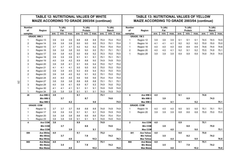|                         | <b>TABLE 12: NUTRITIONAL VALUES OF WHITE</b>       |      |          |      |      |          |      |      |               |      | <b>TABLE 13: NUTRITIONAL VALUES OF YELLOW</b> |                                                    |      |        |      |      |          |      |      |               |      |
|-------------------------|----------------------------------------------------|------|----------|------|------|----------|------|------|---------------|------|-----------------------------------------------|----------------------------------------------------|------|--------|------|------|----------|------|------|---------------|------|
|                         | <b>MAIZE ACCORDING TO GRADE 2003/04 (continue)</b> |      |          |      |      |          |      |      |               |      |                                               | <b>MAIZE ACCORDING TO GRADE 2003/04 (continue)</b> |      |        |      |      |          |      |      |               |      |
| <b>Number</b>           |                                                    |      | $%$ (db) |      |      | $%$ (db) |      |      | $%$ (db)      |      | <b>Number</b>                                 |                                                    |      | % (db) |      |      | $%$ (db) |      |      | $%$ (db)      |      |
| of                      | Region                                             |      | Fat      |      |      | Protein  |      |      | <b>Starch</b> |      | of                                            | Region                                             |      | Fat    |      |      | Protein  |      |      | <b>Starch</b> |      |
| samples                 |                                                    | ave. | min.     | max. | ave. | min.     | max. | ave. | min.          | max  | samples                                       |                                                    | ave. | min.   | max. | ave. | min.     | max. | ave. | min.          | max  |
|                         | <b>GRADE: WM3</b>                                  |      |          |      |      |          |      |      |               |      |                                               | <b>GRADE: YM 3</b>                                 |      |        |      |      |          |      |      |               |      |
| $\mathbf{1}$            | Region 13                                          | 3.9  | 3.9      | 3.9  | 8.8  | 8.8      | 8.8  | 75.4 | 75.4          | 75.4 | 1                                             | Region 12                                          | 3.9  | 3.9    | 3.9  | 9.1  | 9.1      | 9.1  | 74.5 | 74.5          | 74.5 |
| $\overline{2}$          | Region 14                                          | 3.9  | 3.9      | 3.9  | 9.0  | 9.0      | 9.0  | 75.3 | 75.1          | 75.4 | $\mathbf 1$                                   | Region 14                                          | 4.1  | 4.1    | 4.1  | 9.2  | 9.2      | 9.2  | 75.0 | 75.0          | 75.0 |
| $\mathbf{1}$            | Region 15                                          | 3.7  | 3.7      | 3.7  | 9.2  | 9.2      | 9.2  | 75.4 | 75.4          | 75.4 | $\mathbf{1}$                                  | Region 18                                          | 4.0  | 4.0    | 4.0  | 8.9  | 8.9      | 8.9  | 74.6 | 74.6          | 74.6 |
| -1                      | Region 16                                          | 3.8  | 3.8      | 3.8  | 9.0  | 9.0      | 9.0  | 75.1 | 75.1          | 75.1 | 2                                             | Region 20                                          | 4.0  | 4.0    | 4.1  | 9.2  | 9.1      | 9.2  | 75.0 | 74.8          | 75.1 |
| 3                       | Region 17                                          | 3.9  | 3.8      | 4.0  | 9.0  | 8.9      | 9.2  | 75.3 | 75.0          | 75.5 | $\mathbf{1}$                                  | Region 28                                          | 3.9  | 3.9    | 3.9  | 8.9  | 8.9      | 8.9  | 74.9 | 74.9          | 74.9 |
| -1                      | Region 18                                          | 3.9  | 3.9      | 3.9  | 9.1  | 9.1      | 9.1  | 75.1 | 75.1          | 75.1 |                                               |                                                    |      |        |      |      |          |      |      |               |      |
| $\overline{2}$          | Region 19                                          | 4.0  | 3.9      | 4.2  | 8.9  | 8.8      | 9.0  | 74.9 | 74.8          | 75.0 |                                               |                                                    |      |        |      |      |          |      |      |               |      |
| 3                       | Region 20                                          | 3.9  | 3.8      | 4.1  | 9.1  | 8.9      | 9.4  | 75.0 | 74.7          | 75.2 |                                               |                                                    |      |        |      |      |          |      |      |               |      |
| $\mathbf 1$             | Region 21                                          | 4.1  | 4.1      | 4.1  | 9.5  | 9.5      | 9.5  | 75.0 | 75.0          | 75.0 |                                               |                                                    |      |        |      |      |          |      |      |               |      |
| 4                       | Region 22                                          | 3.9  | 3.8      | 4.0  | 9.2  | 8.9      | 9.4  | 75.3 | 75.0          | 75.5 |                                               |                                                    |      |        |      |      |          |      |      |               |      |
| $\overline{2}$          | Region 23                                          | 3.9  | 3.8      | 4.0  | 9.2  | 9.1      | 9.2  | 75.1 | 75.0          | 75.2 |                                               |                                                    |      |        |      |      |          |      |      |               |      |
| -1                      | Region 24                                          | 4.0  | 4.0      | 4.0  | 9.6  | 9.6      | 9.6  | 75.4 | 75.4          | 75.4 |                                               |                                                    |      |        |      |      |          |      |      |               |      |
| -1                      | Region 27                                          | 3.8  | 3.8      | 3.8  | 8.8  | 8.8      | 8.8  | 75.1 | 75.1          | 75.1 |                                               |                                                    |      |        |      |      |          |      |      |               |      |
| 3                       | Region 29                                          | 4.0  | 3.9      | 4.1  | 8.9  | 8.7      | 9.3  | 74.9 | 74.6          | 75.2 |                                               |                                                    |      |        |      |      |          |      |      |               |      |
| -1                      | Region 30                                          | 4.1  | 4.1      | 4.1  | 9.1  | 9.1      | 9.1  | 74.8 | 74.8          | 74.8 |                                               |                                                    |      |        |      |      |          |      |      |               |      |
| $\mathbf{1}$            | Region 34                                          | 3.8  | 3.8      | 3.8  | 9.1  | 9.1      | 9.1  | 74.9 | 74.9          | 74.9 |                                               |                                                    |      |        |      |      |          |      |      |               |      |
| 28                      | Ave WM 3                                           | 3.9  |          |      | 9.1  |          |      | 75.1 |               |      | 6                                             | Ave WM 3                                           | 4.0  |        |      | 9.1  |          |      | 74.8 |               |      |
|                         | Min WM 3                                           |      | 3.7      |      |      | 8.7      |      |      | 74.6          |      |                                               | Min WM 3                                           |      | 3.9    |      |      | 8.9      |      |      | 74.5          |      |
|                         | Max WM 3                                           |      |          | 4.2  |      |          | 9.6  |      |               | 75.5 |                                               | Max WM 3                                           |      |        | 4.1  |      |          | 9.2  |      |               | 75.1 |
|                         | <b>GRADE: COM</b>                                  |      |          |      |      |          |      |      |               |      |                                               | <b>GRADE: COM</b>                                  |      |        |      |      |          |      |      |               |      |
|                         | Region 12                                          | 3.7  | 3.7      | 3.7  | 8.8  | 8.8      | 8.8  | 74.8 | 74.8          | 74.8 | 1                                             | Region 19                                          | 4.0  | 4.0    | 4.0  | 9.0  | 9.0      | 9.0  | 75.1 | 75.1          | 75.1 |
|                         | Region 17                                          | 3.9  | 3.9      | 3.9  | 9.1  | 9.1      | 9.1  | 74.9 | 74.9          | 74.9 | $\mathbf{1}$                                  | Region 20                                          | 3.9  | 3.9    | 3.9  | 8.8  | 8.8      | 8.8  | 75.0 | 75.0          | 75.0 |
| $\mathbf{1}$            | Region 20                                          | 3.8  | 3.8      | 3.8  | 8.6  | 8.6      | 8.6  | 75.4 | 75.4          | 75.4 |                                               |                                                    |      |        |      |      |          |      |      |               |      |
| $\mathbf{1}$            | Region 23                                          | 3.8  | 3.8      | 3.8  | 9.1  | 9.1      | 9.1  | 74.6 | 74.6          | 74.6 |                                               |                                                    |      |        |      |      |          |      |      |               |      |
| $\overline{\mathbf{4}}$ | <b>Ave COM</b>                                     | 3.8  |          |      | 8.9  |          |      | 74.9 |               |      | $\mathbf{2}$                                  | Ave COM                                            | 4.0  |        |      | 8.9  |          |      | 75.1 |               |      |
|                         | <b>Min COM</b>                                     |      | 3.7      |      |      | 8.6      |      |      | 74.6          |      |                                               | <b>Min COM</b>                                     |      | 3.9    |      |      | 8.8      |      |      | 75.0          |      |
|                         | <b>Max COM</b>                                     |      |          | 3.9  |      |          | 9.1  |      |               | 75.4 |                                               | <b>Max COM</b>                                     |      |        | 4.0  |      |          | 9.0  |      |               | 75.1 |
| 599                     | <b>Ave White</b>                                   | 4.0  |          |      | 9.1  |          |      | 75.2 |               |      | 301                                           | <b>Ave Yellow</b>                                  | 4.0  |        |      | 9.0  |          |      | 75.0 |               |      |
|                         | <b>Min White</b>                                   |      | 3.7      |      |      | 7.9      |      |      | 74.2          |      |                                               | <b>Min Yellow</b>                                  |      | 3.5    |      |      | 8.2      |      |      | 74.2          |      |
|                         | <b>Max White</b>                                   |      |          | 4.6  |      |          | 10.2 |      |               | 76.3 |                                               | <b>Max Yellow</b>                                  |      |        | 4.4  |      |          | 9.9  |      |               | 76.6 |
| 900                     | <b>Ave Maize</b><br><b>Min Maize</b>               | 4.0  | 3.5      |      | 9.1  | 7.9      |      | 75.1 | 74.2          |      | 900                                           | <b>Ave Maize</b><br><b>Min Maize</b>               | 4.0  | 3.5    |      | 9.1  | 7.9      |      | 75.1 | 74.2          |      |
|                         | <b>Max Maize</b>                                   |      |          | 4.6  |      |          | 10.2 |      |               | 76.6 |                                               | <b>Max Maize</b>                                   |      |        | 4.6  |      |          | 10.2 |      |               | 76.6 |

26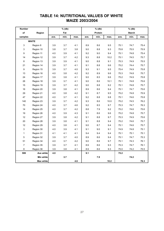| <b>Number</b>             |                  |      | % (db) |      |      | % (db)  |      |      | % (db)        |      |
|---------------------------|------------------|------|--------|------|------|---------|------|------|---------------|------|
| of                        | Region           |      | Fat    |      |      | Protein |      |      | <b>Starch</b> |      |
| samples                   |                  | ave. | min.   | max. | ave. | min.    | max. | ave. | min.          | max. |
|                           | <b>WHITE</b>     |      |        |      |      |         |      |      |               |      |
| 3                         | Region 8         | 3.9  | 3.7    | 4.1  | 8.9  | 8.6     | 9.5  | 75.1 | 74.7          | 75.4 |
| $\ensuremath{\mathsf{3}}$ | Region 10        | 3.8  | 3.7    | 3.8  | 9.0  | 8.8     | 9.3  | 75.8 | 75.5          | 75.9 |
| $\boldsymbol{9}$          | Region 11        | 4.0  | 3.9    | 4.1  | 9.2  | 9.0     | 9.4  | 75.1 | 74.8          | 75.4 |
| 14                        | Region 12        | 3.9  | 3.7    | 4.2  | 9.3  | 8.8     | 10.2 | 75.1 | 74.5          | 75.7 |
| 8                         | Region 13        | 3.9  | 3.9    | 4.1  | 9.0  | 8.8     | 9.1  | 75.3 | 74.9          | 75.5 |
| 21                        | Region 14        | 3.9  | 3.7    | 4.1  | 9.1  | 8.8     | 9.6  | 75.2 | 74.4          | 75.7 |
| $\boldsymbol{9}$          | Region 15        | 3.9  | 3.7    | 4.0  | 9.3  | 9.1     | 9.5  | 75.4 | 74.9          | 75.8 |
| 13                        | Region 16        | 4.0  | 3.8    | 4.2  | 9.2  | 8.9     | 9.6  | 75.3 | 74.8          | 75.7 |
| 24                        | Region 17        | 3.9  | 3.8    | 4.1  | 9.0  | 8.5     | 9.6  | 75.2 | 74.9          | 75.8 |
| 26                        | Region 18        | 3.9  | 3.7    | 4.1  | 9.0  | 8.6     | 10.1 | 75.1 | 74.8          | 75.6 |
| 15                        | Region 19        | 3.9  | 3.7    | 4.2  | 9.0  | 8.8     | 9.2  | 75.1 | 74.8          | 75.7 |
| 16                        | Region 20        | 3.9  | 3.8    | 4.1  | 8.9  | 8.6     | 9.4  | 75.1 | 74.7          | 75.6 |
| 29                        | Region 21        | 4.0  | 3.8    | 4.2  | 9.1  | 8.7     | 9.5  | 75.2 | 74.8          | 75.9 |
| 47                        | Region 22        | 4.0  | 3.7    | 4.1  | 9.2  | 8.8     | 9.8  | 75.1 | 74.6          | 75.8 |
| 140                       | Region 23        | 3.9  | 3.7    | 4.2  | 9.3  | 8.6     | 10.0 | 75.2 | 74.5          | 76.2 |
| 70                        | Region 24        | 4.0  | 3.7    | 4.6  | 9.2  | 8.5     | 9.7  | 75.3 | 74.7          | 76.3 |
| 14                        | Region 25        | 4.0  | 3.7    | 4.2  | 8.8  | 7.9     | 9.2  | 75.2 | 74.6          | 75.6 |
| 19                        | Region 26        | 4.0  | 3.9    | 4.3  | 9.1  | 8.6     | 9.6  | 75.2 | 74.8          | 75.7 |
| 12                        | Region 27        | 3.9  | 3.8    | 4.2  | 9.1  | 8.8     | 9.7  | 75.3 | 74.9          | 75.6 |
| $20\,$                    | Region 28        | 3.9  | 3.8    | 4.1  | 9.1  | 8.8     | 9.4  | 75.2 | 74.6          | 75.7 |
| 12                        | Region 29        | 4.0  | 3.8    | 4.1  | 9.0  | 8.7     | 9.4  | 75.1 | 74.6          | 75.7 |
| $\mathfrak{S}$            | Region 30        | 4.0  | 3.9    | 4.1  | 9.1  | 9.0     | 9.1  | 74.9 | 74.8          | 75.1 |
| $\mathbf{1}$              | Region 31        | 4.1  | 4.1    | 4.1  | 9.4  | 9.4     | 9.4  | 75.1 | 75.1          | 75.1 |
| $\mathbf 5$               | Region 32        | 3.9  | 3.7    | 4.0  | 8.9  | 8.6     | 9.4  | 75.1 | 74.7          | 75.3 |
| 51                        | Region 34        | 4.0  | 3.7    | 4.2  | 9.0  | 8.6     | 9.7  | 75.1 | 74.3          | 76.1 |
| $\overline{7}$            | Region 35        | 3.9  | 3.7    | 4.1  | 8.9  | 8.6     | 9.3  | 75.3 | 74.7          | 76.1 |
| 8                         | Region 36        | 3.9  | 3.8    | 4.1  | 8.9  | 8.6     | 9.3  | 75.0 | 74.2          | 75.5 |
| 599                       | Ave white        | 4.0  |        |      | 9.1  |         |      | 75.2 |               |      |
|                           | Min white        |      | 3.7    |      |      | 7.9     |      |      | 74.2          |      |
|                           | <b>Max white</b> |      |        | 4.6  |      |         | 10.2 |      |               | 76.3 |

## **TABLE 14: NUTRITIONAL VALUES OF WHITE MAIZE 2003/2004**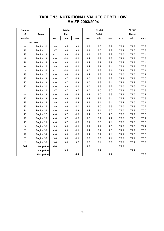#### **Number of Region** samples | ave. | min. | max. | ave. | min. | max. | ave. | min. | max. 8 Region 10 3.8 3.5 3.9 8.8 8.6 8.9 75.2 74.8 75.8 26 Region 11 3.7 3.6 3.9 8.9 8.6 9.2 75.4 74.6 76.3 12 Region 12 4.1 3.9 4.3 9.3 8.8 9.9 75.0 74.5 75.4 5 Region 13 4.0 4.0 4.1 9.1 8.9 9.3 74.9 74.7 75.3 11 Region 14 4.0 3.8 4.1 9.1 8.7 9.7 75.1 74.7 75.4 6 Region 15 3.9 3.6 4.1 9.1 8.7 9.4 75.3 74.7 76.3 3 Region 16 4.1 4.0 4.1 9.0 8.8 9.1 74.9 74.8 75.1 13 Region 17 | 4.0 3.6 4.3 | 9.1 8.8 9.7 | 75.0 74.5 75.7 15 Region 18 4.0 3.7 4.2 9.0 8.8 9.2 74.8 74.3 75.6 10 Region 19 4.0 3.7 4.3 9.0 8.8 9.4 74.9 74.2 75.2 10 Region 20 4.0 3.9 4.1 9.0 8.8 9.2 75.0 74.6 75.1 1 Region 21 3.7 3.7 3.7 9.0 9.0 9.0 75.3 75.3 75.3 8 Region 22 4.0 3.6 4.2 9.4 9.0 9.8 74.9 74.5 75.7 22 Region 23 4.0 3.8 4.4 9.1 8.2 9.4 75.1 74.4 75.8 17 Region 24 | 3.9 3.5 4.2 | 8.9 8.4 9.4 | 75.2 74.5 76.1 15 Region 25 3.9 3.6 4.0 8.9 8.5 9.3 75.0 74.3 75.2 24 Region 26 4.0 3.6 4.3 9.1 8.4 9.6 75.0 74.3 75.5 13 Region 27 | 4.0 3.7 4.3 | 9.1 8.8 9.5 | 75.0 74.7 75.5 28 Region 28 4.0 3.7 4.2 9.0 8.7 9.7 75.0 74.5 75.7 13 Region 29 | 4.0 3.7 4.2 | 8.9 8.6 9.4 | 75.0 74.3 75.6 3 Region 30 3.9 3.8 4.1 9.2 9.1 9.5 74.8 74.8 74.9 7 Region 32 4.0 3.9 4.1 9.1 8.9 9.6 74.9 74.7 75.3 22 Region 34 4.0 3.8 4.2 9.1 8.7 9.4 74.9 74.5 75.6 7 Region 35 3.8 3.6 4.1 8.8 8.3 9.1 75.3 74.4 76.6 2 Region 36 3.6 3.6 3.7 8.6 8.4 8.8 75.3 75.2 75.3 **301 Ave yellow 4.0 9.0 75.0 Min yellow 3.5 8.2 74.2** Max yellow **4.4 1 9.9 76.6 YELLOW % (db) % (db) % (db)** Fat **Protein** Protein **Protein** Starch

#### **TABLE 15: NUTRITIONAL VALUES OF YELLOW MAIZE 2003/2004**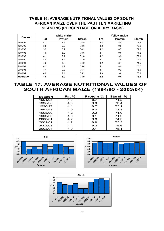## **TABLE 16: AVERAGE NUTRITIONAL VALUES OF SOUTH AFRICAN MAIZE OVER THE PAST TEN MARKETING SEASONS (PERCENTAGE ON A DRY BASIS)**

| <b>Season</b> |     | <b>White maize</b> |               |     | <b>Yellow maize</b> |               |
|---------------|-----|--------------------|---------------|-----|---------------------|---------------|
|               | Fat | <b>Protein</b>     | <b>Starch</b> | Fat | <b>Protein</b>      | <b>Starch</b> |
| 1994/95       | 4.1 | 8.6                | 74.5          | 4.4 | 8.8                 | 73.8          |
| 1995/96       | 3.8 | 9.9                | 73.6          | 4.2 | 9.9                 | 73.2          |
| 1996/97       | 3.9 | 8.7                | 74.1          | 4.2 | 8.7                 | 71.8          |
| 1997/98       | 4.0 | 8.9                | 73.6          | 4.1 | 9.0                 | 74.2          |
| 1998/99       | 4.1 | 9.2                | 71.8          | 4.2 | 9.5                 | 72.1          |
| 1999/00       | 4.0 | 8.1                | 71.9          | 4.1 | 8.0                 | 72.0          |
| 2000/01       | 4.2 | 8.8                | 74.2          | 4.2 | 8.7                 | 74.5          |
| 2001/02       | 4.2 | 8.9                | 75.4          | 4.1 | 8.9                 | 75.7          |
| 2002/03       | 4.1 | 9.2                | 75.4          | 4.1 | 9.2                 | 76.0          |
| 2003/04       | 4.0 | 9.1                | 75.2          | 4.0 | 9.0                 | 75.1          |
| Average       | 4.0 | 8.9                | 74.0          | 4.2 | 9.0                 | 73.8          |

## **TABLE 17: AVERAGE NUTRITIONAL VALUES OF SOUTH AFRICAN MAIZE (1994/95 - 2003/04)**

| Season  | Fat % | <b>Protein %</b> | <b>Starch %</b> |
|---------|-------|------------------|-----------------|
| 1994/95 | 4.3   | 8.7              | 74.2            |
| 1995/96 | 4.0   | 9.9              | 73.4            |
| 1996/97 | 4.1   | 8.7              | 73.1            |
| 1997/98 | 4.0   | 9.0              | 73.8            |
| 1998/99 | 4.2   | 9.3              | 71.9            |
| 1999/00 | 4.0   | 8.1              | 71.9            |
| 2000/01 | 4.2   | 8.8              | 74.3            |
| 2001/02 | 4.2   | 8.9              | 75.5            |
| 2002/03 | 4.1   | 9.2              | 75.6            |
| 2003/04 | 4.0   | 9.1              | 75.1            |





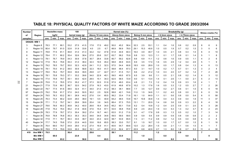## **TABLE 18: PHYSICAL QUALITY FACTORS OF WHITE MAIZE ACCORDING TO GRADE 2003/2004**

| <b>Number</b>  |                   | <b>Hectolitre mass</b> |       |      |      | 100             |      |      |                   |      |      | Kernel size (%) |      |      |                  |      |       |               | Breakability (g) |      |                |      |                | Stress cracks (%) |                |
|----------------|-------------------|------------------------|-------|------|------|-----------------|------|------|-------------------|------|------|-----------------|------|------|------------------|------|-------|---------------|------------------|------|----------------|------|----------------|-------------------|----------------|
| οf             | Region            |                        | kg/hl |      |      | kernel mass (q) |      |      | Above 10 mm sieve |      |      | Above 8mm sieve |      |      | Below 8 mm sieve |      |       | < 6.3mm sieve |                  |      | < 4.75mm sieve |      |                |                   |                |
| samples        |                   | ave.                   | min.  | max. | ave. | min.            | max. | ave. | min.              | max. | ave. | min.            | max. | ave. | min.             | max. | ave.  | min.          | max.             | ave. | min.           | max. | ave.           | min.              | max.           |
|                | <b>GRADE: WM1</b> |                        |       |      |      |                 |      |      |                   |      |      |                 |      |      |                  |      |       |               |                  |      |                |      |                |                   |                |
| 3              | Region 8          | 78.3                   | 77.1  | 80.1 | 33.2 | 27.5            | 41.5 | 17.8 | 17.0              | 49.2 | 50.0 | 45.2            | 56.4 | 32.3 | 2.5              | 53.1 | 1.1   | 0.4           | 1.6              | 0.6  | 0.2            | 0.9  | 8              | 6                 | 9              |
| 3              | Region 10         | 80.4                   | 79.7  | 81.0 | 32.8 | 31.9            | 33.6 | 4.0  | 2.5               | 6.7  | 66.9 | 56.9            | 78.0 | 29.1 | 15.3             | 40.6 | 1.0   | 0.5           | 1.9              | 0.7  | 0.2            | 1.5  | 3              | 0                 | 6              |
| 8              | Region 11         | 78.8                   | 77.5  | 81.1 | 36.8 | 31.0            | 41.3 | 32.2 | 9.2               | 47.8 | 51.8 | 44.9            | 60.3 | 16.0 | 4.9              | 40.7 | 1.0   | 0.5           | 2.1              | 0.8  | 0.3            | 1.5  | 6              | 4                 | 10             |
| 6              | Region 12         | 78.4                   | 77.1  | 80.2 | 35.4 | 32.6            | 38.4 | 27.5 | 20.6              | 33.7 | 63.7 | 58.2            | 70.9 | 8.8  | 5.3              | 12.3 | 1.1   | 0.1           | 1.7              | 0.8  | 0.1            | 1.4  | 5              | $\overline{1}$    | 8              |
| 4              | Region 13         | 78.1                   | 76.7  | 78.9 | 34.3 | 30.9            | 37.8 | 30.7 | 29.4              | 33.8 | 60.7 | 59.2            | 62.8 | 8.6  | 6.9              | 11.1 | 1.2   | 0.6           | 1.6              | 0.9  | 0.5            | 1.1  |                | $\overline{2}$    | 6              |
| 12             | Region 14         | 77.9                   | 76.3  | 79.6 | 35.3 | 31.0            | 38.4 | 32.3 | 19.5              | 45.4 | 58.8 | 46.9            | 63.5 | 8.9  | 3.5              | 17.0 | 1.6   | 0.5           | 2.9              | 1.2  | 0.4            | 2.6  | 5              | 1                 | 9              |
| 6              | Region 15         | 79.2                   | 78.5  | 79.7 | 35.0 | 32.3            | 42.9 | 24.1 | 11.2              | 32.3 | 57.5 | 54.4            | 60.8 | 18.5 | 6.9              | 28.9 | 1.0   | 0.5           | 1.7              | 0.8  | 0.4            | 1.3  | 4              | 0                 | 13             |
| 11             | Region 16         | 78.1                   | 75.0  | 81.2 | 38.5 | 30.9            | 58.8 | 32.3 | 18.0              | 41.7 | 59.8 | 48.4            | 67.3 | 8.0  | 3.1              | 14.7 | 1.0   | 0.2           | 1.7              | 0.7  | 0.1            | 1.3  | 3              | 2                 | 4              |
| 13             | Region 17         | 78.0                   | 76.2  | 79.7 | 35.9 | 30.6            | 39.5 | 29.8 | 4.7               | 42.7 | 61.7 | 51.5            | 74.1 | 8.6  | 2.2              | 21.2 | 1.0   | 0.3           | 2.0              | 0.7  | 0.2            | 1.4  |                | $\overline{2}$    | 26             |
| 14             | Region 18         | 78.1                   | 75.8  | 79.3 | 37.1 | 33.2            | 39.6 | 34.0 | 22.9              | 45.1 | 59.5 | 49.5            | 67.5 | 6.5  | 3.9              | 9.6  | 1.1   | 0.5           | 2.1              | 0.8  | 0.2            | 1.4  | 6              | 3                 | 12             |
| 8              | Region 19         | 77.4                   | 75.9  | 79.7 | 35.1 | 30.0            | 42.4 | 28.5 | 15.1              | 34.3 | 62.5 | 58.5            | 72.9 | 9.0  | 5.1              | 13.4 | 1.4   | 0.1           | 2.6              | 1.1  | 0.0            | 2.1  | 5              | $\overline{2}$    | 13             |
| 7              | Region 20         | 75.9                   | 71.2  | 78.5 | 37.5 | 35.2            | 41.7 | 37.3 | 32.0              | 51.9 | 57.9 | 46.0            | 63.4 | 4.8  | 2.1              | 7.3  | 1.2   | 0.4           | 1.9              | 0.9  | 0.3            | 1.6  |                | 1                 | 7              |
| 21             | Region 21         | 77.9                   | 73.9  | 80.1 | 36.7 | 32.0            | 54.2 | 27.9 | 16.3              | 43.0 | 61.9 | 49.8            | 67.9 | 10.2 | 1.3              | 17.6 | 1.6   | 0.5           | 3.3              | 1.2  | 0.5            | 2.7  |                | 2                 | 26             |
| 33             | Region 22         | 79.7                   | 77.5  | 81.6 | 38.5 | 32.4            | 51.1 | 34.0 | 21.0              | 41.2 | 58.3 | 38.1            | 68.6 | 7.7  | 3.5              | 12.7 | 0.9   | 0.2           | 2.7              | 0.6  | 0.1            | 1.5  | 6              | 0                 | 18             |
| 97             | Region 23         | 79.2                   | 75.6  | 81.7 | 37.0 | 24.0            | 50.5 | 30.2 | 2.5               | 52.8 | 58.8 | 42.1            | 74.6 | 11.0 | 1.5              | 34.6 | 1.1   | 0.2           | 4.0              | 0.8  | 0.0            | 3.1  | 6              | 0                 | 19             |
| 57             | Region 24         | 79.5                   | 76.3  | 83.2 | 36.1 | 26.9            | 44.2 | 27.6 | 0.4               | 65.5 | 56.2 | 33.4            | 71.6 | 16.1 | 1.0              | 64.9 | 1.1   | 0.1           | 5.6              | 0.8  | 0.0            | 5.4  | 6              | 0                 | 58             |
| 10             | Region 25         | 76.3                   | 73.4  | 80.2 | 32.8 | 29.0            | 38.0 | 19.1 | 5.5               | 40.9 | 64.2 | 48.5            | 72.8 | 16.7 | 10.6             | 30.8 | 1.4   | 0.4           | 3.3              | 0.9  | 0.4            | 1.9  | 11             | 3                 | 37             |
| 15             | Region 26         | 77.1                   | 71.2  | 79.7 | 34.1 | 29.6            | 39.9 | 20.4 | 3.6               | 34.5 | 66.4 | 57.3            | 75.5 | 13.1 | 7.1              | 20.9 | 1.4   | 0.6           | 3.6              | 0.9  | 0.3            | 2.2  | 8              | 4                 | 18             |
| 10             | Region 27         | 78.6                   | 76.6  | 80.3 | 36.8 | 34.2            | 40.0 | 26.6 | 18.4              | 34.5 | 65.2 | 60.1            | 73.6 | 8.2  | 5.4              | 10.8 | 1.2   | 0.4           | 2.5              | 0.9  | 0.1            | 2.0  | 8              | 3                 | 28             |
| 16             | Region 28         | 77.8                   | 75.2  | 79.4 | 36.2 | 31.9            | 40.6 | 37.6 | 15.4              | 57.1 | 53.5 | 36.8            | 70.8 | 8.9  | 2.5              | 24.4 | 1.9   | 0.3           | 5.3              | 1.3  | 0.2            | 3.7  | 8              | 2                 | 23             |
| 7              | Region 29         | 78.3                   | 77.9  | 78.7 | 37.3 | 30.4            | 39.2 | 27.4 | 16.7              | 44.1 | 63.5 | 51.2            | 71.9 | 9.1  | 4.7              | 17.6 | 0.8   | 0.3           | 1.3              | 0.5  | 0.2            | 1.0  |                | 3                 | 14             |
| -1             | Region 30         | 76.8                   | 76.8  | 76.8 | 35.3 | 35.3            | 35.3 | 34.6 | 34.6              | 34.6 | 59.5 | 59.5            | 59.5 | 5.9  | 5.9              | 5.9  | 0.9   | 0.9           | 0.9              | 0.8  | 0.8            | 0.8  | 2              | 2                 | 2              |
| 4              | Region 32         | 77.9                   | 77.1  | 78.7 | 36.3 | 33.5            | 38.7 | 34.0 | 23.3              | 42.0 | 58.7 | 53.9            | 65.5 | 7.3  | 4.1              | 11.2 | 0.8   | 0.2           | 1.2              | 0.5  | 0.0            | 0.8  | 5              | 4                 | 6              |
| 40             | Region 34         | 77.7                   | 74.5  | 79.8 | 37.0 | 23.9            | 44.5 | 33.6 | 16.6              | 65.5 | 58.3 | 33.0            | 70.7 | 8.1  | 1.5              | 16.7 | 1.0   | 0.0           | 1.7              | 0.7  | 0.0            | 1.5  | 8              | 1                 | 16             |
| $\overline{7}$ | Region 35         | 76.4                   | 69.0  | 79.7 | 34.9 | 29.0            | 41.2 | 27.4 | 16.9              | 41.1 | 60.6 | 54.7            | 69.6 | 12.0 | 2.2              | 28.4 | 1.5   | 0.9           | 2.1              | 1.1  | 0.6            | 1.5  | 4              |                   | $\overline{7}$ |
| 6              | Region 36         | 78.9                   | 77.5  | 79.9 | 33.9 | 30.3            | 39.2 | 16.1 | 4.7               | 28.9 | 61.0 | 52.4            | 67.7 | 22.9 | 6.8              | 42.9 | 2.7   | 1.3           | 8.0              | 1.8  | 0.7            | 5.3  | 11             | 4                 | 30             |
| 419            | Ave WM 1          | 78.5                   |       |      | 36.4 |                 |      | 29.6 |                   |      | 59.1 |                 |      | 11.2 |                  |      | $1.2$ |               |                  | 0.9  |                |      | $\overline{7}$ |                   |                |
|                | Min WM 1          |                        | 69.0  |      |      | 23.9            |      |      | 0.4               |      |      | 33.0            |      |      | 1.0              |      |       | 0.0           |                  |      | 0.0            |      |                | 0                 |                |
|                | Max WM 1          |                        |       | 83.2 |      |                 | 58.8 |      |                   | 65.5 |      |                 | 78.0 |      |                  | 64.9 |       |               | 8.0              |      |                | 5.4  |                |                   | 58             |

 $\overset{\mathtt{C}}{\circ}$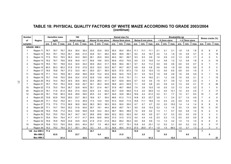#### **TABLE 18: PHYSICAL QUALITY FACTORS OF WHITE MAIZE ACCORDING TO GRADE 2003/2004 (continue)**

| <b>Number</b> |                    | 100<br><b>Hectolitre mass</b><br>kernel mass (g) |       |      |      |      |      |      |                   |      | Kernel size (%) |                 |      |      |                  |      |      | Breakability (g) |      |      |                |      | Stress cracks (%) |                |      |
|---------------|--------------------|--------------------------------------------------|-------|------|------|------|------|------|-------------------|------|-----------------|-----------------|------|------|------------------|------|------|------------------|------|------|----------------|------|-------------------|----------------|------|
| оf            | Region             |                                                  | kg/hl |      |      |      |      |      | Above 10 mm sieve |      |                 | Above 8mm sieve |      |      | Below 8 mm sieve |      |      | < 6.3mm sieve    |      |      | < 4.75mm sieve |      |                   |                |      |
| samples       |                    | ave.                                             | min.  | max. | ave. | min. | max. | ave. | min.              | max. | ave.            | min.            | max. | ave. | min.             | max. | ave. | min.             | max. | ave. | min.           | max. | ave.              | min.           | max. |
|               | <b>GRADE: WM 2</b> |                                                  |       |      |      |      |      |      |                   |      |                 |                 |      |      |                  |      |      |                  |      |      |                |      |                   |                |      |
|               | Region 11          | 76.7                                             | 76.7  | 76.7 | 35.4 | 35.4 | 35.4 | 33.5 | 33.5              | 33.5 | 55.4            | 55.4            | 55.4 | 11.1 | 11.1             | 11.1 | 2.1  | 2.1              | 2.1  | 1.8  | 1.8            | 1.8  |                   | 8              | 8    |
|               | Region 12          | 78.0                                             | 76.1  | 79.9 | 36.1 | 29.6 | 41.0 | 32.8 | 16.1              | 48.4 | 59.0            | 46.6            | 69.1 | 8.2  | 4.5              | 16.7 | 2.5  | 1.2              | 1.9  | 1.8  | 0.9            | 3.7  |                   | 3              | 16   |
| 3             | Region 13          | 77.5                                             | 76.3  | 78.5 | 36.3 | 34.3 | 39.6 | 26.1 | 20.5              | 32.6 | 64.5            | 59.1            | 69.7 | 9.3  | 8.3              | 9.9  | 1.6  | 0.9              | 2.3  | 1.3  | 0.8            | 1.7  |                   | $\overline{2}$ | 5    |
| 7             | Region 14          | 78.2                                             | 76.7  | 79.6 | 35.9 | 30.9 | 41.7 | 30.6 | 19.6              | 53.5 | 60.9            | 43.2            | 70.5 | 8.5  | 3.3              | 12.6 | 1.4  | 0.8              | 1.2  | 1.2  | 0.8            | 1.8  |                   | $\Omega$       | 10   |
| 2             | Region 15          | 78.5                                             | 78.1  | 78.8 | 33.4 | 32.5 | 34.2 | 30.6 | 29.4              | 31.7 | 59.8            | 59.4            | 60.1 | 9.7  | 8.2              | 11.2 | 0.9  | 0.6              | 0.6  | 0.6  | 0.5            | 0.7  |                   |                | 11   |
|               | Region 16          | 80.3                                             | 80.3  | 80.3 | 37.8 | 37.8 | 37.8 | 32.5 | 32.5              | 32.5 | 60.7            | 60.7            | 60.7 | 6.8  | 6.8              | 6.8  | 0.6  | 0.6              | 1.9  | 0.6  | 0.6            | 0.6  |                   | 5              |      |
| 7             | Region 17          | 78.5                                             | 76.8  | 79.7 | 37.2 | 33.3 | 40.1 | 30.0 | 22.1              | 36.5 | 62.5            | 57.5            | 67.3 | 7.5  | 5.2              | 12.0 | 1.0  | 0.0              | 6.0  | 0.8  | 0.0            | 1.5  |                   |                |      |
| 11            | Region 18          | 77.1                                             | 74.4  | 78.8 | 36.1 | 29.6 | 39.6 | 30.9 | 15.2              | 43.9 | 60.9            | 52.5            | 70.5 | 8.1  | 3.5              | 14.3 | 1.9  | 0.8              | 2.8  | 1.6  | 0.8            | 4.9  |                   |                | 14   |
| 5             | Region 19          | 75.7                                             | 74.8  | 76.5 | 35.6 | 32.4 | 37.8 | 32.8 | 13.9              | 42.8 | 60.6            | 51.8            | 70.1 | 7.1  | 4.4              | 16.0 | 2.1  | 1.2              | 2.8  | 1.6  | 0.9            | 2.1  |                   |                | 10   |
| 5             | Region 20          | 76.2                                             | 74.4  | 78.2 | 34.5 | 30.5 | 36.5 | 33.5 | 26.0              | 41.1 | 59.7            | 53.9            | 64.6 | 6.7  | 5.0              | 9.4  | 1.6  | 0.7              | 3.9  | 1.2  | 0.6            | 2.3  |                   |                | 6    |
| 7             | Region 21          | 76.7                                             | 75.0  | 78.3 | 35.9 | 32.8 | 40.7 | 34.1 | 26.3              | 52.9 | 58.8            | 44.3            | 64.9 | 7.1  | 2.8              | 8.8  | 2.0  | 0.9              | 4.2  | 1.3  | 0.6            | 2.1  | 11                | 4              | 26   |
| 10            | Region 22          | 77.5                                             | 75.0  | 79.4 | 36.7 | 32.8 | 40.8 | 35.1 | 21.4              | 49.7 | 57.6            | 46.7            | 69.8 | 7.4  | 3.6              | 10.5 | 1.8  | 0.5              | 3.3  | 1.3  | 0.4            | 3.2  |                   |                | 9    |
| 40            | Region 23          | 78.1                                             | 71.6  | 81.4 | 36.6 | 27.4 | 42.6 | 32.9 | 2.4               | 63.2 | 55.7            | 33.9            | 69.9 | 11.4 | 2.0              | 50.9 | 1.4  | 0.5              | 13.1 | 1.0  | 0.4            | 2.5  |                   | 3              | 17   |
| 12            | Region 24          | 78.1                                             | 73.8  | 80.3 | 34.9 | 28.9 | 39.6 | 25.5 | 0.4               | 60.7 | 54.6            | 33.8            | 66.4 | 19.9 | 4.4              | 61.2 | 2.2  | 0.1              | 7.7  | 1.5  | 0.1            | 8.3  | 10                |                | 47   |
|               | Region 25          | 70.8                                             | 63.8  | 76.8 | 29.0 | 23.7 | 36.3 | 18.6 | 8.7               | 30.4 | 66.6            | 61.3            | 71.3 | 14.8 | 8.3              | 23.7 | 3.8  | 1.1              | 2.4  | 2.7  | 1.0            | 4.9  |                   | 4              | 9    |
|               | Region 26          | 77.1                                             | 75.2  | 79.0 | 34.1 | 31.0 | 36.9 | 17.2 | 14.0              | 19.6 | 67.2            | 63.9            | 71.5 | 15.6 | 11.1             | 18.8 | 1.4  | 0.4              | 2.0  | 0.9  | 0.3            | 1.8  |                   | $\overline{2}$ | 10   |
|               | Region 27          | 77.5                                             | 77.5  | 77.5 | 36.8 | 36.8 | 36.8 | 38.3 | 38.3              | 38.3 | 55.0            | 55.0            | 55.0 | 6.7  | 6.7              | 6.7  | 2.0  | 2.0              | 15.0 | 1.4  | 1.4            | 1.4  |                   | 8              | 8    |
|               | Region 28          | 77.1                                             | 74.7  | 79.0 | 35.2 | 31.6 | 40.6 | 29.7 | 19.1              | 44.4 | 60.9            | 49.7            | 74.1 | 9.5  | 5.9              | 13.4 | 5.3  | 1.2              | 1.5  | 3.5  | 1.0            | 9.5  | 19                | 3              | 57   |
| 2             | Region 29          | 76.5                                             | 75.8  | 77.2 | 35.3 | 33.8 | 36.8 | 33.8 | 33.4              | 34.2 | 58.7            | 58.4            | 58.9 | 7.6  | 6.9              | 8.2  | 1.3  | 1.1              | 0.7  | 0.9  | 0.8            | 1.0  |                   | $\overline{2}$ | 9    |
|               | Region 30          | 75.0                                             | 75.0  | 75.0 | 34.7 | 34.7 | 34.7 | 29.8 | 29.8              | 29.8 | 62.2            | 62.2            | 62.2 | 8.0  | 8.0              | 8.0  | 0.7  | 0.7              | 0.3  | 0.5  | 0.5            | 0.5  |                   | 3              |      |
|               | Region 31          | 79.4                                             | 79.4  | 79.4 | 41.7 | 41.7 | 41.7 | 64.6 | 64.6              | 64.6 | 31.0            | 31.0            | 31.0 | 4.4  | 4.4              | 4.4  | 0.3  | 0.3              | 1.3  | 0.0  | 0.0            | 0.0  |                   | 8              |      |
| -1            | Region 32          | 76.8                                             | 76.8  | 76.8 | 33.9 | 33.9 | 33.9 | 21.9 | 21.9              | 21.9 | 69.2            | 69.2            | 69.2 | 8.9  | 8.9              | 8.9  | 1.3  | 1.3              | 3.2  | 1.0  | 1.0            | 1.0  |                   | 6              |      |
| 10            | Region 34          | 76.8                                             | 72.3  | 79.0 | 35.6 | 28.3 | 40.4 | 29.7 | 7.0               | 48.3 | 59.5            | 47.7            | 75.1 | 10.8 | 4.0              | 23.1 | 1.2  | 0.2              | 2.1  | 0.9  | 0.2            | 2.2  | 6                 | $\overline{2}$ | 17   |
| 2             | Region 36          | 79.3                                             | 79.2  | 79.4 | 31.7 | 29.1 | 34.2 | 8.3  | 4.4               | 12.1 | 54.8            | 48.5            | 61.0 | 37.0 | 26.9             | 47.1 | 1.8  | 1.5              | 98.5 | 1.0  | 0.7            | 1.3  | 3                 | $\mathfrak{p}$ |      |
| 148           | Ave WM 2           | 77.4                                             |       |      | 35.8 |      |      | 30.7 |                   |      | 58.6            |                 |      | 10.8 |                  |      | 1.8  |                  |      | 1.3  |                |      | $\overline{7}$    |                |      |
|               | Min WM 2           |                                                  | 63.8  |      |      | 23.7 |      |      | 0.4               |      |                 | 31.0            |      |      | 2.0              |      |      | 0.0              |      |      | 0.0            |      |                   | $\bf{0}$       |      |
|               | Max WM 2           |                                                  |       | 81.4 |      |      | 42.6 |      |                   | 64.6 |                 |                 | 75.1 |      |                  | 61.2 |      |                  | 15.0 |      |                | 9.5  |                   |                | 57   |

 $\overline{3}$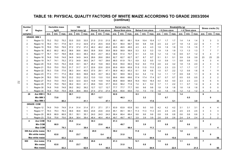#### **TABLE 18: PHYSICAL QUALITY FACTORS OF WHITE MAIZE ACCORDING TO GRADE 2003/2004 (continue)**

| <b>Number</b>  |                     |      | <b>Hectolitre mass</b> |      |      | 100             |      |      | Above 10 mm sieve |      |      | Kernel size (%) |      |      |                         |      |      |               | <b>Breakability (g)</b> |      |                |      |                | Stress cracks (%) |                |
|----------------|---------------------|------|------------------------|------|------|-----------------|------|------|-------------------|------|------|-----------------|------|------|-------------------------|------|------|---------------|-------------------------|------|----------------|------|----------------|-------------------|----------------|
| οf             | Region              |      | kg/hl                  |      |      | kernel mass (g) |      |      |                   |      |      | Above 8mm sieve |      |      | <b>Below 8 mm sieve</b> |      |      | < 6.3mm sieve |                         |      | < 4.75mm sieve |      |                |                   |                |
| samples        |                     | ave. | min.                   | max. | ave. | min.            | max. | ave. | min.              | max. | ave. | min.            | max. | ave. | min.                    | max. | ave. | min.          | max.                    | ave. | min.           | max. | ave.           | min.              | max.           |
|                | <b>GRADE: WM3</b>   |      |                        |      |      |                 |      |      |                   |      |      |                 |      |      |                         |      |      |               |                         |      |                |      |                |                   |                |
| -1             | Region 13           | 75.2 | 75.2                   | 75.2 | 33.5 | 33.5            | 33.5 | 21.5 | 21.5              | 21.5 | 68.1 | 68.1            | 68.1 | 10.4 | 10.4                    | 10.4 | 1.7  | 1.7           | 1.7                     | 1.4  | 1.4            | 1.4  | 3              | 3                 | 3              |
| 2              | Region 14           | 76.0 | 74.1                   | 77.8 | 32.1 | 31.2            | 32.9 | 27.2 | 20.5              | 33.8 | 63.1 | 56.4            | 69.7 | 9.8  | 9.8                     | 9.8  | 2.5  | 2.2           | 2.7                     | 1.8  | 1.4            | 2.2  | 6              | 1                 | 11             |
| -1             | Region 15           | 79.9 | 79.9                   | 79.9 | 37.2 | 37.2            | 37.2 | 46.2 | 46.2              | 46.2 | 49.5 | 49.5            | 49.5 | 4.3  | 4.3                     | 4.3  | 1.9  | 1.9           | 1.9                     | 1.5  | 1.5            | 1.5  |                | $\overline{7}$    | $\overline{7}$ |
| 1              | Region 16           | 80.2 | 80.2                   | 80.2 | 38.6 | 38.6            | 38.6 | 35.8 | 35.8              | 35.8 | 58.9 | 58.9            | 58.9 | 5.3  | 5.3                     | 5.3  | 1.9  | 1.9           | 1.9                     | 1.3  | 1.3            | 1.3  |                | $\overline{7}$    | $\overline{7}$ |
| 3              | Region 17           | 76.7 | 74.7                   | 78.8 | 36.8 | 34.3            | 38.3 | 35.0 | 23.7              | 45.3 | 58.8 | 51.4            | 70.7 | 6.1  | 3.3                     | 9.5  | 1.2  | 1.0           | 1.4                     | 0.9  | 0.7            | 1.2  | 5              | 4                 | $\overline{7}$ |
| 1              | Region 18           | 74.8 | 74.8                   | 74.8 | 34.9 | 34.9            | 34.9 | 28.6 | 28.6              | 28.6 | 62.7 | 62.7            | 62.7 | 8.7  | 8.7                     | 8.7  | 5.1  | 5.1           | 5.1                     | 3.9  | 3.9            | 3.9  | 23             | 23                | 23             |
| $\overline{c}$ | Region 19           | 74.7 | 74.1                   | 75.2 | 37.2 | 34.9            | 39.5 | 24.7 | 19.7              | 29.6 | 68.5 | 61.9            | 75.1 | 6.9  | 5.2                     | 8.5  | 1.0  | 0.9           | 1.1                     | 0.8  | 0.6            | 1.0  | 4              | 3                 | 4              |
| 3              | Region 20           | 74.9 | 74.5                   | 75.4 | 33.8 | 33.1            | 34.7 | 26.2 | 15.8              | 39.0 | 63.6 | 55.0            | 69.3 | 10.2 | 6.0                     | 17.6 | 2.6  | 2.2           | 3.2                     | 1.8  | 1.5            | 2.0  | 4              | 3                 | 5              |
| -1             | Region 21           | 75.0 | 75.0                   | 75.0 | 31.7 | 31.7            | 31.7 | 22.6 | 22.6              | 22.6 | 65.9 | 65.9            | 65.9 | 11.5 | 11.5                    | 11.5 | 2.3  | 2.3           | 2.3                     | 1.7  | 1.7            | 1.7  |                | $\overline{7}$    | $\overline{7}$ |
| $\overline{4}$ | Region 22           | 76.3 | 73.8                   | 77.6 | 38.3 | 34.4            | 40.5 | 37.0 | 29.1              | 47.1 | 56.9 | 46.3            | 65.3 | 6.1  | 5.6                     | 6.6  | 1.5  | 0.7           | 2.2                     | 1.2  | 0.6            | 1.6  | 6              | $\mathbf{1}$      | 11             |
| 2              | Region 23           | 77.3 | 77.1                   | 77.4 | 38.2 | 36.5            | 39.8 | 34.5 | 33.7              | 35.3 | 59.1 | 58.9            | 59.3 | 6.4  | 5.4                     | 7.4  | 1.4  | 1.1           | 1.7                     | 0.9  | 0.8            | 1.1  | 6              | 6                 | 6              |
| -1             | Region 24           | 78.5 | 78.5                   | 78.5 | 33.2 | 33.2            | 33.2 | 13.0 | 13.0              | 13.0 | 69.6 | 69.6            | 69.6 | 17.4 | 17.4                    | 17.4 | 0.7  | 0.7           | 0.7                     | 0.5  | 0.5            | 0.5  | $\overline{2}$ | 2                 | $\overline{2}$ |
| -1             | Region 27           | 74.0 | 74.0                   | 74.0 | 32.0 | 32.0            | 32.0 | 14.8 | 14.8              | 14.8 | 68.8 | 68.8            | 68.8 | 16.4 | 16.4                    | 16.4 | 4.0  | 4.0           | 4.0                     | 2.3  | 2.3            | 2.3  | 5              | 5                 | 5              |
| 3              | Region 29           | 77.2 | 75.0                   | 79.0 | 38.2 | 35.3            | 41.1 | 29.6 | 19.9              | 37.7 | 63.0 | 56.2            | 71.9 | 7.4  | 6.1                     | 8.2  | 1.7  | 1.1           | 2.2                     | 1.1  | 0.7            | 1.4  | 6              | 4                 | 8              |
| 1              | Region 30           | 74.8 | 74.8                   | 74.8 | 39.2 | 39.2            | 39.2 | 12.7 | 12.7              | 12.7 | 77.7 | 77.7            | 77.7 | 9.6  | 9.6                     | 9.6  | 1.8  | 1.8           | 1.8                     | 1.6  | 1.6            | 1.6  | $\Omega$       | $\mathbf 0$       | $\mathbf 0$    |
| 1              | Region 34           | 75.9 | 75.9                   | 75.9 | 36.6 | 36.6            | 36.6 | 27.4 | 27.4              | 27.4 | 65.6 | 65.6            | 65.6 | 7.0  | 7.0                     | 7.0  | 1.6  | 1.6           | 1.6                     | 1.2  | 1.2            | 1.2  |                | 4                 | 4              |
| 28             | Ave WM 3            | 76.3 |                        |      | 36.1 |                 |      | 29.1 |                   |      | 62.6 |                 |      | 8.3  |                         |      | 1.9  |               |                         | 1.4  |                |      | 6              |                   |                |
|                | Min WM 3            |      | 73.8                   |      |      | 31.2            |      |      | 12.7              |      |      | 46.3            |      |      | 3.3                     |      |      | 0.7           |                         |      | 0.5            |      |                | $\pmb{0}$         |                |
|                | Max WM 3            |      |                        | 80.2 |      |                 | 41.1 |      |                   | 47.1 |      |                 | 77.7 |      |                         | 17.6 |      |               | 5.1                     |      |                | 3.9  |                |                   | 23             |
|                | <b>GRADE: COM</b>   |      |                        |      |      |                 |      |      |                   |      |      |                 |      |      |                         |      |      |               |                         |      |                |      |                |                   |                |
|                | Region 12           | 74.9 | 74.9                   | 74.9 | 31.4 | 31.4            | 31.4 | 27.1 | 27.1              | 27.1 | 63.9 | 63.9            | 63.9 | 9.0  | 9.0                     | 9.0  | 4.2  | 4.2           | 4.2                     | 3.1  | 3.1            | 3.1  |                | 4                 | $\overline{4}$ |
|                | Region 17           | 79.3 | 79.3                   | 79.3 | 36.6 | 36.6            | 36.6 | 23.6 | 23.6              | 23.6 | 65.1 | 65.1            | 65.1 | 11.3 | 11.3                    | 11.3 | 2.5  | 2.5           | 2.5                     | 2.5  | 2.5            | 2.5  | 3              | 3                 | 3              |
| 1              | Region 20           | 66.9 | 66.9                   | 66.9 | 35.1 | 35.1            | 35.1 | 24.0 | 24.0              | 24.0 | 66.4 | 66.4            | 66.4 | 9.6  | 9.6                     | 9.6  | 0.8  | 0.8           | 0.8                     | 0.6  | 0.6            | 0.6  | 3              | 3                 | 3              |
| -1             | Region 23           | 75.6 | 75.6                   | 75.6 | 38.4 | 38.4            | 38.4 | 46.4 | 46.4              | 46.4 | 49.7 | 49.7            | 49.7 | 3.9  | 3.9                     | 3.9  | 2.6  | 2.6           | 2.6                     | 2.4  | 2.4            | 2.4  | 2              | $\mathfrak{p}$    | 2              |
| 4              | <b>Ave COM</b>      | 74.2 |                        |      | 35.4 |                 |      | 30.3 |                   |      | 61.3 |                 |      | 8.5  |                         |      | 2.5  |               |                         | 2.2  |                |      | 3              |                   |                |
|                | <b>Min COM</b>      |      | 66.9                   |      |      | 31.4            |      |      | 23.6              |      |      | 49.7            |      |      | 3.9                     |      |      | 0.8           |                         |      | 0.6            |      |                | $\mathbf{2}$      |                |
|                | <b>Max COM</b>      |      |                        | 79.3 |      |                 | 38.4 |      |                   | 46.4 |      |                 | 66.4 |      |                         | 11.3 |      |               | 4.2                     |      |                | 3.1  |                |                   | 4              |
|                | 599 Ave white maize | 78.1 |                        |      | 36.2 |                 |      | 29.9 |                   |      | 59.2 |                 |      | 11.0 |                         |      | 1.4  |               |                         | 1.0  |                |      | 6              |                   |                |
|                | Min white maize     |      | 63.8                   |      |      | 23.7            |      |      | 0.4               |      |      | 31.0            |      |      | 1.0                     |      |      | 0.0           |                         |      | 0.0            |      |                | $\mathbf 0$       |                |
|                | Max white maize     |      |                        | 83.2 |      |                 | 58.8 |      |                   | 65.5 |      |                 | 78.0 |      |                         | 64.9 |      |               | 15.0                    |      |                | 9.5  |                |                   | 58             |
| 900            | Ave maize           | 77.8 |                        |      | 35.5 |                 |      | 26.6 |                   |      | 61.3 |                 |      | 12.1 |                         |      | 1.5  |               |                         | 1.1  |                |      | $\overline{7}$ |                   |                |
|                | <b>Min maize</b>    |      | 63.8                   |      |      | 23.7            |      |      | 0.4               |      |      | 31.0            |      |      | 0.8                     |      |      | 0.0           |                         |      | 0.0            |      |                | 0                 |                |
|                | <b>Max maize</b>    |      |                        | 83.2 |      |                 | 62.9 |      |                   | 65.5 |      |                 | 79.4 |      |                         | 64.9 |      |               | 22.0                    |      |                | 21.5 |                |                   | 60             |

32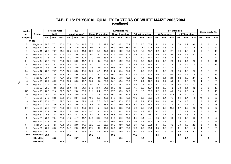#### **TABLE 18: PHYSICAL QUALITY FACTORS OF WHITE MAIZE 2003/2004 (continue)**

| <b>Number</b> |                  |      | <b>Hectolitre mass</b> |      |      | 100             |      |      |                   |      |      | Kernel size (%) |      |      |                         |      |      |               | <b>Breakability (g)</b> |      |                |      |      | Stress cracks (%)       |                |
|---------------|------------------|------|------------------------|------|------|-----------------|------|------|-------------------|------|------|-----------------|------|------|-------------------------|------|------|---------------|-------------------------|------|----------------|------|------|-------------------------|----------------|
| оf            | Region           |      | kg/hl                  |      |      | kernel mass (g) |      |      | Above 10 mm sieve |      |      | Above 8mm sieve |      |      | <b>Below 8 mm sieve</b> |      |      | < 6.3mm sieve |                         |      | < 4.75mm sieve |      |      |                         |                |
| samples       |                  | ave. | min.                   | max. | ave. | min.            | max. | ave. | min.              | max. | ave. | min.            | max. | ave. | min.                    | max. | ave. | min.          | max.                    | ave. | min.           | max. | ave. | min.                    | max.           |
|               | <b>WHITE</b>     |      |                        |      |      |                 |      |      |                   |      |      |                 |      |      |                         |      |      |               |                         |      |                |      |      |                         |                |
| 3             | Region 8         | 78.3 | 77.1                   | 80.1 | 33.2 | 27.5            | 41.5 | 17.8 | 1.7               | 49.2 | 50.0 | 45.2            | 56.4 | 32.3 | 2.5                     | 53.1 | 1.1  | 0.4           | 1.6                     | 0.6  | 0.2            | 0.9  | 8    | 6                       | 9              |
| 3             | Region 10        | 80.4 | 79.7                   | 81.0 | 32.8 | 31.9            | 33.6 | 4.0  | 2.5               | 6.7  | 66.9 | 56.9            | 78.0 | 29.1 | 15.3                    | 40.6 | 1.0  | 0.5           | 1.9                     | 0.7  | 0.2            | 1.5  |      | $\Omega$                | 6              |
| 9             | Region 11        | 78.6 | 76.7                   | 81.1 | 36.7 | 31.0            | 41.3 | 32.3 | 9.2               | 47.8 | 52.2 | 44.9            | 60.3 | 15.5 | 4.9                     | 40.7 | 1.2  | 0.5           | 2.1                     | 0.9  | 0.3            | 1.8  | 6    | $\overline{4}$          | 10             |
| 14            | Region 12        | 77.9 | 74.9                   | 80.2 | 35.4 | 29.6            | 41.0 | 30.1 | 16.1              | 48.4 | 61.4 | 46.6            | 70.9 | 8.5  | 4.5                     | 16.7 | 2.0  | 0.1           | 5.8                     | 1.5  | 0.1            | 3.7  |      | $\mathbf{1}$            | 16             |
| 8             | Region 13        | 77.5 | 75.2                   | 78.9 | 34.9 | 30.9            | 39.6 | 27.9 | 20.5              | 33.8 | 63.1 | 59.1            | 69.7 | 9.1  | 6.9                     | 11.1 | 1.4  | 0.6           | 1.9                     | 1.1  | 0.5            | 1.7  |      | $\overline{2}$          | 6              |
| 21            | Region 14        | 77.8 | 74.1                   | 79.6 | 35.2 | 30.9            | 41.7 | 31.2 | 19.5              | 53.5 | 59.9 | 43.2            | 70.5 | 8.9  | 3.3                     | 17.0 | 1.6  | 0.5           | 2.9                     | 1.3  | 0.4            | 2.6  |      | 0                       | 11             |
| 9             | Region 15        | 79.1 | 78.1                   | 79.9 | 34.8 | 32.3            | 42.9 | 28.0 | 11.2              | 46.2 | 57.1 | 49.5            | 60.8 | 14.9 | 4.3                     | 28.9 | 1.1  | 0.5           | 1.9                     | 0.8  | 0.4            | 1.5  |      | $\mathbf{0}$            | 13             |
| 13            | Region 16        | 78.5 | 75.0                   | 81.2 | 38.4 | 30.9            | 58.8 | 32.5 | 18.0              | 41.7 | 59.8 | 48.4            | 67.3 | 7.7  | 3.1                     | 14.7 | 1.0  | 0.2           | 1.9                     | 0.7  | 0.1            | 1.3  |      | 2                       | 7              |
| 24            | Region 17        | 78.0 | 74.7                   | 79.7 | 36.4 | 30.6            | 40.1 | 30.2 | 4.7               | 45.3 | 61.7 | 51.4            | 74.1 | 8.1  | 2.2                     | 21.2 | 1.1  | 0.0           | 2.5                     | 0.8  | 0.0            | 2.5  | 6    | -1                      | 26             |
| 26            | Region 18        | 77.5 | 74.4                   | 79.3 | 36.6 | 29.6            | 39.6 | 32.5 | 15.2              | 45.1 | 60.2 | 49.5            | 70.5 | 7.3  | 3.5                     | 14.3 | 1.6  | 0.5           | 6.0                     | 1.2  | 0.2            | 4.9  | 6    |                         | 23             |
| 15            | Region 19        | 76.4 | 74.1                   | 79.7 | 35.5 | 30.0            | 42.4 | 29.3 | 13.9              | 42.8 | 62.7 | 51.8            | 75.1 | 8.1  | 4.4                     | 16.0 | 1.6  | 0.1           | 2.8                     | 1.2  | 0.0            | 2.1  |      | 1                       | 13             |
| 16            | Region 20        | 75.2 | 66.9                   | 78.5 | 35.7 | 30.5            | 41.7 | 33.2 | 15.8              | 51.9 | 60.1 | 46.0            | 69.3 | 6.7  | 2.1                     | 17.6 | 1.6  | 0.4           | 3.2                     | 1.1  | 0.3            | 2.3  |      | -1                      | $\overline{7}$ |
| 29            | Region 21        | 77.5 | 73.9                   | 80.1 | 36.4 | 31.7            | 54.2 | 29.2 | 16.3              | 52.9 | 61.3 | 44.3            | 67.9 | 9.5  | 1.3                     | 17.6 | 1.7  | 0.5           | 3.9                     | 1.2  | 0.5            | 2.7  | 8    | $\overline{2}$          | 26             |
| 47            | Region 22        | 78.9 | 73.8                   | 81.6 | 38.1 | 32.4            | 51.1 | 34.5 | 21.0              | 51.2 | 58.0 | 38.1            | 69.8 | 7.5  | 3.5                     | 12.7 | 1.2  | 0.2           | 4.2                     | 0.8  | 0.1            | 3.2  | 6    | $\Omega$                | 18             |
| 140           | Region 23        | 78.9 | 71.6                   | 81.7 | 36.9 | 24.0            | 50.5 | 31.1 | 2.4               | 63.2 | 57.9 | 33.9            | 74.6 | 11.0 | 1.5                     | 50.9 | 1.2  | 0.2           | 4.0                     | 0.9  | 0.0            | 3.1  | 6    | $\mathbf{0}$            | 19             |
| 70            | Region 24        | 79.2 | 73.8                   | 83.2 | 35.8 | 26.9            | 44.2 | 27.1 | 0.4               | 65.5 | 56.1 | 33.4            | 71.6 | 16.8 | 1.0                     | 64.9 | 1.3  | 0.1           | 13.1                    | 0.9  | 0.0            | 8.3  |      | $\Omega$                | 58             |
| 14            | Region 25        | 74.7 | 63.8                   | 80.2 | 31.8 | 23.7            | 38.0 | 19.0 | 5.5               | 40.9 | 64.9 | 48.5            | 72.8 | 16.2 | 8.3                     | 30.8 | 2.0  | 0.4           | 7.7                     | 1.4  | 0.4            | 4.9  | 10   | 3                       | 37             |
| 19            | Region 26        | 77.1 | 71.2                   | 79.7 | 34.1 | 29.6            | 39.9 | 19.7 | 3.6               | 34.5 | 66.6 | 57.3            | 75.5 | 13.7 | 7.1                     | 20.9 | 1.4  | 0.4           | 3.6                     | 0.9  | 0.3            | 2.2  | 8    | $\overline{2}$          | 18             |
| 12            | Region 27        | 78.1 | 74.0                   | 80.3 | 36.4 | 32.0            | 40.0 | 26.6 | 14.8              | 38.3 | 64.7 | 55.0            | 73.6 | 8.8  | 5.4                     | 16.4 | 1.5  | 0.4           | 4.0                     | 1.1  | 0.1            | 2.3  | 8    | 3                       | 28             |
| 20            | Region 28        | 77.6 | 74.7                   | 79.4 | 36.0 | 31.6            | 40.6 | 36.0 | 15.4              | 57.1 | 55.0 | 36.8            | 74.1 | 9.0  | 2.5                     | 24.4 | 2.6  | 0.3           | 15.0                    | 1.7  | 0.2            | 9.5  | 10   | $\overline{2}$          | 57             |
| 12            | Region 29        | 77.7 | 75.0                   | 79.0 | 37.2 | 30.4            | 41.1 | 29.0 | 16.7              | 44.1 | 62.6 | 51.2            | 71.9 | 8.4  | 4.7                     | 17.6 | 1.1  | 0.3           | 2.2                     | 0.7  | 0.2            | 1.4  |      | $\overline{2}$          | 14             |
| 3             | Region 30        | 75.5 | 74.8                   | 76.8 | 36.4 | 34.7            | 39.2 | 25.7 | 12.7              | 34.6 | 66.5 | 59.5            | 77.7 | 7.8  | 5.9                     | 9.6  | 1.1  | 0.7           | 1.8                     | 1.0  | 0.5            | 1.6  | 2    | $\Omega$                | 3              |
| -1            | Region 31        | 79.4 | 79.4                   | 79.4 | 41.7 | 41.7            | 41.7 | 64.6 | 64.6              | 64.6 | 31.0 | 31.0            | 31.0 | 4.4  | 4.4                     | 4.4  | 0.3  | 0.3           | 0.3                     | 0.0  | 0.0            | 0.0  | 8    | 8                       | 8              |
| 5             | Region 32        | 77.7 | 76.8                   | 78.7 | 35.8 | 33.5            | 38.7 | 31.6 | 21.9              | 42.0 | 60.8 | 53.9            | 69.2 | 7.6  | 4.1                     | 11.2 | 0.9  | 0.2           | 1.3                     | 0.6  | 0.0            | 1.0  | 5    | $\overline{\mathbf{4}}$ | 6              |
| 51            | Region 34        | 77.5 | 72.3                   | 79.8 | 36.7 | 23.9            | 44.5 | 32.7 | 7.0               | 65.5 | 58.6 | 33.0            | 75.1 | 8.6  | 1.5                     | 23.1 | 1.1  | 0.0           | 3.2                     | 0.8  | 0.0            | 2.2  | 8    | -1                      | 17             |
| 7             | Region 35        | 76.4 | 69.0                   | 79.7 | 34.9 | 29.0            | 41.2 | 27.4 | 16.9              | 41.1 | 60.6 | 54.7            | 69.6 | 12.0 | 2.2                     | 28.4 | 1.5  | 0.9           | 2.1                     | 1.1  | 0.6            | 1.5  |      |                         | 7              |
| 8             | Region 36        | 79.0 | 77.5                   | 79.9 | 33.4 | 29.1            | 39.2 | 14.1 | 4.4               | 28.9 | 59.4 | 48.5            | 67.7 | 26.5 | 6.8                     | 47.1 | 2.4  | 1.3           | 8.0                     | 1.6  | 0.7            | 5.3  | 9    | $\overline{2}$          | 30             |
| 599           | Ave white        | 78.1 |                        |      | 36.2 |                 |      | 29.9 |                   |      | 59.2 |                 |      | 11.0 |                         |      | 1.4  |               |                         | 1.0  |                |      | 6    |                         |                |
|               | <b>Min white</b> |      | 63.8                   |      |      | 23.7            |      |      | 0.4               |      |      | 31.0            |      |      | 1.0                     |      |      | 0.0           |                         |      | 0.0            |      |      | $\bf{0}$                |                |
|               | <b>Max white</b> |      |                        | 83.2 |      |                 | 58.8 |      |                   | 65.5 |      |                 | 78.0 |      |                         | 64.9 |      |               | 15.0                    |      |                | 9.5  |      |                         | 58             |

ب<br>س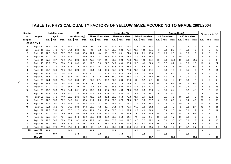## **TABLE 19: PHYSICAL QUALITY FACTORS OF YELLOW MAIZE ACCORDING TO GRADE 2003/2004**

| <b>Number</b> |                   | 100<br><b>Hectolitre mass</b> |      |      |      |                 |      |      |                   |      |      | Kernel size (%) |      |      |                  |      |      |               | Breakability (g) |       |                |      |      | Stress cracks (%)        |      |
|---------------|-------------------|-------------------------------|------|------|------|-----------------|------|------|-------------------|------|------|-----------------|------|------|------------------|------|------|---------------|------------------|-------|----------------|------|------|--------------------------|------|
| оf            | Region            | kg/hl                         |      |      |      | kernel mass (g) |      |      | Above 10 mm sieve |      |      | Above 8mm sieve |      |      | Below 8 mm sieve |      |      | < 6.3mm sieve |                  |       | < 4.75mm sieve |      |      |                          |      |
| samples       |                   | ave.                          | min. | max. | ave. | min.            | max. | ave. | min.              | max. | ave. | min.            | max. | ave. | min.             | max. | ave. | min.          | max.             | ave.  | min.           | max. | ave. | min.                     | max. |
|               | <b>GRADE: YM1</b> |                               |      |      |      |                 |      |      |                   |      |      |                 |      |      |                  |      |      |               |                  |       |                |      |      |                          |      |
| 8             | Region 10         | 78.6                          | 75.8 | 79.7 | 34.5 | 32.1            | 36.0 | 9.4  | 5.5               | 15.7 | 67.9 | 62.1            | 72.4 | 22.7 | 18.0             | 29.1 | 1.7  | 0.6           | 2.9              | 1.3   | 0.6            | 2.3  |      |                          | 14   |
| 25            | Region 11         | 78.2                          | 77.0 | 79.7 | 34.4 | 28.0            | 38.4 | 9.5  | 3.8               | 19.7 | 70.8 | 62.3            | 79.4 | 19.7 | 12.0             | 26.5 | 1.5  | 0.4           | 2.8              | 1.1   | 0.3            | 1.8  |      | $\overline{2}$           | 15   |
| 8             | Region 12         | 77.8                          | 76.6 | 79.7 | 33.0 | 28.6            | 37.8 | 22.1 | 10.4              | 32.1 | 65.6 | 56.1            | 71.4 | 12.4 | 7.1              | 19.4 | 1.7  | 1.0           | 2.8              | 1.3   | 0.6            | 1.9  |      | $\mathbf{0}$             |      |
| 5             | Region 13         | 77.0                          | 76.2 | 77.5 | 33.5 | 31.2            | 37.0 | 18.7 | 13.7              | 26.5 | 67.4 | 62.6            | 71.3 | 13.9 | 7.3              | 21.4 | 1.3  | 0.9           | 1.5              | 0.9   | 0.7            | 1.2  |      | 3                        | 8    |
|               | Region 14         | 77.5                          | 76.1 | 79.0 | 31.6 | 29.9            | 36.0 | 17.8 | 13.1              | 24.1 | 68.9 | 62.8            | 76.6 | 13.3 | 10.0             | 18.1 | 4.3  | 0.4           | 22.0             | 3.9   | 0.3            | 21.5 |      | 3                        | 9    |
| 3             | Region 15         | 78.2                          | 77.4 | 78.8 | 31.4 | 30.9            | 32.1 | 17.0 | 6.6               | 24.7 | 64.7 | 60.8            | 68.5 | 18.3 | 14.5             | 24.9 | 1.7  | 0.7           | 3.2              | 1.3   | 0.6            | 2.3  | 10   | 4                        | 21   |
|               | Region 16         | 77.9                          | 77.9 | 77.9 | 37.5 | 37.5            | 37.5 | 30.2 | 30.2              | 30.2 | 63.6 | 63.6            | 63.6 | 6.2  | 6.2              | 6.2  | 1.5  | 1.5           | 1.5              | 0.9   | 0.9            | 0.9  | 6    | 6                        | 6    |
|               | Region 17         | 76.7                          | 75.0 | 78.3 | 36.0 | 32.5            | 43.1 | 20.1 | 6.3               | 39.8 | 67.6 | 57.2            | 75.6 | 12.3 | 3.0              | 18.1 | 1.4  | 0.8           | 1.9              | 1.0   | 0.5            | 1.3  |      | $\overline{\mathcal{A}}$ | 14   |
| 8             | Region 18         | 76.4                          | 75.3 | 77.4 | 33.4 | 31.1            | 35.8 | 21.6 | 12.7              | 30.8 | 67.3 | 62.9            | 72.8 | 11.1 | 6.1              | 19.3 | 1.7  | 0.9           | 4.6              | 1.2   | 0.3            | 2.9  |      | 3                        | 10   |
| 5             | Region 19         | 76.6                          | 73.9 | 78.1 | 33.7 | 29.3            | 35.5 | 22.6 | 17.6              | 27.0 | 64.0 | 60.8            | 66.3 | 13.4 | 9.6              | 21.6 | 2.0  | 1.0           | 3.5              | 1.5   | 0.9            | 3.3  |      | 5                        | 9    |
| 3             | Region 20         | 77.1                          | 76.3 | 78.4 | 34.7 | 33.0            | 37.1 | 32.2 | 27.4              | 39.2 | 62.9 | 56.6            | 68.0 | 4.9  | 4.2              | 5.9  | 0.9  | 0.5           | 1.4              | 0.7   | 0.3            | 1.1  |      |                          | 6    |
|               | Region 21         | 79.4                          | 79.4 | 79.4 | 35.9 | 35.9            | 35.9 | 7.6  | 7.6               | 7.6  | 77.9 | 77.9            | 77.9 | 14.5 | 14.5             | 14.5 | 0.8  | 0.8           | 0.8              | 0.6   | 0.6            | 0.6  |      | 6                        | 6    |
| 6             | Region 22         | 77.9                          | 74.3 | 79.4 | 35.7 | 32.5            | 38.7 | 20.1 | 5.5               | 28.4 | 66.8 | 62.9            | 74.8 | 13.1 | 8.0              | 19.7 | 1.2  | 0.4           | 1.6              | 0.8   | 0.4            | 1.1  |      | 3                        | 23   |
| 18            | Region 23         | 76.8                          | 70.8 | 78.9 | 34.1 | 30.1            | 37.9 | 25.0 | 4.8               | 46.8 | 63.2 | 46.2            | 71.9 | 11.8 | 2.8              | 30.8 | 1.4  | 0.5           | 5.4              | 1.1   | 0.2            | 4.1  |      | 3                        | 12   |
| 13            | Region 24         | 77.4                          | 74.8 | 79.9 | 33.6 | 27.5            | 37.5 | 17.3 | 2.3               | 30.6 | 64.5 | 48.0            | 73.7 | 18.2 | 5.4              | 49.7 | 1.6  | 0.6           | 5.2              | 1.1   | 0.6            | 2.1  | 9    | $\mathbf{0}$             | 23   |
| 15            | Region 25         | 76.6                          | 74.3 | 77.9 | 33.9 | 28.3            | 45.8 | 18.3 | 5.3               | 36.2 | 63.0 | 55.5            | 70.8 | 18.7 | 8.1              | 30.2 | 1.4  | 0.5           | 7.5              | 0.9   | 0.1            | 4.3  | -11  | $\Omega$                 | 60   |
| 18            | Region 26         | 77.8                          | 73.8 | 79.2 | 34.7 | 28.1            | 38.3 | 21.4 | 4.5               | 33.5 | 65.8 | 57.3            | 71.3 | 12.8 | 6.0              | 29.7 | 1.6  | 0.5           | 8.6              | 1.0   | 0.4            | 4.9  | 11   | $\overline{2}$           | 30   |
| 10            | Region 27         | 77.6                          | 76.3 | 78.8 | 34.2 | 32.0            | 37.3 | 20.6 | 12.1              | 28.1 | 66.9 | 57.2            | 73.1 | 12.6 | 8.8              | 22.1 | 1.5  | 0.4           | 2.5              | 0.9   | 0.3            | 1.7  | 11   |                          | 34   |
| 19            | Region 28         | 77.4                          | 75.0 | 79.4 | 34.3 | 30.6            | 37.8 | 20.9 | 7.3               | 32.1 | 64.1 | 57.6            | 75.4 | 14.9 | 8.4              | 24.8 | 1.7  | 0.3           | 4.2              | 1.2   | 0.3            | 2.4  | 13   | 4                        | 34   |
| 12            | Region 29         | 77.7                          | 75.9 | 80.1 | 35.5 | 32.5            | 38.4 | 26.4 | 8.6               | 40.3 | 62.0 | 51.9            | 69.5 | 11.6 | 4.0              | 24.6 | 1.2  | 0.4           | 2.0              | 0.8   | 0.3            | 1.2  |      | 3                        | 14   |
| 3             | Region 30         | 77.0                          | 75.7 | 78.9 | 38.8 | 35.5            | 42.9 | 49.3 | 43.5              | 59.8 | 43.1 | 35.8            | 52.9 | 7.6  | 3.6              | 14.9 | 0.5  | 0.4           | 0.7              | 0.4   | 0.3            | 0.5  |      |                          |      |
| 7             | Region 32         | 77.6                          | 75.4 | 79.4 | 37.2 | 34.9            | 38.9 | 33.2 | 26.6              | 36.9 | 59.8 | 55.0            | 64.1 | 7.0  | 3.5              | 9.3  | 0.8  | 0.2           | 1.7              | 0.6   | 0.1            | 1.6  |      | $\overline{2}$           | 6    |
| 18            | Region 34         | 77.3                          | 74.7 | 78.9 | 35.1 | 30.3            | 48.9 | 22.7 | 10.3              | 34.4 | 63.3 | 54.9            | 69.7 | 14.0 | 5.7              | 29.2 | 1.0  | 0.3           | 3.0              | 0.7   | 0.2            | 2.8  |      | $\overline{2}$           | 10   |
| 7             | Region 35         | 75.0                          | 69.1 | 78.9 | 32.5 | 28.4            | 38.1 | 16.6 | 7.7               | 23.3 | 67.5 | 60.4            | 72.6 | 15.9 | 7.7              | 22.9 | 2.6  | 0.7           | 6.8              | 2.3   | 0.5            | 6.8  |      | -1                       | 12   |
|               | Region 36         | 77.9                          | 77.9 | 77.9 | 31.0 | 31.0            | 31.0 | 6.7  | 6.7               | 6.7  | 68.8 | 68.8            | 68.8 | 24.5 | 24.5             | 24.5 | 1.0  | 1.0           | 1.0              | 0.7   | 0.7            | 0.7  | 9    | 9                        | 9    |
| 225           | Ave YM            | 77.4                          |      |      | 34.3 |                 |      | 20.2 |                   |      | 65.2 |                 |      | 14.6 |                  |      | 1.5  |               |                  | $1.1$ |                |      | 8    |                          |      |
|               | Min YM 1          |                               | 69.1 |      |      | 27.5            |      |      | 2.3               |      |      | 35.8            |      |      | 2.8              |      |      | 0.2           |                  |       | 0.1            |      |      | $\mathbf{0}$             |      |
|               | Max YM 1          |                               |      | 80.1 |      |                 | 48.9 |      |                   | 59.8 |      |                 | 79.4 |      |                  | 49.7 |      |               | 22.0             |       |                | 21.5 |      |                          | 60   |

ن<br>4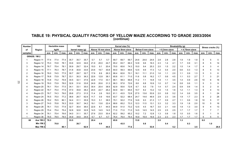| <b>Number</b> |                     |      | <b>Hectolitre mass</b> |      |      | 100<br>kernel mass (g) |      |      |                   |      |      | Kernel size (%) |      |      |                         |      |      |               | Breakability (g) |      |                |      |      | Stress cracks (%) |      |
|---------------|---------------------|------|------------------------|------|------|------------------------|------|------|-------------------|------|------|-----------------|------|------|-------------------------|------|------|---------------|------------------|------|----------------|------|------|-------------------|------|
| оf            | Region              |      | kg/hl                  |      |      |                        |      |      | Above 10 mm sieve |      |      | Above 8mm sieve |      |      | <b>Below 8 mm sieve</b> |      |      | < 6.3mm sieve |                  |      | < 4.75mm sieve |      |      |                   |      |
| samples       |                     | ave. | min.                   | max. | ave. | min.                   | max. | ave. | min.              | max. | ave. | min.            | max. | ave. | min.                    | max. | ave. | min.          | max.             | ave. | min.           | max. | ave. | min.              | max. |
|               | <b>GRADE: YM2</b>   |      |                        |      |      |                        |      |      |                   |      |      |                 |      |      |                         |      |      |               |                  |      |                |      |      |                   |      |
|               | Region 11           | 77.4 | 77.4                   | 77.4 | 35.7 | 35.7                   | 35.7 | 5.7  | 5.7               | 5.7  | 69.7 | 69.7            | 69.7 | 24.6 | 24.6                    | 24.6 | 2.8  | 2.8           | 2.8              | 1.9  | 1.9            | 1.9  | 5    | 5                 | 5    |
| 3             | Region 12           | 75.3 | 72.8                   | 78.1 | 33.6 | 32.9                   | 34.6 | 21.9 | 20.0              | 24.7 | 65.2 | 63.7            | 66.3 | 12.8 | 9.6                     | 16.3 | 2.3  | 1.4           | 4.1              | 1.7  | 0.9            | 3.1  |      | 5                 | 14   |
| 3             | Region 14           | 76.7 | 75.4                   | 78.1 | 30.9 | 29.7                   | 32.4 | 15.0 | 9.1               | 20.4 | 70.0 | 65.6            | 74.3 | 15.0 | 9.4                     | 25.3 | 2.0  | 1.5           | 2.2              | 1.5  | 1.4            | 1.7  |      | 3                 |      |
| 3             | Region 15           | 77.1 | 76.3                   | 78.7 | 31.8 | 30.8                   | 33.6 | 23.6 | 19.7              | 30.8 | 64.0 | 59.3            | 69.6 | 12.5 | 9.9                     | 17.3 | 1.2  | 0.4           | 2.0              | 0.6  | 0.3            | 1.3  |      | 5                 | 13   |
| 2             | Region 16           | 76.0 | 74.5                   | 77.5 | 30.7 | 28.7                   | 32.7 | 17.6 | 8.9               | 26.3 | 66.4 | 62.6            | 70.1 | 16.1 | 11.1                    | 21.0 | 1.6  | 1.1           | 2.0              | 1.1  | 0.9            | 1.3  |      | 3                 |      |
| 9             | Region 17           | 76.8 | 73.9                   | 78.7 | 33.1 | 30.3                   | 36.3 | 22.6 | 12.8              | 38.1 | 65.8 | 61.1            | 71.0 | 11.6 | 0.8                     | 16.2 | 1.7  | 0.6           | 4.5              | 1.1  | 0.3            | 2.7  |      | 3                 | 21   |
| 6             | Region 18           | 74.8 | 73.2                   | 75.9 | 34.5 | 32.1                   | 37.6 | 22.8 | 17.0              | 33.1 | 66.1 | 58.3            | 69.8 | 11.2 | 7.1                     | 14.8 | 1.9  | 1.1           | 3.5              | 1.4  | 0.9            | 2.6  |      | 6                 | 16   |
| 4             | Region 19           | 76.0 | 73.9                   | 78.0 | 32.6 | 31.6                   | 33.8 | 24.9 | 20.6              | 31.3 | 66.3 | 57.8            | 72.6 | 8.8  | 6.8                     | 10.9 | 1.0  | 0.7           | 1.4              | 0.8  | 0.6            | 1.1  |      | 3                 |      |
|               | Region 20           | 76.1 | 75.4                   | 77.5 | 34.1 | 33.1                   | 35.0 | 30.4 | 20.4              | 38.9 | 62.9 | 55.6            | 72.8 | 6.7  | 5.5                     | 7.8  | 1.4  | 0.7           | 2.4              | 0.9  | 0.6            | 1.4  |      | 2                 |      |
| 2             | Region 22           | 76.7 | 75.4                   | 77.9 | 37.0 | 35.8                   | 38.2 | 24.5 | 22.7              | 26.2 | 64.9 | 64.1            | 65.6 | 10.7 | 8.2                     | 13.2 | 1.6  | 1.5           | 1.6              | 1.2  | 1.1            | 1.3  |      |                   | 13   |
|               | Region 23           | 76.7 | 74.3                   | 79.0 | 29.8 | 27.3                   | 31.5 | 11.4 | 2.6               | 19.0 | 61.1 | 43.5            | 72.8 | 27.5 | 13.6                    | 53.9 | 2.0  | 0.8           | 5.2              | 1.4  | 0.6            | 3.5  |      |                   | 24   |
|               | Region 24           | 76.5 | 75.0                   | 77.2 | 38.6 | 26.7                   | 62.9 | 11.7 | 0.9               | 19.6 | 63.7 | 52.2            | 68.4 | 24.7 | 14.6                    | 46.9 | 2.9  | 2.3           | 3.6              | 1.9  | 1.7            | 2.3  |      |                   | 26   |
| 6             | Region 26           | 78.2 | 76.5                   | 80.1 | 34.4 | 31.1                   | 35.9 | 15.3 | 5.1               | 38.5 | 70.1 | 52.2            | 77.6 | 14.6 | 9.3                     | 21.3 | 1.7  | 0.9           | 2.7              | 1.1  | 0.6            | 1.8  |      | 5                 | 17   |
| 3             | Region 27           | 74.0 | 70.8                   | 76.3 | 33.0 | 30.7                   | 34.2 | 19.1 | 13.6              | 22.4 | 68.6 | 65.2            | 73.3 | 12.3 | 11.5                    | 13.1 | 3.3  | 3.2           | 3.3              | 1.9  | 1.8            | 2.0  |      | 5                 | 16   |
| 8             | Region 28           | 76.1 | 73.5                   | 77.9 | 32.7 | 30.4                   | 36.0 | 22.6 | 8.1               | 44.5 | 64.9 | 51.0            | 73.2 | 12.5 | 4.5                     | 18.7 | 3.0  | 2.1           | 4.9              | 1.9  | 1.3            | 3.0  |      |                   | 13   |
|               | Region 29           | 75.4 | 75.4                   | 75.4 | 32.8 | 32.8                   | 32.8 | 14.5 | 14.5              | 14.5 | 71.0 | 71.0            | 71.0 | 14.5 | 14.5                    | 14.5 | 2.5  | 2.5           | 2.5              | 1.7  | 1.7            | 1.7  |      |                   |      |
|               | Region 34           | 76.1 | 75.4                   | 76.6 | 34.0 | 31.1                   | 35.7 | 27.6 | 23.5              | 30.4 | 62.2 | 59.2            | 65.2 | 10.2 | 7.2                     | 12.8 | 1.3  | 0.8           | 1.8              | 1.0  | 0.5            | 1.6  |      |                   |      |
|               | Region 36           | 78.5 | 78.5                   | 78.5 | 34.9 | 34.9                   | 34.9 | 6.7  | 6.7               | 6.7  | 76.4 | 76.4            | 76.4 | 16.9 | 16.9                    | 16.9 | 2.3  | 2.3           | 2.3              | 1.7  | 1.7            | 1.7  | 5    | 5                 | 5    |
| 68            | Ave YM 2            | 76.3 |                        |      | 33.5 |                        |      | 20.4 |                   |      | 65.8 |                 |      | 13.8 |                         |      | 2.0  |               |                  | 1.3  |                |      | 8.0  |                   |      |
|               | Min YM <sub>2</sub> |      | 70.8                   |      |      | 26.7                   |      |      | 0.9               |      |      | 43.5            |      |      | 0.8                     |      |      | 0.4           |                  |      | 0.3            |      |      | 1.0               |      |
|               | Max YM 2            |      |                        | 80.1 |      |                        | 62.9 |      |                   | 44.5 |      |                 | 77.6 |      |                         | 53.9 |      |               | 5.2              |      |                | 3.5  |      |                   | 26.0 |

#### **TABLE 19: PHYSICAL QUALITY FACTORS OF YELLOW MAIZE ACCORDING TO GRADE 2003/2004 (continue)**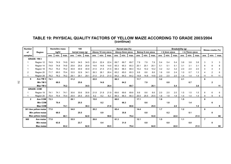| TABLE 19: PHYSICAL QUALITY FACTORS OF YELLOW MAIZE ACCORDING TO GRADE 2003/2004 |
|---------------------------------------------------------------------------------|
| (continue)                                                                      |

| <b>Number</b>  |                      |      | <b>Hectolitre mass</b> |      |      | 100             |      |      |                   |      |      | Kernel size (%) |      |      |                  |      |      |               | <b>Breakability (g)</b> |      |                |      |                | Stress cracks (%) |      |
|----------------|----------------------|------|------------------------|------|------|-----------------|------|------|-------------------|------|------|-----------------|------|------|------------------|------|------|---------------|-------------------------|------|----------------|------|----------------|-------------------|------|
| of             | Region               |      | kg/hl                  |      |      | kernel mass (g) |      |      | Above 10 mm sieve |      |      | Above 8mm sieve |      |      | Below 8 mm sieve |      |      | < 6.3mm sieve |                         |      | < 4.75mm sieve |      |                |                   |      |
| samples        |                      | ave. | min.                   | max. | ave. | min.            | max. | ave. | min.              | max. | ave. | min.            | max. | ave. | min.             | max. | ave. | min.          | max.                    | ave. | min.           | max. | ave.           | min.              | max. |
|                | <b>GRADE: YM 3</b>   |      |                        |      |      |                 |      |      |                   |      |      |                 |      |      |                  |      |      |               |                         |      |                |      |                |                   |      |
|                | Region 12            | 74.9 | 74.9                   | 74.9 | 34.5 | 34.5            | 34.5 | 22.4 | 22.4              | 22.4 | 69.7 | 69.7            | 69.7 | 7.9  | 7.9              | 7.9  | 5.4  | 5.4           | 5.4                     | 3.8  | 3.8            | 3.8  |                | 3                 |      |
|                | Region 14            | 74.8 | 74.8                   | 74.8 | 25.6 | 25.6            | 25.6 | 14.6 | 14.6              | 14.6 | 65.3 | 65.3            | 65.3 | 20.1 | 20.1             | 20.1 | 5.1  | 5.1           | 5.1                     | 3.1  | 3.1            | 3.1  |                | 8                 |      |
|                | Region 18            | 75.2 | 75.2                   | 75.2 | 30.9 | 30.9            | 30.9 | 21.5 | 21.5              | 21.5 | 68.3 | 68.3            | 68.3 | 10.2 | 10.2             | 10.2 | 3.2  | 3.2           | 3.2                     | 2.0  | 2.0            | 2.0  |                |                   |      |
| $\overline{c}$ | Region 20            | 71.7 | 68.0                   | 75.4 | 33.5 | 32.9            | 34.1 | 26.3 | 26.1              | 26.4 | 65.2 | 65.0            | 65.3 | 8.6  | 8.6              | 8.6  | 1.6  | 0.8           | 2.4                     | 1.0  | 0.7            | 1.3  |                | 2                 |      |
|                | Region 28            | 76.2 | 76.2                   | 76.2 | 29.1 | 29.1            | 29.1 | 21.0 | 21.0              | 21.0 | 64.2 | 64.2            | 64.2 | 14.8 | 14.8             | 14.8 | 2.0  | 2.0           | 2.0                     | 1.4  | 1.4            | 1.4  |                | 11                | 11   |
| 6              | Ave YM 3             | 74.1 |                        |      | 31.2 |                 |      | 22.0 |                   |      | 66.3 |                 |      | 11.7 |                  |      | 3.2  |               |                         | 2.1  |                |      | 6              |                   |      |
|                | Min YM 3             |      | 68.0                   |      |      | 25.6            |      |      | 14.6              |      |      | 64.2            |      |      | 7.9              |      |      | 0.8           |                         |      | 0.7            |      |                | $\mathbf{2}$      |      |
|                | Max YM 3             |      |                        | 76.2 |      |                 | 34.5 |      |                   | 26.4 |      |                 | 69.7 |      |                  | 20.1 |      |               | 5.4                     |      |                | 3.8  |                |                   | 11   |
|                | <b>GRADE: COM</b>    |      |                        |      |      |                 |      |      |                   |      |      |                 |      |      |                  |      |      |               |                         |      |                |      |                |                   |      |
|                | Region 19            | 74.1 | 74.1                   | 74.1 | 30.6 | 30.6            | 30.6 | 21.8 | 21.8              | 21.8 | 69.6 | 69.6            | 69.6 | 8.6  | 8.6              | 8.6  | 2.0  | 2.0           | 2.0                     | 1.5  | 1.5            | 1.5  | 6              | 6                 | 6    |
|                | Region 20            | 70.4 | 70.4                   | 70.4 | 25.5 | 25.5            | 25.5 | 8.2  | 8.2               | 8.2  | 66.3 | 66.3            | 66.3 | 25.5 | 25.5             | 25.5 | 1.8  | 1.8           | 1.8                     | 1.4  | 1.4            | 1.4  |                | 9                 | 9    |
| $\mathbf{2}$   | Ave COM              | 72.3 |                        |      | 28.1 |                 |      | 15.0 |                   |      | 68.0 |                 |      | 17.1 |                  |      | 1.9  |               |                         | 1.5  |                |      | 8              |                   |      |
|                | <b>Min COM</b>       |      | 70.4                   |      |      | 25.5            |      |      | 8.2               |      |      | 66.3            |      |      | 8.6              |      |      | 1.8           |                         |      | 1.4            |      |                | 6                 |      |
|                | <b>Max COM</b>       |      |                        | 74.1 |      |                 | 30.3 |      |                   | 21.8 |      |                 | 69.6 |      |                  | 25.5 |      |               | 2.0                     |      |                | 1.5  |                |                   | 9    |
|                | 301 Ave yellow maize | 77.0 |                        |      | 34.0 |                 |      | 20.2 |                   |      | 65.4 |                 |      | 14.4 |                  |      | 1.7  |               |                         | 1.2  |                |      | 8              |                   |      |
|                | Min yellow maize     |      | 68.0                   |      |      | 25.5            |      |      | 0.9               |      |      | 35.8            |      |      | 0.8              |      |      | 0.2           |                         |      | 0.1            |      |                | 0                 |      |
|                | Max yellow maize     |      |                        | 80.1 |      |                 | 62.9 |      |                   | 59.8 |      |                 | 79.4 |      |                  | 53.9 |      |               | 22.0                    |      |                | 21.5 |                |                   | 60   |
| 900            | Ave maize            | 77.8 |                        |      | 35.5 |                 |      | 26.6 |                   |      | 61.3 |                 |      | 12.1 |                  |      | 1.5  |               |                         | 1.1  |                |      | $\overline{7}$ |                   |      |
|                | Min maize            |      | 63.8                   |      |      | 23.7            |      |      | 0.4               |      |      | 31.0            |      |      | 0.8              |      |      | 0.0           |                         |      | 0.0            |      |                | 0                 |      |
|                | Max maize            |      |                        | 83.2 |      |                 | 62.9 |      |                   | 65.5 |      |                 | 79.4 |      |                  | 64.9 |      |               | 22.0                    |      |                | 21.5 |                |                   | 60   |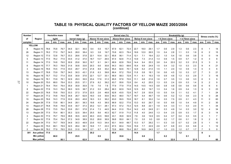#### **TABLE 19: PHYSICAL QUALITY FACTORS OF YELLOW MAIZE 2003/2004 (continue)**

| <b>Number</b>  |               |      | <b>Hectolitre mass</b> |      | 100<br>kernel mass (g) |      |      |      |                   |      |      | Kernel size (%) |      |      |                         |      |      |               | Breakability (g) |      |                |      |      | Stress cracks (%) |      |
|----------------|---------------|------|------------------------|------|------------------------|------|------|------|-------------------|------|------|-----------------|------|------|-------------------------|------|------|---------------|------------------|------|----------------|------|------|-------------------|------|
| of             | Region        |      | kg/hl                  |      |                        |      |      |      | Above 10 mm sieve |      |      | Above 8mm sieve |      |      | <b>Below 8 mm sieve</b> |      |      | < 6.3mm sieve |                  |      | < 4.75mm sieve |      |      |                   |      |
| samples        |               | ave. | min.                   | max. | ave.                   | min. | max. | ave. | min.              | max. | ave. | min.            | max. | ave. | min.                    | max. | ave. | min.          | max.             | ave. | min.           | max. | ave. | min.              | max. |
|                | <b>YELLOW</b> |      |                        |      |                        |      |      |      |                   |      |      |                 |      |      |                         |      |      |               |                  |      |                |      |      |                   |      |
| 8              | Region 10     | 78.6 | 75.8                   | 79.7 | 34.5                   | 32.1 | 36.0 | 9.4  | 5.5               | 15.7 | 67.9 | 62.1            | 72.4 | 22.7 | 18.0                    | 29.1 | 1.7  | 0.6           | 2.9              | 1.3  | 0.6            | 2.3  |      |                   | 14   |
| 26             | Region 11     | 78.2 | 77.0                   | 79.7 | 34.5                   | 28.0 | 38.4 | 9.3  | 3.8               | 19.7 | 70.8 | 62.3            | 79.4 | 19.9 | 12.0                    | 26.5 | 1.5  | 0.4           | 2.8              | 1.1  | 0.3            | 1.9  | 6    | $\overline{2}$    | 15   |
| 12             | Region 12     | 77.0 | 72.8                   | 79.7 | 33.3                   | 28.6 | 37.8 | 22.1 | 10.4              | 32.1 | 65.8 | 56.1            | 71.4 | 12.1 | 7.1                     | 19.4 | 2.2  | 1.0           | 5.4              | 1.6  | 0.6            | 3.8  |      | $\mathbf{0}$      | 14   |
| 5              | Region 13     | 77.0 | 76.2                   | 77.5 | 33.5                   | 31.2 | 37.0 | 18.7 | 13.7              | 26.5 | 67.4 | 62.6            | 71.3 | 13.9 | 7.3                     | 21.4 | 1.3  | 0.9           | 1.5              | 0.9  | 0.7            | 1.2  |      | 3                 | 8    |
| 11             | Region 14     | 77.0 | 74.8                   | 79.0 | 30.9                   | 25.6 | 36.0 | 16.7 | 9.1               | 24.1 | 68.9 | 62.8            | 76.6 | 14.4 | 9.4                     | 25.3 | 3.8  | 0.4           | 22.0             | 3.2  | 0.3            | 21.5 |      | 3                 | 9    |
| 6              | Region 15     | 77.7 | 76.3                   | 78.8 | 31.6                   | 30.8 | 33.6 | 20.3 | 6.6               | 30.8 | 64.3 | 59.3            | 69.6 | 15.4 | 9.9                     | 24.9 | 1.5  | 0.4           | 3.2              | 1.0  | 0.3            | 2.3  | 9    | $\overline{4}$    | 21   |
| 3              | Region 16     | 76.6 | 74.5                   | 77.9 | 33.0                   | 28.7 | 37.5 | 21.8 | 8.9               | 30.2 | 65.4 | 62.6            | 70.1 | 12.8 | 6.2                     | 21.0 | 1.5  | 1.1           | 2.0              | 1.0  | 0.9            | 1.3  |      | 3                 | 6    |
| 13             | Region 17     | 76.8 | 73.9                   | 78.7 | 34.0                   | 30.3 | 43.1 | 21.8 | 6.3               | 39.8 | 66.4 | 57.2            | 75.6 | 11.8 | 0.8                     | 18.1 | 1.6  | 0.6           | 4.5              | 1.0  | 0.3            | 2.7  |      | 3                 | 21   |
| 15             | Region 18     | 75.7 | 73.2                   | 77.4 | 33.6                   | 30.9 | 37.6 | 22.1 | 12.7              | 33.1 | 66.9 | 58.3            | 72.8 | 11.1 | 6.1                     | 19.3 | 1.9  | 0.9           | 4.6              | 1.3  | 0.3            | 2.9  |      | 3                 | 16   |
| 10             | Region 19     | 76.1 | 73.9                   | 78.1 | 32.9                   | 29.3 | 35.5 | 23.4 | 17.6              | 31.3 | 65.5 | 57.8            | 72.6 | 11.1 | 6.8                     | 21.6 | 1.6  | 0.7           | 3.5              | 1.3  | 0.6            | 3.3  |      | 3                 | 9    |
| 10             | Region 20     | 75.0 | 68.0                   | 78.4 | 33.3                   | 25.5 | 37.1 | 27.9 | 8.2               | 39.2 | 63.7 | 55.6            | 72.8 | 8.4  | 4.2                     | 25.5 | 1.3  | 0.5           | 2.4              | 0.9  | 0.3            | 1.4  |      | $\overline{2}$    | 9    |
| -1             | Region 21     | 79.4 | 79.4                   | 79.4 | 35.9                   | 35.9 | 35.9 | 7.6  | 7.6               | 7.6  | 77.9 | 77.9            | 77.9 | 14.5 | 14.5                    | 14.5 | 0.8  | 0.8           | 0.8              | 0.6  | 0.6            | 0.6  | 6    | 6                 | 6    |
| 8              | Region 22     | 77.6 | 74.3                   | 79.4 | 36.0                   | 32.5 | 38.7 | 21.2 | 5.5               | 28.4 | 66.3 | 62.9            | 74.8 | 12.5 | 8.0                     | 19.7 | 1.3  | 0.4           | 1.6              | 0.9  | 0.4            | 1.3  | 9    | 3                 | 23   |
| 22             | Region 23     | 76.8 | 70.8                   | 79.0 | 33.3                   | 27.3 | 37.9 | 22.5 | 2.6               | 46.8 | 62.8 | 43.5            | 72.8 | 14.7 | 2.8                     | 53.9 | 1.5  | 0.5           | 5.4              | 1.1  | 0.2            | 4.1  |      | 1                 | 24   |
| 17             | Region 24     | 77.2 | 74.8                   | 79.9 | 34.8                   | 26.7 | 62.9 | 16.0 | 0.9               | 30.6 | 64.3 | 48.0            | 73.7 | 19.7 | 5.4                     | 49.7 | 1.9  | 0.6           | 5.2              | 1.3  | 0.6            | 2.3  | 9    | $\Omega$          | 26   |
| 15             | Region 25     | 76.6 | 74.3                   | 77.9 | 33.9                   | 28.3 | 45.8 | 18.3 | 5.3               | 36.2 | 63.0 | 55.5            | 70.8 | 18.7 | 8.1                     | 30.2 | 1.4  | 0.5           | 7.5              | 0.9  | 0.1            | 4.3  | -11  | $\Omega$          | 60   |
| 24             | Region 26     | 77.9 | 73.8                   | 80.1 | 34.6                   | 28.1 | 38.3 | 19.8 | 4.5               | 38.5 | 66.9 | 52.2            | 77.6 | 13.3 | 6.0                     | 29.7 | 1.6  | 0.5           | 8.6              | 1.0  | 0.4            | 4.9  | 11   | $\overline{2}$    | 30   |
| 13             | Region 27     | 76.8 | 70.8                   | 78.8 | 33.9                   | 30.7 | 37.3 | 20.2 | 12.1              | 28.1 | 67.3 | 57.2            | 73.3 | 12.5 | 8.8                     | 22.1 | 1.9  | 0.4           | 3.3              | 1.1  | 0.3            | 2.0  | 11   | -1                | 34   |
| 28             | Region 28     | 77.0 | 73.5                   | 79.4 | 33.6                   | 29.1 | 37.8 | 21.4 | 7.3               | 44.5 | 64.4 | 51.0            | 75.4 | 14.2 | 4.5                     | 24.8 | 2.1  | 0.3           | 4.9              | 1.4  | 0.3            | 3.0  | 12   | 4                 | 34   |
| 13             | Region 29     | 77.5 | 75.4                   | 80.1 | 35.3                   | 32.5 | 38.4 | 25.5 | 8.6               | 40.3 | 62.7 | 51.9            | 71.0 | 11.8 | 4.0                     | 24.6 | 1.3  | 0.4           | 2.5              | 0.9  | 0.3            | 1.7  |      | 3                 | 14   |
| 3              | Region 30     | 77.0 | 75.7                   | 78.9 | 38.8                   | 35.5 | 42.9 | 49.3 | 43.5              | 59.8 | 43.1 | 35.8            | 52.9 | 7.6  | 3.6                     | 14.9 | 0.5  | 0.4           | 0.7              | 0.4  | 0.3            | 0.5  |      |                   |      |
| $\overline{7}$ | Region 32     | 77.6 | 75.4                   | 79.4 | 37.2                   | 34.9 | 38.9 | 33.2 | 26.6              | 36.9 | 59.8 | 55.0            | 64.1 | 7.0  | 3.5                     | 9.3  | 0.8  | 0.2           | 1.7              | 0.6  | 0.1            | 1.6  |      | $\overline{2}$    | 6    |
| 22             | Region 34     | 77.0 | 74.7                   | 78.9 | 34.9                   | 30.3 | 48.9 | 23.6 | 10.3              | 34.4 | 63.1 | 54.9            | 69.7 | 13.3 | 5.7                     | 29.2 | 1.1  | 0.3           | 3.0              | 0.7  | 0.2            | 2.8  |      |                   | 10   |
| $\overline{7}$ | Region 35     | 75.0 | 69.1                   | 78.9 | 32.5                   | 28.4 | 38.1 | 16.6 | 7.7               | 23.3 | 67.5 | 60.4            | 72.6 | 15.9 | 7.7                     | 22.9 | 2.6  | 0.7           | 6.8              | 2.3  | 0.5            | 6.8  |      | -1                | 12   |
| $\overline{2}$ | Region 36     | 78.2 | 77.9                   | 78.5 | 33.0                   | 31.0 | 34.9 | 6.7  | 6.7               | 6.7  | 72.6 | 68.8            | 76.4 | 20.7 | 16.9                    | 24.5 | 1.7  | 1.0           | 2.3              | 1.2  | 0.7            | 1.7  |      | 5                 | 9    |
| 301            | Ave yellow    | 77.0 |                        |      | 34.0                   |      |      | 20.2 |                   |      | 65.4 |                 |      | 14.4 |                         |      | 1.7  |               |                  | 1.2  |                |      | 8    |                   |      |
|                | Min yellow    |      | 68.0                   |      |                        | 25.5 |      |      | 0.9               |      |      | 35.8            |      |      | 0.8                     |      |      | 0.2           |                  |      | 0.1            |      |      | $\mathbf{0}$      |      |
|                | Max yellow    |      |                        | 80.1 |                        |      | 62.9 |      |                   | 59.8 |      |                 | 79.4 |      |                         | 53.9 |      |               | 22.0             |      |                | 21.5 |      |                   | 60   |

37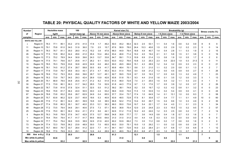| <b>Number</b> |                    | <b>Hectolitre mass</b> |       |      |      | 100             |      |      |                   |      |      | Kernel size (%) |      |      |                  |      |      |               | Breakability (g) |       |                |      |                | Stress cracks (%) |                |
|---------------|--------------------|------------------------|-------|------|------|-----------------|------|------|-------------------|------|------|-----------------|------|------|------------------|------|------|---------------|------------------|-------|----------------|------|----------------|-------------------|----------------|
| of            | Region             |                        | kg/hl |      |      | kernel mass (g) |      |      | Above 10 mm sieve |      |      | Above 8mm sieve |      |      | Below 8 mm sieve |      |      | < 6.3mm sieve |                  |       | < 4.75mm sieve |      |                |                   |                |
| samples       |                    | ave.                   | min.  | max. | ave. | min.            | max. | ave. | min.              | max. | ave. | min.            | max. | ave. | min.             | max. | ave. | min.          | max.             | ave.  | min.           | max. | ave.           | min.              | max.           |
|               | WHITE AND YELLOW   |                        |       |      |      |                 |      |      |                   |      |      |                 |      |      |                  |      |      |               |                  |       |                |      |                |                   |                |
| 3             | Region 8           | 78.3                   | 77.1  | 80.1 | 33.2 | 27.5            | 41.5 | 17.8 | 1.7               | 49.2 | 50.0 | 45.2            | 56.4 | 32.3 | 2.5              | 53.1 | 1.1  | 0.4           | 1.6              | 0.6   | 0.2            | 0.9  |                | 6                 | 9              |
| 11            | Region 10          | 79.1                   | 75.8  | 81.0 | 34.0 | 31.9            | 36.0 | 7.9  | 2.5               | 15.7 | 67.6 | 56.9            | 78.0 | 24.4 | 15.3             | 40.6 | 1.5  | 0.5           | 2.9              | 1.2   | 0.2            | 2.3  |                | $\mathbf 0$       | 14             |
| 35            | Region 11          | 78.3                   | 76.7  | 81.1 | 35.0 | 28.0            | 41.3 | 15.2 | 3.8               | 47.8 | 66.0 | 44.9            | 79.4 | 18.8 | 4.9              | 40.7 | 1.4  | 0.4           | 2.8              | 1.1   | 0.3            | 1.9  | 6              | $\overline{2}$    | 15             |
| 26            | Region 12          | 77.5                   | 72.8  | 80.2 | 34.4 | 28.6            | 41.0 | 26.4 | 10.4              | 48.4 | 63.4 | 46.6            | 71.4 | 10.2 | 4.5              | 19.4 | 2.1  | 0.1           | 5.8              | 1.5   | 0.1            | 3.8  |                | $\mathbf 0$       | 16             |
| 13            | Region 13          | 77.3                   | 75.2  | 78.9 | 34.4 | 30.9            | 39.6 | 24.3 | 13.7              | 33.8 | 64.7 | 59.1            | 71.3 | 10.9 | 6.9              | 21.4 | 1.3  | 0.6           | 1.9              | 1.0   | 0.5            | 1.7  |                | $\overline{2}$    | 8              |
| 32            | Region 14          | 77.5                   | 74.1  | 79.6 | 33.7 | 25.6            | 41.7 | 26.2 | 9.1               | 53.5 | 63.0 | 43.2            | 76.6 | 10.8 | 3.3              | 25.3 | 2.3  | 0.4           | 22.0             | 1.9   | 0.3            | 21.5 |                | $\mathbf 0$       | 11             |
| 15            | Region 15          | 78.5                   | 76.3  | 79.9 | 33.6 | 30.8            | 42.9 | 24.9 | 6.6               | 46.2 | 60.0 | 49.5            | 69.6 | 15.1 | 4.3              | 28.9 | 1.2  | 0.4           | 3.2              | 0.9   | 0.3            | 2.3  | 6              | $\mathbf 0$       | 21             |
| 16            | Region 16          | 78.1                   | 74.5  | 81.2 | 37.4 | 28.7            | 58.8 | 30.5 | 8.9               | 41.7 | 60.8 | 48.4            | 70.1 | 8.6  | 3.1              | 21.0 | 1.1  | 0.2           | 2.0              | 0.8   | 0.1            | 1.3  |                | $\overline{2}$    | $\overline{7}$ |
| 37            | Region 17          | 77.6                   | 73.9  | 79.7 | 35.6 | 30.3            | 43.1 | 27.3 | 4.7               | 45.3 | 63.3 | 51.4            | 75.6 | 9.4  | 0.8              | 21.2 | 1.3  | 0.0           | 4.5              | 0.9   | 0.0            | 2.7  | 6              | $\mathbf 1$       | 26             |
| 41            | Region 18          | 76.9                   | 73.2  | 79.3 | 35.5 | 29.6            | 39.6 | 28.7 | 12.7              | 45.1 | 62.7 | 59.5            | 72.8 | 8.7  | 3.5              | 19.3 | 1.7  | 0.5           | 6.0              | 1.3   | 0.2            | 4.9  |                | 1                 | 23             |
| 25            | Region 19          | 76.3                   | 73.9  | 79.7 | 34.5 | 29.3            | 42.4 | 26.9 | 13.9              | 42.8 | 63.8 | 51.8            | 75.1 | 9.3  | 4.4              | 21.6 | 1.6  | 0.1           | 3.5              | 1.2   | 0.0            | 3.3  |                | -1                | 13             |
| 26            | Region 20          | 75.1                   | 66.9  | 78.5 | 34.8 | 25.5            | 41.7 | 31.2 | 8.2               | 51.9 | 61.5 | 46.0            | 72.8 | 7.4  | 2.1              | 25.5 | 1.5  | 0.4           | 3.2              | 1.1   | 0.3            | 2.3  |                | 1                 | 9              |
| 30            | Region 21          | 77.5                   | 73.9  | 80.1 | 36.3 | 31.7            | 54.2 | 28.5 | 7.6               | 52.9 | 61.8 | 44.3            | 77.9 | 9.7  | 1.3              | 17.6 | 1.7  | 0.5           | 3.9              | 1.2   | 0.5            | 2.7  | 8              | $\overline{2}$    | 26             |
| 55            | Region 22          | 78.7                   | 73.8  | 81.6 | 37.8 | 32.4            | 51.1 | 32.5 | 5.5               | 51.2 | 59.2 | 38.1            | 74.8 | 8.2  | 3.5              | 19.7 | 1.2  | 0.2           | 4.2              | 0.8   | 0.1            | 3.2  |                | 0                 | 23             |
| 162           | Region 23          | 78.6                   | 70.8  | 81.7 | 36.4 | 24.0            | 50.5 | 30.0 | 2.4               | 53.2 | 58.6 | 33.9            | 74.6 | 11.5 | 1.5              | 53.9 | 1.3  | 0.2           | 5.4              | 0.9   | 0.0            | 4.1  |                | $\mathbf 0$       | 24             |
| 87            | Region 24          | 78.8                   | 73.8  | 83.2 | 35.6 | 26.7            | 62.9 | 24.9 | 0.4               | 65.5 | 57.7 | 33.4            | 73.7 | 17.4 | 1.0              | 64.9 | 1.4  | 0.1           | 13.1             | 1.0   | 0.0            | 8.3  |                | $\mathbf 0$       | 58             |
| 29            | Region 25          | 75.7                   | 63.8  | 80.2 | 32.9 | 23.7            | 45.8 | 18.6 | 5.3               | 40.9 | 63.9 | 48.5            | 72.8 | 17.5 | 8.1              | 30.8 | 1.7  | 0.4           | 7.7              | 1.1   | 0.1            | 4.9  | 10             | $\mathbf 0$       | 60             |
| 43            | Region 26          | 77.6                   | 71.2  | 80.1 | 34.4 | 28.1            | 39.9 | 19.8 | 3.6               | 38.5 | 66.8 | 52.2            | 77.6 | 13.4 | 6.0              | 29.7 | 1.5  | 0.4           | 8.6              | 1.0   | 0.3            | 4.9  |                | $\overline{2}$    | 30             |
| 25            | Region 27          | 77.4                   | 70.8  | 80.3 | 35.1 | 30.7            | 40.0 | 23.3 | 12.1              | 38.3 | 66.0 | 55.0            | 73.6 | 10.7 | 5.4              | 22.1 | 1.7  | 0.4           | 4.0              | 1.1   | 0.1            | 2.3  | 9              | -1                | 34             |
| 48            | Region 28          | 77.2                   | 73.5  | 79.4 | 34.6 | 29.1            | 40.6 | 27.5 | 7.3               | 57.1 | 60.5 | 36.8            | 75.4 | 12.0 | 2.5              | 24.8 | 2.3  | 0.3           | 15.0             | 1.5   | 0.2            | 9.5  | 11             | $\overline{2}$    | 57             |
| 25            | Region 29          | 77.6                   | 75.0  | 80.1 | 36.2 | 30.4            | 41.1 | 27.2 | 8.6               | 44.1 | 62.6 | 51.2            | 71.9 | 10.2 | 4.0              | 24.6 | 1.2  | 0.3           | 2.5              | 0.8   | 0.2            | 1.7  |                | $\overline{2}$    | 14             |
| 6             | Region 30          | 76.3                   | 74.8  | 78.9 | 37.6 | 34.7            | 42.9 | 37.5 | 12.7              | 59.8 | 54.8 | 35.8            | 77.7 | 7.7  | 3.6              | 14.9 | 0.8  | 0.4           | 1.8              | 0.7   | 0.3            | 1.6  | 3              | $\mathbf{0}$      | $\overline{7}$ |
| 1             | Region 31          | 79.4                   | 79.4  | 79.4 | 41.7 | 41.7            | 41.7 | 64.6 | 64.6              | 64.6 | 31.0 | 31.0            | 31.0 | 4.4  | 4.4              | 4.4  | 0.3  | 0.3           | 0.3              | 0.0   | 0.0            | 0.0  |                | 8                 | 8              |
| 12            | Region 32          | 77.7                   | 75.4  | 79.4 | 36.6 | 33.5            | 38.9 | 32.6 | 21.9              | 42.0 | 60.2 | 53.9            | 69.2 | 7.3  | 3.5              | 11.2 | 0.8  | 0.2           | 1.7              | 0.6   | 0.0            | 1.6  |                | $\overline{2}$    | 6              |
| 73            | Region 34          | 77.4                   | 72.3  | 79.8 | 36.2 | 23.9            | 48.9 | 30.0 | 7.0               | 65.5 | 60.0 | 33.0            | 75.1 | 10.0 | 1.5              | 29.2 | 1.1  | 0.0           | 3.2              | 0.8   | 0.0            | 2.8  |                |                   | 17             |
| 14            | Region 35          | 75.7                   | 69.0  | 79.7 | 33.7 | 28.4            | 41.2 | 22.0 | 7.7               | 41.1 | 64.1 | 54.7            | 72.6 | 14.0 | 2.2              | 28.4 | 2.1  | 0.7           | 6.8              | 1.7   | 0.5            | 6.8  |                | -1                | 12             |
| 10            | Region 36          | 78.8                   | 77.5  | 79.9 | 33.3 | 29.1            | 39.2 | 12.6 | 4.4               | 28.9 | 62.1 | 48.5            | 76.4 | 25.3 | 6.8              | 47.1 | 2.3  | 1.0           | 8.0              | 1.5   | 0.7            | 5.3  | 8              | 2                 | 30             |
| 900           | Ave w & y          | 77.8                   |       |      | 35.5 |                 |      | 26.6 |                   |      | 61.3 |                 |      | 12.1 |                  |      | 1.5  |               |                  | $1.1$ |                |      | $\overline{7}$ |                   |                |
|               | Min white & yellow |                        | 63.8  |      |      | 23.7            |      |      | 0.4               |      |      | 31.0            |      |      | 0.8              |      |      | 0.0           |                  |       | 0.0            |      |                | $\bf{0}$          |                |
|               | Max white & yellow |                        |       | 83.2 |      |                 | 62.9 |      |                   | 65.5 |      |                 | 79.4 |      |                  | 64.9 |      |               | 22.0             |       |                | 21.5 |                |                   | 60             |

#### **TABLE 20: PHYSICAL QUALITY FACTORS OF WHITE AND YELLOW MAIZE 2003/2004**

83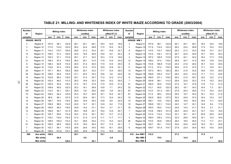| Number         |                       |       | <b>Milling index</b> |                |              | <b>Whiteness index</b> |              |      | <b>Whiteness index</b> |              | Number         |                       |       | <b>Milling index</b> |                |              | <b>Whiteness index</b> |              |      | Whiteness index |              |
|----------------|-----------------------|-------|----------------------|----------------|--------------|------------------------|--------------|------|------------------------|--------------|----------------|-----------------------|-------|----------------------|----------------|--------------|------------------------|--------------|------|-----------------|--------------|
| оf             | Region                |       |                      |                |              | unsifted               |              |      | sifted 87:13           |              | of             | Region                |       |                      |                |              | unsifted               |              |      | sifted 87:13    |              |
| samples        | <b>GRADE: WHITE</b>   | ave.  | min.                 | max.           | ave.         | min.                   | max.         | ave. | min.                   | max          | samples        | <b>GRADE: WM1</b>     | ave.  | min.                 | max            | ave.         | min.                   | max.         | ave. | min.            | max.         |
|                |                       | 107.6 |                      |                |              |                        |              | 18.4 |                        |              | 3              |                       | 107.6 | 98.1                 |                |              |                        |              | 18.4 |                 |              |
| 3<br>3         | Region 8<br>Region 10 | 117.9 | 98.1<br>114.5        | 122.9<br>123.2 | 26.1<br>26.2 | 25.1<br>23.4           | 28.1<br>28.8 | 17.5 | 16.5<br>15.4           | 19.8<br>19.3 | 3              | Region 8<br>Region 10 | 117.9 | 114.5                | 122.9<br>123.2 | 26.1<br>26.2 | 25.1<br>23.4           | 28.1<br>28.8 | 17.5 | 16.5<br>15.4    | 19.8<br>19.3 |
| 9              | Region 11             | 114.4 | 110.7                | 120.0          | 26.6         | 21.3                   | 33.4         | 16.1 | 10.6                   | 23.7         | 8              | Region 11             | 114.5 | 110.7                | 120.0          | 26.2         | 21.3                   | 33.4         | 16.8 | 13.7            | 23.7         |
| 14             | Region 12             | 109.3 | 91.3                 | 122.0          | 24.9         | 18.4                   | 30.9         | 16.8 | 8.2                    | 20.3         | 6              | Region 12             | 112.4 | 104.1                | 121.4          | 26.7         | 22.5                   | 30.9         | 19.1 | 16.9            | 20.3         |
| 8              | Region 13             | 102.3 | 91.1                 | 112.9          | 26.1         | 21.7                   | 34.2         | 16.3 | 11.6                   | 19.8         | 4              | Region 13             | 107.2 | 100.5                | 112.9          | 27.9         | 24.1                   | 34.2         | 18.4 | 17.3            | 19.8         |
| 21             | Region 14             | 108.3 | 97.4                 | 118.0          | 26.2         | 20.1                   | 31.0         | 17.8 | 13.4                   | 23.0         | 12             | Region 14             | 109.2 | 97.4                 | 118.0          | 26.6         | 22.7                   | 31.0         | 18.5 | 13.8            | 23.0         |
| 9              | Region 15             | 108.3 | 92.8                 | 114.5          | 25.5         | 21.4                   | 30.0         | 17.9 | 12.5                   | 25.5         | 6              | Region 15             | 110.8 | 106.8                | 113.8          | 25.2         | 21.8                   | 29.4         | 18.7 | 12.5            | 25.5         |
| 13             | Region 16             | 110.8 | 97.4                 | 116.0          | 26.4         | 21.5                   | 37.5         | 16.9 | 12.6                   | 23.1         | 11             | Region 16             | 111.0 | 97.4                 | 116.0          | 26.6         | 21.5                   | 37.5         | 17.1 | 12.6            | 23.1         |
| 24             | Region 17             | 107.1 | 96.3                 | 126.2          | 26.6         | 20.7                   | 33.2         | 17.7 | 13.0                   | 29.0         | 13             | Region 17             | 107.0 | 96.3                 | 126.2          | 28.3         | 21.6                   | 33.2         | 18.6 | 13.0            | 29.0         |
| 26             | Region 18             | 108.0 | 90.6                 | 116.0          | 27.1         | 20.3                   | 33.3         | 16.6 | 3.8                    | 24.6         | 14             | Region 18             | 109.8 | 105.2                | 114.7          | 28.2         | 22.5                   | 33.3         | 17.1 | 11.3            | 24.6         |
| 15             | Region 19             | 103.8 | 88.3                 | 118.0          | 25.1         | 21.5                   | 30.7         | 17.2 | 12.2                   | 21.4         | 8              | Region 19             | 108.5 | 101.1                | 118.0          | 26.2         | 21.5                   | 30.7         | 18.2 | 12.2            | 21.4         |
| 16             | Region 20             | 102.4 | 89.2                 | 113.3          | 26.2         | 19.9                   | 32.3         | 16.9 | 10.2                   | 20.5         | $\overline{7}$ | Region 20             | 104.8 | 98.1                 | 113.2          | 26.8         | 22.8                   | 32.3         | 17.9 | 15.2            | 20.2         |
| 29             | Region 21             | 105.9 | 93.9                 | 118.3          | 27.4         | 16.7                   | 37.6         | 17.5 | 10.0                   | 21.4         | 21             | Region 21             | 106.5 | 95.5                 | 115.8          | 27.4         | 16.7                   | 37.6         | 17.6 | 11.0            | 21.4         |
| 47             | Region 22             | 109.8 | 90.5                 | 122.3          | 25.2         | 16.1                   | 38.9         | 15.8 | 7.1                    | 24.0         | 33             | Region 22             | 112.1 | 90.5                 | 122.3          | 26.2         | 18.1                   | 34.3         | 16.4 | 7.3             | 20.1         |
| 140            | Region 23             | 112.5 | 92.1                 | 125.1          | 26.9         | 5.9                    | 39.0         | 16.8 | $-3.6$                 | 24.3         | 97             | Region 23             | 113.3 | 101.3                | 125.1          | 27.8         | 20.4                   | 39.0         | 17.3 | 10.4            | 24.3         |
| 70             | Region 24             | 109.4 | 64.4                 | 123.0          | 25.3         | 19.7                   | 35.2         | 16.1 | 10.2                   | 24.7         | 57             | Region 24             | 111.0 | 98.2                 | 123.0          | 25.5         | 19.7                   | 35.2         | 16.1 | 10.2            | 21.6         |
| 14             | Region 25             | 96.9  | 66.1                 | 127.0          | 31.9         | 24.6                   | 39.1         | 17.3 | 12.4                   | 24.3         | 10             | Region 25             | 102.5 | 86.6                 | 127.0          | 30.2         | 24.6                   | 37.4         | 16.4 | 12.4            | 19.7         |
| 19             | Region 26             | 106.7 | 79.5                 | 118.3          | 28.0         | 18.9                   | 36.3         | 15.8 | 9.9                    | 22.0         | 15             | Region 26             | 106.1 | 79.5                 | 118.3          | 28.8         | 18.9                   | 36.3         | 16.0 | 11.7            | 22.0         |
| 12             | Region 27             | 106.9 | 89.5                 | 114.0          | 24.5         | 14.7                   | 32.1         | 14.9 | 8.4                    | 17.6         | 10             | Region 27             | 108.8 | 103.1                | 114.0          | 24.0         | 14.7                   | 32.1         | 14.9 | 8.4             | 17.6         |
| 20             | Region 28             | 105.6 | 95.0                 | 118.0          | 24.8         | 14.4                   | 31.1         | 15.4 | 2.7                    | 21.1         | 16             | Region 28             | 105.0 | 95.0                 | 113.2          | 24.6         | 14.4                   | 31.1         | 15.3 | 2.7             | 21.1         |
| 12             | Region 29             | 109.9 | 94.7                 | 121.4          | 28.3         | 18.8                   | 34.1         | 16.5 | 13.5                   | 20.7         | $\overline{7}$ | Region 29             | 112.6 | 108.0                | 121.4          | 28.3         | 22.9                   | 34.1         | 15.7 | 13.5            | 18.4         |
| 3              | Region 30             | 105.7 | 99.6                 | 112.4          | 30.2         | 27.5                   | 32.1         | 18.7 | 13.7                   | 21.4         | 1              | Region 30             | 112.4 | 112.4                | 112.4          | 32.1         | 32.1                   | 32.1         | 20.9 | 20.9            | 20.9         |
| -1             | Region 31             | 116.2 | 116.2                | 116.2          | 21.4         | 21.4                   | 21.4         | 11.7 | 11.7                   | 11.7         | 4              | Region 32             | 109.0 | 105.2                | 114.3          | 32.3         | 29.9                   | 35.4         | 16.1 | 13.2            | 18.4         |
| 5              | Region 32             | 108.5 | 105.2                | 114.3          | 32.1         | 29.9                   | 35.4         | 17.3 | 13.2                   | 22.0         | 40             | Region 34             | 110.0 | 95.8                 | 129.4          | 28.4         | 18.0                   | 36.4         | 17.2 | 11.7            | 23.1         |
| 51             | Region 34             | 109.0 | 88.5                 | 129.4          | 27.9         | 18.0                   | 36.4         | 16.7 | 11.0                   | 23.1         | $\overline{7}$ | Region 35             | 102.7 | 95.1                 | 115.5          | 30.6         | 24.6                   | 34.0         | 19.5 | 16.1            | 25.6         |
| $\overline{7}$ | Region 35             | 102.7 | 95.1                 | 115.5          | 30.6         | 24.6                   | 34.0         | 19.5 | 16.1                   | 25.6         | 6              | Region 36             | 109.7 | 101.9                | 114.7          | 27.8         | 23.9                   | 30.4         | 18.0 | 15.5            | 20.9         |
| 8              | Region 36             | 108.6 | 101.9                | 114.7          | 28.6         | 23.9                   | 33.5         | 17.4 | 15.5                   | 20.9         |                |                       |       |                      |                |              |                        |              |      |                 |              |
| 599            | Ave white             | 108.8 |                      |                | 26.7         |                        |              | 16.7 |                        |              | 419            | Ave WM                | 110.2 |                      |                | 27.2         |                        |              | 17.0 |                 |              |
|                | Min white             |       | 64.4                 |                |              | 5.9                    |              |      | $-3.6$                 |              |                | Min WM                |       | 79.5                 |                |              | 14.4                   |              |      | 2.7             |              |
|                | <b>Max white</b>      |       |                      | 129.4          |              |                        | 39.1         |      |                        | 29.0         |                | Max WM 1              |       |                      | 129.4          |              |                        | 39.0         |      |                 | 29.0         |

## **TABLE 21: MILLING- AND WHITENESS INDEX OF WHITE MAIZE ACCORDING TO GRADE (2003/2004)**

ن<br>0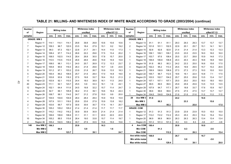| <b>Number</b><br>of | Region             |       | <b>Milling index</b> |       |      | <b>Whiteness index</b><br>unsifted |      |      | <b>Whiteness index</b><br>sifted 87:13 |      | <b>Number</b><br>of      | Region            |       | <b>Milling index</b> |       |      | <b>Whiteness index</b><br>unsifted |      |        | <b>Whiteness index</b><br>sifted 87:13 |        |
|---------------------|--------------------|-------|----------------------|-------|------|------------------------------------|------|------|----------------------------------------|------|--------------------------|-------------------|-------|----------------------|-------|------|------------------------------------|------|--------|----------------------------------------|--------|
| samples             |                    | ave.  | min.                 | max.  | ave. | min.                               | max. | ave. | min.                                   | max. | samples                  |                   | ave.  | min.                 | max.  | ave. | min.                               | max. | ave.   | min.                                   | max.   |
|                     | <b>GRADE: WM 2</b> |       |                      |       |      |                                    |      |      |                                        |      |                          | <b>GRADE: WM3</b> |       |                      |       |      |                                    |      |        |                                        |        |
| 1                   | Region 11          | 114.1 | 114.1                | 114.1 | 29.8 | 39.8                               | 29.8 | 10.6 | 10.6                                   | 10.6 |                          | Region 13         | 91.1  | 91.1                 | 91.1  | 29.3 | 29.3                               | 29.3 | 13.7   | 13.7                                   | 13.7   |
| $\overline{7}$      | Region 12          | 109.3 | 96.7                 | 122.0 | 23.5 | 18.4                               | 27.9 | 15.1 | 8.2                                    | 19.2 | $\overline{2}$           | Region 14         | 101.8 | 101.1                | 102.5 | 22.9 | 20.1                               | 25.7 | 15.1   | 14.1                                   | 16.1   |
| 3                   | Region 13          | 99.3  | 97.3                 | 102.1 | 22.8 | 21.7                               | 24.1 | 14.4 | 11.6                                   | 17.3 | $\overline{1}$           | Region 15         | 92.8  | 92.8                 | 92.8  | 21.4 | 21.4                               | 21.4 | 13.3   | 13.3                                   | 13.3   |
| $\overline{7}$      | Region 14          | 108.4 | 97.7                 | 114.2 | 26.6 | 22.2                               | 29.6 | 17.5 | 13.4                                   | 20.2 | $\mathbf 1$              | Region 16         | 109.1 | 109.1                | 109.1 | 23.5 | 23.5                               | 23.5 | 16.0   | 16.0                                   | 16.0   |
| $\overline{2}$      | Region 15          | 108.5 | 102.5                | 114.5 | 28.4 | 26.8                               | 30.0 | 17.8 | 15.7                                   | 20.0 | 3                        | Region 17         | 103.7 | 97.6                 | 108.4 | 25.5 | 23.7                               | 28.8 | 15.9   | 14.6                                   | 17.3   |
| 1                   | Region 16          | 110.5 | 110.5                | 110.5 | 26.6 | 26.6                               | 26.6 | 15.9 | 15.9                                   | 15.9 |                          | Region 18         | 106.8 | 106.8                | 106.8 | 20.3 | 20.3                               | 20.3 | 18.8   | 18.8                                   | 18.8   |
| $\overline{7}$      | Region 17          | 108.0 | 98.1                 | 113.1 | 24.0 | 20.7                               | 26.9 | 17.2 | 13.3                                   | 23.7 | $\overline{2}$           | Region 19         | 91.8  | 88.3                 | 95.3  | 24.2 | 23.3                               | 25.0 | 16.6   | 15.6                                   | 17.5   |
| 11                  | Region 18          | 105.8 | 90.6                 | 116.0 | 26.3 | 21.8                               | 29.6 | 15.7 | 3.8                                    | 23.5 | 3                        | Region 20         | 102.2 | 95.2                 | 113.3 | 25.5 | 19.9                               | 29.5 | 15.7   | 10.2                                   | 20.5   |
| 5                   | Region 19          | 101.2 | 97.1                 | 103.2 | 23.9 | 21.8                               | 26.7 | 15.9 | 13.5                                   | 18.3 | -1                       | Region 21         | 106.9 | 106.9                | 106.9 | 27.3 | 27.3                               | 27.3 | 10.0   | 10.0                                   | 10.0   |
| 5                   | Region 20          | 100.4 | 89.2                 | 109.5 | 25.7 | 21.6                               | 28.4 | 17.0 | 14.8                                   | 19.0 | $\overline{\mathcal{L}}$ | Region 22         | 105.7 | 96.7                 | 112.0 | 18.6 | 16.1                               | 22.4 | 10.8   | 7.1                                    | 17.5   |
| $\overline{7}$      | Region 21          | 103.8 | 93.9                 | 118.3 | 27.5 | 19.8                               | 33.7 | 18.4 | 15.2                                   | 21.3 | $\overline{2}$           | Region 23         | 103.5 | 102.7                | 104.2 | 25.7 | 25.5                               | 25.8 | 13.5   | 13.4                                   | 13.7   |
| 10                  | Region 22          | 103.9 | 92.1                 | 110.5 | 24.4 | 18.0                               | 38.9 | 16.1 | 11.5                                   | 24.0 |                          | Region 24         | 107.1 | 107.1                | 107.1 | 25.0 | 25.0                               | 25.0 | 18.0   | 18.0                                   | 18.0   |
| 40                  | Region 23          | 111.1 | 92.1                 | 123.7 | 25.5 | 5.9                                | 33.3 | 16.1 | 1.6                                    | 24.1 | -1                       | Region 27         | 89.5  | 89.5                 | 89.5  | 25.9 | 25.9                               | 25.9 | 13.5   | 13.5                                   | 13.5   |
| 12                  | Region 24          | 102.1 | 64.4                 | 111.6 | 24.5 | 19.8                               | 32.2 | 15.7 | 11.4                                   | 24.7 | 3                        | Region 29         | 107.9 | 94.7                 | 117.1 | 26.7 | 18.8                               | 33.7 | 17.6   | 15.9                                   | 19.7   |
| 4                   | Region 25          | 82.7  | 66.1                 | 105.8 | 36.2 | 31.0                               | 39.1 | 19.6 | 16.4                                   | 24.3 | $\overline{\mathbf{1}}$  | Region 30         | 99.6  | 99.6                 | 99.6  | 27.5 | 27.5                               | 27.5 | 13.7   | 13.7                                   | 13.7   |
| 4                   | Region 26          | 108.7 | 99.1                 | 114.0 | 24.7 | 21.2                               | 27.8 | 15.0 | 9.9                                    | 20.0 |                          | Region 34         | 104.8 | 104.8                | 104.8 | 21.6 | 21.6                               | 21.6 | 11.0   | 11.0                                   | 11.0   |
| 1                   | Region 27          | 104.6 | 104.6                | 104.6 | 28.4 | 28.4                               | 28.4 | 15.9 | 15.9                                   | 15.9 | 28                       | Ave WM 3          | 91.8  |                      |       | 24.2 |                                    |      | 16.6   |                                        |        |
| 4                   | Region 28          | 107.9 | 101.1                | 118.0 | 25.6 | 23.6                               | 27.9 | 15.9 | 13.8                                   | 18.2 |                          | Min WM 3          |       | 88.3                 |       |      | 23.3                               |      |        | 15.6                                   |        |
| $\overline{2}$      | Region 29          | 103.6 | 99.7                 | 107.5 | 30.6 | 30.6                               | 30.7 | 17.4 | 14.1                                   | 20.7 |                          | Max WM 3          |       |                      | 95.3  |      |                                    | 25.0 |        |                                        | 17.5   |
| 1                   | Region 30          | 105.2 | 105.2                | 105.2 | 21.4 | 21.4                               | 21.4 | 11.7 | 11.7                                   | 11.7 |                          | <b>GRADE: COM</b> |       |                      |       |      |                                    |      |        |                                        |        |
| 1                   | Region 31          | 116.2 | 116.2                | 116.2 | 30.9 | 30.9                               | 30.9 | 21.4 | 21.4                                   | 21.4 |                          | Region 12         | 91.3  | 91.3                 | 91.3  | 23.9 | 23.9                               | 23.9 | 15.0   | 15.0                                   | 15.0   |
| 1                   | Region 32          | 106.6 | 106.6                | 106.6 | 31.1 | 31.1                               | 31.1 | 22.0 | 22.0                                   | 22.0 | -1                       | Region 17         | 112.2 | 112.2                | 112.2 | 25.3 | 25.3                               | 25.3 | 15.4   | 15.4                                   | 15.4   |
| 10                  | Region 34          | 105.2 | 88.5                 | 115.6 | 26.4 | 19.0                               | 33.8 | 15.7 | 11.4                                   | 19.7 | -1                       | Region 20         | 96.9  | 96.9                 | 96.9  | 26.3 | 26.3                               | 26.3 | 13.4   | 13.4                                   | 13.4   |
| $\overline{2}$      | Region 36          | 105.4 | 102.5                | 108.2 | 30.7 | 27.9                               | 33.5 | 15.6 | 15.5                                   | 15.6 |                          | Region 23         | 101.3 | 101.3                | 101.3 | 8.3  | 8.3                                | 8.3  | $-3.6$ | $-3.7$                                 | $-3.8$ |
| 148                 | Ave WM 2           | 106.3 |                      |       | 25.9 |                                    |      | 16.3 |                                        |      | 4                        | Ave COM           | 100.4 |                      |       | 20.9 |                                    |      | 10.0   |                                        |        |
|                     | Min WM 2           |       | 64.4                 |       |      | 5.9                                |      |      | 1.6                                    |      |                          | <b>Min COM</b>    |       | 91.3                 |       |      | 8.3                                |      |        | $-3.6$                                 |        |
|                     | Max WM 2           |       |                      | 123.7 |      |                                    | 39.1 |      |                                        | 24.7 |                          | <b>Max COM</b>    |       |                      | 112.2 |      |                                    | 26.3 |        |                                        | 15.4   |
|                     |                    |       |                      |       |      |                                    |      |      |                                        |      |                          | Ave white maize   | 108.8 |                      |       | 26.7 |                                    |      | 16.7   |                                        |        |
|                     |                    |       |                      |       |      |                                    |      |      |                                        |      |                          | Min white maize   |       | 64.4                 |       |      | 5.9                                |      |        | $-3.6$                                 |        |
|                     |                    |       |                      |       |      |                                    |      |      |                                        |      |                          | Max white maize   |       |                      | 129.4 |      |                                    | 39.1 |        |                                        | 29.0   |

## **TABLE 21: MILLING- AND WHITENESS INDEX OF WHITE MAIZE ACCORDING TO GRADE (2003/2004) (continue)**

4 0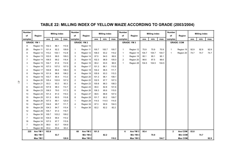| TABLE 22: MILLING INDEX OF YELLOW MAIZE ACCORDING TO GRADE (2003/2004) |  |
|------------------------------------------------------------------------|--|
|                                                                        |  |

| <b>Number</b><br>of | Region            |       | <b>Milling index</b> |       | <b>Number</b><br>οf | Region             |       | <b>Milling index</b> |       | <b>Number</b><br>of | Region             |       | <b>Milling index</b> |       | <b>Number</b><br>of | Region            |      | <b>Milling index</b> |      |
|---------------------|-------------------|-------|----------------------|-------|---------------------|--------------------|-------|----------------------|-------|---------------------|--------------------|-------|----------------------|-------|---------------------|-------------------|------|----------------------|------|
| samples             |                   | ave.  | min.                 | max.  | samples             |                    | ave.  | min.                 | max.  | samples             |                    | ave.  | min.                 | max.  | samples             |                   | ave. | min.                 | max. |
|                     | <b>GRADE: YM1</b> |       |                      |       |                     | <b>GRADE: YM 2</b> |       |                      |       |                     | <b>GRADE: YM 3</b> |       |                      |       |                     | <b>GRADE: COM</b> |      |                      |      |
| 8                   | Region 10         | 102.3 | 88.1                 | 110.9 |                     | Region 10          |       |                      |       |                     |                    |       |                      |       |                     |                   |      |                      |      |
| 25                  | Region 11         | 101.4 | 92.2                 | 109.9 |                     | Region 11          | 100.7 | 100.7                | 100.7 | $\mathbf{1}$        | Region 12          | 70.9  | 70.9                 | 70.9  | 1                   | Region 19         | 92.9 | 92.9                 | 92.9 |
| 8                   | Region 12         | 110.2 | 104.1                | 112.8 | 3                   | Region 12          | 106.0 | 93.2                 | 119.2 | $\mathbf{1}$        | Region 14          | 104.7 | 104.7                | 104.7 | $\mathbf{1}$        | Region 20         | 74.7 | 74.7                 | 74.7 |
| 5                   | Region 13         | 103.5 | 99.5                 | 109.3 | 3                   | Region 14          | 97.5  | 94.0                 | 99.9  | $\mathbf{1}$        | Region 18          | 95.1  | 95.1                 | 95.1  |                     |                   |      |                      |      |
| $\overline{7}$      | Region 14         | 106.5 | 99.2                 | 116.4 | 3                   | Region 15          | 102.3 | 98.9                 | 105.0 | 2                   | Region 20          | 98.6  | 97.5                 | 99.6  |                     |                   |      |                      |      |
| 3                   | Region 15         | 104.7 | 91.6                 | 112.9 | $\overline{2}$      | Region 16          | 95.2  | 93.5                 | 96.9  | 1                   | Region 28          | 104.5 | 104.5                | 104.5 |                     |                   |      |                      |      |
| $\mathbf{1}$        | Region 16         | 107.0 | 107.0                | 107.0 | 9                   | Region 17          | 101.3 | 86.1                 | 110.5 |                     |                    |       |                      |       |                     |                   |      |                      |      |
| 4                   | Region 17         | 100.8 | 89.4                 | 106.3 | 6                   | Region 18          | 104.2 | 96.5                 | 111.7 |                     |                    |       |                      |       |                     |                   |      |                      |      |
| 8                   | Region 18         | 101.9 | 96.6                 | 106.2 | 4                   | Region 19          | 105.9 | 93.3                 | 115.3 |                     |                    |       |                      |       |                     |                   |      |                      |      |
| 5                   | Region 19         | 103.7 | 90.4                 | 113.3 | 4                   | Region 20          | 101.3 | 96.1                 | 108.1 |                     |                    |       |                      |       |                     |                   |      |                      |      |
| 3                   | Region 20         | 105.4 | 102.6                | 107.2 | $\overline{2}$      | Region 22          | 102.5 | 97.7                 | 107.3 |                     |                    |       |                      |       |                     |                   |      |                      |      |
| $\mathbf{1}$        | Region 21         | 93.3  | 93.3                 | 93.3  | 4                   | Region 23          | 100.8 | 88.3                 | 108.3 |                     |                    |       |                      |       |                     |                   |      |                      |      |
| 6                   | Region 22         | 107.8 | 98.3                 | 114.7 | 4                   | Region 24          | 95.0  | 82.8                 | 101.6 |                     |                    |       |                      |       |                     |                   |      |                      |      |
| 18                  | Region 23         | 106.5 | 79.0                 | 117.3 | 6                   | Region 26          | 106.3 | 95.6                 | 115.0 |                     |                    |       |                      |       |                     |                   |      |                      |      |
| 13                  | Region 24         | 101.4 | 81.0                 | 119.3 | 3                   | Region 27          | 99.5  | 88.8                 | 107.4 |                     |                    |       |                      |       |                     |                   |      |                      |      |
| 15                  | Region 25         | 101.3 | 80.5                 | 110.8 | 8                   | Region 28          | 101.7 | 90.2                 | 109.7 |                     |                    |       |                      |       |                     |                   |      |                      |      |
| 18                  | Region 26         | 107.5 | 89.1                 | 120.9 | -1                  | Region 29          | 114.5 | 114.5                | 114.5 |                     |                    |       |                      |       |                     |                   |      |                      |      |
| 10                  | Region 27         | 104.6 | 95.7                 | 111.7 | 4                   | Region 34          | 97.3  | 90.9                 | 104.3 |                     |                    |       |                      |       |                     |                   |      |                      |      |
| 19                  | Region 28         | 104.3 | 84.7                 | 115.4 | -1                  | Region 36          | 82.2  | 82.2                 | 82.2  |                     |                    |       |                      |       |                     |                   |      |                      |      |
| 12                  | Region 29         | 105.7 | 91.0                 | 118.7 |                     |                    |       |                      |       |                     |                    |       |                      |       |                     |                   |      |                      |      |
| 3                   | Region 30         | 105.7 | 103.2                | 109.2 |                     |                    |       |                      |       |                     |                    |       |                      |       |                     |                   |      |                      |      |
| $\overline{7}$      | Region 32         | 104.5 | 99.4                 | 110.2 |                     |                    |       |                      |       |                     |                    |       |                      |       |                     |                   |      |                      |      |
| 18                  | Region 34         | 107.0 | 97.7                 | 115.9 |                     |                    |       |                      |       |                     |                    |       |                      |       |                     |                   |      |                      |      |
| $\overline{7}$      | Region 35         | 88.0  | 53.7                 | 104.6 |                     |                    |       |                      |       |                     |                    |       |                      |       |                     |                   |      |                      |      |
| -1                  | Region 36         | 93.4  | 93.4                 | 93.4  |                     |                    |       |                      |       |                     |                    |       |                      |       |                     |                   |      |                      |      |
| 225                 | Ave YM 1          | 103.9 |                      |       | 68                  | Ave YM 2           | 101.5 |                      |       | 6                   | Ave YM 3           | 95.4  |                      |       | $\mathbf{2}$        | Ave COM           | 83.8 |                      |      |
|                     | Min YM 1          |       | 53.7                 |       |                     | Min YM 2           |       | 82.2                 |       |                     | Min YM 3           |       | 70.9                 |       |                     | <b>Min COM</b>    |      | 74.7                 |      |
|                     | Max YM 1          |       |                      | 120.9 |                     | Max YM 2           |       |                      | 119.2 |                     | Max YM 3           |       |                      | 104.7 |                     | Max COM           |      |                      | 92.9 |

 $\overline{41}$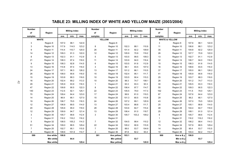#### **Number Number Number of Region of Region of Region** samples | | ave. | min. | max. || samples | | ave. | min. | max. || samples | | ave. | min. | max. 3 Region 8 107.0 98.1 122.9 Region 8 3 Region 8 107.6 98.1 122.9 3 Region 10 117.9 114.5 123.2 8 Region 10 102.3 88.1 110.9 11 Region 10 106.6 88.1 123.2 9 Region 11 114.4 110.7 120.0 26 Region 11 101.4 92.2 109.9 35 Region 11 104.8 92.2 120.0 14 Region 12 109.3 91.3 122.0 12 Region 12 105.9 70.9 119.2 26 Region 12 107.7 70.9 122.0 8 Region 13 102.3 91.1 112.9 5 Region 13 103.5 99.5 109.3 13 Region 13 102.7 91.1 112.9 21 Region 14 108.3 97.4 118.0 11 Region 14 103.9 94.0 116.4 32 Region 14 106.7 94.0 118.0 9 Region 15 108.3 92.8 114.5 6 Region 15 103.5 91.6 112.9 15 Region 15 106.3 91.6 114.5 13 Region 16 110.8 97.4 116.0 3 Region 16 99.1 93.5 107.0 16 Region 16 108.6 93.5 116.0 24 Region 17 | 107.1 96.3 126.2 || 13 Region 17 | 110.5 87 Region 17 | 105.0 86.1 126.2 26 Region 18 108.0 90.6 116.0 15 Region 18 102.4 95.1 111.7 41 Region 18 105.9 90.6 116.0 15 Region 19 103.8 88.3 118.0 10 Region 19 103.5 90.4 115.3 25 Region 19 103.7 88.3 118.0 16 Region 20 102.4 89.2 113.3 10 Region 20 99.3 74.7 108.1 26 Region 20 101.2 74.7 113.3 29 Region 21 105.9 93.9 118.3 1 Region 21 93.3 93.3 93.3 30 Region 21 105.5 93.3 118.3 47 Region 22 | 109.8 90.5 122.3 || 8 Region 22 | 104.4 97.7 114.7 || 55 Region 22 | 109.3 90.5 122.3 140 Region 23 112.5 92.1 125.1 22 Region 23 105.5 79.0 117.3 162 Region 23 111.5 79.0 125.1 70 Region 24 109.4 64.4 123.0 17 Region 24 99.9 81.0 119.3 87 Region 24 107.6 64.4 123.0 14 Region 25 96.9 66.1 127.0 15 Region 25 101.3 80.5 110.8 29 Region 25 99.2 66.1 127.0 19 Region 26 106.7 79.5 118.3 24 Region 26 107.2 89.1 120.9 43 Region 26 107.0 79.5 120.9 12 Region 27 106.9 89.5 114.0 13 Region 27 103.4 88.8 111.7 25 Region 27 105.1 88.8 114.0 20 Region 28 105.6 95.0 118.0 28 Region 28 103.6 84.7 115.4 48 Region 28 104.4 84.7 118.0 12 Region 29 109.9 94.7 121.4 13 Region 29 106.4 91.0 118.7 25 Region 29 108.1 91.0 121.4 3 Region 30 105.7 99.6 112.4 3 Region 30 105.7 103.2 109.2 6 Region 30 105.7 99.6 112.4 1 Region 31 116.2 116.2 116.2 Region 31 1 Region 31 116.2 116.2 116.2 5 Region 32 108.5 105.2 114.3 7 Region 32 104.5 99.4 110.2 12 Region 32 106.2 99.4 114.3 51 Region 34 109.0 88.5 129.4 22 Region 34 105.2 90.9 115.9 73 Region 34 107.9 88.5 129.4 7 Region 25 102.7 95.1 115.5 7 Region 25 88.0 53.7 104.6 14 Region 25 95.4 53.7 115.5 8 Region 36 108.6 101.9 114.7 2 Region 36 87.8 82.2 93.4 10 Region 36 104.4 82.2 114.7 **108.8 103.1 106.9 YELLOW 301 Ave yellow Milling index Milling index Milling index WHITE & YELLOW 900 Ave w & y WHITE 599 Ave white**

**Min yellow**

**64.4 53.7 53.7**

**129.4 120.9 129.4**

**Max yellow Max w & y** 

**Min w & y**

### **TABLE 23: MILLING INDEX OF WHITE AND YELLOW MAIZE (2003/2004)**

**Min white Max white**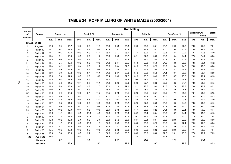| TABLE 24: ROFF MILLING OF WHITE MAIZE (2003/2004) |  |  |  |  |
|---------------------------------------------------|--|--|--|--|
|---------------------------------------------------|--|--|--|--|

|                                |                     | <b>Roff Milling</b> |            |      |      |            |      |      |            |      |      |          |      |      |              |      |                      |       |        |
|--------------------------------|---------------------|---------------------|------------|------|------|------------|------|------|------------|------|------|----------|------|------|--------------|------|----------------------|-------|--------|
| <b>Number</b><br>of<br>samples | Region              |                     | Break 1, % |      |      | Break 2, % |      |      | Break 3, % |      |      | Grits, % |      |      | Bran/Germ, % |      | <b>Extraction. %</b> | meal) | (Total |
|                                |                     | ave.                | min.       | max. | ave. | min.       | max. | ave. | min.       | max. | ave. | min.     | max. | ave. | min.         | max. | ave.                 | min.  | max.   |
|                                | <b>GRADE: WHITE</b> |                     |            |      |      |            |      |      |            |      |      |          |      |      |              |      |                      |       |        |
| 3                              | Region 8            | 13.3                | 9.9        | 15.7 | 10.7 | 9.9        | 11.1 | 25.0 | 23.8       | 25.8 | 29.3 | 26.6     | 33.1 | 21.7 | 20.9         | 22.8 | 78.3                 | 77.2  | 79.1   |
| 3                              | Region 10           | 11.7                | 10.2       | 12.8 | 10.2 | 9.8        | 10.4 | 25.9 | 25.1       | 26.3 | 31.2 | 28.9     | 33.3 | 21.0 | 19.8         | 21.7 | 79.0                 | 78.3  | 80.2   |
| 9                              | Region 11           | 11.4                | 10.7       | 12.3 | 10.9 | 9.9        | 14.1 | 25.9 | 24.3       | 28.1 | 31.4 | 30.2     | 33.7 | 20.3 | 18.1         | 22.2 | 79.7                 | 77.8  | 81.9   |
| 14                             | Region 12           | 11.3                | 9.1        | 13.8 | 10.3 | 9.6        | 11.7 | 25.0 | 23.0       | 26.7 | 32.1 | 27.8     | 35.2 | 21.3 | 19.4         | 24.4 | 77.0                 | 54.4  | 80.6   |
| 8                              | Region 13           | 12.0                | 10.8       | 14.0 | 10.5 | 9.9        | 11.9 | 24.7 | 23.7       | 25.8 | 31.3 | 28.0     | 33.5 | 21.4 | 19.3         | 22.9 | 78.6                 | 77.1  | 80.7   |
| 21                             | Region 14           | 11.5                | 9.5        | 13.6 | 10.3 | 9.6        | 10.9 | 24.8 | 23.4       | 26.5 | 31.9 | 29.3     | 35.8 | 21.5 | 18.8         | 23.6 | 78.5                 | 76.4  | 81.2   |
| 9                              | Region 15           | 11.3                | 10.1       | 11.7 | 10.4 | 9.5        | 11.7 | 25.8 | 23.4       | 27.2 | 31.5 | 30.6     | 32.9 | 21.0 | 19.4         | 24.7 | 79.0                 | 75.3  | 80.6   |
| 13                             | Region 16           | 11.2                | 9.9        | 12.9 | 10.1 | 9.5        | 10.6 | 25.2 | 22.9       | 26.7 | 32.2 | 29.6     | 35.4 | 21.3 | 18.2         | 25.2 | 78.7                 | 74.8  | 81.8   |
| 24                             | Region 17           | 11.9                | 8.9        | 13.3 | 10.3 | 9.4        | 11.1 | 24.9 | 23.1       | 27.0 | 31.5 | 29.3     | 35.3 | 21.4 | 19.1         | 23.3 | 78.6                 | 76.7  | 80.9   |
| 26                             | Region 18           | 12.0                | 9.9        | 14.0 | 10.8 | 9.9        | 15.3 | 25.4 | 23.6       | 27.7 | 31.3 | 28.7     | 34.5 | 20.5 | 18.7         | 23.6 | 79.5                 | 76.4  | 81.3   |
| 15                             | Region 19           | 12.2                | 10.3       | 13.9 | 10.5 | 9.9        | 11.2 | 25.1 | 23.3       | 26.5 | 30.9 | 28.9     | 34.8 | 21.3 | 18.8         | 24.3 | 78.7                 | 75.7  | 81.2   |
| 16                             | Region 20           | 12.4                | 9.8        | 14.5 | 10.4 | 8.8        | 11.1 | 24.4 | 22.9       | 27.0 | 30.8 | 27.7     | 33.2 | 22.0 | 18.5         | 24.7 | 78.0                 | 75.3  | 81.5   |
| 29                             | Region 21           | 11.9                | 9.8        | 13.6 | 10.3 | 9.8        | 11.0 | 25.0 | 21.6       | 27.1 | 31.1 | 28.5     | 33.9 | 21.6 | 17.8         | 27.3 | 78.4                 | 72.7  | 82.2   |
| 47                             | Region 22           | 11.0                | 8.7        | 13.0 | 10.1 | 9.3        | 11.0 | 25.4 | 22.6       | 27.7 | 32.8 | 28.9     | 36.0 | 20.7 | 18.6         | 24.8 | 79.3                 | 75.2  | 81.4   |
| 140                            | Region 23           | 10.9                | 9.0        | 13.3 | 10.0 | 9.1        | 11.7 | 25.5 | 22.5       | 29.1 | 32.8 | 28.9     | 35.7 | 20.9 | 17.7         | 25.0 | 79.1                 | 75.0  | 82.3   |
| 70                             | Region 24           | 11.3                | 9.0        | 16.7 | 10.0 | 7.1        | 11.3 | 25.7 | 21.5       | 28.4 | 32.5 | 24.1     | 36.7 | 20.5 | 17.7         | 26.4 | 79.5                 | 73.6  | 82.3   |
| 14                             | Region 25           | 14.2                | 11.7       | 18.9 | 10.6 | 9.6        | 12.1 | 23.7 | 20.1       | 26.1 | 28.6 | 21.5     | 33.0 | 22.9 | 19.0         | 29.8 | 77.1                 | 70.2  | 81.0   |
| 19                             | Region 26           | 11.7                | 9.8        | 14.3 | 10.2 | 9.6        | 10.8 | 24.6 | 22.8       | 26.2 | 32.0 | 27.0     | 35.9 | 21.5 | 19.0         | 24.0 | 78.5                 | 76.0  | 81.0   |
| 12                             | Region 27           | 11.7                | 9.0        | 14.0 | 10.1 | 9.0        | 10.9 | 25.4 | 23.4       | 26.9 | 31.6 | 29.1     | 34.6 | 21.2 | 19.4         | 24.0 | 78.8                 | 76.0  | 80.6   |
| 20                             | Region 28           | 12.0                | 10.5       | 13.9 | 10.4 | 9.8        | 10.9 | 25.1 | 23.5       | 26.9 | 31.1 | 28.9     | 32.2 | 21.4 | 18.9         | 23.1 | 78.6                 | 76.9  | 81.1   |
| 12                             | Region 29           | 12.6                | 11.0       | 14.1 | 10.5 | 10.0       | 10.9 | 24.6 | 22.8       | 26.0 | 30.7 | 26.4     | 33.4 | 21.5 | 18.7         | 24.4 | 78.5                 | 75.6  | 81.3   |
| 3                              | Region 30           | 12.0                | 11.3       | 12.8 | 10.8 | 10.3       | 11.1 | 24.1 | 23.5       | 24.6 | 30.7 | 29.6     | 32.9 | 22.4 | 21.2         | 23.0 | 77.6                 | 77.0  | 78.8   |
| $\mathbf{1}$                   | Region 31           | 10.8                | 10.8       | 10.8 | 9.9  | 9.9        | 9.9  | 25.9 | 25.9       | 25.9 | 33.4 | 33.4     | 33.4 | 20.0 | 20.0         | 20.0 | 80.0                 | 80.0  | 80.0   |
| 5                              | Region 32           | 12.3                | 11.5       | 13.6 | 10.6 | 10.3       | 11.0 | 24.8 | 23.3       | 26.6 | 30.8 | 29.6     | 32.2 | 21.5 | 19.5         | 22.4 | 78.5                 | 77.6  | 80.5   |
| 51                             | Region 34           | 12.2                | 9.1        | 15.6 | 10.4 | 9.8        | 11.8 | 24.9 | 23.1       | 28.2 | 31.0 | 26.8     | 34.9 | 21.5 | 18.6         | 23.5 | 78.5                 | 76.5  | 81.4   |
| $\overline{7}$                 | Region 35           | 12.5                | 10.8       | 13.8 | 10.3 | 9.9        | 10.8 | 24.4 | 23.5       | 25.9 | 30.5 | 29.2     | 32.2 | 22.3 | 20.6         | 23.5 | 77.7                 | 76.5  | 79.4   |
| 8                              | Region 36           | 12.4                | 9.8        | 13.8 | 10.5 | 9.7        | 11.3 | 24.8 | 23.9       | 25.7 | 30.2 | 28.3     | 33.0 | 22.2 | 20.1         | 23.9 | 77.8                 | 76.1  | 79.9   |
| 599                            | Ave white           | 11.6                |            |      | 10.3 |            |      | 25.2 |            |      | 31.8 |          |      | 21.2 |              |      | 78.8                 |       |        |
|                                | Min white           |                     | 8.7        |      |      | 7.1        |      |      | 20.1       |      |      | 21.5     |      |      | 17.7         |      |                      | 54.4  |        |
|                                | <b>Max white</b>    |                     |            | 18.9 |      |            | 15.3 |      |            | 29.1 |      |          | 36.7 |      |              | 29.8 |                      |       | 82.3   |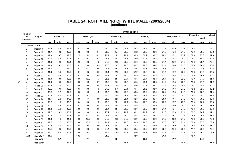#### **TABLE 24: ROFF MILLING OF WHITE MAIZE (2003/2004) (continue)**

|                                |                   | <b>Roff Milling</b> |            |      |      |            |      |      |            |      |      |          |      |      |              |      |               |       |        |
|--------------------------------|-------------------|---------------------|------------|------|------|------------|------|------|------------|------|------|----------|------|------|--------------|------|---------------|-------|--------|
| <b>Number</b><br>of<br>samples | Region            |                     | Break 1, % |      |      | Break 2, % |      |      | Break 3, % |      |      | Grits, % |      |      | Bran/Germ, % |      | Extraction, % | meal) | (Total |
|                                |                   | ave.                | min.       | max. | ave. | min.       | max. | ave. | min.       | max. | ave. | min.     | max. | ave. | min.         | max. | ave.          | min.  | max.   |
|                                | <b>GRADE: WM1</b> |                     |            |      |      |            |      |      |            |      |      |          |      |      |              |      |               |       |        |
| 3                              | Region 8          | 13.3                | 9.9        | 15.7 | 10.7 | 9.9        | 11.1 | 25.0 | 23.8       | 25.8 | 29.3 | 26.6     | 33.1 | 21.7 | 20.9         | 22.8 | 78.3          | 77.2  | 79.1   |
| 3                              | Region 10         | 11.7                | 10.2       | 12.8 | 10.2 | 9.8        | 10.4 | 25.9 | 25.1       | 26.3 | 31.2 | 28.9     | 33.3 | 21.0 | 19.8         | 21.7 | 79.0          | 78.3  | 80.2   |
| 8                              | Region 11         | 11.3                | 10.7       | 12.3 | 11.0 | 9.9        | 14.1 | 26.1 | 24.3       | 28.1 | 31.5 | 30.2     | 33.7 | 20.1 | 18.1         | 22.2 | 79.9          | 77.8  | 81.9   |
| 6                              | Region 12         | 10.9                | 9.4        | 12.1 | 10.2 | 9.7        | 10.7 | 24.8 | 23.3       | 26.3 | 32.9 | 31.1     | 34.8 | 21.3 | 19.4         | 24.2 | 74.7          | 54.4  | 80.6   |
| 4                              | Region 13         | 11.6                | 10.8       | 12.4 | 10.6 | 9.9        | 11.9 | 24.8 | 24.2       | 25.8 | 31.6 | 30.3     | 33.5 | 21.4 | 20.9         | 21.9 | 78.6          | 78.1  | 79.1   |
| 12                             | Region 14         | 11.6                | 10.2       | 13.6 | 10.3 | 9.8        | 10.9 | 25.0 | 23.7       | 26.5 | 31.7 | 29.3     | 34.4 | 21.4 | 19.6         | 23.6 | 78.6          | 76.4  | 80.4   |
| 6                              | Region 15         | 11.4                | 11.1       | 11.7 | 10.3 | 10.0       | 10.5 | 26.1 | 25.7       | 26.6 | 31.6 | 30.8     | 32.9 | 20.5 | 19.4         | 21.5 | 79.5          | 78.5  | 80.6   |
| 11                             | Region 16         | 11.3                | 9.9        | 12.9 | 10.1 | 9.5        | 10.6 | 25.1 | 22.9       | 26.7 | 32.2 | 29.6     | 35.4 | 21.4 | 18.2         | 25.2 | 78.6          | 21.5  | 37.5   |
| 13                             | Region 17         | 12.0                | 8.9        | 13.3 | 10.3 | 9.4        | 10.9 | 24.7 | 23.1       | 26.6 | 31.5 | 29.3     | 35.3 | 21.5 | 19.8         | 23.3 | 78.5          | 76.7  | 80.2   |
| 14                             | Region 18         | 11.9                | 10.9       | 12.6 | 10.6 | 10.0       | 11.7 | 25.5 | 23.7       | 27.7 | 31.8 | 29.4     | 33.3 | 20.1 | 18.7         | 22.3 | 79.9          | 77.7  | 81.3   |
| 8                              | Region 19         | 11.9                | 10.3       | 12.9 | 10.3 | 9.9        | 10.7 | 25.2 | 24.4       | 26.5 | 31.3 | 29.1     | 34.8 | 21.2 | 18.8         | 22.9 | 78.8          | 77.1  | 81.2   |
| $\overline{7}$                 | Region 20         | 12.1                | 11.4       | 13.0 | 10.4 | 9.8        | 10.8 | 24.7 | 22.9       | 26.0 | 31.6 | 31.1     | 32.1 | 21.3 | 19.3         | 24.2 | 78.7          | 75.8  | 80.7   |
| 21                             | Region 21         | 12.0                | 10.5       | 13.6 | 10.3 | 9.8        | 11.0 | 24.8 | 21.6       | 27.1 | 31.1 | 28.5     | 33.9 | 21.8 | 17.8         | 27.3 | 78.2          | 72.7  | 82.2   |
| 33                             | Region 22         | 10.9                | 8.7        | 12.9 | 10.0 | 9.3        | 11.0 | 25.5 | 23.3       | 27.3 | 33.3 | 29.2     | 36.0 | 20.4 | 18.6         | 21.9 | 79.6          | 78.1  | 81.4   |
| 97                             | Region 23         | 10.8                | 9.0        | 13.3 | 10.1 | 9.1        | 11.7 | 25.5 | 22.5       | 29.1 | 32.8 | 28.9     | 35.3 | 20.8 | 17.7         | 25.0 | 79.2          | 75.0  | 82.3   |
| 57                             | Region 24         | 11.1                | 9.0        | 14.0 | 10.0 | 7.1        | 10.9 | 25.8 | 22.5       | 28.4 | 32.8 | 30.2     | 36.7 | 20.4 | 17.7         | 24.0 | 79.6          | 76.0  | 82.3   |
| 10                             | Region 25         | 13.3                | 11.7       | 15.7 | 10.4 | 9.6        | 11.0 | 23.6 | 20.1       | 26.1 | 29.5 | 26.9     | 33.0 | 23.1 | 19.7         | 29.8 | 76.9          | 70.2  | 80.3   |
| 15                             | Region 26         | 12.0                | 9.9        | 14.3 | 10.3 | 9.6        | 10.8 | 24.8 | 22.8       | 26.2 | 31.5 | 27.0     | 35.9 | 21.4 | 19.0         | 24.0 | 78.6          | 76.0  | 81.0   |
| 10                             | Region 27         | 11.2                | 9.0        | 12.3 | 10.0 | 9.0        | 10.6 | 25.4 | 23.4       | 26.9 | 32.0 | 30.9     | 34.6 | 21.4 | 19.4         | 24.0 | 78.6          | 76.0  | 80.6   |
| 16                             | Region 28         | 12.0                | 10.5       | 13.9 | 10.4 | 9.8        | 10.9 | 25.2 | 23.5       | 26.9 | 31.1 | 28.9     | 32.2 | 21.3 | 18.9         | 23.1 | 78.7          | 76.9  | 81.1   |
| $\overline{7}$                 | Region 29         | 12.2                | 11.0       | 13.1 | 10.4 | 10.0       | 10.8 | 24.8 | 23.7       | 26.0 | 31.4 | 29.9     | 33.4 | 21.1 | 18.7         | 23.5 | 78.9          | 76.5  | 81.3   |
| $\overline{1}$                 | Region 30         | 11.3                | 11.3       | 11.3 | 10.3 | 10.3       | 10.3 | 24.2 | 24.2       | 24.2 | 32.9 | 32.9     | 32.9 | 21.2 | 21.2         | 21.2 | 78.8          | 78.8  | 78.8   |
| 4                              | Region 32         | 12.3                | 11.5       | 13.6 | 10.6 | 10.3       | 11.0 | 24.7 | 23.3       | 26.6 | 30.5 | 29.6     | 32.1 | 22.0 | 21.7         | 22.4 | 78.0          | 77.6  | 78.3   |
| 40                             | Region 34         | 12.1                | 9.1        | 13.9 | 10.4 | 9.8        | 10.9 | 24.8 | 23.3       | 27.3 | 31.2 | 28.9     | 34.9 | 21.5 | 18.9         | 23.5 | 78.5          | 76.5  | 81.1   |
| $\overline{7}$                 | Region 35         | 12.5                | 10.8       | 13.8 | 10.3 | 9.9        | 10.8 | 24.4 | 23.5       | 25.9 | 30.5 | 29.2     | 32.2 | 22.3 | 20.6         | 23.5 | 77.7          | 76.5  | 79.4   |
| 6                              | Region 36         | 12.0                | 9.8        | 13.2 | 10.4 | 9.7        | 11.3 | 24.8 | 23.9       | 25.7 | 30.6 | 28.7     | 33.0 | 22.2 | 20.1         | 23.9 | 77.8          | 76.1  | 79.9   |
| 419                            | Ave WM 1          | 11.5                |            |      | 10.2 |            |      | 25.2 |            |      | 32.0 |          |      | 21.1 |              |      | 78.9          |       |        |
|                                | Min WM 1          |                     | 8.7        |      |      | 7.1        |      |      | 20.1       |      |      | 26.6     |      |      | 17.7         |      |               | 54.4  |        |
|                                | Max WM 1          |                     |            | 15.7 |      |            | 14.1 |      |            | 29.1 |      |          | 36.7 |      |              | 29.8 |               |       | 82.3   |

4 4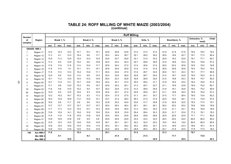#### **(continue) TABLE 24: ROFF MILLING OF WHITE MAIZE (2003/2004)**

|                                |                    |      |            |      |      |                   |      |      |            | <b>Roff Milling</b> |      |          |      |      |              |      |                      |       |        |
|--------------------------------|--------------------|------|------------|------|------|-------------------|------|------|------------|---------------------|------|----------|------|------|--------------|------|----------------------|-------|--------|
| <b>Number</b><br>of<br>samples | Region             |      | Break 1, % |      |      | <b>Break 2, %</b> |      |      | Break 3, % |                     |      | Grits, % |      |      | Bran/Germ, % |      | <b>Extraction. %</b> | meal) | (Total |
|                                |                    | ave. | min.       | max. | ave. | min.              | max. | ave. | min.       | max.                | ave. | min.     | max. | ave. | min.         | max. | ave.                 | min.  | max.   |
|                                | <b>GRADE: WM 2</b> |      |            |      |      |                   |      |      |            |                     |      |          |      |      |              |      |                      |       |        |
|                                | Region 11          | 12.2 | 12.2       | 12.2 | 10.1 | 10.1              | 10.1 | 24.8 | 24.8       | 24.8                | 31.0 | 31.0     | 31.0 | 21.8 | 21.8         | 21.8 | 78.2                 | 78.2  | 78.2   |
| 7                              | Region 12          | 11.3 | 9.1        | 13.3 | 10.4 | 9.6               | 11.7 | 25.4 | 24.4       | 26.7                | 32.1 | 29.0     | 35.2 | 20.9 | 19.6         | 22.7 | 79.1                 | 77.3  | 80.4   |
| 3                              | Region 13          | 12.0 | 11.3       | 12.6 | 10.4 | 10.3              | 10.5 | 24.6 | 23.7       | 25.8                | 32.1 | 31.0     | 33.3 | 20.9 | 19.3         | 22.9 | 79.1                 | 77.1  | 80.7   |
| $\overline{7}$                 | Region 14          | 11.2 | 9.5        | 12.8 | 10.2 | 9.6               | 10.8 | 24.3 | 23.4       | 25.3                | 32.7 | 29.8     | 35.8 | 21.6 | 18.8         | 23.2 | 78.4                 | 76.8  | 81.2   |
| $\overline{2}$                 | Region 15          | 11.6 | 11.6       | 11.6 | 11.0 | 10.4              | 11.7 | 25.8 | 24.4       | 27.2                | 31.0 | 30.6     | 31.5 | 20.5 | 20.2         | 20.8 | 79.5                 | 79.2  | 79.8   |
| $\mathbf{1}$                   | Region 16          | 11.6 | 11.6       | 1.6  | 10.1 | 10.1              | 10.1 | 25.9 | 25.9       | 25.9                | 31.6 | 31.6     | 31.6 | 20.8 | 20.8         | 20.8 | 79.2                 | 79.2  | 79.2   |
| $\overline{7}$                 | Region 17          | 11.9 | 11.2       | 13.3 | 10.4 | 10.0              | 11.1 | 25.2 | 23.6       | 27.0                | 31.6 | 29.7     | 33.0 | 20.9 | 19.1         | 22.3 | 79.1                 | 77.7  | 80.9   |
| 11                             | Region 18          | 12.0 | 9.9        | 14.0 | 11.0 | 9.9               | 15.3 | 25.3 | 23.6       | 26.9                | 30.8 | 28.7     | 34.5 | 21.0 | 18.7         | 23.6 | 79.0                 | 76.4  | 81.3   |
| 5                              | Region 19          | 12.1 | 11.2       | 12.9 | 10.5 | 10.3              | 10.8 | 25.0 | 23.3       | 25.8                | 30.8 | 28.9     | 32.9 | 21.6 | 19.8         | 24.3 | 78.4                 | 75.7  | 80.2   |
| 5                              | Region 20          | 12.7 | 11.9       | 13.1 | 10.7 | 10.5              | 10.9 | 24.4 | 23.1       | 27.0                | 30.5 | 29.4     | 31.1 | 21.8 | 18.5         | 23.4 | 78.2                 | 76.6  | 81.5   |
| $\overline{7}$                 | Region 21          | 11.7 | 9.8        | 13.6 | 10.3 | 9.9               | 10.7 | 25.6 | 24.2       | 26.1                | 31.3 | 29.7     | 33.7 | 21.1 | 19.9         | 23.8 | 78.9                 | 76.2  | 80.1   |
| 10                             | Region 22          | 11.6 | 9.6        | 13.0 | 10.2 | 9.5               | 10.7 | 25.2 | 22.6       | 27.0                | 31.4 | 28.9     | 35.9 | 21.6 | 19.1         | 24.8 | 78.4                 | 75.2  | 80.9   |
| 40                             | Region 23          | 10.9 | 9.2        | 12.5 | 10.0 | 9.3               | 10.9 | 25.4 | 22.7       | 27.2                | 32.6 | 29.9     | 35.7 | 21.1 | 18.8         | 24.0 | 78.9                 | 76.0  | 81.2   |
| 12                             | Region 24          | 12.2 | 10.2       | 16.7 | 10.3 | 9.3               | 11.3 | 25.4 | 21.5       | 27.5                | 31.1 | 24.1     | 33.7 | 21.0 | 17.7         | 26.4 | 79.0                 | 73.6  | 82.3   |
| 4                              | Region 25          | 16.3 | 12.6       | 18.9 | 11.2 | 10.5              | 12.1 | 23.7 | 21.4       | 26.0                | 26.3 | 21.5     | 31.9 | 22.5 | 19.0         | 26.1 | 77.5                 | 73.9  | 81.0   |
| 4                              | Region 26          | 10.6 | 9.8        | 11.7 | 9.9  | 9.6               | 10.3 | 23.8 | 23.2       | 24.9                | 33.8 | 31.7     | 35.8 | 21.8 | 20.9         | 22.5 | 78.2                 | 77.5  | 79.1   |
| 1                              | Region 27          | 13.7 | 13.7       | 13.7 | 10.7 | 10.7              | 10.7 | 26.4 | 26.4       | 26.4                | 29.1 | 29.1     | 29.1 | 20.2 | 20.2         | 20.2 | 79.8                 | 79.8  | 79.8   |
| 4                              | Region 28          | 11.7 | 11.3       | 12.3 | 10.2 | 10.1              | 10.3 | 24.9 | 23.9       | 25.5                | 31.4 | 30.4     | 32.0 | 21.8 | 21.1         | 23.1 | 78.2                 | 76.9  | 78.9   |
| $\overline{2}$                 | Region 29          | 13.8 | 13.6       | 14.1 | 10.6 | 10.5              | 10.8 | 23.4 | 22.8       | 23.9                | 29.4 | 28.4     | 30.3 | 22.8 | 21.7         | 23.9 | 77.2                 | 76.1  | 78.3   |
| $\mathbf 1$                    | Region 30          | 11.8 | 11.8       | 11.8 | 10.9 | 10.9              | 10.9 | 24.6 | 24.6       | 24.6                | 29.8 | 29.8     | 29.8 | 22.9 | 22.9         | 22.9 | 77.1                 | 77.1  | 80.0   |
| 1                              | Region 31          | 10.8 | 10.8       | 10.8 | 9.9  | 9.9               | 9.9  | 25.9 | 25.9       | 25.9                | 33.4 | 33.4     | 33.4 | 20.0 | 20.0         | 20.0 | 80.0                 | 80.0  | 80.0   |
| $\mathbf 1$                    | Region 32          | 12.5 | 12.5       | 12.5 | 10.6 | 10.6              | 10.6 | 25.1 | 25.1       | 25.1                | 32.2 | 32.2     | 32.2 | 19.5 | 19.5         | 19.5 | 80.5                 | 80.5  | 80.5   |
| 10                             | Region 34          | 12.8 | 10.5       | 15.6 | 10.5 | 10.0              | 11.8 | 25.2 | 23.1       | 28.2                | 30.2 | 26.8     | 33.1 | 21.4 | 18.6         | 23.3 | 78.6                 | 76.7  | 81.4   |
| 2                              | Region 36          | 13.6 | 13.5       | 13.8 | 10.6 | 10.4              | 10.8 | 24.9 | 24.6       | 25.1                | 28.8 | 28.3     | 29.3 | 22.1 | 21.6         | 22.5 | 77.9                 | 77.5  | 78.4   |
| 148                            | Ave WM 2           | 11.8 |            |      | 10.3 |                   |      | 25.1 |            |                     | 31.5 |          |      | 21.3 |              |      | 78.7                 |       |        |
|                                | Min WM 2           |      | 9.1        |      |      | 9.3               |      |      | 21.4       |                     |      | 21.5     |      |      | 17.7         |      |                      | 73.6  |        |
|                                | Max WM 2           |      |            | 18.9 |      |                   | 15.3 |      |            | 28.2                |      |          | 35.9 |      |              | 26.4 |                      |       | 82.3   |

4 5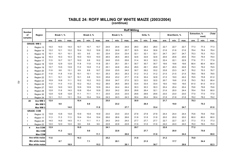#### **TABLE 24: ROFF MILLING OF WHITE MAIZE (2003/2004) (continue)**

|                                |                   |      |                   |      |      |            |      |      |            | <b>Roff Milling</b> |      |          |      |      |              |      |                      |       |        |
|--------------------------------|-------------------|------|-------------------|------|------|------------|------|------|------------|---------------------|------|----------|------|------|--------------|------|----------------------|-------|--------|
| <b>Number</b><br>of<br>samples | Region            |      | <b>Break 1, %</b> |      |      | Break 2, % |      |      | Break 3, % |                     |      | Grits, % |      |      | Bran/Germ, % |      | <b>Extraction. %</b> | meal) | (Total |
|                                |                   | ave. | min.              | max. | ave. | min.       | max. | ave. | min.       | max.                | ave. | min.     | max. | ave. | min.         | max. | ave.                 | min.  | max.   |
|                                | <b>GRADE: WM3</b> |      |                   |      |      |            |      |      |            |                     |      |          |      |      |              |      |                      |       |        |
| 1                              | Region 13         | 14.0 | 14.0              | 14.0 | 10.7 | 10.7       | 10.7 | 24.6 | 24.6       | 24.6                | 28.0 | 28.0     | 28.0 | 22.7 | 22.7         | 22.7 | 77.3                 | 77.3  | 77.3   |
| $\overline{2}$                 | Region 14         | 12.2 | 12.1              | 12.2 | 10.4 | 10.2       | 10.6 | 25.3 | 24.9       | 25.7                | 30.5 | 30.4     | 30.6 | 21.6 | 21.6         | 21.6 | 78.4                 | 78.4  | 78.4   |
| $\overline{1}$                 | Region 15         | 10.1 | 10.1              | 10.1 | 9.5  | 9.5        | 9.5  | 23.4 | 23.4       | 23.4                | 32.1 | 32.1     | 32.1 | 24.7 | 24.7         | 24.7 | 75.3                 | 75.3  | 75.3   |
| $\mathbf{1}$                   | Region 16         | 10.3 | 10.3              | 10.3 | 10.0 | 10.0       | 10.0 | 26.5 | 26.5       | 26.5                | 32.6 | 32.6     | 32.6 | 20.6 | 20.6         | 20.6 | 79.4                 | 79.4  | 79.4   |
| 3                              | Region 17         | 11.5 | 10.7              | 12.7 | 10.0 | 9.9        | 10.2 | 24.6 | 23.5       | 25.6                | 31.4 | 30.3     | 32.3 | 22.4 | 22.1         | 22.9 | 77.6                 | 77.1  | 77.9   |
| $\mathbf{1}$                   | Region 18         | 12.9 | 12.9              | 12.9 | 11.8 | 11.8       | 11.8 | 25.1 | 25.1       | 25.1                | 30.7 | 30.7     | 30.7 | 19.6 | 19.6         | 19.6 | 80.4                 | 80.4  | 80.4   |
| $\overline{2}$                 | Region 19         | 13.7 | 13.5              | 13.9 | 11.0 | 10.8       | 11.2 | 25.1 | 24.8       | 25.4                | 29.5 | 29.1     | 29.9 | 20.7 | 20.5         | 20.8 | 79.3                 | 79.2  | 79.5   |
| 3                              | Region 20         | 11.9 | 9.8               | 13.1 | 9.9  | 8.8        | 10.7 | 23.6 | 23.5       | 24.0                | 30.7 | 29.2     | 33.2 | 23.8 | 23.3         | 24.7 | 76.2                 | 75.3  | 76.7   |
| $\mathbf{1}$                   | Region 21         | 11.8 | 11.8              | 11.8 | 10.1 | 10.1       | 10.1 | 25.3 | 25.3       | 25.3                | 31.2 | 31.2     | 31.2 | 21.5 | 21.5         | 21.5 | 78.5                 | 78.5  | 78.5   |
| 4                              | Region 22         | 11.1 | 10.1              | 12.7 | 10.1 | 9.8        | 10.3 | 25.8 | 23.2       | 27.7                | 31.6 | 30.4     | 32.8 | 21.5 | 19.0         | 24.2 | 78.5                 | 75.8  | 81.0   |
| $\overline{2}$                 | Region 23         | 10.9 | 10.8              | 11.1 | 10.2 | 10.2       | 10.3 | 25.8 | 24.7       | 27.0                | 32.3 | 32.0     | 32.5 | 20.7 | 19.6         | 21.8 | 79.3                 | 78.2  | 80.4   |
| $\mathbf{1}$                   | Region 24         | 11.0 | 11.0              | 11.0 | 10.2 | 10.2       | 10.2 | 26.5 | 26.5       | 26.5                | 33.4 | 33.4     | 33.4 | 19.0 | 19.0         | 19.0 | 81.0                 | 81.0  | 81.0   |
| $\mathbf{1}$                   | Region 27         | 14.0 | 14.0              | 14.0 | 10.9 | 10.9       | 10.9 | 24.4 | 24.4       | 24.4                | 30.3 | 30.3     | 30.3 | 20.4 | 20.4         | 20.4 | 79.6                 | 79.6  | 79.6   |
| 3                              | Region 29         | 12.8 | 11.6              | 14.0 | 10.8 | 10.4       | 10.9 | 25.0 | 24.2       | 25.9                | 29.8 | 26.4     | 32.1 | 21.6 | 20.0         | 24.4 | 78.4                 | 75.6  | 80.0   |
| $\overline{1}$                 | Region 30         | 12.8 | 12.8              | 12.8 | 11.1 | 11.1       | 11.1 | 23.5 | 23.5       | 23.5                | 29.6 | 29.6     | 29.6 | 23.0 | 23.0         | 23.0 | 77.0                 | 77.0  | 77.0   |
| -1                             | Region 34         | 13.1 | 13.1              | 13.1 | 10.4 | 10.4       | 10.4 | 24.3 | 24.3       | 24.3                | 30.4 | 30.4     | 30.4 | 21.8 | 21.8         | 21.8 | 78.2                 | 78.2  | 78.2   |
| 28                             | Ave WM 3          | 12.0 |                   |      | 10.4 |            |      | 25.0 |            |                     | 30.9 |          |      | 21.7 |              |      | 78.3                 |       |        |
|                                | Min WM 3          |      | 9.8               |      |      | 8.8        |      |      | 23.2       |                     |      | 26.4     |      |      | 19.0         |      |                      | 75.3  |        |
|                                | Max WM 3          |      |                   | 14.0 |      |            | 11.8 |      |            | 27.7                |      |          | 33.4 |      |              | 24.7 |                      |       | 81.0   |
|                                | <b>GRADE: COM</b> |      |                   |      |      |            |      |      |            |                     |      |          |      |      |              |      |                      |       |        |
| -1                             | Region 12         | 13.8 | 13.8              | 13.8 | 10.9 | 10.9       | 10.9 | 23.0 | 23.0       | 23.0                | 27.8 | 27.8     | 27.8 | 24.4 | 24.4         | 24.4 | 75.6                 | 75.6  | 75.6   |
| 1                              | Region 17         | 11.3 | 11.3              | 11.3 | 10.4 | 10.4       | 10.4 | 26.6 | 26.6       | 26.6                | 31.8 | 31.8     | 31.8 | 20.0 | 20.0         | 20.0 | 80.0                 | 80.0  | 80.0   |
| $\mathbf{1}$                   | Region 20         | 14.5 | 14.5              | 14.5 | 11.1 | 11.1       | 11.1 | 24.0 | 24.0       | 24.0                | 27.7 | 27.7     | 27.7 | 22.7 | 22.7         | 22.7 | 77.3                 | 77.3  | 77.3   |
| 1                              | Region 23         | 12.0 | 12.0              | 12.0 | 9.6  | 9.6        | 9.6  | 22.8 | 22.8       | 22.8                | 31.6 | 31.6     | 31.6 | 24.0 | 24.0         | 24.0 | 76.0                 | 76.0  | 76.0   |
| 4                              | Ave COM           | 12.9 |                   |      | 10.5 |            |      | 24.1 |            |                     | 29.7 |          |      | 22.8 |              |      | 77.2                 |       |        |
|                                | <b>Min COM</b>    |      | 11.3              |      |      | 9.6        |      |      | 22.8       |                     |      | 27.7     |      |      | 20.0         |      |                      | 75.6  |        |
|                                | <b>Max COM</b>    |      |                   | 14.5 |      |            | 11.1 |      |            | 26.6                |      |          | 31.8 |      |              | 24.4 |                      |       | 80.0   |
|                                | Ave white maize   | 11.6 |                   |      | 10.3 |            |      | 25.2 |            |                     | 31.8 |          |      | 21.2 |              |      | 78.8                 |       |        |
|                                | Min white maize   |      | 8.7               |      |      | 7.1        |      |      | 20.1       |                     |      | 21.5     |      |      | 17.7         |      |                      | 54.4  |        |
|                                | Max white maize   |      |                   | 18.9 |      |            | 15.3 |      |            | 29.1                |      |          | 36.7 |      |              | 29.8 |                      |       | 82.3   |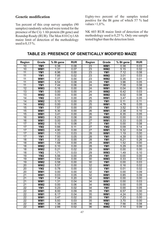#### **Genetic modification**

Ten percent of this crop survey samples (90 samples) randomly selected were tested for the presence of the Cry 1 Ab protein (Bt gene) and Roundup Ready (RUR). The Mon 810 Cry1Ab maize limit of detection of the methodology used is 0,15 %.

Eighty-two percent of the samples tested positive for the Bt gene of which 57 % had values  $>1,0\%$ .

NK 603 RUR maize limit of detection of the methodology used is 0,25 %. Only one sample tested higher than the detection limit.

| <b>Region</b>         | Grade                              | % Bt gene    | <b>RUR</b>   | <b>Region</b>   | Grade                              | % Bt gene    | <b>RUR</b>   |
|-----------------------|------------------------------------|--------------|--------------|-----------------|------------------------------------|--------------|--------------|
| 10                    | YM1                                | 0.38         | 0.08         | 23              | WM1                                | 0.38         | 0.03         |
| 10                    | WM <sub>1</sub>                    | 1.31         | 0.07         | 23              | W <sub>M2</sub>                    | 5.15         | 0.02         |
| $\overline{11}$       | YM <sub>1</sub>                    | 6.96         | 0.00         | 23              | YM <sub>1</sub>                    | 7.12         | 0.08         |
| $\overline{11}$       | YM <sub>1</sub>                    | 7.85         | 0.02         | 23              | W <sub>M2</sub>                    | 3.01         | 0.03         |
| $\overline{11}$       | WM <sub>1</sub>                    | 7.37         | 0.00         | 23              | W <sub>M2</sub>                    | 0.35         | 0.01         |
| $\overline{11}$       | WM <sub>1</sub>                    | 6.54         | 0.08         | $\overline{24}$ | YM <sub>1</sub>                    | 3.96         | 0.05         |
| $\overline{11}$       | YM <sub>1</sub>                    | 7.44         | 0.06         | $\overline{24}$ | WM <sub>1</sub>                    | 7.08         | 0.08         |
| $\overline{12}$       | W <sub>M3</sub>                    | 0.16         | 0.00         | $\overline{24}$ | WM <sub>1</sub>                    | 0.04         | 0.06         |
| $\overline{13}$       | YM1                                | 0.00         | 0.00         | $\overline{24}$ | WM <sub>2</sub>                    | 6.42         | 0.03         |
| $\overline{13}$       | WM <sub>2</sub>                    | 0.00         | 0.00         | $\overline{24}$ | WM <sub>2</sub>                    | 6.02         | 0.08         |
| $\overline{14}$       | YM <sub>2</sub>                    | 0.01         | 0.00         | $\overline{25}$ | WM <sub>1</sub>                    | 3.47         | 0.05         |
| $\overline{14}$       | W <sub>M2</sub>                    | 0.10         | 0.00         | $\overline{25}$ | YM1                                | 0.11         | 0.11         |
| $\overline{14}$       | W <sub>M2</sub>                    | 0.00         | 0.00         | $\overline{25}$ | WM <sub>1</sub>                    | 4.78         | 0.05         |
| $\overline{15}$       | YM <sub>1</sub>                    | 7.57         | 0.00         | 25              | YM <sub>1</sub>                    | 3.52         | 0.10         |
| $\overline{15}$       | WM <sub>1</sub>                    | 5.30         | 0.00         | 26              | WM <sub>1</sub>                    | 2.38         | 0.10         |
| $\overline{15}$       | WM <sub>1</sub>                    | 3.41         | 0.00         | 26              | YM1                                | 6.35         | 0.05         |
| $\overline{16}$       | W <sub>M3</sub>                    | 6.23         | 0.08         | 26              | W <sub>M2</sub>                    | 0.00         | 0.03         |
| $\overline{16}$       | WM <sub>1</sub>                    | 0.00         | 0.05         | $\overline{27}$ | WM <sub>1</sub>                    | 0.33         | 0.05         |
| $\overline{17}$       | W <sub>W</sub>                     | 0.10         | 0.08         | $\overline{27}$ | YM1                                | 0.00         | 0.08         |
| 17                    | YM <sub>2</sub>                    | 0.66         | 0.11         | $\overline{27}$ | YM <sub>2</sub>                    | 0.09         | 0.14         |
| 17                    | W <sub>M3</sub>                    | 4.90         | 0.00         | $\overline{27}$ | WM <sub>1</sub>                    | 5.32         | 0.04         |
| 17                    | WM <sub>1</sub>                    | 1.03         | 0.03         | 28              | WM <sub>1</sub>                    | 1.19         | 0.00         |
| 17                    | YM <sub>1</sub>                    | 7.50         | 0.05         | 28              | YM <sub>1</sub>                    | 4.39         | 0.00         |
| $\overline{18}$       | YM <sub>1</sub>                    | 7.32         | 0.00         | 28              | YM <sub>1</sub>                    | 6.21         | 0.26         |
| $\overline{18}$       | WM1                                | 1.68         | 0.00         | 28              | WM <sub>1</sub>                    | 1.52         | 0.00         |
| 18<br>$\overline{18}$ | WM <sub>2</sub><br>WM <sub>2</sub> | 0.10<br>0.21 | 0.00<br>0.02 | 28<br>29        | YM <sub>1</sub><br>WM <sub>1</sub> | 5.29         | 0.00<br>0.00 |
| $\overline{18}$       | YM <sub>2</sub>                    | 1.71         | 0.03         | $\overline{29}$ | WM <sub>3</sub>                    | 0.00<br>1.49 | 0.10         |
| $\overline{19}$       | YM <sub>2</sub>                    | 5.56         | 0.00         | $\overline{29}$ | YM <sub>1</sub>                    | 0.00         | 0.00         |
| $\overline{19}$       | WM1                                | 0.64         | 0.00         | $\overline{30}$ | WM <sub>3</sub>                    | 0.33         | 0.02         |
| 19                    | WM <sub>2</sub>                    | 0.58         | 0.00         | $\overline{30}$ | YM <sub>1</sub>                    | 0.00         | 0.03         |
| $\overline{20}$       | W <sub>M2</sub>                    | 5.57         | 0.00         | 32              | WM <sub>1</sub>                    | 0.16         | 0.02         |
| $\overline{20}$       | YM <sub>2</sub>                    | 0.78         | 0.00         | $\overline{32}$ | YM <sub>1</sub>                    | 0.01         | 0.02         |
| $\overline{20}$       | WM <sub>1</sub>                    | 0.00         | 0.00         | 32              | YM <sub>1</sub>                    | 0.00         | 0.09         |
| $\overline{21}$       | WM <sub>1</sub>                    | 0.03         | 0.05         | $\overline{32}$ | WM1                                | 0.85         | 0.09         |
| $\overline{21}$       | YM <sub>1</sub>                    | 7.34         | 0.20         | $\overline{34}$ | WM <sub>1</sub>                    | 0.00         | 0.00         |
| $\overline{21}$       | WM1                                | 1.31         | 0.04         | $\overline{34}$ | WM <sub>1</sub>                    | 0.00         | 0.03         |
| $\overline{21}$       | WM <sub>2</sub>                    | 0.00         | 0.06         | $\overline{34}$ | WM <sub>2</sub>                    | 0.00         | 0.05         |
| $\overline{22}$       | YM1                                | 0.23         | 0.02         | $\overline{34}$ | YM1                                | 0.00         | 0.05         |
| $\overline{22}$       | WM1                                | 8.00         | 0.09         | $\overline{35}$ | YM1                                | 6.57         | 0.00         |
| $\overline{22}$       | WM1                                | 6.17         | 0.04         | 35              | WM1                                | 4.24         | 0.00         |
| $\overline{22}$       | WM1                                | 3.47         | 0.02         | $\overline{35}$ | YM <sub>1</sub>                    | 7.23         | 0.00         |
| $\overline{22}$       | WM1                                | 5.93         | 0.03         | $\overline{35}$ | WM1                                | 3.70         | 0.00         |
| $\overline{22}$       | WM1                                | 1.38         | 0.05         | 36              | YM <sub>2</sub>                    | 7.56         | 0.08         |
| 22                    | WM <sub>1</sub>                    | 2.88         | 0.02         | 36              | WM <sub>2</sub>                    | 7.10         | 0.09         |

#### **TABLE 25: PRESENCE OF GENETICALLY MODIFIED MAIZE**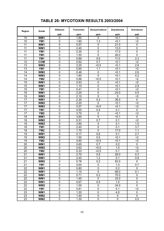| <b>TABLE 26: MYCOTOXIN RESULTS 2003/2004</b> |  |
|----------------------------------------------|--|
|----------------------------------------------|--|

| Region          | Grade           | <b>Aflatoxin</b> | <b>Fumonisin</b> | Deoxynivalenol   | <b>Zearalenone</b> | <b>Ochratoxin</b> |
|-----------------|-----------------|------------------|------------------|------------------|--------------------|-------------------|
|                 |                 | ppb              | ppm              | ppm              | ppm                | ppb               |
| 10              | WM1             | $\mathbf{0}$     | 1.80             | $\mathbf{0}$     | < 0.1              | $2$               |
| 10              | YM1             | $\mathbf 0$      | 1.80             | 1.3              | < 0.1              | $2$               |
| 11              | WM1             | $\mathbf 0$      | 0.57             | 0                | 21.0               | 0                 |
| 11              | WM1             | $\pmb{0}$        | 2.40             | 0                | 13.0               | 0                 |
| 11              | YM1             | $\mathbf 0$      | 2.30             | $\mathbf 0$      | 17.0               | $\mathbf 0$       |
| 11              | YM1             | $\mathbf 0$      | 1.50             | 0                | 26.0               | 0                 |
| 11              | YM1             | $\mathbf 0$      | 0.89             | 0.6              | 11.0               | 2.3               |
| 12              | <b>COM</b>      | $\mathbf 0$      | 0.62             | 0.7              | < 0.1              | $2$               |
| 13              | WM <sub>2</sub> | $\mathbf 0$      | 2.20             | < 0.5            | < 0.1              | 2.9               |
| 13              | YM1             | 0                | 5.60             | 1.1              | < 0.1              | $2$               |
| 14              | WM <sub>2</sub> | $\mathbf 0$      | 0.46             | $\mathbf 0$      | < 0.1              | 2.6               |
| 14              | WM3             | 0                | 1.80             | 0                | < 0.1              | 4.2               |
| 14              | YM <sub>2</sub> | $\mathbf 0$      | 0.96             | < 0.5            | < 0.1              | $2$               |
| 15              | WM1             | $\mathbf 0$      | 0.53             | 0                | < 0.1              | $2$               |
| 15              | WM1             | 0                | 1.10             | $\mathbf 0$      | < 0.1              | 2.9               |
| 15              | YM1             | $\pmb{0}$        | 0.41             | $\mathbf 0$      | < 0.1              | $2$               |
| 16              | WM1             | $\pmb{0}$        | 2.20             | $\pmb{0}$        | 24.0               | 0.5               |
| 16              | WM3             | $\mathbf 0$      | 2.10             | 0                | $\mathbf{0}$       | $2$               |
| 17              | WM1             | $\mathbf 0$      | 2.30             | 0.3              | 36.0               | $\mathbf 0$       |
| 17              | WM <sub>2</sub> | $\mathbf 0$      | 2.20             | $\overline{0}$   | < 0.1              | $2$               |
| 17              | WM3             | $\mathbf 0$      | 0.57             | < 0.5            | < 0.1              | $2$               |
| 17              | YM1             | 0                | 4.50             | 0.4              | 0.1                | $\overline{0}$    |
| 17              | YM <sub>2</sub> | $\mathbf 0$      | 3.70             | $\mathbf 0$      | < 0.1              | $\overline{c}$    |
| 18              | WM1             | $\mathbf 0$      | 3.90             | 0                | < 0.1              | $\mathbf 0$       |
| 18              | WM <sub>2</sub> | $\mathbf 0$      | 0.51             | 0.7              | 0.1                | $\overline{2}$    |
| 18              | WM <sub>2</sub> | $\mathbf 0$      | 3.90             | $\mathbf 0$      | 0.1                | 1.0               |
| 18              | YM1             | $\mathbf 0$      | 2.40             | $\mathbf 0$      | 0.1                | 3.7               |
| 18              | YM <sub>2</sub> | $\mathbf 0$      | 1.70             | $\overline{0}$   | 17.0               | 1.1               |
| 19              | WM1             | $\mathbf 0$      | 0.17             | 0.6              | 0.1                | 2.7               |
| 19              | WM <sub>2</sub> | $\mathbf 0$      | 1.50             | 0.5              | < 0.1              | $2$               |
| 19              | YM <sub>2</sub> | $\mathbf 0$      | 4.60             | < 0.5            | < 0.1              | $2$               |
| 20              | WM1             | 0                | 0.65             | 0.7              | 0.2                | $\mathbf 0$       |
| 20              | WM <sub>2</sub> | $\mathbf 0$      | 0.62             | < 0.5            | 1.0                | $2$               |
| 20              | YM <sub>2</sub> | $\mathbf 0$      | 0.33             | < 0.5            | 0.1                | $2$               |
| $\overline{21}$ | WM1             | $\overline{0}$   | 2.70             | 0.9              | 28.0               | $\overline{0.3}$  |
| 21              | WM1             | $\mathbf 0$      | 2.40             | 1.2              | 0.1                | 0.8               |
| 21              | WM <sub>2</sub> | $\overline{0}$   | 0.78             | 0.2              | 83.0               | $\overline{0}$    |
| 21              | YM1             | $\overline{0}$   | 0.64             | $\pmb{0}$        | 1.0                | 0.7               |
| 22              | WM1             | $\pmb{0}$        | 0.80             | $\pmb{0}$        | 0.2                | $\pmb{0}$         |
| 22              | WM1             | $\overline{0}$   | 1.10             | $\mathbf 0$      | 68.0               | 0.1               |
| 22              | WM1             | $\overline{0}$   | 0.71             | $\overline{0.2}$ | 75.0               | 0                 |
| 22              | WM1             | 0                | 1.40             | 0                | 33.0               | $\mathbf 0$       |
| 22              | WM1             | $\pmb{0}$        | 0.67             | 0.5              | 1.0                | $\overline{0}$    |
| 22              | WM <sub>2</sub> | $\pmb{0}$        | 1.00             | $\pmb{0}$        | 34.0               | 0                 |
| 22              | YM1             | $\pmb{0}$        | 0.81             | $\pmb{0}$        | 0.1                | $2$               |
| 23              | WM1             | $\pmb{0}$        | 1.20             | $\overline{0}$   | 4.0                | $\overline{0}$    |
| 23              | WM <sub>2</sub> | $\pmb{0}$        | 1.40             | $\pmb{0}$        | $\pmb{0}$          | $\overline{0}$    |
| 23              | WM <sub>2</sub> | $\pmb{0}$        | 1.30             | $\overline{0}$   | $\pmb{0}$          | 0.5               |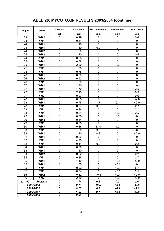## **TABLE 26: MYCOTOXIN RESULTS 2003/2004 (continue)**

| Region          | Grade                    | <b>Aflatoxin</b>                       | <b>Fumonisin</b> | Deoxynivalenol | <b>Zearalenone</b> | <b>Ochratoxin</b> |
|-----------------|--------------------------|----------------------------------------|------------------|----------------|--------------------|-------------------|
|                 |                          | ppb                                    | ppm              | ppm            | ppm                | ppb               |
| 23              | W <sub>W</sub>           | $\mathbf{0}$                           | 0.29             | $\mathbf{0}$   | $\Omega$           | 0.6               |
| 23              | YM1                      | 0                                      | 0.61             | $\mathbf 0$    | 0                  | 0                 |
| 24              | WM1                      | 0                                      | 1.10             | $\mathbf 0$    | 0                  | $\mathbf 0$       |
| 24              | WM1                      | 0                                      | 1.10             | 0.2            | 0                  | $\mathbf 0$       |
| 24              | WM <sub>2</sub>          | $\mathbf 0$                            | 1.20             | 1.9            | 0.1                | $\mathbf 0$       |
| 24              | WM <sub>2</sub>          | 0                                      | 1.10             | 0              | 0                  | 0.5               |
| 24              | YM <sub>1</sub>          | 0                                      | 0.28             | $\mathbf 0$    | 0                  | 0                 |
| 25              | WM1                      | 0                                      | 0.58             | $\mathbf 0$    | 0                  | $\mathbf 0$       |
| 25              | WM1                      | 0                                      | 2.20             | $\mathbf 0$    | 0.2                | $\mathbf 0$       |
| 25              | YM <sub>1</sub>          | $\mathbf 0$                            | 1.70             | $\mathbf 0$    | $\mathbf 0$        | 0                 |
| 25              | YM <sub>1</sub>          | $\mathbf 0$                            | 0.75             | $\mathbf 0$    | $\mathbf 0$        | 0                 |
| 26              | WM1                      | $\mathbf 0$                            | 0.60             | $\mathbf 0$    | 0                  | 0                 |
| 26              | WM <sub>2</sub>          | $\mathbf 0$                            | 0.92             | $\overline{0}$ | $\mathbf 0$        | $\overline{0}$    |
| 26              | YM1                      | $\pmb{0}$                              | 1.00             | $\mathbf 0$    | 0                  | $\mathbf 0$       |
| 27              | WM1                      | 0                                      | 2.80             | $\mathbf 0$    | 0                  | $\mathbf 0$       |
| 27              | WM1                      | $\mathbf 0$                            | 1.70             | $\mathbf 0$    | 0                  | 2.5               |
| 27              | YM <sub>1</sub>          | $\mathbf 0$                            | 2.10             | $\mathbf 0$    | $\mathbf 0$        | 0.3               |
| 27              | YM <sub>2</sub>          | $\mathbf 0$                            | 0.97             | $\mathbf 0$    | 0                  | 0.6               |
| 28              | WM1                      | $\mathbf 0$                            | 0.55             | $\mathbf 0$    | $\overline{0}$     | 2.0               |
| 28              | WM1                      | $\mathbf 0$                            | 0.75             | 1.7            | 0.1                | 2.0               |
| 28              | YM1                      | 0                                      | 0.67             | 0.6            | 0                  | 2.7               |
| 28              | YM1                      | $\overline{0}$                         | 0.16             | $\mathbf 0$    | $\overline{0}$     | 2.1               |
| 28              | YM1                      | 0                                      | 0.24             | $\mathbf 0$    | < 0.1              | 2.5               |
| 29              | WM1                      | $\mathbf 0$                            | 0.76             | $\mathbf 0$    | 0.3                | 0                 |
| 29              | WM3                      | $\overline{0}$                         | 0.54             | $\overline{0}$ | $\mathbf 0$        | $\overline{0}$    |
| 29              | YM1                      | 0                                      | 0.26             | $\mathbf 0$    | $\mathbf 0$        | $\mathbf 0$       |
| 30              | WM3                      | 0                                      | 0.86             | 13.0           | 1.2                | 0                 |
| 30              | YM <sub>1</sub>          | 0                                      | 1.50             | 3.0            | 0                  | 0                 |
| 32              | WM1                      | $\mathbf 0$                            | 1.10             | 0.8            | 0                  | 2.0               |
| 32              | WM1                      | 0                                      | 0.66             | $\mathbf{0}$   | 0                  | 0                 |
| 32              | YM1                      | $\mathbf 0$                            | 4.20             | 1.3            | $\mathbf 0$        | 0                 |
| 32              | YM1                      | 0                                      | 0.41             | 0.0            | 0                  | 0.2               |
| 34              | WM1                      | 0                                      | 0.70             | 1.0            | 0.1                | 0                 |
| 34              | WM1                      | $\pmb{0}$                              | 1.10             | $\pmb{0}$      | $\mathbf 0$        | 0                 |
| 34              | WM <sub>2</sub>          | $\mathbf 0$                            | 0.62             | $\overline{0}$ | 0.5                | $\overline{0.2}$  |
| 34              | YM1                      | $\pmb{0}$                              | 0.25             | $\overline{0}$ | $\mathbf 0$        | 2.7               |
| 35              | WM1                      | $\overline{0}$                         | 1.40             | $\overline{0}$ | < 0.1              | 2.0               |
| 35              | WM1                      | $\overline{0}$                         | 1.60             | $\overline{0}$ | < 0.1              | $\overline{0}$    |
| 35              | YM1                      | $\overline{0}$                         | 0.92             | $\pmb{0}$      | < 0.1              | 5.7               |
| 35              | YM1                      | $\pmb{0}$                              | 0.84             | $\mathbf 0$    | < 0.1              | 2.5               |
| 36              | $\overline{\text{W}}$ M2 | $\pmb{0}$                              | 0.32             | $\overline{5}$ | < 0.1              | 2.0               |
| $\overline{36}$ | YM <sub>2</sub>          | $\overline{0}$                         | 2.30             | 0              | 50.1               | 2.0               |
| $N = 90$        | Average                  | 0                                      | 1.14             | 0.2            | $\overline{0.0}$   | 0.6               |
|                 | 2002/2003                | 0                                      | 0.73             | < 0.5          | < 0.1              | 2.0               |
|                 | 2001/2002                | 0                                      | 0.76             | 0.6            | < 0.1              | 2.0               |
|                 | 2000/2001                | 0                                      | 1.67             | 0.7            | < 0.1              | 2.0               |
|                 | 1999/2000                | $\overline{\boldsymbol{\mathfrak{o}}}$ | 0.64             | $\frac{1}{2}$  |                    | ۰                 |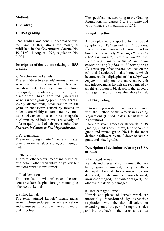#### **Methods**

#### **1.Grading**

#### **1.1 RSA grading**

RSA grading was done in accordance with the Grading Regulations for maize, as published in the Government Gazette No. 19131of 14 August 1998, regulation No. R.905.

#### **Description of deviations relating to RSA grading**

#### a. Defective maize kernels

The term "defective kernels" means all maize kernels and pieces of maize kernels which are shrivelled, obviously immature, frostdamaged, heat-damaged, mouldy or discoloured, have sprouted (including kernels whose growing point in the germ is visibly discoloured), have cavities in the germ or endosperm caused by insects or rodents, are visibly contaminated by smut, soil, smoke or coal-dust, can pass through the 6.35 mm round-hole sieve, are clearly of inferior quality and of subspecies other than *Zea mays indentata* or *Zea Mays indurata*.

#### b. Foreign matter

The term "foreign matter" means all matter other than maize, glass, stone, coal, dung or metal.

#### c. Other colour

The term "other colour" means maize kernels of a colour other than white or yellow but excludes pinked maize kernels.

#### d. Total deviation

The term "total deviation" means the total defective kernels plus foreign matter plus other colour kernels.

#### e. Pinked kernels

The term "pinked kernels" means maize kernels whose endosperm is white or yellow and whose pericarp or part thereof is red or pink in colour.

The specification, according to the Grading Regulations for classes 1 to 3 of white and yellow maize is a maximum of 12 %.

#### **Fungal infection**

All samples were inspected for the visual symptoms of *Diplodia* and F*usarium cobrot*. There are four fungi which cause cobrot in South Africa namely *Stenocarpella maydis (Diplodia maydis)*, *Fusarium moniliforme, Fusarium graminearum* and *Stenocarpella macrospora(Diplodia Macrospora) Fusarium* spp infections are localized on the cob and discoloured maize kernels, which become reddish (light pink to lilac). *Diplodia maydis* normally rots the entire maize cob and infected maize kernels are recognized by a light ash colour to black colour that appears at the germ and can infest the whole kernel.

#### **1.2 USA grading**

USA grading was determined in accordance with the method of the American Grading Regulations (United States Department of Agriculture).

There are seven grades or standards in US grading, Grades nos. 1 through 5 and sample grade and mixed grade. No.1 is the most desirable followed by no. 2 down to sample grade and mixed grade.

#### **Description of deviations relating to USA grading**

#### a. Damaged kernels

Kernels and pieces of corn kernels that are badly ground-damaged, badly weatherdamaged, diseased, frost-damaged, germdamaged, heat-damaged, insect-bored, mould-damaged, sprout-damaged, or otherwise materially damaged.

#### b. Heat-damaged kernels

Kernels and pieces of kernels which are materially discoloured by excessive respiration, with the dark discoloration extending out of the germ through the sides  $50$  and into the back of the kernel as well as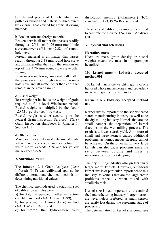kernels and pieces of kernels which are puffed or swollen and materially discoloured by external heat caused by artificial drying methods.

b. Broken corn and foreign material

Broken corn is all matter that passes readily through a 12/64-inch (4.76 mm) round-hole sieve and over a 6/64-inch (2.38 mm) roundhole sieve.

Foreign material is all matter that passes readily through a 2.38 mm round-hole sieve and all matter other than corn that remains on top of the 4.76 mm round-hole sieve after sieving.

Broken corn and foreign material is all matter that passes readily through a 4.76 mm roundhole sieve and all matter other than corn that remains in the sieved sample.

#### c. Bushel weight

Test weight per bushel is the weight of grain required to fill a level Winchester bushel. Bushel weight is multiplied by the factor 1.2872 to get the hectolitre mass.

Bushel weight is done according to the Federal Grain Inspection Services' (FGIS) Grain Inspection Handbook II, Chapter 1, Section 1.11.

#### d. Other colour

Maize samples are deemed to be mixed grade when maize kernels of another colour for white maize exceeds 2 % and for yellow maize exceeds 5 %.

#### **2. Nutritional value**

The Infratec 1241 Grain Analyzer (Near Infrared) (NIT) was calibrated against the different international chemical methods for determining nutritional values.

The chemical methods used to establish a set of calibration samples were:

a) for fat, the petroleum ether extraction (Soxhlet) method (AACC 30-25, 1999),

b) for protein, the Dumas (Leco) method (AACC 46-30,1999), and

c) for starch, the Hydrochloric Acid  $_{51}$ 

dissolution method (Polarimeter) (ICC standard no. 123, 1976 - Revised 1994).

These sets of calibration samples were used to calibrate the Infratec 1241 Grain Analyzer (NIT).

#### **3. Physical characteristics**

#### **Hectolitre mass**

Hectolitre mass (grain density or bushel weight) means the mass in kilogram per hectolitre.

#### **100 kernel mass - Industry accepted method 001**

100 kernel mass is the weight in grams of one hundred whole maize kernels and provides a measure of grain size and density.

#### **Kernel size - Industry accepted method 017**

Kernel size is important to the sophisticated starch manufacturing industry as well as to the dry milling industry. Kernels that are too small hamper the separation of kernel fractions in the wet milling process. The result is a lower starch yield. A mixture of small and large kernels causes additional problems, as homogeneous steeping cannot be achieved. On the other hand, very large kernels can also cause problems since the ratio between volume and mass is unfavourable to proper steeping.

The dry milling industry also prefers fairly larger maize kernels. However, a uniform kernel size is of particular importance to this industry, as kernels that are too large create problems especially when mixed with smaller kernels.

Kernel size is less important to the animal feed manufacturing industry. Larger kernels are nevertheless preferred, as small kernels are easily lost during the screening stage of processing.

The determination of kernel size comprises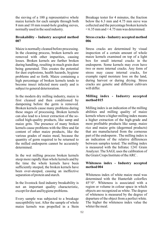the sieving of a 100 g representative whole maize kernels for each sample through both 8 mm and 10 mm round-hole grading sieves, normally used in the seed industry.

#### **Breakability - Industry accepted method 007**

Maize is normally cleaned before processing. In the cleaning process, broken kernels are removed with other impurities, causing losses. Broken kernels are further broken during handling, resulting in much grain dust being generated. This creates the potential for dust explosions, health hazards, hygiene problems and so forth. Maize containing a high percentage of broken kernels tends to become insect infected more easily and is subject to general deterioration.

In the modern dry milling industry, maize is first cleaned and then conditioned by dampening before the germ is removed. Broken kernels cause many problems during these stages of processing. Broken kernels can also lead to a lower extraction of the socalled high-quality products, like samp and maize grits. The presence of many broken kernels cause problems with the fibre and fat content of other maize products, like the various grades of maize meal, because the quantity of germ required to be returned to the milled endosperm cannot be accurately determined.

In the wet milling process broken kernels steep more rapidly than whole kernels and by the time the whole kernels have been sufficiently steeped, the broken kernels have been over-steeped, causing an ineffective separation of protein and starch.

In the livestock feed industry breakability is not an important quality characteristic, except for dust and hygiene problems.

Every sample was subjected to a breakage susceptibility test. After the sample of whole maize kernels was propelled in a Stein Breakage tester for 4 minutes, the fraction below the 6.3 mm and 4.75 mm sieve was collected and the percentage broken kernels  $\leq$  6.35 mm and  $\leq$  4.75 mm was determined.

#### **Stress cracks - Industry accepted method 006**

Stress cracks are determined by visual inspection of a certain amount of whole maize kernels examined on top of a light box for small internal cracks in the endosperm. Some kernels may even have two or more internal cracks. Any form of stress may cause internal cracks, for example rapid moisture loss on the land, during harvest or during drying. Stress cracks are genetic and different cultivars will differ.

#### **Milling index - Industry accepted method 015**

Milling index is an indication of the milling abilities and milling quality of maize kernels where a higher milling index means a higher extraction of the high-grade and most profitable products like samp, maize rice and maize grits (degermed products) that are manufactured from the corneous part of the endosperm . The milling index is an indication of the relative differences between samples tested. The milling index is measured with the Infratec 1241 Grain Analyzer. The SAGL uses the calibration of the Grain Crops Institute of the ARC .

#### **Whiteness index - Industry accepted method 004**

Whiteness index of white maize meal was determined with the Hunterlab colorflex 45°/0°. Whiteness is associated with a region or volume in colour space in which objects are recognized as white. The degree of whiteness is measured by the degree of departure of the object from a perfect white. The higher the whiteness index value the whiter the meal.